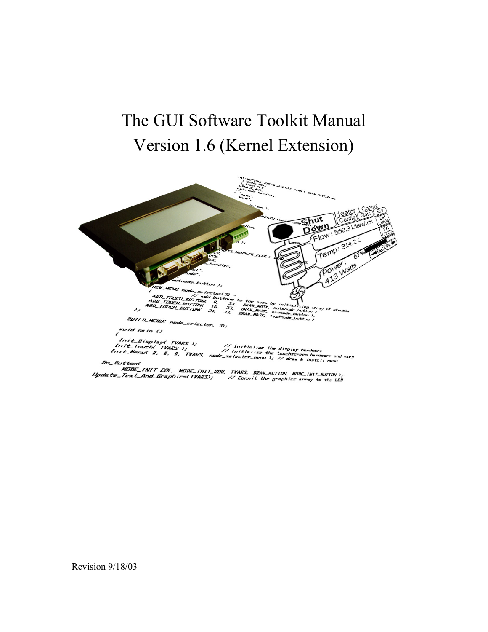# The GUI Software Toolkit Manual Version 1.6 (Kernel Extension)



Revision 9/18/03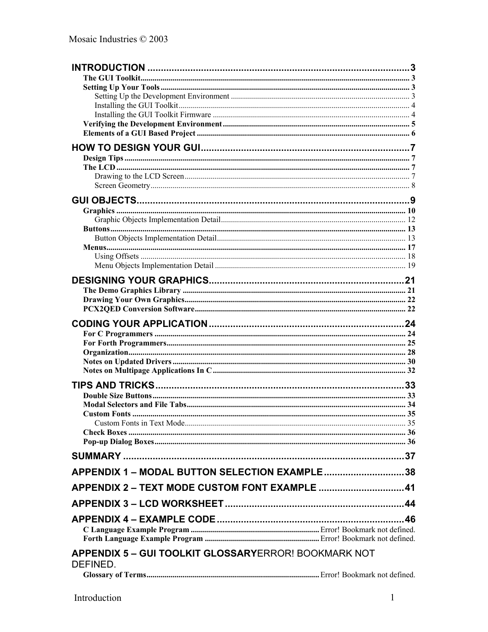| APPENDIX 1 - MODAL BUTTON SELECTION EXAMPLE38               |  |
|-------------------------------------------------------------|--|
| APPENDIX 2 - TEXT MODE CUSTOM FONT EXAMPLE 41               |  |
|                                                             |  |
|                                                             |  |
|                                                             |  |
|                                                             |  |
|                                                             |  |
| <b>APPENDIX 5 - GUI TOOLKIT GLOSSARYERROR! BOOKMARK NOT</b> |  |
| DEFINED.                                                    |  |
|                                                             |  |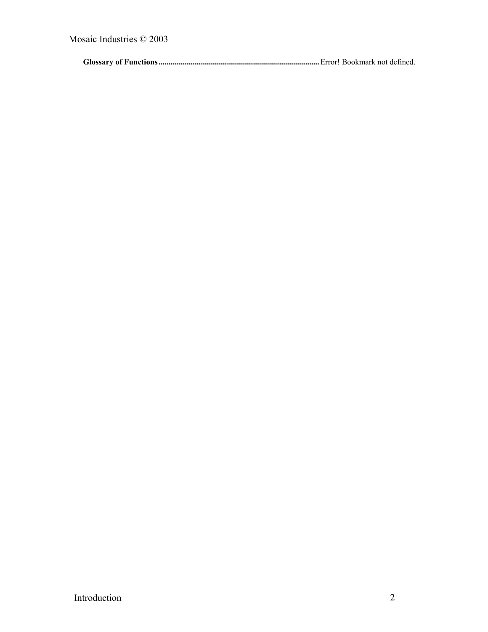**Glossary of Functions ................................................................................**Error! Bookmark not defined.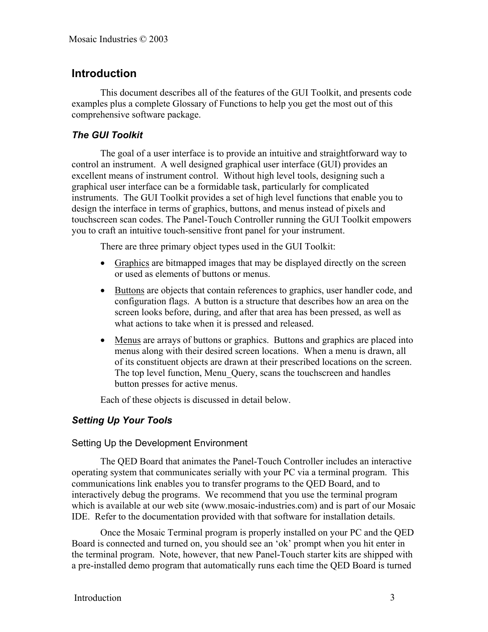# **Introduction**

This document describes all of the features of the GUI Toolkit, and presents code examples plus a complete Glossary of Functions to help you get the most out of this comprehensive software package.

# *The GUI Toolkit*

The goal of a user interface is to provide an intuitive and straightforward way to control an instrument. A well designed graphical user interface (GUI) provides an excellent means of instrument control. Without high level tools, designing such a graphical user interface can be a formidable task, particularly for complicated instruments. The GUI Toolkit provides a set of high level functions that enable you to design the interface in terms of graphics, buttons, and menus instead of pixels and touchscreen scan codes. The Panel-Touch Controller running the GUI Toolkit empowers you to craft an intuitive touch-sensitive front panel for your instrument.

There are three primary object types used in the GUI Toolkit:

- Graphics are bitmapped images that may be displayed directly on the screen or used as elements of buttons or menus.
- Buttons are objects that contain references to graphics, user handler code, and configuration flags. A button is a structure that describes how an area on the screen looks before, during, and after that area has been pressed, as well as what actions to take when it is pressed and released.
- Menus are arrays of buttons or graphics. Buttons and graphics are placed into menus along with their desired screen locations. When a menu is drawn, all of its constituent objects are drawn at their prescribed locations on the screen. The top level function, Menu Query, scans the touchscreen and handles button presses for active menus.

Each of these objects is discussed in detail below.

# *Setting Up Your Tools*

#### Setting Up the Development Environment

The QED Board that animates the Panel-Touch Controller includes an interactive operating system that communicates serially with your PC via a terminal program. This communications link enables you to transfer programs to the QED Board, and to interactively debug the programs. We recommend that you use the terminal program which is available at our web site (www.mosaic-industries.com) and is part of our Mosaic IDE. Refer to the documentation provided with that software for installation details.

Once the Mosaic Terminal program is properly installed on your PC and the QED Board is connected and turned on, you should see an 'ok' prompt when you hit enter in the terminal program. Note, however, that new Panel-Touch starter kits are shipped with a pre-installed demo program that automatically runs each time the QED Board is turned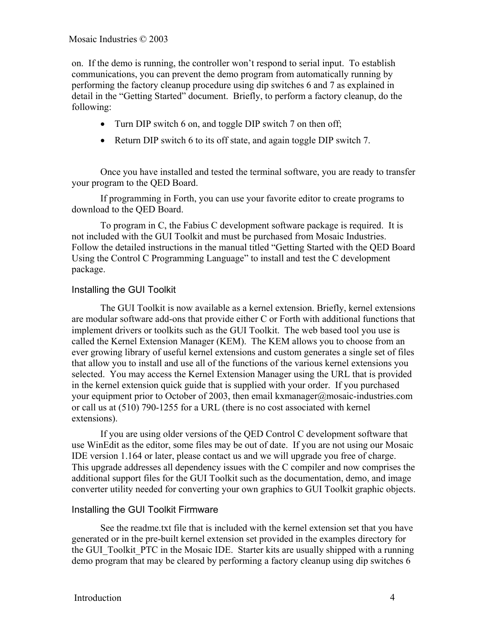on. If the demo is running, the controller won't respond to serial input. To establish communications, you can prevent the demo program from automatically running by performing the factory cleanup procedure using dip switches 6 and 7 as explained in detail in the "Getting Started" document. Briefly, to perform a factory cleanup, do the following:

- Turn DIP switch 6 on, and toggle DIP switch 7 on then off;
- Return DIP switch 6 to its off state, and again toggle DIP switch 7.

Once you have installed and tested the terminal software, you are ready to transfer your program to the QED Board.

If programming in Forth, you can use your favorite editor to create programs to download to the QED Board.

To program in C, the Fabius C development software package is required. It is not included with the GUI Toolkit and must be purchased from Mosaic Industries. Follow the detailed instructions in the manual titled "Getting Started with the QED Board Using the Control C Programming Language" to install and test the C development package.

#### Installing the GUI Toolkit

The GUI Toolkit is now available as a kernel extension. Briefly, kernel extensions are modular software add-ons that provide either C or Forth with additional functions that implement drivers or toolkits such as the GUI Toolkit. The web based tool you use is called the Kernel Extension Manager (KEM). The KEM allows you to choose from an ever growing library of useful kernel extensions and custom generates a single set of files that allow you to install and use all of the functions of the various kernel extensions you selected. You may access the Kernel Extension Manager using the URL that is provided in the kernel extension quick guide that is supplied with your order. If you purchased your equipment prior to October of 2003, then email kxmanager@mosaic-industries.com or call us at (510) 790-1255 for a URL (there is no cost associated with kernel extensions).

If you are using older versions of the QED Control C development software that use WinEdit as the editor, some files may be out of date. If you are not using our Mosaic IDE version 1.164 or later, please contact us and we will upgrade you free of charge. This upgrade addresses all dependency issues with the C compiler and now comprises the additional support files for the GUI Toolkit such as the documentation, demo, and image converter utility needed for converting your own graphics to GUI Toolkit graphic objects.

#### Installing the GUI Toolkit Firmware

See the readme.txt file that is included with the kernel extension set that you have generated or in the pre-built kernel extension set provided in the examples directory for the GUI\_Toolkit\_PTC in the Mosaic IDE. Starter kits are usually shipped with a running demo program that may be cleared by performing a factory cleanup using dip switches 6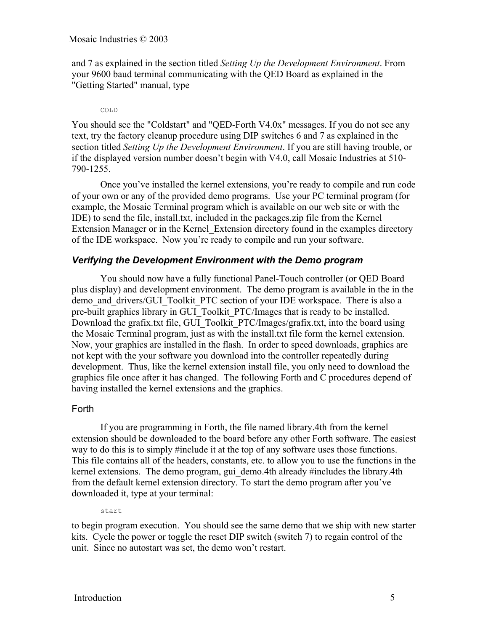and 7 as explained in the section titled *Setting Up the Development Environment*. From your 9600 baud terminal communicating with the QED Board as explained in the "Getting Started" manual, type

#### COLD

You should see the "Coldstart" and "QED-Forth V4.0x" messages. If you do not see any text, try the factory cleanup procedure using DIP switches 6 and 7 as explained in the section titled *Setting Up the Development Environment*. If you are still having trouble, or if the displayed version number doesn't begin with V4.0, call Mosaic Industries at 510- 790-1255.

Once you've installed the kernel extensions, you're ready to compile and run code of your own or any of the provided demo programs. Use your PC terminal program (for example, the Mosaic Terminal program which is available on our web site or with the IDE) to send the file, install.txt, included in the packages.zip file from the Kernel Extension Manager or in the Kernel\_Extension directory found in the examples directory of the IDE workspace. Now you're ready to compile and run your software.

#### *Verifying the Development Environment with the Demo program*

You should now have a fully functional Panel-Touch controller (or QED Board plus display) and development environment. The demo program is available in the in the demo and drivers/GUI\_Toolkit\_PTC section of your IDE workspace. There is also a pre-built graphics library in GUI\_Toolkit\_PTC/Images that is ready to be installed. Download the grafix.txt file, GUI\_Toolkit\_PTC/Images/grafix.txt, into the board using the Mosaic Terminal program, just as with the install.txt file form the kernel extension. Now, your graphics are installed in the flash. In order to speed downloads, graphics are not kept with the your software you download into the controller repeatedly during development. Thus, like the kernel extension install file, you only need to download the graphics file once after it has changed. The following Forth and C procedures depend of having installed the kernel extensions and the graphics.

#### Forth

If you are programming in Forth, the file named library.4th from the kernel extension should be downloaded to the board before any other Forth software. The easiest way to do this is to simply #include it at the top of any software uses those functions. This file contains all of the headers, constants, etc. to allow you to use the functions in the kernel extensions. The demo program, gui demo.4th already #includes the library.4th from the default kernel extension directory. To start the demo program after you've downloaded it, type at your terminal:

start

to begin program execution. You should see the same demo that we ship with new starter kits. Cycle the power or toggle the reset DIP switch (switch 7) to regain control of the unit. Since no autostart was set, the demo won't restart.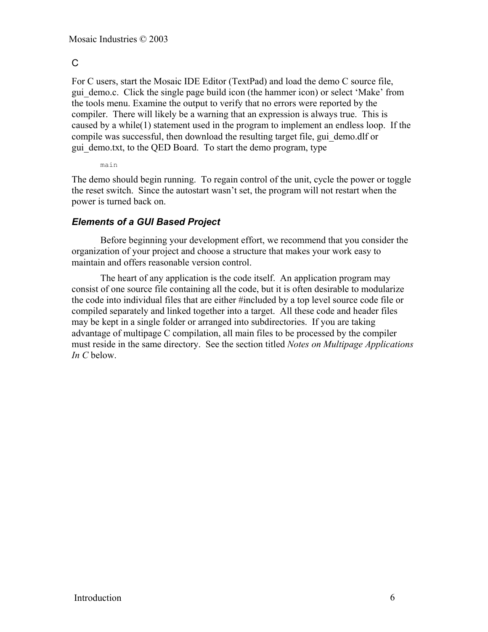# $\mathcal{C}$

For C users, start the Mosaic IDE Editor (TextPad) and load the demo C source file, gui\_demo.c. Click the single page build icon (the hammer icon) or select 'Make' from the tools menu. Examine the output to verify that no errors were reported by the compiler. There will likely be a warning that an expression is always true. This is caused by a while(1) statement used in the program to implement an endless loop. If the compile was successful, then download the resulting target file, gui\_demo.dlf or gui demo.txt, to the QED Board. To start the demo program, type

main

The demo should begin running. To regain control of the unit, cycle the power or toggle the reset switch. Since the autostart wasn't set, the program will not restart when the power is turned back on.

# *Elements of a GUI Based Project*

Before beginning your development effort, we recommend that you consider the organization of your project and choose a structure that makes your work easy to maintain and offers reasonable version control.

The heart of any application is the code itself. An application program may consist of one source file containing all the code, but it is often desirable to modularize the code into individual files that are either #included by a top level source code file or compiled separately and linked together into a target. All these code and header files may be kept in a single folder or arranged into subdirectories. If you are taking advantage of multipage C compilation, all main files to be processed by the compiler must reside in the same directory. See the section titled *Notes on Multipage Applications In C* below.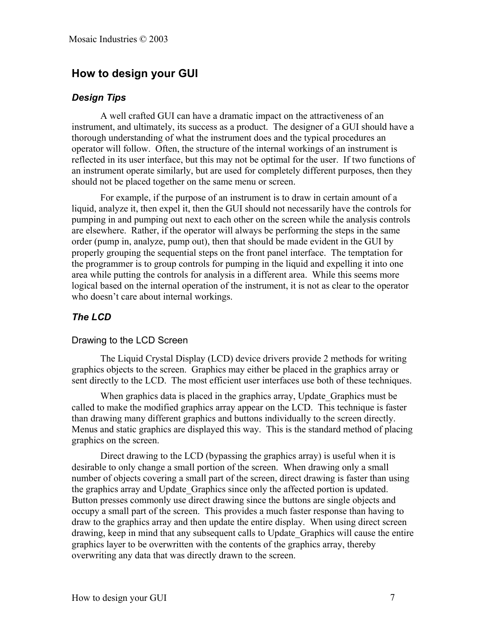# **How to design your GUI**

#### *Design Tips*

A well crafted GUI can have a dramatic impact on the attractiveness of an instrument, and ultimately, its success as a product. The designer of a GUI should have a thorough understanding of what the instrument does and the typical procedures an operator will follow. Often, the structure of the internal workings of an instrument is reflected in its user interface, but this may not be optimal for the user. If two functions of an instrument operate similarly, but are used for completely different purposes, then they should not be placed together on the same menu or screen.

For example, if the purpose of an instrument is to draw in certain amount of a liquid, analyze it, then expel it, then the GUI should not necessarily have the controls for pumping in and pumping out next to each other on the screen while the analysis controls are elsewhere. Rather, if the operator will always be performing the steps in the same order (pump in, analyze, pump out), then that should be made evident in the GUI by properly grouping the sequential steps on the front panel interface. The temptation for the programmer is to group controls for pumping in the liquid and expelling it into one area while putting the controls for analysis in a different area. While this seems more logical based on the internal operation of the instrument, it is not as clear to the operator who doesn't care about internal workings.

# *The LCD*

#### Drawing to the LCD Screen

The Liquid Crystal Display (LCD) device drivers provide 2 methods for writing graphics objects to the screen. Graphics may either be placed in the graphics array or sent directly to the LCD. The most efficient user interfaces use both of these techniques.

When graphics data is placed in the graphics array, Update Graphics must be called to make the modified graphics array appear on the LCD. This technique is faster than drawing many different graphics and buttons individually to the screen directly. Menus and static graphics are displayed this way. This is the standard method of placing graphics on the screen.

Direct drawing to the LCD (bypassing the graphics array) is useful when it is desirable to only change a small portion of the screen. When drawing only a small number of objects covering a small part of the screen, direct drawing is faster than using the graphics array and Update\_Graphics since only the affected portion is updated. Button presses commonly use direct drawing since the buttons are single objects and occupy a small part of the screen. This provides a much faster response than having to draw to the graphics array and then update the entire display. When using direct screen drawing, keep in mind that any subsequent calls to Update\_Graphics will cause the entire graphics layer to be overwritten with the contents of the graphics array, thereby overwriting any data that was directly drawn to the screen.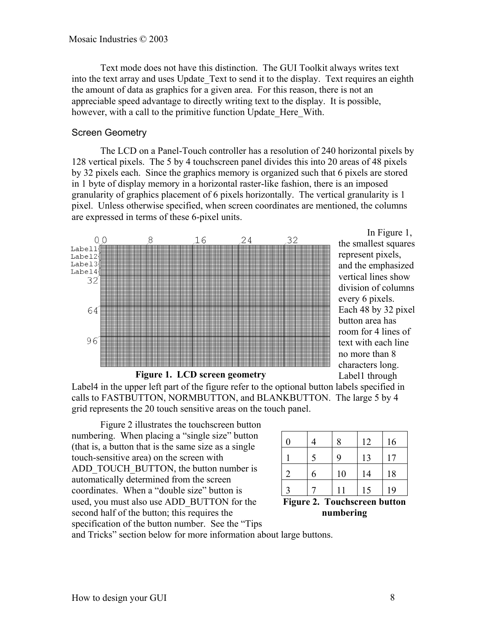Text mode does not have this distinction. The GUI Toolkit always writes text into the text array and uses Update Text to send it to the display. Text requires an eighth the amount of data as graphics for a given area. For this reason, there is not an appreciable speed advantage to directly writing text to the display. It is possible, however, with a call to the primitive function Update Here With.

#### Screen Geometry

The LCD on a Panel-Touch controller has a resolution of 240 horizontal pixels by 128 vertical pixels. The 5 by 4 touchscreen panel divides this into 20 areas of 48 pixels by 32 pixels each. Since the graphics memory is organized such that 6 pixels are stored in 1 byte of display memory in a horizontal raster-like fashion, there is an imposed granularity of graphics placement of 6 pixels horizontally. The vertical granularity is 1 pixel. Unless otherwise specified, when screen coordinates are mentioned, the columns are expressed in terms of these 6-pixel units.



In Figure 1, the smallest squares represent pixels, and the emphasized vertical lines show division of columns every 6 pixels. Each 48 by 32 pixel button area has room for 4 lines of text with each line no more than 8 characters long. Label1 through

Label4 in the upper left part of the figure refer to the optional button labels specified in calls to FASTBUTTON, NORMBUTTON, and BLANKBUTTON. The large 5 by 4 grid represents the 20 touch sensitive areas on the touch panel.

Figure 2 illustrates the touchscreen button numbering. When placing a "single size" button (that is, a button that is the same size as a single touch-sensitive area) on the screen with ADD\_TOUCH\_BUTTON, the button number is automatically determined from the screen coordinates. When a "double size" button is used, you must also use ADD\_BUTTON for the second half of the button; this requires the specification of the button number. See the "Tips

| 0              |   | 8  | 12 | 16 |
|----------------|---|----|----|----|
|                | 5 | q  | 13 | 17 |
| $\overline{2}$ | 6 | 10 | 14 | 18 |
|                |   |    | 15 | 19 |

**Figure 2. Touchscreen button numbering**

and Tricks" section below for more information about large buttons.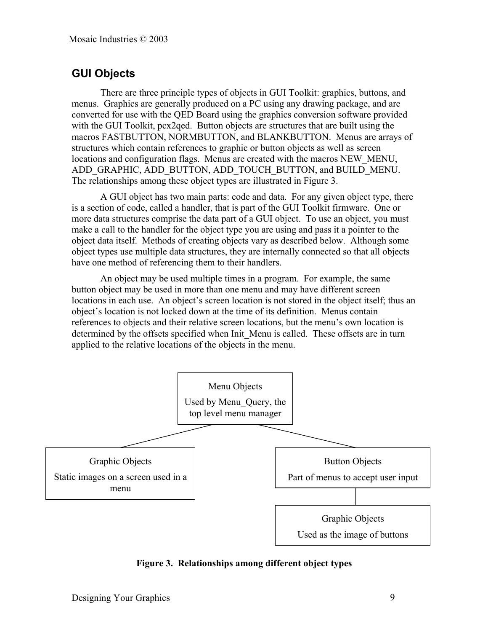# **GUI Objects**

There are three principle types of objects in GUI Toolkit: graphics, buttons, and menus. Graphics are generally produced on a PC using any drawing package, and are converted for use with the QED Board using the graphics conversion software provided with the GUI Toolkit, pcx2qed. Button objects are structures that are built using the macros FASTBUTTON, NORMBUTTON, and BLANKBUTTON. Menus are arrays of structures which contain references to graphic or button objects as well as screen locations and configuration flags. Menus are created with the macros NEW MENU, ADD\_GRAPHIC, ADD\_BUTTON, ADD\_TOUCH\_BUTTON, and BUILD\_MENU. The relationships among these object types are illustrated in Figure 3.

A GUI object has two main parts: code and data. For any given object type, there is a section of code, called a handler, that is part of the GUI Toolkit firmware. One or more data structures comprise the data part of a GUI object. To use an object, you must make a call to the handler for the object type you are using and pass it a pointer to the object data itself. Methods of creating objects vary as described below. Although some object types use multiple data structures, they are internally connected so that all objects have one method of referencing them to their handlers.

An object may be used multiple times in a program. For example, the same button object may be used in more than one menu and may have different screen locations in each use. An object's screen location is not stored in the object itself; thus an object's location is not locked down at the time of its definition. Menus contain references to objects and their relative screen locations, but the menu's own location is determined by the offsets specified when Init\_Menu is called. These offsets are in turn applied to the relative locations of the objects in the menu.



**Figure 3. Relationships among different object types**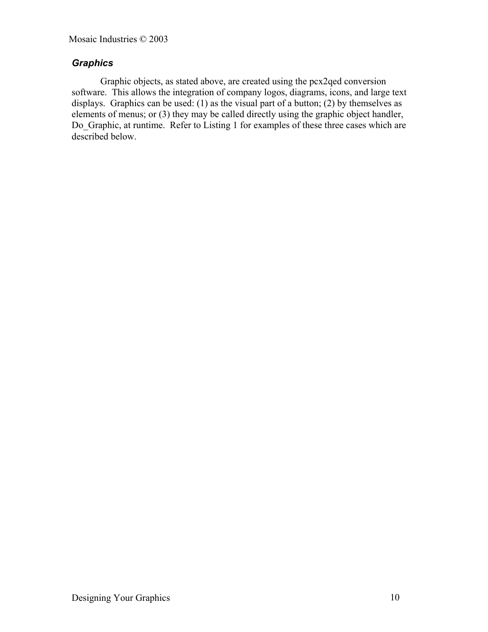# *Graphics*

Graphic objects, as stated above, are created using the pcx2qed conversion software. This allows the integration of company logos, diagrams, icons, and large text displays. Graphics can be used: (1) as the visual part of a button; (2) by themselves as elements of menus; or (3) they may be called directly using the graphic object handler, Do\_Graphic, at runtime. Refer to Listing 1 for examples of these three cases which are described below.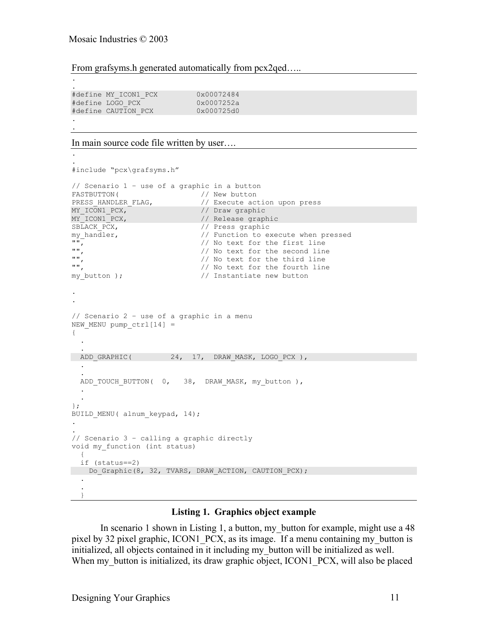.

.

.

#### From grafsyms.h generated automatically from pcx2qed.....

. #define MY\_ICON1\_PCX 0x00072484 #define LOGO\_PCX 0x0007252a #define CAUTION PCX .

#### In main source code file written by user….

```
.
#include "pcx\grafsyms.h"
// Scenario 1 – use of a graphic in a button
FASTBUTTON( / / / New button // New button // New button PRESS HANDLER FLAG,
PRESS_HANDLER_FLAG, \frac{1}{2} // Execute action upon press<br>MY_ICON1_PCX, \frac{1}{2} // Draw_graphic
MY_ICON1_PCX, // Draw graphic
MY_ICON1_PCX, // Release graphic
SBLACK_PCX, // Press graphic
my_handler, // Function to execute when pressed
"", \frac{1}{2}", \frac{1}{2}", \frac{1}{2}", \frac{1}{2}", \frac{1}{2}", \frac{1}{2}", \frac{1}{2}", \frac{1}{2}", \frac{1}{2}", \frac{1}{2}", \frac{1}{2}", \frac{1}{2}", \frac{1}{2}", \frac{1}{2}", \frac{1}{2}", \frac{1}{2}", \frac{1}{2}", \frac{1}{2}", \"", // No text for the second line
"",<br>"", The state of the third line", which is a line of the fourth line",
                                  // No text for the fourth line
my_button ); // Instantiate new button
.
.
// Scenario 2 – use of a graphic in a menu
NEW MENU pump ctrl[14] ={
 .
 .
ADD GRAPHIC( 24, 17, DRAW MASK, LOGO PCX ),
 .
 .
  ADD_TOUCH_BUTTON( 0, 38, DRAW_MASK, my_button ),
 .
 .
};
BUILD MENU( alnum keypad, 14);
.
.
// Scenario 3 – calling a graphic directly
void my_function (int status)
\{ if (status==2)
   Do_Graphic(8, 32, TVARS, DRAW_ACTION, CAUTION_PCX);
 .
 .
   }
```
#### **Listing 1. Graphics object example**

In scenario 1 shown in Listing 1, a button, my button for example, might use a 48 pixel by 32 pixel graphic, ICON1 PCX, as its image. If a menu containing my button is initialized, all objects contained in it including my\_button will be initialized as well. When my button is initialized, its draw graphic object, ICON1 PCX, will also be placed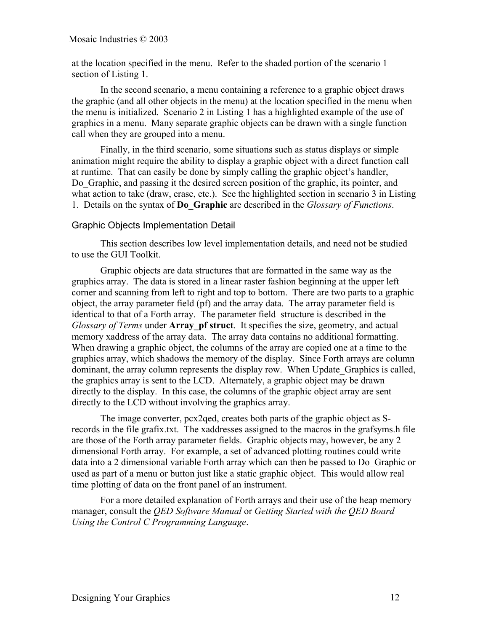Mosaic Industries © 2003

at the location specified in the menu. Refer to the shaded portion of the scenario 1 section of Listing 1.

In the second scenario, a menu containing a reference to a graphic object draws the graphic (and all other objects in the menu) at the location specified in the menu when the menu is initialized. Scenario 2 in Listing 1 has a highlighted example of the use of graphics in a menu. Many separate graphic objects can be drawn with a single function call when they are grouped into a menu.

Finally, in the third scenario, some situations such as status displays or simple animation might require the ability to display a graphic object with a direct function call at runtime. That can easily be done by simply calling the graphic object's handler, Do Graphic, and passing it the desired screen position of the graphic, its pointer, and what action to take (draw, erase, etc.). See the highlighted section in scenario 3 in Listing 1. Details on the syntax of **Do\_Graphic** are described in the *Glossary of Functions*.

#### Graphic Objects Implementation Detail

This section describes low level implementation details, and need not be studied to use the GUI Toolkit.

Graphic objects are data structures that are formatted in the same way as the graphics array. The data is stored in a linear raster fashion beginning at the upper left corner and scanning from left to right and top to bottom. There are two parts to a graphic object, the array parameter field (pf) and the array data. The array parameter field is identical to that of a Forth array. The parameter field structure is described in the *Glossary of Terms* under **Array** pf struct. It specifies the size, geometry, and actual memory xaddress of the array data. The array data contains no additional formatting. When drawing a graphic object, the columns of the array are copied one at a time to the graphics array, which shadows the memory of the display. Since Forth arrays are column dominant, the array column represents the display row. When Update\_Graphics is called, the graphics array is sent to the LCD. Alternately, a graphic object may be drawn directly to the display. In this case, the columns of the graphic object array are sent directly to the LCD without involving the graphics array.

The image converter, pcx2qed, creates both parts of the graphic object as Srecords in the file grafix.txt. The xaddresses assigned to the macros in the grafsyms.h file are those of the Forth array parameter fields. Graphic objects may, however, be any 2 dimensional Forth array. For example, a set of advanced plotting routines could write data into a 2 dimensional variable Forth array which can then be passed to Do\_Graphic or used as part of a menu or button just like a static graphic object. This would allow real time plotting of data on the front panel of an instrument.

For a more detailed explanation of Forth arrays and their use of the heap memory manager, consult the *QED Software Manual* or *Getting Started with the QED Board Using the Control C Programming Language*.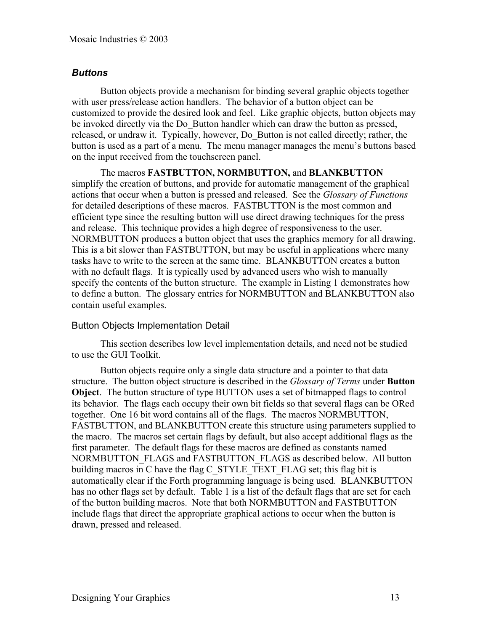# *Buttons*

Button objects provide a mechanism for binding several graphic objects together with user press/release action handlers. The behavior of a button object can be customized to provide the desired look and feel. Like graphic objects, button objects may be invoked directly via the Do\_Button handler which can draw the button as pressed, released, or undraw it. Typically, however, Do\_Button is not called directly; rather, the button is used as a part of a menu. The menu manager manages the menu's buttons based on the input received from the touchscreen panel.

The macros **FASTBUTTON, NORMBUTTON,** and **BLANKBUTTON** simplify the creation of buttons, and provide for automatic management of the graphical actions that occur when a button is pressed and released. See the *Glossary of Functions* for detailed descriptions of these macros. FASTBUTTON is the most common and efficient type since the resulting button will use direct drawing techniques for the press and release. This technique provides a high degree of responsiveness to the user. NORMBUTTON produces a button object that uses the graphics memory for all drawing. This is a bit slower than FASTBUTTON, but may be useful in applications where many tasks have to write to the screen at the same time. BLANKBUTTON creates a button with no default flags. It is typically used by advanced users who wish to manually specify the contents of the button structure. The example in Listing 1 demonstrates how to define a button. The glossary entries for NORMBUTTON and BLANKBUTTON also contain useful examples.

#### Button Objects Implementation Detail

This section describes low level implementation details, and need not be studied to use the GUI Toolkit.

Button objects require only a single data structure and a pointer to that data structure. The button object structure is described in the *Glossary of Terms* under **Button Object**. The button structure of type BUTTON uses a set of bitmapped flags to control its behavior. The flags each occupy their own bit fields so that several flags can be ORed together. One 16 bit word contains all of the flags. The macros NORMBUTTON, FASTBUTTON, and BLANKBUTTON create this structure using parameters supplied to the macro. The macros set certain flags by default, but also accept additional flags as the first parameter. The default flags for these macros are defined as constants named NORMBUTTON\_FLAGS and FASTBUTTON\_FLAGS as described below. All button building macros in C have the flag C\_STYLE\_TEXT\_FLAG set; this flag bit is automatically clear if the Forth programming language is being used. BLANKBUTTON has no other flags set by default. Table 1 is a list of the default flags that are set for each of the button building macros. Note that both NORMBUTTON and FASTBUTTON include flags that direct the appropriate graphical actions to occur when the button is drawn, pressed and released.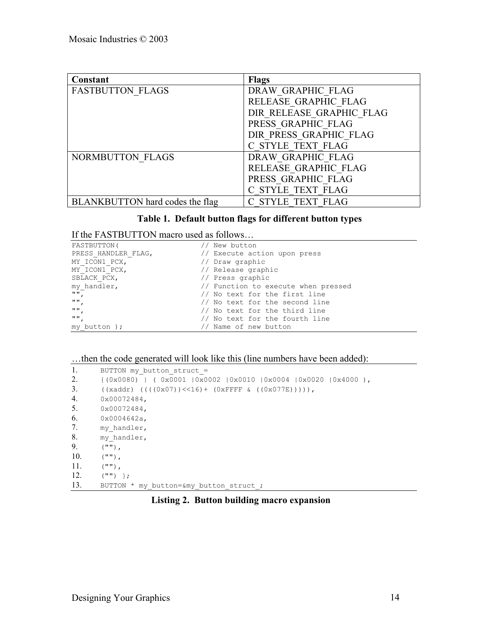| Constant                        | <b>Flags</b>             |
|---------------------------------|--------------------------|
| <b>FASTBUTTON FLAGS</b>         | DRAW GRAPHIC FLAG        |
|                                 | RELEASE GRAPHIC FLAG     |
|                                 | DIR RELEASE GRAPHIC FLAG |
|                                 | PRESS GRAPHIC FLAG       |
|                                 | DIR PRESS GRAPHIC FLAG   |
|                                 | C STYLE TEXT FLAG        |
| NORMBUTTON FLAGS                | DRAW GRAPHIC FLAG        |
|                                 | RELEASE GRAPHIC FLAG     |
|                                 | PRESS GRAPHIC FLAG       |
|                                 | C STYLE TEXT FLAG        |
| BLANKBUTTON hard codes the flag | C STYLE TEXT FLAG        |

# **Table 1. Default button flags for different button types**

# If the FASTBUTTON macro used as follows…

| FASTBUTTON (                      | New button                          |
|-----------------------------------|-------------------------------------|
| PRESS HANDLER FLAG,               | // Execute action upon press        |
| MY ICON1 PCX,                     | // Draw graphic                     |
| MY ICON1 PCX,                     | // Release graphic                  |
| SBLACK PCX,                       | // Press graphic                    |
| my handler,                       | // Function to execute when pressed |
| $^{\mathrm{m}}$                   | // No text for the first line       |
| $^{\mathrm{m}}$ $^{\mathrm{n}}$ , | // No text for the second line      |
| <b>HH</b>                         | // No text for the third line       |
| <b>HH</b>                         | // No text for the fourth line      |
| my button);                       | Name of new button                  |

# …then the code generated will look like this (line numbers have been added):

| 1.  | BUTTON my button struct =                                      |
|-----|----------------------------------------------------------------|
| 2.  | $(0x0080)$   (0x0001  0x0002  0x0010  0x0004  0x0020  0x4000 ) |
| 3.  | $((xaddr) ((((0x07))<<16) + (0xFFFF g ((0x077E)))))$ ,         |
| 4.  | 0x00072484,                                                    |
| 5.  | 0x00072484,                                                    |
| 6.  | $0x0004642a$ ,                                                 |
| 7.  | my handler,                                                    |
| 8.  | my handler,                                                    |
| 9.  | $(\mathbf{u}\mathbf{u})$ ,                                     |
| 10. | $(\mathbf{m})$ ,                                               |
| 11. | $(\mathbf{u}\mathbf{u})$ ,                                     |
| 12. | $(W''')$ };                                                    |
| 13. | BUTTON * my button=&my button struct ;                         |

#### **Listing 2. Button building macro expansion**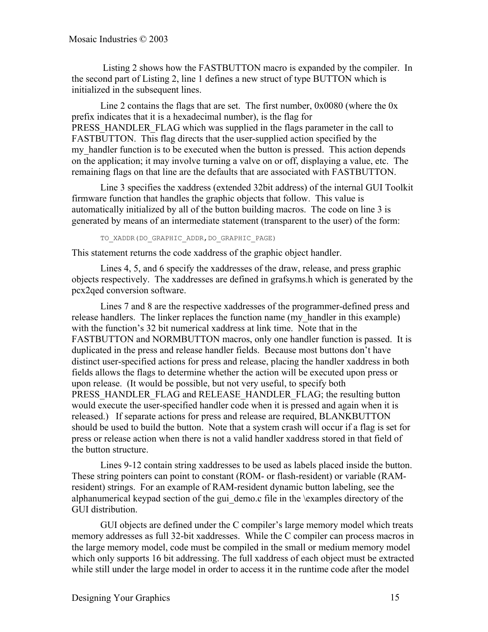Listing 2 shows how the FASTBUTTON macro is expanded by the compiler. In the second part of Listing 2, line 1 defines a new struct of type BUTTON which is initialized in the subsequent lines.

Line 2 contains the flags that are set. The first number, 0x0080 (where the 0x prefix indicates that it is a hexadecimal number), is the flag for PRESS HANDLER FLAG which was supplied in the flags parameter in the call to FASTBUTTON. This flag directs that the user-supplied action specified by the my handler function is to be executed when the button is pressed. This action depends on the application; it may involve turning a valve on or off, displaying a value, etc. The remaining flags on that line are the defaults that are associated with FASTBUTTON.

Line 3 specifies the xaddress (extended 32bit address) of the internal GUI Toolkit firmware function that handles the graphic objects that follow. This value is automatically initialized by all of the button building macros. The code on line 3 is generated by means of an intermediate statement (transparent to the user) of the form:

TO\_XADDR(DO\_GRAPHIC\_ADDR,DO\_GRAPHIC\_PAGE)

This statement returns the code xaddress of the graphic object handler.

Lines 4, 5, and 6 specify the xaddresses of the draw, release, and press graphic objects respectively. The xaddresses are defined in grafsyms.h which is generated by the pcx2qed conversion software.

Lines 7 and 8 are the respective xaddresses of the programmer-defined press and release handlers. The linker replaces the function name (my\_handler in this example) with the function's 32 bit numerical xaddress at link time. Note that in the FASTBUTTON and NORMBUTTON macros, only one handler function is passed. It is duplicated in the press and release handler fields. Because most buttons don't have distinct user-specified actions for press and release, placing the handler xaddress in both fields allows the flags to determine whether the action will be executed upon press or upon release. (It would be possible, but not very useful, to specify both PRESS\_HANDLER\_FLAG and RELEASE\_HANDLER\_FLAG; the resulting button would execute the user-specified handler code when it is pressed and again when it is released.) If separate actions for press and release are required, BLANKBUTTON should be used to build the button. Note that a system crash will occur if a flag is set for press or release action when there is not a valid handler xaddress stored in that field of the button structure.

Lines 9-12 contain string xaddresses to be used as labels placed inside the button. These string pointers can point to constant (ROM- or flash-resident) or variable (RAMresident) strings. For an example of RAM-resident dynamic button labeling, see the alphanumerical keypad section of the gui\_demo.c file in the \examples directory of the GUI distribution.

GUI objects are defined under the C compiler's large memory model which treats memory addresses as full 32-bit xaddresses. While the C compiler can process macros in the large memory model, code must be compiled in the small or medium memory model which only supports 16 bit addressing. The full xaddress of each object must be extracted while still under the large model in order to access it in the runtime code after the model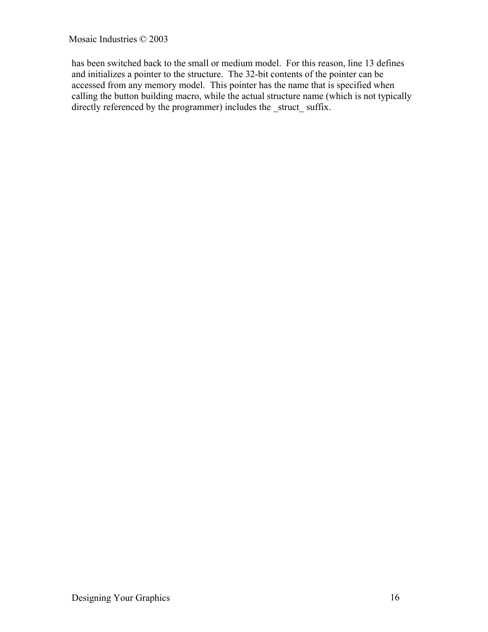Mosaic Industries © 2003

has been switched back to the small or medium model. For this reason, line 13 defines and initializes a pointer to the structure. The 32-bit contents of the pointer can be accessed from any memory model. This pointer has the name that is specified when calling the button building macro, while the actual structure name (which is not typically directly referenced by the programmer) includes the struct suffix.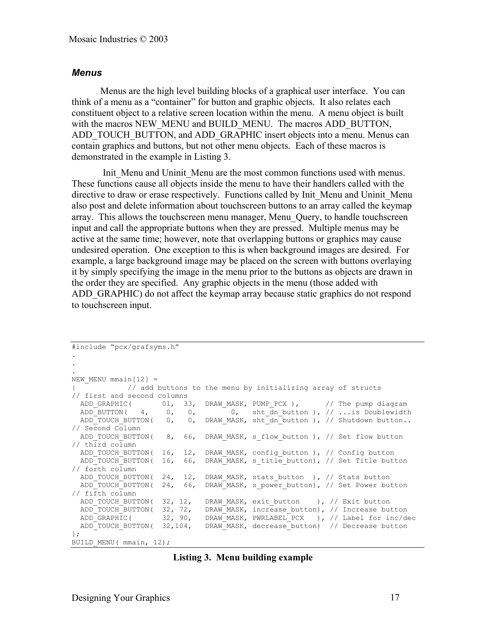#### *Menus*

Menus are the high level building blocks of a graphical user interface. You can think of a menu as a "container" for button and graphic objects. It also relates each constituent object to a relative screen location within the menu. A menu object is built with the macros NEW\_MENU and BUILD\_MENU. The macros ADD\_BUTTON, ADD\_TOUCH\_BUTTON, and ADD\_GRAPHIC insert objects into a menu. Menus can contain graphics and buttons, but not other menu objects. Each of these macros is demonstrated in the example in Listing 3.

Init Menu and Uninit Menu are the most common functions used with menus. These functions cause all objects inside the menu to have their handlers called with the directive to draw or erase respectively. Functions called by Init\_Menu and Uninit\_Menu also post and delete information about touchscreen buttons to an array called the keymap array. This allows the touchscreen menu manager, Menu\_Query, to handle touchscreen input and call the appropriate buttons when they are pressed. Multiple menus may be active at the same time; however, note that overlapping buttons or graphics may cause undesired operation. One exception to this is when background images are desired. For example, a large background image may be placed on the screen with buttons overlaying it by simply specifying the image in the menu prior to the buttons as objects are drawn in the order they are specified. Any graphic objects in the menu (those added with ADD\_GRAPHIC) do not affect the keymap array because static graphics do not respond to touchscreen input.

```
#include "pcx/grafsyms.h"
.
.
.
NEW MENU mmain[12] =
{ // add buttons to the menu by initializing array of structs
// first and second columns
 ADD_GRAPHIC( 01, 33, DRAW_MASK, PUMP_PCX ), // The pump diagram<br>ADD_BUTTON( 4, 0, 0, 0, sht_dn_button ), // ...is Doublewidth
ADD_BUTTON( 4, 0, 0, 0, sht_dn_button ), // ...is Doublewidth
ADD_TOUCH_BUTTON( 0, 0, DRAW_MASK, sht_dn_button ), // Shutdown button..
// Second Column
 ADD_TOUCH_BUTTON( 8, 66, DRAW_MASK, s_flow_button ), // Set flow_button
// third column
 ADD TOUCH BUTTON( 16, 12, DRAW MASK, config button ), // Config button
 ADD_TOUCH_BUTTON( 16, 66, DRAW_MASK, s_title_button), // Set Title button
// forth column
ADD_TOUCH_BUTTON( 24, 12, DRAW_MASK, stats_button ), // Stats button
 ADD_TOUCH_BUTTON( 24, 66, DRAW_MASK, s_power_button), // Set Power button
\frac{1}{\sqrt{2}} firth column
 ADD_TOUCH_BUTTON( 32, 12, DRAW_MASK, exit_button ), // Exit button
ADD_TOUCH_BUTTON( 32, 72, DRAW_MASK, increase button), // Increase button
 ADD_GRAPHIC( 32, 90, DRAW_MASK, PWRLABEL_PCX ), // Label for inc/dec
 ADD_TOUCH_BUTTON( 32,104, DRAW_MASK, decrease_button) // Decrease button
};
BUILD MENU( mmain, 12);
```
#### **Listing 3. Menu building example**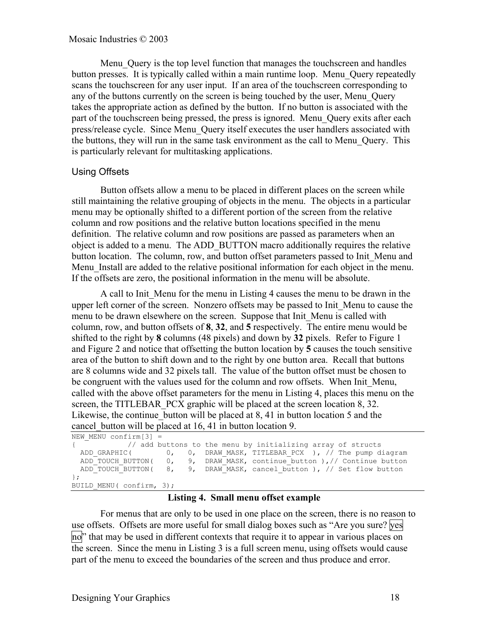Menu\_Query is the top level function that manages the touchscreen and handles button presses. It is typically called within a main runtime loop. Menu\_Query repeatedly scans the touchscreen for any user input. If an area of the touchscreen corresponding to any of the buttons currently on the screen is being touched by the user, Menu\_Query takes the appropriate action as defined by the button. If no button is associated with the part of the touchscreen being pressed, the press is ignored. Menu Query exits after each press/release cycle. Since Menu\_Query itself executes the user handlers associated with the buttons, they will run in the same task environment as the call to Menu\_Query. This is particularly relevant for multitasking applications.

# Using Offsets

Button offsets allow a menu to be placed in different places on the screen while still maintaining the relative grouping of objects in the menu. The objects in a particular menu may be optionally shifted to a different portion of the screen from the relative column and row positions and the relative button locations specified in the menu definition. The relative column and row positions are passed as parameters when an object is added to a menu. The ADD\_BUTTON macro additionally requires the relative button location. The column, row, and button offset parameters passed to Init\_Menu and Menu Install are added to the relative positional information for each object in the menu. If the offsets are zero, the positional information in the menu will be absolute.

A call to Init\_Menu for the menu in Listing 4 causes the menu to be drawn in the upper left corner of the screen. Nonzero offsets may be passed to Init\_Menu to cause the menu to be drawn elsewhere on the screen. Suppose that Init\_Menu is called with column, row, and button offsets of **8**, **32**, and **5** respectively. The entire menu would be shifted to the right by **8** columns (48 pixels) and down by **32** pixels. Refer to Figure 1 and Figure 2 and notice that offsetting the button location by **5** causes the touch sensitive area of the button to shift down and to the right by one button area. Recall that buttons are 8 columns wide and 32 pixels tall. The value of the button offset must be chosen to be congruent with the values used for the column and row offsets. When Init Menu, called with the above offset parameters for the menu in Listing 4, places this menu on the screen, the TITLEBAR PCX graphic will be placed at the screen location 8, 32. Likewise, the continue button will be placed at 8, 41 in button location 5 and the cancel button will be placed at 16, 41 in button location 9.

```
NEW MENU confirm[3] =// add buttons to the menu by initializing array of structs<br>ADD GRAPHIC( 0, 0, DRAW MASK, TITLEBAR PCX ), // The pump d
   ADD_GRAPHIC( 0, 0, DRAW_MASK, TITLEBAR_PCX ), \sqrt{7} The pump diagram<br>ADD_TOUCH_BUTTON( 0, 9, DRAW_MASK, continue_button), // Continue button
  ADD_TOUCH_BUTTON( 0, 9, DRAW_MASK, continue_button ), // Continue button ADD_TOUCH_BUTTON( 8, 9, DRAW_MASK, cancel button ), // Set flow button
                                          9, DRAW MASK, cancel button ), // Set flow button
};
BUILD MENU( confirm, 3);
```
#### **Listing 4. Small menu offset example**

For menus that are only to be used in one place on the screen, there is no reason to use offsets. Offsets are more useful for small dialog boxes such as "Are you sure? yes no<sup>"</sup> that may be used in different contexts that require it to appear in various places on the screen. Since the menu in Listing 3 is a full screen menu, using offsets would cause part of the menu to exceed the boundaries of the screen and thus produce and error.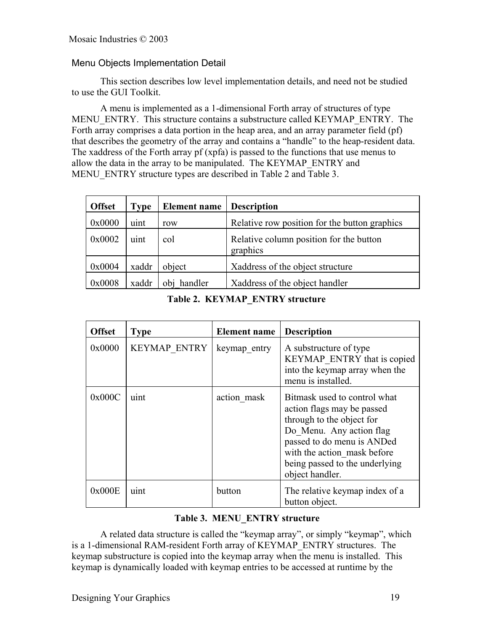# Menu Objects Implementation Detail

This section describes low level implementation details, and need not be studied to use the GUI Toolkit.

A menu is implemented as a 1-dimensional Forth array of structures of type MENU\_ENTRY. This structure contains a substructure called KEYMAP\_ENTRY. The Forth array comprises a data portion in the heap area, and an array parameter field (pf) that describes the geometry of the array and contains a "handle" to the heap-resident data. The xaddress of the Forth array pf (xpfa) is passed to the functions that use menus to allow the data in the array to be manipulated. The KEYMAP\_ENTRY and MENU ENTRY structure types are described in Table 2 and Table 3.

| <b>Offset</b> | Type  | <b>Element name</b> | <b>Description</b>                                  |
|---------------|-------|---------------------|-----------------------------------------------------|
| 0x0000        | uint  | row                 | Relative row position for the button graphics       |
| 0x0002        | uint  | col                 | Relative column position for the button<br>graphics |
| 0x0004        | xaddr | object              | Xaddress of the object structure                    |
| 0x0008        | xaddr | handler<br>obj      | Xaddress of the object handler                      |

#### **Table 2. KEYMAP\_ENTRY structure**

| <b>Offset</b> | <b>Type</b>         | <b>Element</b> name | <b>Description</b>                                                                                                                                                                                                                    |
|---------------|---------------------|---------------------|---------------------------------------------------------------------------------------------------------------------------------------------------------------------------------------------------------------------------------------|
| 0x0000        | <b>KEYMAP ENTRY</b> | keymap entry        | A substructure of type<br>KEYMAP ENTRY that is copied<br>into the keymap array when the<br>menu is installed.                                                                                                                         |
| 0x000C        | uint                | action mask         | Bitmask used to control what<br>action flags may be passed<br>through to the object for<br>Do Menu. Any action flag<br>passed to do menu is ANDed<br>with the action mask before<br>being passed to the underlying<br>object handler. |
| 0x000E        | uint                | button              | The relative keymap index of a<br>button object.                                                                                                                                                                                      |

#### **Table 3. MENU\_ENTRY structure**

A related data structure is called the "keymap array", or simply "keymap", which is a 1-dimensional RAM-resident Forth array of KEYMAP\_ENTRY structures. The keymap substructure is copied into the keymap array when the menu is installed. This keymap is dynamically loaded with keymap entries to be accessed at runtime by the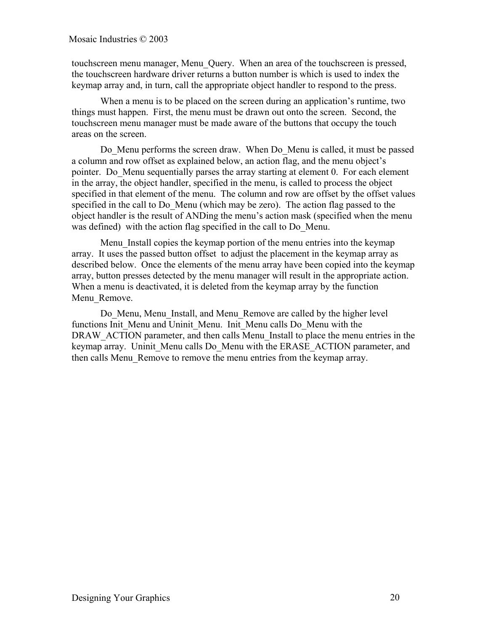touchscreen menu manager, Menu\_Query. When an area of the touchscreen is pressed, the touchscreen hardware driver returns a button number is which is used to index the keymap array and, in turn, call the appropriate object handler to respond to the press.

When a menu is to be placed on the screen during an application's runtime, two things must happen. First, the menu must be drawn out onto the screen. Second, the touchscreen menu manager must be made aware of the buttons that occupy the touch areas on the screen.

Do\_Menu performs the screen draw. When Do\_Menu is called, it must be passed a column and row offset as explained below, an action flag, and the menu object's pointer. Do\_Menu sequentially parses the array starting at element 0. For each element in the array, the object handler, specified in the menu, is called to process the object specified in that element of the menu. The column and row are offset by the offset values specified in the call to Do Menu (which may be zero). The action flag passed to the object handler is the result of ANDing the menu's action mask (specified when the menu was defined) with the action flag specified in the call to Do\_Menu.

Menu Install copies the keymap portion of the menu entries into the keymap array. It uses the passed button offset to adjust the placement in the keymap array as described below. Once the elements of the menu array have been copied into the keymap array, button presses detected by the menu manager will result in the appropriate action. When a menu is deactivated, it is deleted from the keymap array by the function Menu Remove.

Do Menu, Menu Install, and Menu Remove are called by the higher level functions Init\_Menu and Uninit\_Menu. Init\_Menu calls Do\_Menu with the DRAW ACTION parameter, and then calls Menu Install to place the menu entries in the keymap array. Uninit Menu calls Do Menu with the ERASE ACTION parameter, and then calls Menu\_Remove to remove the menu entries from the keymap array.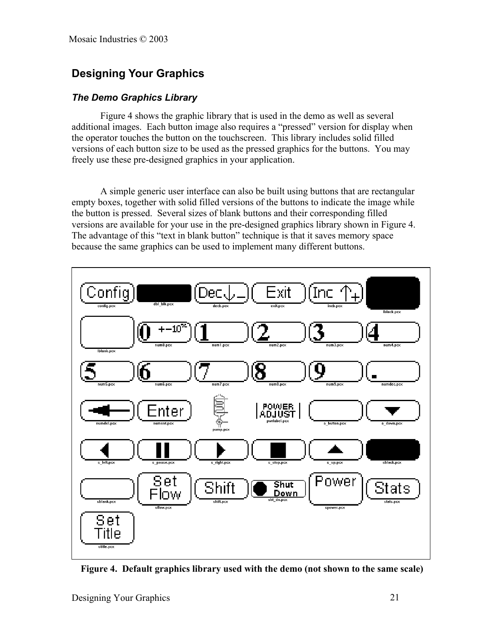# **Designing Your Graphics**

# *The Demo Graphics Library*

Figure 4 shows the graphic library that is used in the demo as well as several additional images. Each button image also requires a "pressed" version for display when the operator touches the button on the touchscreen. This library includes solid filled versions of each button size to be used as the pressed graphics for the buttons. You may freely use these pre-designed graphics in your application.

A simple generic user interface can also be built using buttons that are rectangular empty boxes, together with solid filled versions of the buttons to indicate the image while the button is pressed. Several sizes of blank buttons and their corresponding filled versions are available for your use in the pre-designed graphics library shown in Figure 4. The advantage of this "text in blank button" technique is that it saves memory space because the same graphics can be used to implement many different buttons.



**Figure 4. Default graphics library used with the demo (not shown to the same scale)**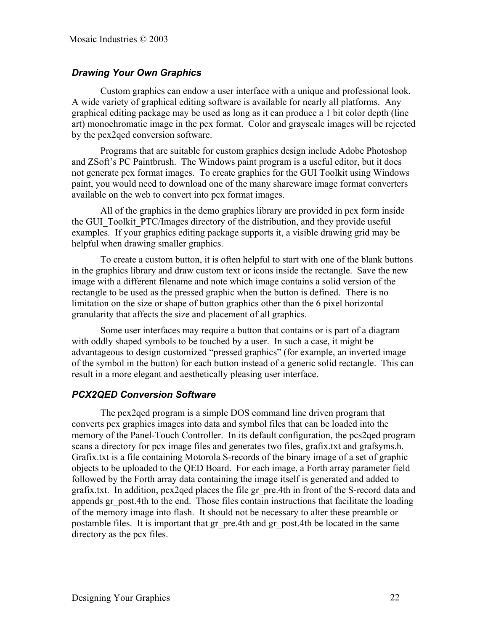# *Drawing Your Own Graphics*

Custom graphics can endow a user interface with a unique and professional look. A wide variety of graphical editing software is available for nearly all platforms. Any graphical editing package may be used as long as it can produce a 1 bit color depth (line art) monochromatic image in the pcx format. Color and grayscale images will be rejected by the pcx2qed conversion software.

Programs that are suitable for custom graphics design include Adobe Photoshop and ZSoft's PC Paintbrush. The Windows paint program is a useful editor, but it does not generate pcx format images. To create graphics for the GUI Toolkit using Windows paint, you would need to download one of the many shareware image format converters available on the web to convert into pcx format images.

All of the graphics in the demo graphics library are provided in pcx form inside the GUI\_Toolkit\_PTC/Images directory of the distribution, and they provide useful examples. If your graphics editing package supports it, a visible drawing grid may be helpful when drawing smaller graphics.

To create a custom button, it is often helpful to start with one of the blank buttons in the graphics library and draw custom text or icons inside the rectangle. Save the new image with a different filename and note which image contains a solid version of the rectangle to be used as the pressed graphic when the button is defined. There is no limitation on the size or shape of button graphics other than the 6 pixel horizontal granularity that affects the size and placement of all graphics.

Some user interfaces may require a button that contains or is part of a diagram with oddly shaped symbols to be touched by a user. In such a case, it might be advantageous to design customized "pressed graphics" (for example, an inverted image of the symbol in the button) for each button instead of a generic solid rectangle. This can result in a more elegant and aesthetically pleasing user interface.

#### *PCX2QED Conversion Software*

The pcx2qed program is a simple DOS command line driven program that converts pcx graphics images into data and symbol files that can be loaded into the memory of the Panel-Touch Controller. In its default configuration, the pcs2qed program scans a directory for pcx image files and generates two files, grafix.txt and grafsyms.h. Grafix.txt is a file containing Motorola S-records of the binary image of a set of graphic objects to be uploaded to the QED Board. For each image, a Forth array parameter field followed by the Forth array data containing the image itself is generated and added to grafix.txt. In addition, pcx2qed places the file gr\_pre.4th in front of the S-record data and appends gr\_post.4th to the end. Those files contain instructions that facilitate the loading of the memory image into flash. It should not be necessary to alter these preamble or postamble files. It is important that gr\_pre.4th and gr\_post.4th be located in the same directory as the pcx files.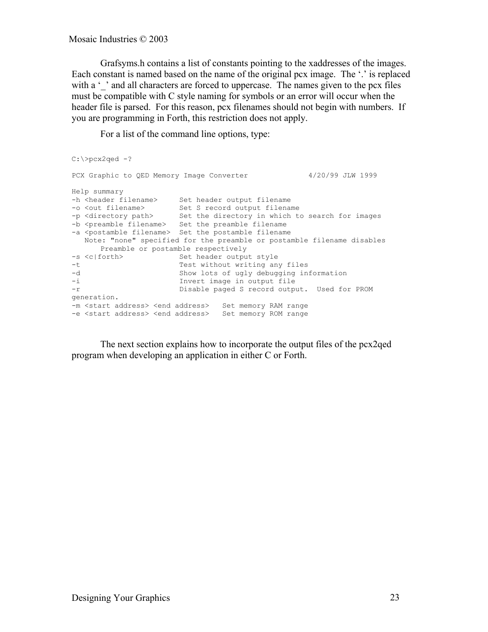Mosaic Industries © 2003

Grafsyms.h contains a list of constants pointing to the xaddresses of the images. Each constant is named based on the name of the original pcx image. The '.' is replaced with a '' and all characters are forced to uppercase. The names given to the pcx files must be compatible with C style naming for symbols or an error will occur when the header file is parsed. For this reason, pcx filenames should not begin with numbers. If you are programming in Forth, this restriction does not apply.

For a list of the command line options, type:

```
C:\>pcx2qed -?
PCX Graphic to QED Memory Image Converter 4/20/99 JLW 1999
Help summary
-h <header filename> Set header output filename
-o <out filename> Set S record output filename
-p <directory path> Set the directory in which to search for images
-b <preamble filename> Set the preamble filename
-a <postamble filename> Set the postamble filename
   Note: "none" specified for the preamble or postamble filename disables
      Preamble or postamble respectively
-s <c|forth> Set header output style
-t Test without writing any files
-d Show lots of ugly debugging information<br>-i Invert image in output file
-i 10 Invert image in output file<br>-r Disable paged S record output
                      Disable paged S record output. Used for PROM
generation.
-m <start address> <end address> Set memory RAM range
-e <start address> <end address> Set memory ROM range
```
The next section explains how to incorporate the output files of the pcx2qed program when developing an application in either C or Forth.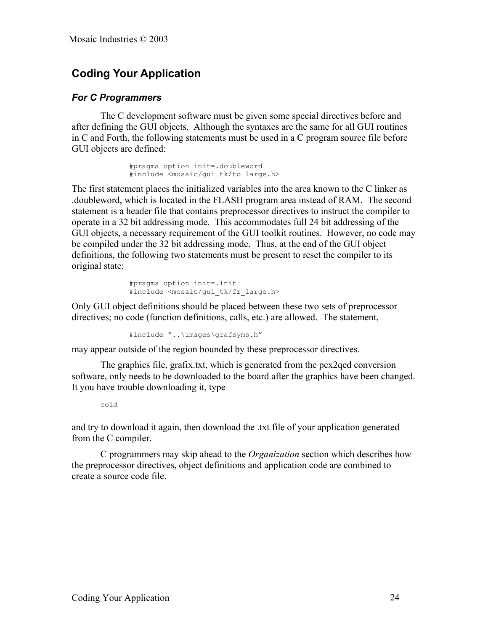# **Coding Your Application**

#### *For C Programmers*

The C development software must be given some special directives before and after defining the GUI objects. Although the syntaxes are the same for all GUI routines in C and Forth, the following statements must be used in a C program source file before GUI objects are defined:

```
#pragma option init=.doubleword
#include <mosaic/gui_tk/to_large.h>
```
The first statement places the initialized variables into the area known to the C linker as .doubleword, which is located in the FLASH program area instead of RAM. The second statement is a header file that contains preprocessor directives to instruct the compiler to operate in a 32 bit addressing mode. This accommodates full 24 bit addressing of the GUI objects, a necessary requirement of the GUI toolkit routines. However, no code may be compiled under the 32 bit addressing mode. Thus, at the end of the GUI object definitions, the following two statements must be present to reset the compiler to its original state:

```
#pragma option init=.init
#include <mosaic/gui_tk/fr_large.h>
```
Only GUI object definitions should be placed between these two sets of preprocessor directives; no code (function definitions, calls, etc.) are allowed. The statement,

#include "..\images\grafsyms.h"

may appear outside of the region bounded by these preprocessor directives.

The graphics file, grafix.txt, which is generated from the pcx2qed conversion software, only needs to be downloaded to the board after the graphics have been changed. It you have trouble downloading it, type

```
cold
```
and try to download it again, then download the .txt file of your application generated from the C compiler.

C programmers may skip ahead to the *Organization* section which describes how the preprocessor directives, object definitions and application code are combined to create a source code file.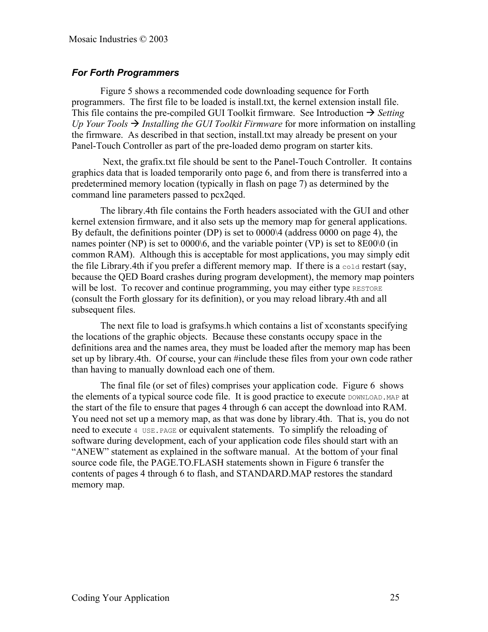# *For Forth Programmers*

Figure 5 shows a recommended code downloading sequence for Forth programmers. The first file to be loaded is install.txt, the kernel extension install file. This file contains the pre-compiled GUI Toolkit firmware. See Introduction  $\rightarrow$  *Setting Up Your Tools*  $\rightarrow$  *Installing the GUI Toolkit Firmware* for more information on installing the firmware. As described in that section, install.txt may already be present on your Panel-Touch Controller as part of the pre-loaded demo program on starter kits.

 Next, the grafix.txt file should be sent to the Panel-Touch Controller. It contains graphics data that is loaded temporarily onto page 6, and from there is transferred into a predetermined memory location (typically in flash on page 7) as determined by the command line parameters passed to pcx2qed.

The library.4th file contains the Forth headers associated with the GUI and other kernel extension firmware, and it also sets up the memory map for general applications. By default, the definitions pointer (DP) is set to 0000\4 (address 0000 on page 4), the names pointer (NP) is set to 0000\6, and the variable pointer (VP) is set to 8E00\0 (in common RAM). Although this is acceptable for most applications, you may simply edit the file Library.4th if you prefer a different memory map. If there is a  $\cot \theta$  restart (say, because the QED Board crashes during program development), the memory map pointers will be lost. To recover and continue programming, you may either type RESTORE (consult the Forth glossary for its definition), or you may reload library.4th and all subsequent files.

The next file to load is grafsyms.h which contains a list of xconstants specifying the locations of the graphic objects. Because these constants occupy space in the definitions area and the names area, they must be loaded after the memory map has been set up by library.4th. Of course, your can #include these files from your own code rather than having to manually download each one of them.

The final file (or set of files) comprises your application code. Figure 6 shows the elements of a typical source code file. It is good practice to execute DOWNLOAD. MAP at the start of the file to ensure that pages 4 through 6 can accept the download into RAM. You need not set up a memory map, as that was done by library.4th. That is, you do not need to execute 4 USE.PAGE or equivalent statements. To simplify the reloading of software during development, each of your application code files should start with an "ANEW" statement as explained in the software manual. At the bottom of your final source code file, the PAGE.TO.FLASH statements shown in Figure 6 transfer the contents of pages 4 through 6 to flash, and STANDARD.MAP restores the standard memory map.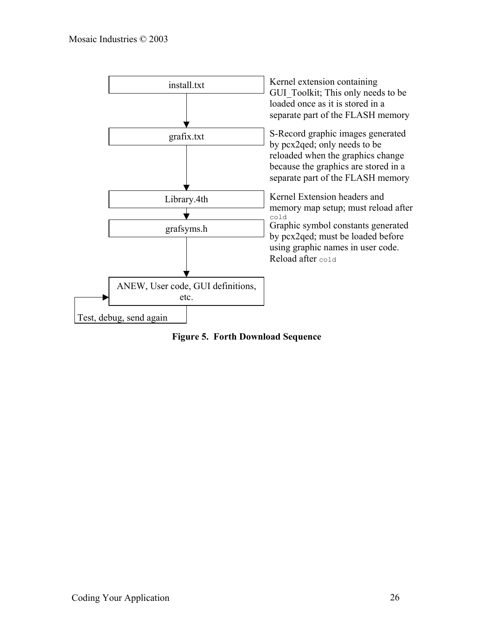

**Figure 5. Forth Download Sequence**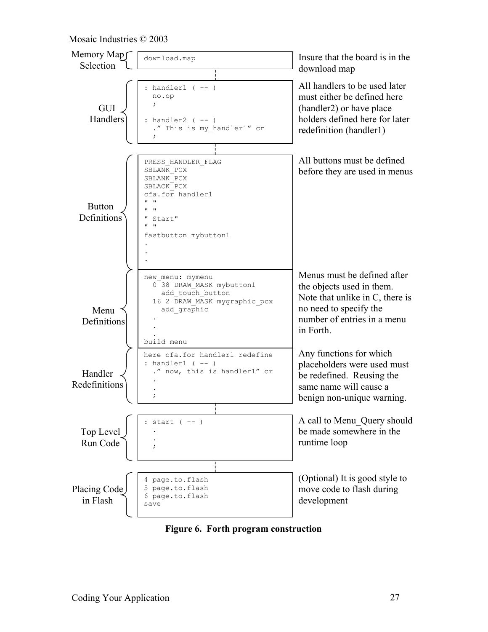#### Mosaic Industries © 2003



**Figure 6. Forth program construction**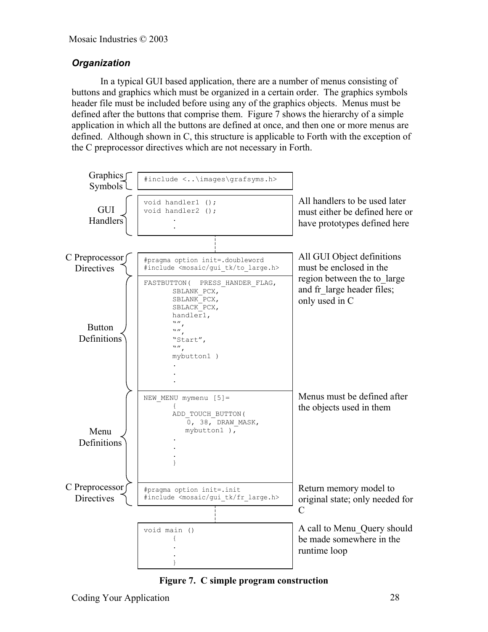# *Organization*

In a typical GUI based application, there are a number of menus consisting of buttons and graphics which must be organized in a certain order. The graphics symbols header file must be included before using any of the graphics objects. Menus must be defined after the buttons that comprise them. Figure 7 shows the hierarchy of a simple application in which all the buttons are defined at once, and then one or more menus are defined. Although shown in C, this structure is applicable to Forth with the exception of the C preprocessor directives which are not necessary in Forth.



**Figure 7. C simple program construction**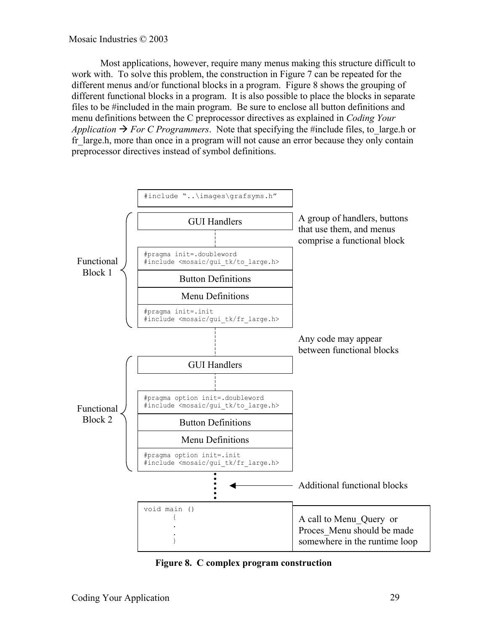Most applications, however, require many menus making this structure difficult to work with. To solve this problem, the construction in Figure 7 can be repeated for the different menus and/or functional blocks in a program. Figure 8 shows the grouping of different functional blocks in a program. It is also possible to place the blocks in separate files to be #included in the main program. Be sure to enclose all button definitions and menu definitions between the C preprocessor directives as explained in *Coding Your Application*  $\rightarrow$  *For C Programmers*. Note that specifying the #include files, to large.h or fr large.h, more than once in a program will not cause an error because they only contain preprocessor directives instead of symbol definitions.



**Figure 8. C complex program construction**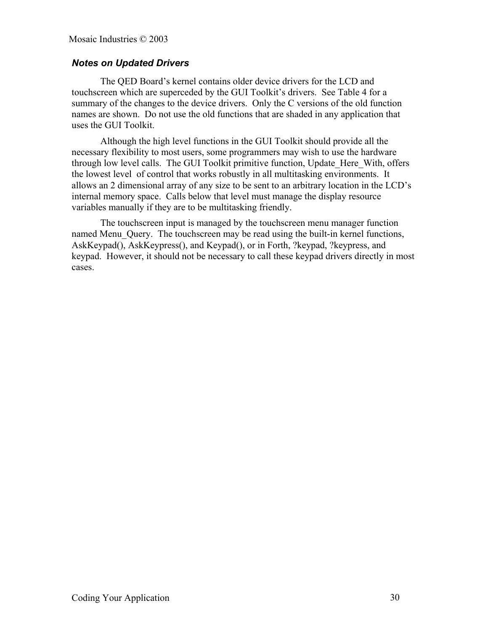# *Notes on Updated Drivers*

The QED Board's kernel contains older device drivers for the LCD and touchscreen which are superceded by the GUI Toolkit's drivers. See Table 4 for a summary of the changes to the device drivers. Only the C versions of the old function names are shown. Do not use the old functions that are shaded in any application that uses the GUI Toolkit.

Although the high level functions in the GUI Toolkit should provide all the necessary flexibility to most users, some programmers may wish to use the hardware through low level calls. The GUI Toolkit primitive function, Update\_Here\_With, offers the lowest level of control that works robustly in all multitasking environments. It allows an 2 dimensional array of any size to be sent to an arbitrary location in the LCD's internal memory space. Calls below that level must manage the display resource variables manually if they are to be multitasking friendly.

The touchscreen input is managed by the touchscreen menu manager function named Menu Query. The touchscreen may be read using the built-in kernel functions, AskKeypad(), AskKeypress(), and Keypad(), or in Forth, ?keypad, ?keypress, and keypad. However, it should not be necessary to call these keypad drivers directly in most cases.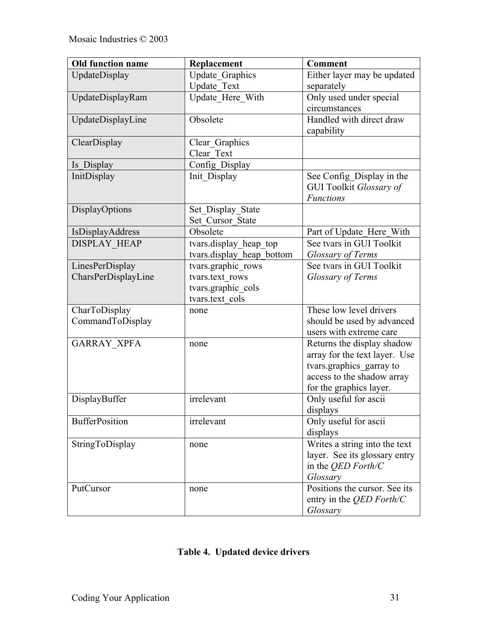| <b>Old function name</b> | Replacement               | <b>Comment</b>                  |
|--------------------------|---------------------------|---------------------------------|
| UpdateDisplay            | <b>Update Graphics</b>    | Either layer may be updated     |
|                          | Update Text               | separately                      |
| UpdateDisplayRam         | Update Here With          | Only used under special         |
|                          |                           | circumstances                   |
| UpdateDisplayLine        | Obsolete                  | Handled with direct draw        |
|                          |                           | capability                      |
| ClearDisplay             | Clear_Graphics            |                                 |
|                          | Clear Text                |                                 |
| Is_Display               | Config_Display            |                                 |
| InitDisplay              | Init Display              | See Config_Display in the       |
|                          |                           | GUI Toolkit Glossary of         |
|                          |                           | <b>Functions</b>                |
| DisplayOptions           | Set_Display_State         |                                 |
|                          | Set Cursor State          |                                 |
| IsDisplayAddress         | Obsolete                  | Part of Update Here With        |
| <b>DISPLAY HEAP</b>      | tvars.display heap top    | See tvars in GUI Toolkit        |
|                          | tvars.display heap bottom | Glossary of Terms               |
| LinesPerDisplay          | tvars.graphic_rows        | See tvars in GUI Toolkit        |
| CharsPerDisplayLine      | tvars.text rows           | Glossary of Terms               |
|                          | tvars.graphic cols        |                                 |
|                          | tvars.text cols           |                                 |
| CharToDisplay            | none                      | These low level drivers         |
| CommandToDisplay         |                           | should be used by advanced      |
|                          |                           | users with extreme care         |
| <b>GARRAY_XPFA</b>       | none                      | Returns the display shadow      |
|                          |                           | array for the text layer. Use   |
|                          |                           | tvars.graphics_garray to        |
|                          |                           | access to the shadow array      |
|                          |                           | for the graphics layer.         |
| DisplayBuffer            | irrelevant                | Only useful for ascii           |
|                          |                           | displays                        |
| <b>BufferPosition</b>    | irrelevant                | Only useful for ascii           |
|                          |                           | displays                        |
| StringToDisplay          | none                      | Writes a string into the text   |
|                          |                           | layer. See its glossary entry   |
|                          |                           | in the QED Forth/C              |
|                          |                           | Glossary                        |
| PutCursor                | none                      | Positions the cursor. See its   |
|                          |                           | entry in the <i>QED Forth/C</i> |
|                          |                           | Glossary                        |

| Table 4. Updated device drivers |
|---------------------------------|
|---------------------------------|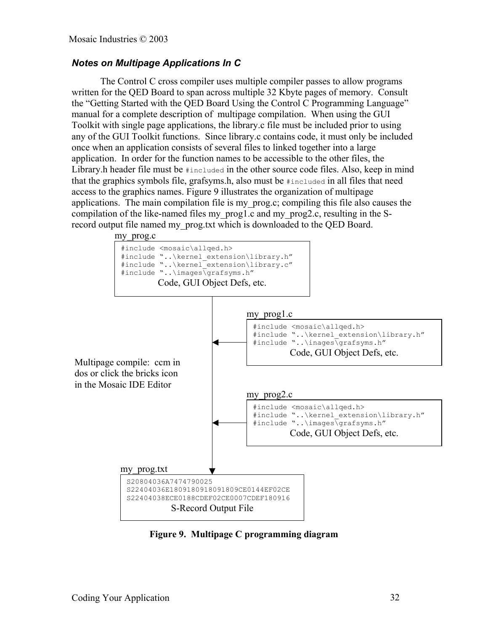# *Notes on Multipage Applications In C*

The Control C cross compiler uses multiple compiler passes to allow programs written for the QED Board to span across multiple 32 Kbyte pages of memory. Consult the "Getting Started with the QED Board Using the Control C Programming Language" manual for a complete description of multipage compilation. When using the GUI Toolkit with single page applications, the library.c file must be included prior to using any of the GUI Toolkit functions. Since library.c contains code, it must only be included once when an application consists of several files to linked together into a large application. In order for the function names to be accessible to the other files, the Library.h header file must be #included in the other source code files. Also, keep in mind that the graphics symbols file, grafsyms.h, also must be #included in all files that need access to the graphics names. Figure 9 illustrates the organization of multipage applications. The main compilation file is my\_prog.c; compiling this file also causes the compilation of the like-named files my\_prog1.c and my\_prog2.c, resulting in the Srecord output file named my\_prog.txt which is downloaded to the QED Board.



**Figure 9. Multipage C programming diagram**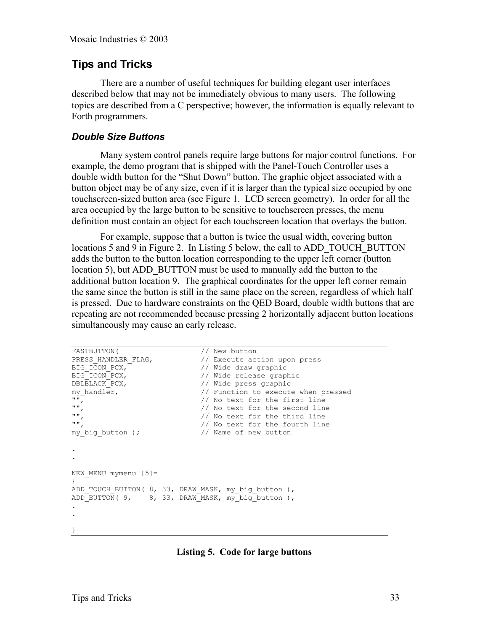# **Tips and Tricks**

There are a number of useful techniques for building elegant user interfaces described below that may not be immediately obvious to many users. The following topics are described from a C perspective; however, the information is equally relevant to Forth programmers.

#### *Double Size Buttons*

Many system control panels require large buttons for major control functions. For example, the demo program that is shipped with the Panel-Touch Controller uses a double width button for the "Shut Down" button. The graphic object associated with a button object may be of any size, even if it is larger than the typical size occupied by one touchscreen-sized button area (see Figure 1. LCD screen geometry). In order for all the area occupied by the large button to be sensitive to touchscreen presses, the menu definition must contain an object for each touchscreen location that overlays the button.

For example, suppose that a button is twice the usual width, covering button locations 5 and 9 in Figure 2. In Listing 5 below, the call to ADD\_TOUCH\_BUTTON adds the button to the button location corresponding to the upper left corner (button location 5), but ADD BUTTON must be used to manually add the button to the additional button location 9. The graphical coordinates for the upper left corner remain the same since the button is still in the same place on the screen, regardless of which half is pressed. Due to hardware constraints on the QED Board, double width buttons that are repeating are not recommended because pressing 2 horizontally adjacent button locations simultaneously may cause an early release.

```
FASTBUTTON(
// New button<br>
PRESS HANDLER FLAG,

// Execute act
PRESS_HANDLER_FLAG, // Execute action upon press
BIG_ICON_PCX, // Wide draw graphic
BIG ICON PCX, \frac{1}{\sqrt{2}} wide release graphic
DBLBLACK PCX, \frac{1}{100} wide press graphic
my_handler, // Function to execute when pressed
"", // No text for the first line
"",<br>"", The second line the second line with the second line in the third line in the third line in the third line
"",<br>", which are the third line (1) No text for the fourth line
                              // No text for the fourth line<br>// Name of new button
my big button );
.
.
NEW MENU mymenu [5]=
{
ADD_TOUCH_BUTTON( 8, 33, DRAW_MASK, my_big_button ),
ADD BUTTON( 9, 8, 33, DRAW MASK, my big button ),
.
.
}
```
**Listing 5. Code for large buttons**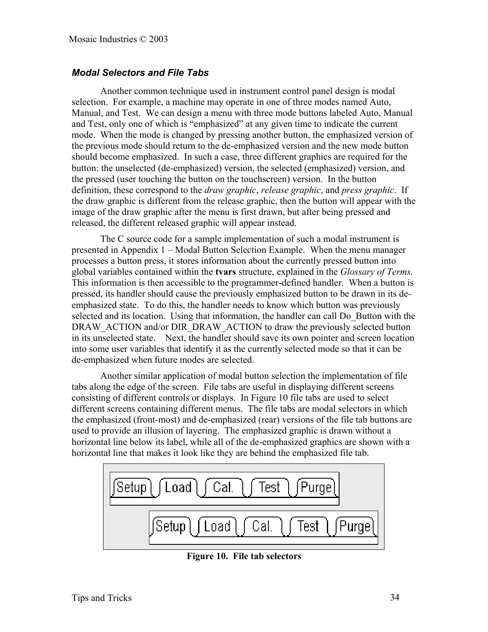#### *Modal Selectors and File Tabs*

Another common technique used in instrument control panel design is modal selection. For example, a machine may operate in one of three modes named Auto, Manual, and Test. We can design a menu with three mode buttons labeled Auto, Manual and Test, only one of which is "emphasized" at any given time to indicate the current mode. When the mode is changed by pressing another button, the emphasized version of the previous mode should return to the de-emphasized version and the new mode button should become emphasized. In such a case, three different graphics are required for the button: the unselected (de-emphasized) version, the selected (emphasized) version, and the pressed (user touching the button on the touchscreen) version. In the button definition, these correspond to the *draw graphic*, *release graphic*, and *press graphic*. If the draw graphic is different from the release graphic, then the button will appear with the image of the draw graphic after the menu is first drawn, but after being pressed and released, the different released graphic will appear instead.

The C source code for a sample implementation of such a modal instrument is presented in Appendix 1 – Modal Button Selection Example. When the menu manager processes a button press, it stores information about the currently pressed button into global variables contained within the **tvars** structure, explained in the *Glossary of Terms.* This information is then accessible to the programmer-defined handler. When a button is pressed, its handler should cause the previously emphasized button to be drawn in its deemphasized state. To do this, the handler needs to know which button was previously selected and its location. Using that information, the handler can call Do Button with the DRAW\_ACTION and/or DIR\_DRAW\_ACTION to draw the previously selected button in its unselected state. Next, the handler should save its own pointer and screen location into some user variables that identify it as the currently selected mode so that it can be de-emphasized when future modes are selected.

Another similar application of modal button selection the implementation of file tabs along the edge of the screen. File tabs are useful in displaying different screens consisting of different controls or displays. In Figure 10 file tabs are used to select different screens containing different menus. The file tabs are modal selectors in which the emphasized (front-most) and de-emphasized (rear) versions of the file tab buttons are used to provide an illusion of layering. The emphasized graphic is drawn without a horizontal line below its label, while all of the de-emphasized graphics are shown with a horizontal line that makes it look like they are behind the emphasized file tab.



**Figure 10. File tab selectors**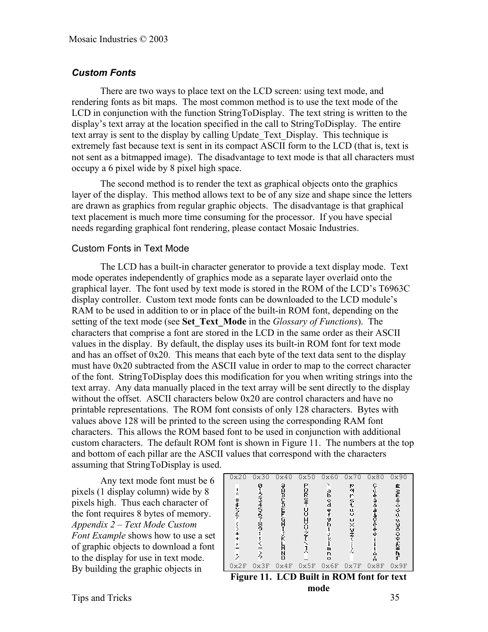# *Custom Fonts*

There are two ways to place text on the LCD screen: using text mode, and rendering fonts as bit maps. The most common method is to use the text mode of the LCD in conjunction with the function StringToDisplay. The text string is written to the display's text array at the location specified in the call to StringToDisplay. The entire text array is sent to the display by calling Update\_Text\_Display. This technique is extremely fast because text is sent in its compact ASCII form to the LCD (that is, text is not sent as a bitmapped image). The disadvantage to text mode is that all characters must occupy a 6 pixel wide by 8 pixel high space.

The second method is to render the text as graphical objects onto the graphics layer of the display. This method allows text to be of any size and shape since the letters are drawn as graphics from regular graphic objects. The disadvantage is that graphical text placement is much more time consuming for the processor. If you have special needs regarding graphical font rendering, please contact Mosaic Industries.

#### Custom Fonts in Text Mode

 The LCD has a built-in character generator to provide a text display mode. Text mode operates independently of graphics mode as a separate layer overlaid onto the graphical layer. The font used by text mode is stored in the ROM of the LCD's T6963C display controller. Custom text mode fonts can be downloaded to the LCD module's RAM to be used in addition to or in place of the built-in ROM font, depending on the setting of the text mode (see **Set\_Text\_Mode** in the *Glossary of Functions*). The characters that comprise a font are stored in the LCD in the same order as their ASCII values in the display. By default, the display uses its built-in ROM font for text mode and has an offset of 0x20. This means that each byte of the text data sent to the display must have 0x20 subtracted from the ASCII value in order to map to the correct character of the font. StringToDisplay does this modification for you when writing strings into the text array. Any data manually placed in the text array will be sent directly to the display without the offset. ASCII characters below 0x20 are control characters and have no printable representations. The ROM font consists of only 128 characters. Bytes with values above 128 will be printed to the screen using the corresponding RAM font characters. This allows the ROM based font to be used in conjunction with additional custom characters. The default ROM font is shown in Figure 11. The numbers at the top and bottom of each pillar are the ASCII values that correspond with the characters assuming that StringToDisplay is used.

Any text mode font must be 6 pixels (1 display column) wide by 8 pixels high. Thus each character of the font requires 8 bytes of memory. *Appendix 2 – Text Mode Custom Font Example* shows how to use a set of graphic objects to download a font to the display for use in text mode.

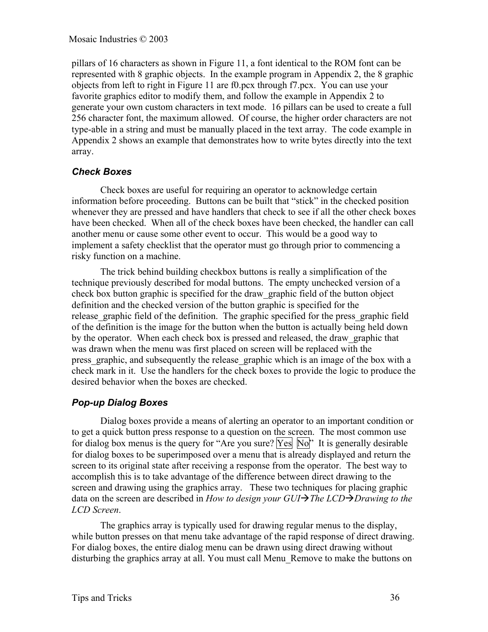pillars of 16 characters as shown in Figure 11, a font identical to the ROM font can be represented with 8 graphic objects. In the example program in Appendix 2, the 8 graphic objects from left to right in Figure 11 are f0.pcx through f7.pcx. You can use your favorite graphics editor to modify them, and follow the example in Appendix 2 to generate your own custom characters in text mode. 16 pillars can be used to create a full 256 character font, the maximum allowed. Of course, the higher order characters are not type-able in a string and must be manually placed in the text array. The code example in Appendix 2 shows an example that demonstrates how to write bytes directly into the text array.

## *Check Boxes*

Check boxes are useful for requiring an operator to acknowledge certain information before proceeding. Buttons can be built that "stick" in the checked position whenever they are pressed and have handlers that check to see if all the other check boxes have been checked. When all of the check boxes have been checked, the handler can call another menu or cause some other event to occur. This would be a good way to implement a safety checklist that the operator must go through prior to commencing a risky function on a machine.

The trick behind building checkbox buttons is really a simplification of the technique previously described for modal buttons. The empty unchecked version of a check box button graphic is specified for the draw\_graphic field of the button object definition and the checked version of the button graphic is specified for the release graphic field of the definition. The graphic specified for the press graphic field of the definition is the image for the button when the button is actually being held down by the operator. When each check box is pressed and released, the draw\_graphic that was drawn when the menu was first placed on screen will be replaced with the press graphic, and subsequently the release graphic which is an image of the box with a check mark in it. Use the handlers for the check boxes to provide the logic to produce the desired behavior when the boxes are checked.

## *Pop-up Dialog Boxes*

Dialog boxes provide a means of alerting an operator to an important condition or to get a quick button press response to a question on the screen. The most common use for dialog box menus is the query for "Are you sure?  $Yes \overline{No}$ " It is generally desirable for dialog boxes to be superimposed over a menu that is already displayed and return the screen to its original state after receiving a response from the operator. The best way to accomplish this is to take advantage of the difference between direct drawing to the screen and drawing using the graphics array. These two techniques for placing graphic data on the screen are described in *How to design your GUI* $\rightarrow$ *The LCD* $\rightarrow$ *Drawing to the LCD Screen*.

The graphics array is typically used for drawing regular menus to the display, while button presses on that menu take advantage of the rapid response of direct drawing. For dialog boxes, the entire dialog menu can be drawn using direct drawing without disturbing the graphics array at all. You must call Menu\_Remove to make the buttons on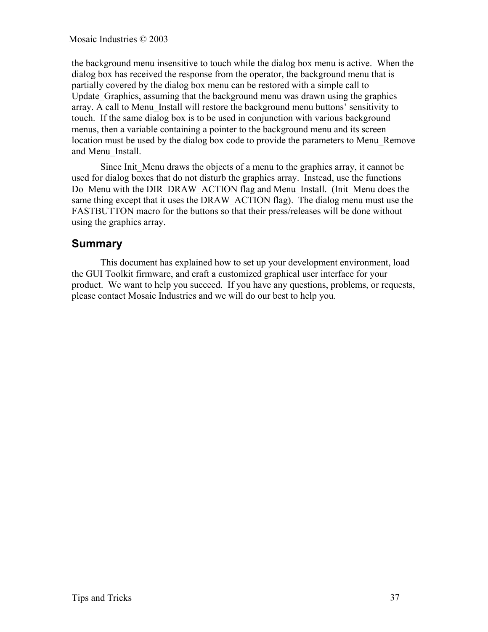the background menu insensitive to touch while the dialog box menu is active. When the dialog box has received the response from the operator, the background menu that is partially covered by the dialog box menu can be restored with a simple call to Update Graphics, assuming that the background menu was drawn using the graphics array. A call to Menu\_Install will restore the background menu buttons' sensitivity to touch. If the same dialog box is to be used in conjunction with various background menus, then a variable containing a pointer to the background menu and its screen location must be used by the dialog box code to provide the parameters to Menu\_Remove and Menu\_Install.

Since Init Menu draws the objects of a menu to the graphics array, it cannot be used for dialog boxes that do not disturb the graphics array. Instead, use the functions Do Menu with the DIR\_DRAW\_ACTION flag and Menu\_Install. (Init\_Menu does the same thing except that it uses the DRAW\_ACTION flag). The dialog menu must use the FASTBUTTON macro for the buttons so that their press/releases will be done without using the graphics array.

## **Summary**

This document has explained how to set up your development environment, load the GUI Toolkit firmware, and craft a customized graphical user interface for your product. We want to help you succeed. If you have any questions, problems, or requests, please contact Mosaic Industries and we will do our best to help you.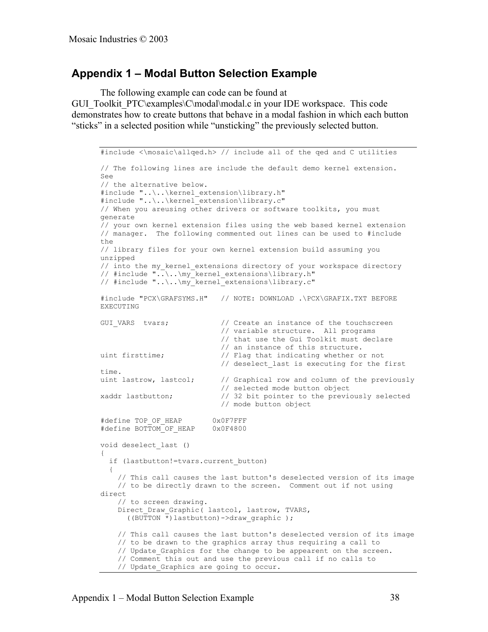## **Appendix 1 – Modal Button Selection Example**

The following example can code can be found at

GUI\_Toolkit\_PTC\examples\C\modal\modal.c in your IDE workspace. This code demonstrates how to create buttons that behave in a modal fashion in which each button "sticks" in a selected position while "unsticking" the previously selected button.

```
#include <\mosaic\allqed.h> // include all of the qed and C utilities
// The following lines are include the default demo kernel extension.
See
// the alternative below.
#include "..\..\kernel extension\library.h"
#include "..\..\kernel_extension\library.c"
// When you areusing other drivers or software toolkits, you must
generate
// your own kernel extension files using the web based kernel extension
// manager. The following commented out lines can be used to #include
the
// library files for your own kernel extension build assuming you
unzipped
// into the my_kernel_extensions directory of your workspace directory
// #include "..\..\my_kernel_extensions\library.h"
// #include "..\..\my_kernel_extensions\library.c"
#include "PCX\GRAFSYMS.H" // NOTE: DOWNLOAD .\PCX\GRAFIX.TXT BEFORE
EXECUTING
GUI VARS tvars; \frac{1}{2} // Create an instance of the touchscreen
                            // variable structure. All programs
                            // that use the Gui Toolkit must declare
                            // an instance of this structure.
uint firsttime; // Flag that indicating whether or not
                           // deselect last is executing for the first
time.<br>uint lastrow, lastcol;
                         // Graphical row and column of the previously
%/ selected mode button object<br>xaddr lastbutton; \frac{1}{1} 32 bit pointer to the previo
xaddr lastbutton; // 32 bit pointer to the previously selected
 // mode button object
#define TOP_OF_HEAP 0x0F7FFF
#define BOTTOM OF HEAP 0x0F4800
void deselect_last ()
{
  if (lastbutton!=tvars.current button)
\{ // This call causes the last button's deselected version of its image
     // to be directly drawn to the screen. Comment out if not using
direct
     // to screen drawing.
 Direct_Draw_Graphic( lastcol, lastrow, TVARS,
 ((BUTTON *)lastbutton)->draw_graphic );
     // This call causes the last button's deselected version of its image
     // to be drawn to the graphics array thus requiring a call to
    // Update Graphics for the change to be appearent on the screen.
    // Comment this out and use the previous call if no calls to
    // Update_Graphics are going to occur.
```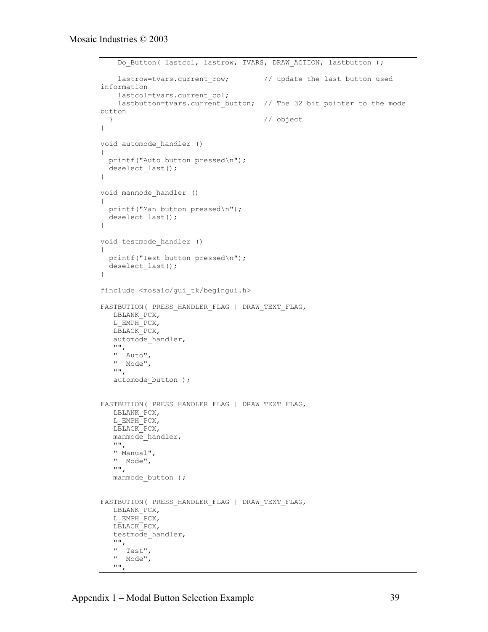```
Do Button( lastcol, lastrow, TVARS, DRAW ACTION, lastbutton );
   lastrow=tvars.current row; // update the last button used
information
   lastcol=tvars.current col;
   lastbutton=tvars.current button; // The 32 bit pointer to the mode
button
  } // object
}
void automode_handler ()
{
  printf("Auto button pressed\n");
 deselect last();
}
void manmode_handler ()
{
  printf("Man button pressed\n");
 deselect_last();
}
void testmode_handler ()
{
  printf("Test button pressed\n");
  deselect_last();
}
#include <mosaic/gui_tk/begingui.h>
FASTBUTTON( PRESS_HANDLER_FLAG | DRAW_TEXT_FLAG,
   LBLANK_PCX,
  L EMPH PCX,
   LBLACK_PCX,
  automode handler,
" "" " Auto",
 " Mode",
    "",
  automode button );
FASTBUTTON( PRESS HANDLER FLAG | DRAW TEXT FLAG,
   LBLANK_PCX,
  L EMPH PCX,
   LBLACK_PCX,
  manmode handler,
   "",
   " Manual",
   " Mode",
   "",
  manmode button );
FASTBUTTON( PRESS HANDLER FLAG | DRAW TEXT FLAG,
   LBLANK_PCX,
   L_EMPH_PCX,
   LBLACK_PCX,
  testmode handler,
" "" " Test",
   " Mode",
   "",
```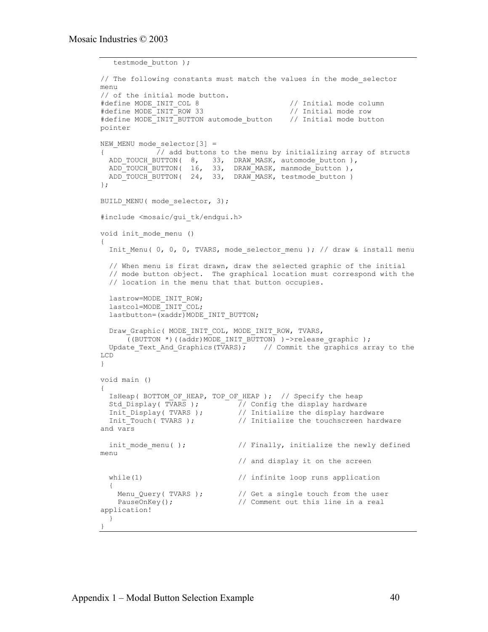```
 testmode_button );
// The following constants must match the values in the mode selector
menu
// of the initial mode button.
#define MODE_INIT_COL 8 // Initial mode column
#define MODE_INIT_ROW 33 // Initial mode row
#define MODE INIT BUTTON automode button // Initial mode button
pointer
NEW_MENU mode_selector[3] =
{ // add buttons to the menu by initializing array of structs
 ADD_TOUCH_BUTTON( 8, 33, DRAW_MASK, automode_button ),
 ADD_TOUCH_BUTTON( 16, 33, DRAW_MASK, manmode_button ),
 ADD_TOUCH_BUTTON( 24, 33, DRAW_MASK, testmode_button )
};
BUILD MENU( mode selector, 3);
#include <mosaic/gui_tk/endgui.h>
void init_mode_menu ()
{
  Init Menu( 0, 0, 0, TVARS, mode selector menu ); // draw & install menu
   // When menu is first drawn, draw the selected graphic of the initial
   // mode button object. The graphical location must correspond with the
   // location in the menu that that button occupies.
  lastrow=MODE_INIT_ROW;
   lastcol=MODE_INIT_COL;
 lastbutton=(xaddr)MODE_INIT_BUTTON;
 Draw Graphic( MODE INIT COL, MODE INIT ROW, TVARS,
     ((BUTTON *)((addr)MODE INIT_BUTTON) )->release graphic );
  Update Text And Graphics (TVARS); // Commit the graphics array to the
LCD
}
void main ()
{
  IsHeap( BOTTOM_OF_HEAP, TOP_OF_HEAP ); // Specify the heap
 Std_Display( TVARS ); // Config the display hardware
Init Display( TVARS ); \frac{1}{2} // Initialize the display hardware
Init Touch( TVARS ); \frac{1}{2} Initialize the touchscreen hardware
and vars
 init mode menu( ); \frac{1}{2} // Finally, initialize the newly defined
menu
                               // and display it on the screen
 while(1) \frac{1}{2} // infinite loop runs application
\{Menu_Query( TVARS ); \frac{1}{2} // Get a single touch from the user
   PauseOnKey(); \frac{1}{2} // Comment out this line in a real
application!
   }
}
```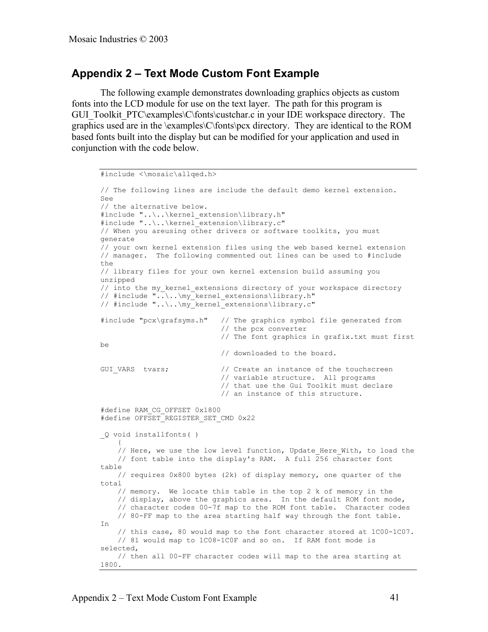## **Appendix 2 – Text Mode Custom Font Example**

The following example demonstrates downloading graphics objects as custom fonts into the LCD module for use on the text layer. The path for this program is GUI\_Toolkit\_PTC\examples\C\fonts\custchar.c in your IDE workspace directory. The graphics used are in the \examples\C\fonts\pcx directory. They are identical to the ROM based fonts built into the display but can be modified for your application and used in conjunction with the code below.

```
#include <\mosaic\allqed.h>
// The following lines are include the default demo kernel extension.
See
// the alternative below.
#include "..\..\kernel_extension\library.h"
#include "..\..\kernel_extension\library.c"
// When you areusing other drivers or software toolkits, you must
generate
// your own kernel extension files using the web based kernel extension
// manager. The following commented out lines can be used to #include
the
// library files for your own kernel extension build assuming you
unzipped
// into the my_kernel_extensions directory of your workspace directory
// #include "..\..\my_kernel_extensions\library.h"
// #include "..\..\my_kernel_extensions\library.c"
#include "pcx\grafsyms.h" // The graphics symbol file generated from
                              // the pcx converter
                              // The font graphics in grafix.txt must first
be
                              // downloaded to the board.
GUI VARS tvars; \frac{1}{2} // Create an instance of the touchscreen
                              // variable structure. All programs
                              // that use the Gui Toolkit must declare
                              // an instance of this structure.
#define RAM_CG_OFFSET 0x1800
#define OFFSET REGISTER SET CMD 0x22
_Q void installfonts( )
\left\{\begin{array}{ccc} & & \\ & & \end{array}\right\}// Here, we use the low level function, Update Here With, to load the
     // font table into the display's RAM. A full 256 character font
table
     // requires 0x800 bytes (2k) of display memory, one quarter of the
total
     // memory. We locate this table in the top 2 k of memory in the
     // display, above the graphics area. In the default ROM font mode,
     // character codes 00-7f map to the ROM font table. Character codes
     // 80-FF map to the area starting half way through the font table.
In
     // this case, 80 would map to the font character stored at 1C00-1C07.
     // 81 would map to 1C08-1C0F and so on. If RAM font mode is
selected,
     // then all 00-FF character codes will map to the area starting at
1800.
```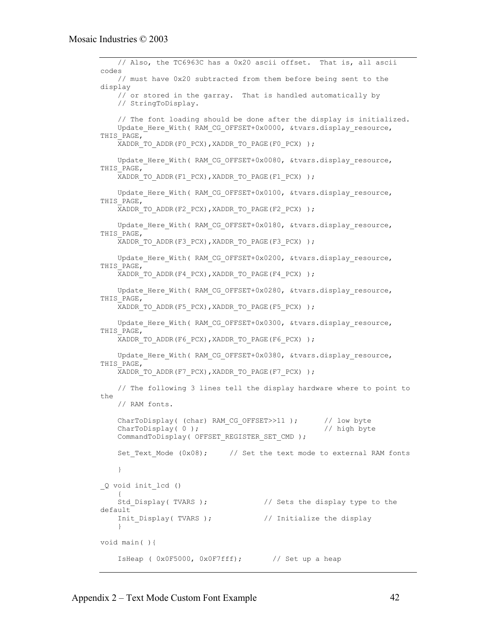```
 // Also, the TC6963C has a 0x20 ascii offset. That is, all ascii
codes
     // must have 0x20 subtracted from them before being sent to the
display
     // or stored in the garray. That is handled automatically by
     // StringToDisplay.
     // The font loading should be done after the display is initialized.
    Update Here With( RAM CG OFFSET+0x0000, &tvars.display resource,
THIS_PAGE,
     XADDR_TO_ADDR(F0_PCX),XADDR_TO_PAGE(F0_PCX) );
    Update Here With( RAM CG OFFSET+0x0080, &tvars.display resource,
THIS PAGE,
    XADDR_TO_ADDR(F1_PCX),XADDR_TO_PAGE(F1_PCX) );
    Update Here With( RAM CG OFFSET+0x0100, &tvars.display resource,
THIS PAGE,
    XADDR_TO_ADDR(F2_PCX),XADDR_TO_PAGE(F2_PCX) );
    Update Here With( RAM CG OFFSET+0x0180, &tvars.display resource,
THIS PAGE,
    XADDR_TO_ADDR(F3_PCX),XADDR_TO_PAGE(F3_PCX) );
    Update Here With( RAM CG OFFSET+0x0200, &tvars.display resource,
THIS PAGE,
    XADDR_TO_ADDR(F4_PCX),XADDR_TO_PAGE(F4_PCX) );
    Update Here With( RAM CG OFFSET+0x0280, &tvars.display resource,
THIS PAGE,
    XADDR_TO_ADDR(F5_PCX),XADDR_TO_PAGE(F5_PCX) );
    Update Here With( RAM CG OFFSET+0x0300, &tvars.display resource,
THIS PAGE,
    XADDR TO ADDR(F6 PCX), XADDR TO PAGE(F6 PCX) );
    Update Here With( RAM CG OFFSET+0x0380, &tvars.display resource,
THIS PAGE,
    XADDR_TO_ADDR(F7_PCX),XADDR_TO_PAGE(F7_PCX) );
     // The following 3 lines tell the display hardware where to point to
the
     // RAM fonts.
    CharToDisplay( (char) RAM_CG_OFFSET>>11 ); // low byte<br>CharToDisplay( 0 ); // high byte
    CharToDisplay(0);
    CommandToDisplay( OFFSET REGISTER SET CMD );
    Set Text Mode (0x08); // Set the text mode to external RAM fonts
     }
_Q void init_lcd ()
\left\{\begin{array}{ccc} & & \\ & & \end{array}\right\}Std Display( TVARS ); \frac{1}{2} // Sets the display type to the
default
    Init Display( TVARS ); // Initialize the display
 }
void main( ){
     IsHeap ( 0x0F5000, 0x0F7fff); // Set up a heap
```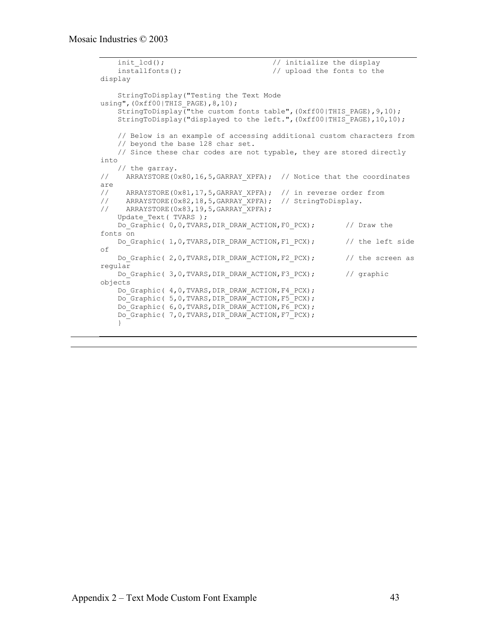```
init_lcd(); <br> // initialize the display<br> \frac{1}{2} // upload the fonts to the
                                         // upload the fonts to the
display
     StringToDisplay("Testing the Text Mode
using",(0xff00|THIS PAGE),8,10);
    StringToDisplay("the custom fonts table", (0xff00|THIS PAGE), 9,10);
     StringToDisplay("displayed to the left.",(0xff00|THIS_PAGE),10,10);
     // Below is an example of accessing additional custom characters from
     // beyond the base 128 char set.
     // Since these char codes are not typable, they are stored directly
into
// the garray.<br>// ARRAYSTORE(0
     ARRAYSTORE(0x80,16,5, GARRAY XPFA); // Notice that the coordinates
are<br>//
// ARRAYSTORE(0x81,17,5,GARRAY XPFA); // in reverse order from
// ARRAYSTORE(0x82,18,5,GARRAY_XPFA); // StringToDisplay.
// ARRAYSTORE(0x83,19,5,GARRAY_XPFA);
    Update Text( TVARS );
    Do Graphic( 0,0,TVARS, DIR DRAW ACTION, F0 PCX); // Draw the
fonts on
    Do Graphic( 1,0, TVARS, DIR DRAW ACTION, F1 PCX); // the left side
of
    Do Graphic( 2,0,TVARS, DIR DRAW ACTION, F2 PCX); // the screen as
regular
    Do Graphic( 3,0,TVARS,DIR DRAW ACTION, F3 PCX); // graphic
objects
    Do Graphic( 4,0,TVARS,DIR DRAW ACTION, F4 PCX);
     Do_Graphic( 5,0,TVARS,DIR_DRAW_ACTION,F5_PCX);
     Do_Graphic( 6,0,TVARS,DIR_DRAW_ACTION,F6_PCX);
    Do Graphic( 7, 0, TVARS, DIR DRAW ACTION, F7 PCX);
     }
```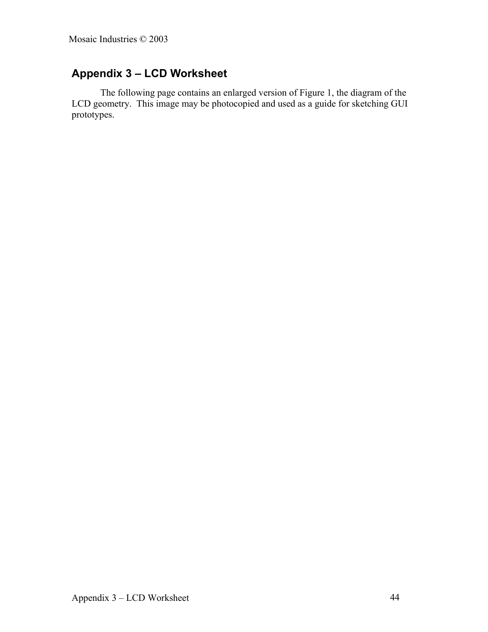## **Appendix 3 – LCD Worksheet**

The following page contains an enlarged version of Figure 1, the diagram of the LCD geometry. This image may be photocopied and used as a guide for sketching GUI prototypes.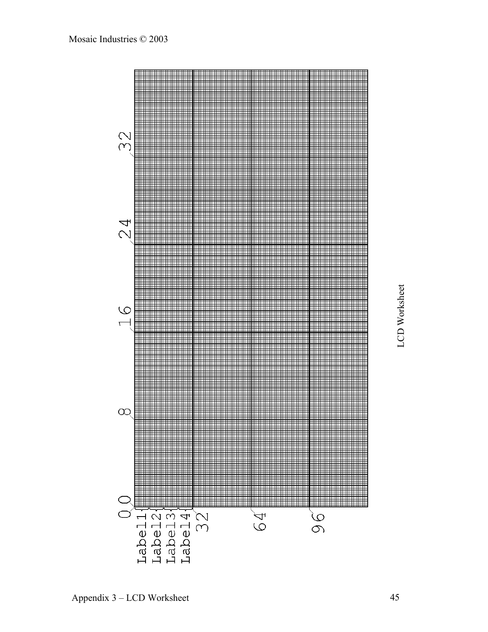

Appendix 3 – LCD Worksheet

LCD Worksheet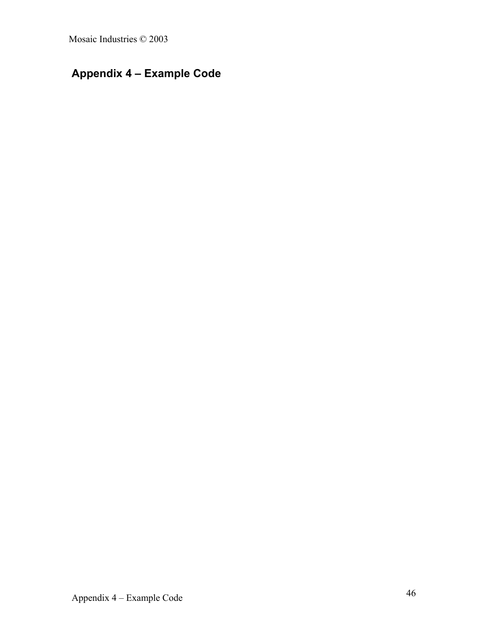# **Appendix 4 – Example Code**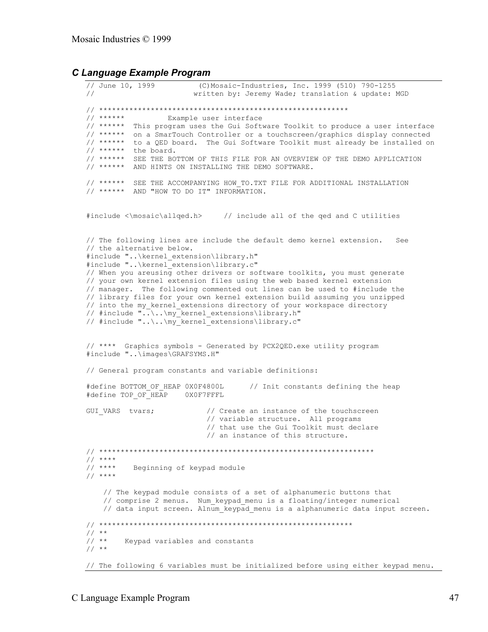#### *C Language Example Program*

// June 10, 1999 (C)Mosaic-Industries, Inc. 1999 (510) 790-1255 // written by: Jeremy Wade; translation & update: MGD // \*\*\*\*\*\*\*\*\*\*\*\*\*\*\*\*\*\*\*\*\*\*\*\*\*\*\*\*\*\*\*\*\*\*\*\*\*\*\*\*\*\*\*\*\*\*\*\*\*\*\*\*\*\*\*\*\*\* Example user interface // \*\*\*\*\*\* This program uses the Gui Software Toolkit to produce a user interface // \*\*\*\*\*\* on a SmarTouch Controller or a touchscreen/graphics display connected // \*\*\*\*\*\* to a QED board. The Gui Software Toolkit must already be installed on  $\frac{1}{1}$  \*\*\*\*\*\* the board. // \*\*\*\*\*\* SEE THE BOTTOM OF THIS FILE FOR AN OVERVIEW OF THE DEMO APPLICATION // \*\*\*\*\*\* AND HINTS ON INSTALLING THE DEMO SOFTWARE. // \*\*\*\*\*\* SEE THE ACCOMPANYING HOW\_TO.TXT FILE FOR ADDITIONAL INSTALLATION // \*\*\*\*\*\* AND "HOW TO DO IT" INFORMATION. #include <\mosaic\allqed.h> // include all of the qed and C utilities // The following lines are include the default demo kernel extension. See // the alternative below. #include "..\kernel\_extension\library.h" #include "..\kernel\_extension\library.c" // When you areusing other drivers or software toolkits, you must generate // your own kernel extension files using the web based kernel extension // manager. The following commented out lines can be used to #include the // library files for your own kernel extension build assuming you unzipped // into the my kernel extensions directory of your workspace directory // #include "..\..\my\_kernel\_extensions\library.h" // #include "..\..\my\_kernel\_extensions\library.c" // \*\*\*\* Graphics symbols - Generated by PCX2QED.exe utility program #include "..\images\GRAFSYMS.H" // General program constants and variable definitions: #define BOTTOM OF HEAP 0X0F4800L // Init constants defining the heap #define TOP\_OF\_HEAP 0X0F7FFFL GUI VARS tvars;  $\frac{1}{2}$  // Create an instance of the touchscreen // variable structure. All programs // that use the Gui Toolkit must declare // an instance of this structure. // \*\*\*\*\*\*\*\*\*\*\*\*\*\*\*\*\*\*\*\*\*\*\*\*\*\*\*\*\*\*\*\*\*\*\*\*\*\*\*\*\*\*\*\*\*\*\*\*\*\*\*\*\*\*\*\*\*\*\*\*\*\*\*\* // \*\*\*\* Beginning of keypad module  $1/$  \*\*\*\* // The keypad module consists of a set of alphanumeric buttons that // comprise 2 menus. Num\_keypad\_menu is a floating/integer numerical // data input screen. Alnum\_keypad\_menu is a alphanumeric data input screen. // \*\*\*\*\*\*\*\*\*\*\*\*\*\*\*\*\*\*\*\*\*\*\*\*\*\*\*\*\*\*\*\*\*\*\*\*\*\*\*\*\*\*\*\*\*\*\*\*\*\*\*\*\*\*\*\*\*\*\*  $\frac{1}{1}$ / \*\* Keypad variables and constants  $// **$ // The following 6 variables must be initialized before using either keypad menu.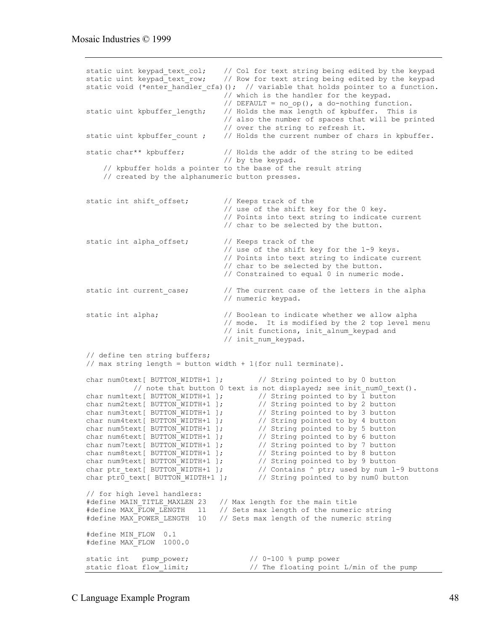```
static uint keypad_text_col; // Col for text string being edited by the keypad static uint keypad text row; // Row for text string being edited by the keypad
                                // Row for text string being edited by the keypad
static void (*enter_handler_cfa)(); // variable that holds pointer to a function.
                                 // which is the handler for the keypad.
                                // DEFAULT = no op(), a do-nothing function.
static uint kpbuffer length; // Holds the max length of kpbuffer. This is
                                 // also the number of spaces that will be printed
                                 // over the string to refresh it.
static uint kpbuffer count ; // Holds the current number of chars in kpbuffer.
static char** kpbuffer; \frac{1}{2} Holds the addr of the string to be edited
                                 // by the keypad.
     // kpbuffer holds a pointer to the base of the result string
     // created by the alphanumeric button presses.
static int shift offset; // Keeps track of the
                                 // use of the shift key for the 0 key.
                                 // Points into text string to indicate current
                                 // char to be selected by the button.
static int alpha offset; // Keeps track of the
                                 // use of the shift key for the 1-9 keys.
                                 // Points into text string to indicate current
                                 // char to be selected by the button.
                                 // Constrained to equal 0 in numeric mode.
static int current case; \frac{1}{2} // The current case of the letters in the alpha
                                 // numeric keypad.
static int alpha; // Boolean to indicate whether we allow alpha
                                 // mode. It is modified by the 2 top level menu
                                // init functions, init alnum_keypad and
                                // init num keypad.
// define ten string buffers;
// max string length = button width + 1{for null terminate}.
char num0text[ BUTTON_WIDTH+1 ]; // String pointed to by 0 button // note that button 0 text is not displayed; see init_num0_text().
 // note that button 0 text is not displayed; see init_num0_text().
char num1text[ BUTTON_WIDTH+1 ]; \qquad // String pointed to by 1 button
char num2text[ BUTTON_WIDTH+1 ]; \qquad // String pointed to by 2 button
char num3text[ BUTTON WIDTH+1 ]; // String pointed to by 3 button
char num4text[ BUTTON WIDTH+1 ]; // String pointed to by 4 button
char num5text[ BUTTON_WIDTH+1 ]; \qquad // String pointed to by 5 button
char num6text[ BUTTON_WIDTH+1 ]; // String pointed to by 6 button
char num7text[ BUTTON_WIDTH+1 ]; // String pointed to by 7 button
char num8text[ BUTTON_WIDTH+1 ]; // String pointed to by 8 button
char num9text[ BUTTON WIDTH+1 ]; // String pointed to by 9 button
char ptr_text[ BUTTON_WIDTH+1 ]; \qquad // Contains ^ ptr; used by num 1-9 buttons
char ptr0_text[ BUTTON_WIDTH+1 ]; // String pointed to by num0 button
// for high level handlers:
#define MAIN TITLE MAXLEN 23 // Max length for the main title
#define MAX_FLOW_LENGTH 11 // Sets max length of the numeric string
#define MAX_POWER_LENGTH 10 // Sets max length of the numeric string
#define MIN_FLOW 0.1
#define MAX_FLOW 1000.0
static int pump_power; <br>static float flow limit; <br>// The floating point
                                      // The floating point L/min of the pump
```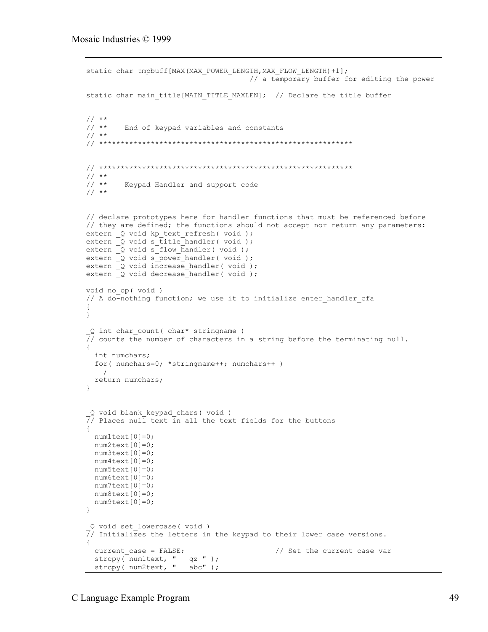```
static char tmpbuff[MAX(MAX POWER LENGTH, MAX FLOW LENGTH)+1];
                                         // a temporary buffer for editing the power
static char main title[MAIN_TITLE_MAXLEN]; // Declare the title buffer
// **<br>// **
         End of keypad variables and constants
// **
// ***********************************************************
// ***********************************************************
\frac{1}{1}/ **
         Keypad Handler and support code
// **
// declare prototypes here for handler functions that must be referenced before
// they are defined; the functions should not accept nor return any parameters:
extern _Q void kp_text_refresh( void );
extern Q void s title handler( void );
extern Q void s flow handler( void );
extern \overline{Q} void \overline{s} power_handler( void );
extern Q void increase_handler( void );
extern \overline{Q} void decrease handler( void );
void no_op( void )
// A do-nothing function; we use it to initialize enter handler cfa
{
}
 Q int char count ( char* stringname )
\frac{7}{7} counts the number of characters in a string before the terminating null.
{
  int numchars;
  for( numchars=0; *stringname++; numchars++ )
\mathcal{L} return numchars;
}
 _Q void blank_keypad_chars( void )
\overline{77} Places null text in all the text fields for the buttons
{
  num1text[0]=0;
 num2text[0]=0; num3text[0]=0;
  num4text[0]=0;
  num5text[0]=0;
  num6text[0]=0;
  num7text[0]=0;
  num8text[0]=0;
  num9text[0]=0;
}
_Q void set_lowercase( void )
\sqrt{7}/ Initializes the letters in the keypad to their lower case versions.
{
 current case = FALSE; \frac{1}{2} Set the current case var
 strcpy(num1text, " qz ");
 strcpy( num2text, " abc" );
```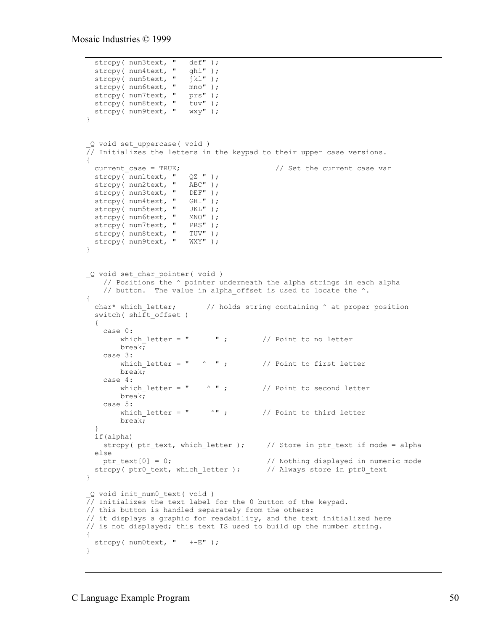```
strcpy( num3text, " def" );<br>strcpy( num4text, " ghi" );
  strcpy( num4text, " ghi" );<br>strcpy( num5text, " jkl" );
 strcpy( num5text, "
 strcpy( num6text, " mno" );<br>strcpy( num7text, " prs" );
strcpy( num7text, " prs" );
strcpy( num8text, " tuv" );
 strcpy( num9text, " wxy" );
}
_Q void set_uppercase( void )
// Initializes the letters in the keypad to their upper case versions.
{
 current_case = TRUE;<br>strcpy(numltext, " QZ " );<br>current case variations of \ell // Set the current case variations of QZ " );
 strcpy( num1text, "
 strcpy( num2text, " ABC" );
strcpy( num3text, " DEF" );
 strcpy( num4text, " GHI" );
 strcpy( num5text, " JKL" );
strcpy( num6text, " MNO" );
 strcpy( num7text, " PRS" );
strcpy( num8text, " TUV" );
strcpy( num9text, " WXY" );
}
_Q void set_char_pointer( void )
     // Positions the ^ pointer underneath the alpha strings in each alpha
    // button. The value in alpha offset is used to locate the ^{\wedge}.
{
  char* which letter; \frac{1}{2} // holds string containing \land at proper position
  switch( shift offset)
   {
    case 0:<br>which letter = "
                           wetter to no letter which we have to no letter
         break;
     case 3:
        which letter = " \wedge " ; // Point to first letter
         break;
     case 4:
        which letter = " \wedge " ; // Point to second letter
         break;
    case 5:<br>which letter = "
                             \lambda" ; \lambda // Point to third letter
         break;
   }
   if(alpha)
    strcpy( ptr_text, which_letter ); // Store in ptr_text if mode = alpha
   else
   ptr text[0] = 0; \frac{1}{2} // Nothing displayed in numeric mode
  strcpy( ptr0 text, which letter ); // Always store in ptr0 text
}
_Q void init_num0_text( void )
// Initializes the text label for the 0 button of the keypad.
// this button is handled separately from the others:
// it displays a graphic for readability, and the text initialized here
// is not displayed; this text IS used to build up the number string.
{
  strcpy( num0text, " +-E" );
}
```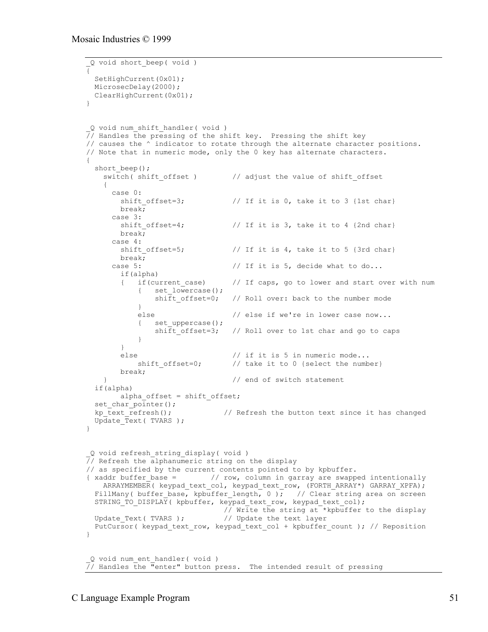```
_Q void short_beep( void )
{
 SetHighCurrent(0x01);
  MicrosecDelay(2000);
  ClearHighCurrent(0x01);
}
_Q void num_shift_handler( void )
\overline{7}/ Handles the pressing of the shift key. Pressing the shift key
// causes the ^ indicator to rotate through the alternate character positions.
// Note that in numeric mode, only the 0 key has alternate characters.
{
  short beep();
    switch( shift offset) // adjust the value of shift offset
\left\{\begin{array}{ccc} & & \\ & & \end{array}\right\} case 0:
       shift offset=3; \frac{1}{2} // If it is 0, take it to 3 {1st char}
        break;
       case 3:
       shift offset=4; // If it is 3, take it to 4 {2nd char}
        break;
      case 4:<br>shift offset=5;
                                // If it is 4, take it to 5 {3rd char}
        break;
      case 5: \frac{1}{1} if it is 5, decide what to do...
        if(alpha)
         { if(current_case) // If caps, go to lower and start over with num
            { set_lowercase();<br>shift offset=0;
                                  // Roll over: back to the number mode
 }
            else // else if we're in lower case now...
             { set_uppercase();
                shift offset=3; // Roll over to 1st char and go to caps
 }
         }
        else // if it is 5 in numeric mode...<br>shift offset=0; // take it to 0 {select the numb
                                   // take it to 0 {select the number}
        break;
     } // end of switch statement
   if(alpha)
        alpha offset = shift offset;
  set char pointer();
  kp text refresh(); // Refresh the button text since it has changed
  Update Text( TVARS );
}
_Q void refresh_string_display( void )
// Refresh the alphanumeric string on the display
// as specified by the current contents pointed to by kpbuffer.
{ xaddr buffer base = // row, column in garray are swapped intentionally
     ARRAYMEMBER( keypad_text_col, keypad_text_row, (FORTH_ARRAY*) GARRAY_XPFA);
FillMany( buffer_base, kpbuffer_length, 0 ); // Clear string area on screen
STRING TO DISPLAY( kpbuffer, keypad text row, keypad text col);
  // Write the string at *kpbuffer to the display<br>Update Text (TVARS); // Update the text layer
                                // Update the text layer
   PutCursor( keypad_text_row, keypad_text_col + kpbuffer_count ); // Reposition
}
_Q void num_ent_handler( void )
\frac{1}{\sqrt{7}} Handles the "enter" button press. The intended result of pressing
```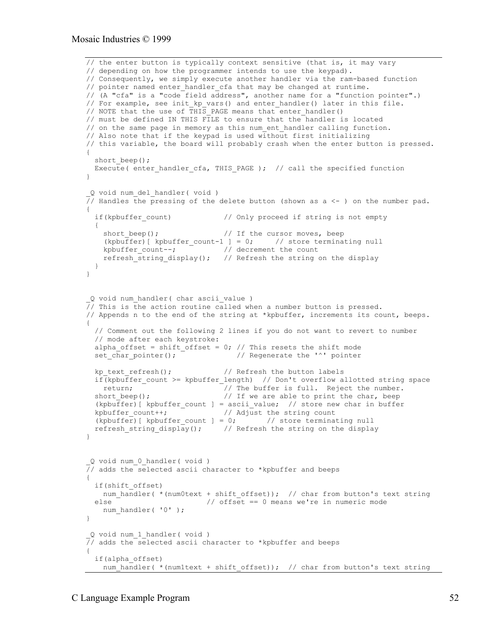```
// the enter button is typically context sensitive (that is, it may vary
// depending on how the programmer intends to use the keypad).
// Consequently, we simply execute another handler via the ram-based function
// pointer named enter handler cfa that may be changed at runtime.
// (A "cfa" is a "code field address", another name for a "function pointer".)
// For example, see init kp vars() and enter handler() later in this file.
// NOTE that the use of THIS PAGE means that enter handler()
// must be defined IN THIS FILE to ensure that the handler is located
// on the same page in memory as this num ent handler calling function.
// Also note that if the keypad is used without first initializing
// this variable, the board will probably crash when the enter button is pressed.
{
  short beep();
 Execute( enter handler cfa, THIS PAGE ); // call the specified function
}
 _Q void num_del_handler( void )
\sqrt{7}/ Handles the pressing of the delete button (shown as a \leq - ) on the number pad.
{
  if(kpbuffer count) // Only proceed if string is not empty
   {
    short beep(); // If the cursor moves, beep
    (kpbuffer) [ kpbuffer_count-1 ] = 0; // store terminating null
    kpbuffer_count--; \frac{1}{2} // decrement the count
    refresh string display(); // Refresh the string on the display
   }
}
_Q void num_handler( char ascii_value )
// This is the action routine called when a number button is pressed.
// Appends n to the end of the string at *kpbuffer, increments its count, beeps.
{
   // Comment out the following 2 lines if you do not want to revert to number
   // mode after each keystroke:
  alpha offset = shift offset = 0; // This resets the shift mode
  set char pointer(); \frac{1}{2} // Regenerate the '<sup>^</sup>' pointer
  kp text refresh(); // Refresh the button labels
   if(kpbuffer_count >= kpbuffer_length) // Don't overflow allotted string space
  return; \overline{\phantom{a}} // The buffer is full. Reject the number.<br>short beep(); \overline{\phantom{a}} // If we are able to print the char, beep
                                // If we are able to print the char, beep
  (kpbuffer) [ kpbuffer_count ] = ascii value; // store new char in buffer
  kpbuffer count++; \overline{\hspace{1cm}} // Adjust the string count
  (kpbuffer) [ kpbuffer count ] = 0; // store terminating null
  refresh string display(); // Refresh the string on the display
}
_Q void num_0_handler( void )
\frac{1}{\sqrt{2}} adds the selected ascii character to *kpbuffer and beeps
{
   if(shift_offset)
   num handler( *(num0text + shift offset)); // char from button's text string
  \epsilonlse \epsilon // offset == 0 means we're in numeric mode
   num handler( '0' );
}
 _Q void num_1_handler( void )
\overline{77} adds the selected ascii character to *kpbuffer and beeps
{
   if(alpha_offset)
    num handler( *(num1text + shift offset)); // char from button's text string
```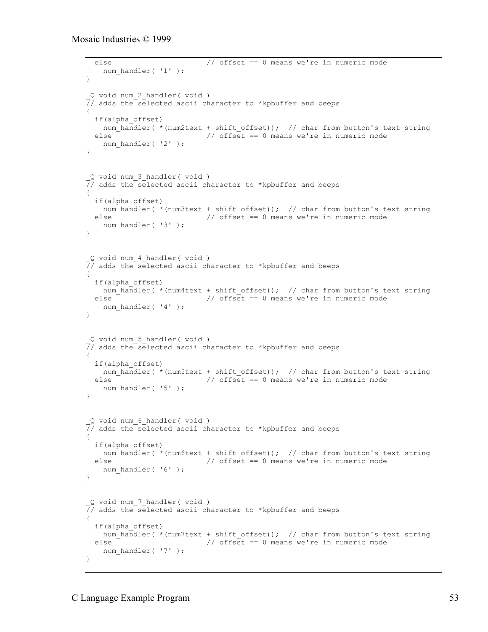```
 else // offset == 0 means we're in numeric mode
    num handler( '1' );
}
_Q void num_2_handler( void )
// adds the selected ascii character to *kpbuffer and beeps
{
   if(alpha_offset)
   num_handler( *(num2text + shift_offset)); // char from button's text string
   else // offset == 0 means we're in numeric mode
   num handler( '2' );
}
_Q void num_3_handler( void )
\overline{77} adds the selected ascii character to *kpbuffer and beeps
{
   if(alpha_offset)
  num_handler( *(num3text + shift_offset)); // char from button's text string<br>else \frac{1}{2} offset == 0 means we're in numeric mode
                            // offset == 0 means we're in numeric mode
   num handler( '3' );
}
_Q void num_4_handler( void )
// adds the selected ascii character to *kpbuffer and beeps
{
   if(alpha_offset)
    num handler( *(num4text + shift offset)); // char from button's text string
  else \overline{\phantom{a}} // offset == 0 means we're in numeric mode
   num handler( '4' );
}
_Q void num_5_handler( void )
// adds the selected ascii character to *kpbuffer and beeps
{
  if(alpha_offset)
   num handler( *(num5text + shift offset)); // char from button's text string
 else \overline{\phantom{a}} // offset == 0 means we're in numeric mode
   num handler( '5' );
}
_Q void num_6_handler( void )
// adds the selected ascii character to *kpbuffer and beeps
{
   if(alpha_offset)
   num handler( *(num6text + shift offset)); // char from button's text string
   else // offset == 0 means we're in numeric mode
   num handler( '6' );
}
_Q void num_7_handler( void )
// adds the selected ascii character to *kpbuffer and beeps
{
   if(alpha_offset)
    num handler( *(num7text + shift offset)); // char from button's text string
  else \overline{\phantom{a}} // offset == 0 means we're in numeric mode
    num_handler( '7' );
}
```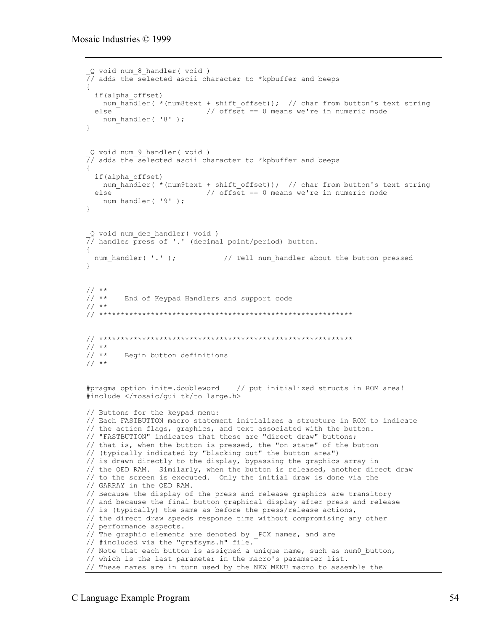```
_Q void num_8_handler( void )
// adds the selected ascii character to *kpbuffer and beeps
{
  if(alpha_offset)
   num handler( *(num8text + shift offset)); // char from button's text string
  else // offset == 0 means we're in numeric mode
   num handler( '8' );
}
_Q void num_9_handler( void )
// adds the selected ascii character to *kpbuffer and beeps
{
  if(alpha_offset)
   num_handler( *(num9text + shift_offset)); // char from button's text string
 else \overline{\phantom{a}} // offset == 0 means we're in numeric mode
   num handler( '9' );
}
_Q void num_dec_handler( void )
\frac{1}{\sqrt{2}} handles press of '.' (decimal point/period) button.
{
 num handler( '.' ); // Tell num handler about the button pressed
}
\frac{1}{1}/ **
        End of Keypad Handlers and support code
// **// ***********************************************************
// ***********************************************************
// **<br>// **Begin button definitions
// **
#pragma option init=.doubleword // put initialized structs in ROM area!
#include </mosaic/gui_tk/to_large.h>
// Buttons for the keypad menu:
// Each FASTBUTTON macro statement initializes a structure in ROM to indicate
// the action flags, graphics, and text associated with the button.
// "FASTBUTTON" indicates that these are "direct draw" buttons;
// that is, when the button is pressed, the "on state" of the button
// (typically indicated by "blacking out" the button area")
// is drawn directly to the display, bypassing the graphics array in
// the QED RAM. Similarly, when the button is released, another direct draw
// to the screen is executed. Only the initial draw is done via the
// GARRAY in the QED RAM.
// Because the display of the press and release graphics are transitory
// and because the final button graphical display after press and release
// is (typically) the same as before the press/release actions,
// the direct draw speeds response time without compromising any other
// performance aspects.
// The graphic elements are denoted by _PCX names, and are
// #included via the "grafsyms.h" file.
// Note that each button is assigned a unique name, such as num0_button,
// which is the last parameter in the macro's parameter list.
// These names are in turn used by the NEW_MENU macro to assemble the
```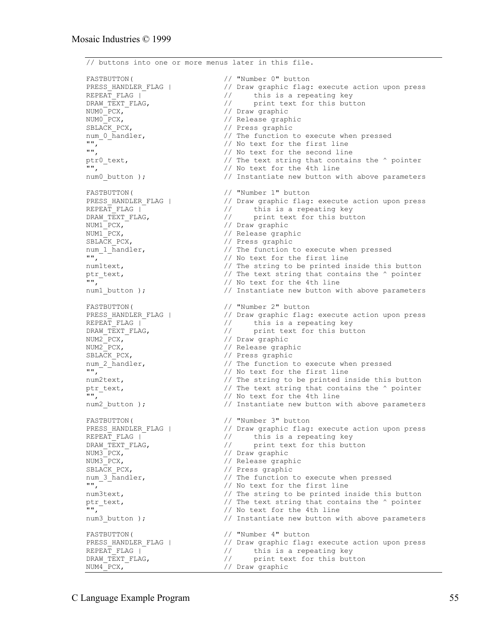// buttons into one or more menus later in this file. FASTBUTTON( // "Number 0" button<br>PRESS\_HANDLER\_FLAG | // Draw graphic flag PRESS\_HANDLER\_FLAG | // Draw graphic flag: execute action upon press<br>REPEAT\_FLAG | // this is a repeating key<br>DRAW\_TEXT\_FLAG, // print text for this button  $\frac{1}{2}$  this is a repeating key // print text for this button NUMO\_PCX, <br>NUMO\_PCX, // Draw graphic<br>// Release grapl NUMO\_PCX,<br>SBLACK\_PCX,  $\frac{1}{\sqrt{2}}$  // Release graphic SBLACK\_PCX, // Press graphic num\_0\_handler,  $\frac{1}{\sqrt{2}}$  are function to execute when pressed "", // No text for the first line "", // No text for the second line "",<br>ptr0\_text,  $\frac{1}{2}$  // No text for the second line<br>"",  $\frac{1}{2}$  // No text for the 4th line // No text for the 4th line num0 button );  $\frac{1}{2}$  // Instantiate new button with above parameters FASTBUTTON( // "Number 1" button PRESS\_HANDLER\_FLAG | // Draw graphic flag: execute action upon press REPEAT\_FLAG | // this is a repeating key DRAW\_TEXT\_FLAG,  $\frac{1}{2}$  print text for this button NUM1\_PCX, // Draw graphic NUM1\_PCX, // Release graphic SBLACK PCX,  $\frac{1}{2}$  // Press graphic num\_1\_handler,  $\frac{1}{\sqrt{2}}$  and  $\frac{1}{\sqrt{2}}$  and  $\frac{1}{\sqrt{2}}$  and  $\frac{1}{\sqrt{2}}$  are function to execute when pressed "", // No text for the first line numltext,  $\frac{1}{2}$  are string to be printed inside this button ptr\_text,  $\sqrt{2}$  // The text string that contains the ^ pointer "", // No text for the 4th line num1 button );  $\frac{1}{2}$  // Instantiate new button with above parameters FASTBUTTON( // "Number 2" button PRESS\_HANDLER\_FLAG | // Draw graphic flag: execute action upon press REPEAT\_FLAG | // this is a repeating key DRAW TEXT FLAG,  $\frac{1}{2}$  print text for this button NUM2\_PCX, // Draw graphic NUM2\_PCX, // Release graphic SBLACK\_PCX,  $\frac{1}{2}$  // Press graphic num 2 handler,  $\frac{1}{2}$  // The function t num\_2\_handler,  $\frac{1}{10}$  // The function to execute when pressed<br>"",  $\frac{1}{10}$  // No text for the first line // No text for the first line num2text,  $\frac{1}{\sqrt{2}}$  The string to be printed inside this button ptr\_text,  $\frac{1}{\sqrt{2}}$  // The text string that contains the ^ pointer  $\frac{1}{\sqrt{2}}$  // No text for the 4th line // No text for the 4th line num2 button ); // Instantiate new button with above parameters FASTBUTTON( // "Number 3" button PRESS\_HANDLER\_FLAG | // Draw graphic flag: execute action upon press REPEAT\_FLAG | // this is a repeating key DRAW\_TEXT\_FLAG,  $\frac{1}{2}$  print text for this button NUM3\_PCX, // Draw graphic NUM3 PCX,  $\frac{1}{2}$  // Release graphic SBLACK\_PCX, // Press graphic num\_3\_handler,  $\frac{1}{\sqrt{2}}$  // The function to execute when pressed  $\frac{1}{\sqrt{2}}$  // No text for the first line // No text for the first line num3text,  $\frac{1}{1}$  The string to be printed inside this button ptr text,  $\frac{1}{1}$  The text string that contains the  $\frac{1}{1}$  pointer ptr\_text,  $\frac{1}{10}$  // The text string that contains the  $\frac{1}{10}$  pointer  $\frac{1}{10}$  // No text for the 4th line "",<br>
num3 button );<br>
// Instantiate new button w // Instantiate new button with above parameters FASTBUTTON( // "Number 4" button<br>PRESS HANDLER\_FLAG | // Draw graphic flag PRESS\_HANDLER\_FLAG | // "Number 4" button<br>PRESS\_HANDLER\_FLAG | // Draw graphic flag: execute action upon press<br>REPEAT FLAG | // this is a repeating key REPEAT\_FLAG | // this is a repeating key DRAW\_TEXT\_FLAG,  $\frac{1}{2}$  print text for this button NUM4<sup>-</sup>PCX,<sup>-</sup>  $\frac{1}{\sqrt{2}}$  // Draw graphic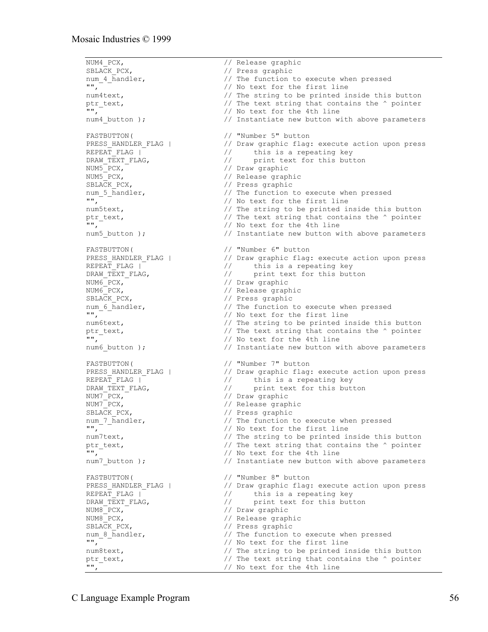NUM4\_PCX,<br>SBLACK PCX,  $\frac{1}{\sqrt{P}}$  Press graphic SBLACK\_PCX,  $\frac{1}{2}$  // Press graphic num 4 handler,  $\frac{1}{2}$  // The function t num\_4\_handler,  $\frac{1}{\sqrt{2}}$  // The function to execute when pressed<br>"",  $\frac{1}{\sqrt{2}}$  // No text for the first line // No text for the first line num4text,  $\frac{1}{2}$  and  $\frac{1}{2}$  are string to be printed inside this button ptr\_text,  $\frac{1}{10}$  // The text string that contains the  $\frac{1}{10}$  pointer  $\frac{1}{10}$  // No text for the 4th line // No text for the 4th line num4 button );  $\frac{1}{2}$  instantiate new button with above parameters FASTBUTTON(
// "Number 5" button<br>
PRESS HANDLER FLAG | // Draw graphic flag:<br>
// this is a rene PRESS\_HANDLER\_FLAG | // Draw graphic flag: execute action upon press<br>REPEAT FLAG | // this is a repeating key // this is a repeating key<br>// print text for this but! DRAW\_TEXT\_FLAG,  $\frac{1}{2}$  // print text for this button NUM5<sup>-</sup>PCX, NUM5<sup>-</sup>PCX,  $\overline{P}$  // Draw graphic<br>NUM5<sup>-</sup>PCX, // Release grap NUM5<sup>-</sup>PCX,<br>SBLACK PCX,  $\frac{1}{\sqrt{R}}$  Press graphic SBLACK\_PCX, <br>
num 5 handler, <br>
// The function t // The function to execute when pressed  $"$ ,  $^ ^ ^+$ num5text,  $\frac{1}{1}$  The string to be printed inside this button<br>ptr text,  $\frac{1}{1}$  The text string that contains the  $\frac{1}{1}$  pointer ptr\_text,  $\sqrt{2}$  // The text string that contains the ^ pointer "", // No text for the 4th line num5 button );  $\frac{1}{2}$  instantiate new button with above parameters FASTBUTTON( // "Number 6" button PRESS\_HANDLER\_FLAG | // Draw graphic flag: execute action upon press REPEAT\_FLAG | // this is a repeating key DRAW\_TEXT\_FLAG,  $\frac{1}{2}$  print text for this button NUM6 PCX,  $\frac{1}{2}$  // Draw graphic NUM6\_PCX, // Release graphic SBLACK\_PCX, // Press graphic num\_6\_handler,  $\frac{1}{\sqrt{2}}$  are function to execute when pressed "", // No text for the first line num6text,  $\frac{1}{\sqrt{2}}$  The string to be printed inside this button ptr\_text,  $\frac{1}{n}$  // The text string that contains the  $\frac{1}{n}$  pointer // No text for the 4th line // No text for the 4th line num6 button );  $\frac{1}{2}$  instantiate new button with above parameters FASTBUTTON( // "Number 7" button PRESS HANDLER FLAG | // Draw graphic flag: execute action upon press REPEAT\_FLAG | // this is a repeating key DRAW\_TEXT\_FLAG,<br>
NUM7\_PCX,<br>
NUM7\_PCX,<br>
// Draw graphic<br>
// Release graphic<br>
// Release graphic NUM7\_PCX, // Draw graphic NUM7\_PCX, // Release graphic SBLACK PCX,  $\frac{1}{2}$  // Press graphic num 7 handler,  $\frac{1}{2}$  // The function to execute when pressed "", // No text for the first line num7text,  $\frac{1}{2}$  // The string to be printed inside this button ptr\_text,  $\frac{1}{10}$  // The text string that contains the  $\frac{1}{10}$  pointer  $\frac{1}{10}$  // No text for the 4th line // No text for the 4th line num7 button );  $\frac{1}{2}$  // Instantiate new button with above parameters FASTBUTTON( // "Number 8" button<br>PRESS\_HANDLER\_FLAG | // Draw graphic flag: PRESS\_HANDLER\_FLAG | // Draw graphic flag: execute action upon press<br>REPEAT\_FLAG | // this is a repeating key<br>'' nint text for this button REPEAT\_FLAG | // this is a repeating key DRAW TEXT FLAG,  $\frac{1}{2}$  print text for this button NUM8<sup>-</sup>PCX,<sup>-</sup><br>NUM8<sup>-</sup>PCX, // Draw graphic<br>// Release grap Number 2014 SBLACK PCX,  $\overline{}/\overline{}$  Press graphic num\_8\_handler,  $\frac{1}{10}$  // The function to execute when pressed<br>"",  $\frac{1}{10}$  // No text for the first line // No text for the first line num8text,  $\frac{1}{1}$  The string to be printed inside this button ptr text,  $\frac{1}{1}$  The text string that contains the  $\frac{1}{1}$  pointer ptr\_text,  $\frac{1}{10}$  // The text string that contains the ^ pointer  $\frac{1}{10}$ ,  $\frac{1}{10}$  No text for the 4th line // No text for the 4th line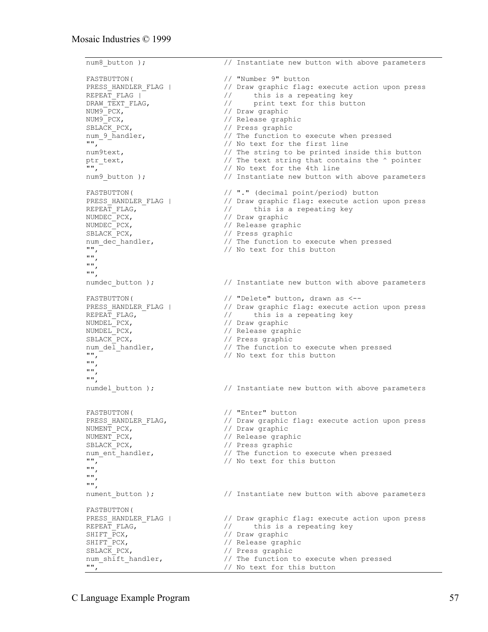```
num8 button ); \frac{1}{2} instantiate new button with above parameters
FASTBUTTON(
// "Number 9" button<br>
PRESS_HANDLER_FLAG | // Draw graphic flag<br>
REPEAT FLAG | // this is a repe
PRESS_HANDLER_FLAG | // Draw graphic flag: execute action upon press<br>REPEAT_FLAG | // this is a repeating key<br>
nRAW TEXT FLAG. // print text for this button
                                  // this is a repeating key
                                  // print text for this button
NUM9 PCX, \frac{1}{2} and \frac{1}{2} denotes the \frac{1}{2} denotes the \frac{1}{2} denotes the \frac{1}{2}NUM9_PCX, // Release graphic
SBLACK_PCX, // Press graphic
num_9_handler, \frac{1}{2} // The function to execute when pressed
"", // No text for the first line
num9text, \frac{1}{2} // The string to be printed inside this button
ptr_text, \sqrt{2} // The text string that contains the ^ pointer
", " '', "num9 button ); \frac{1}{2} instantiate new button with above parameters
FASTBUTTON( // "." (decimal point/period) button
                                  // Draw graphic flag: execute action upon press
REPEAT_FLAG, // this is a repeating key
NUMDEC_PCX, // Draw graphic
NUMDEC_PCX,<br>
SBLACK_PCX,<br>
num_dec_handler,<br>
// The function to<br>
// The function to
SBLACK_PCX, // Press graphic
num dec handler, \frac{1}{2} // The function to execute when pressed
" " " , " \t" " " " " " No text for this button
"",
"",
"",
numdec button ); \frac{1}{2} Instantiate new button with above parameters
FASTBUTTON( // "Delete" button, drawn as <--
PRESS_HANDLER_FLAG | // Draw graphic flag: execute action upon press
PRESS_nANDER_FLAG,<br>REPEAT_FLAG, \frac{1}{\sqrt{2}} // this is a repeating key<br>NUMDEL PCX, \frac{1}{\sqrt{2}} // Draw graphic
NUMDEL_PCX, // Draw graphic
NUMDEL PCX, \frac{1}{2} // Release graphic
SBLACK_PCX, // Press graphic
num_del_handler, \frac{1}{\sqrt{N}} // The function to execute when pressed \frac{1}{N},
                                  // No text for this button
"",
"",
"",
numdel button ); \frac{1}{2} Instantiate new button with above parameters
FASTBUTTON( / / "Enter" button<br>
PRESS_HANDLER_FLAG, // Draw graphic f:<br>
NUMENT PCX. // Draw graphic
                                  // Draw graphic flag: execute action upon press<br>// Draw graphic
NUMENT_PCX, <sup>-</sup><br>NUMENT PCX,
                                  // Release graphic
SBLACK_PCX, \frac{1}{2} // Press graphic<br>num ent handler, \frac{1}{2} // The function
num_ent_handler, \frac{1}{100} // The function to execute when pressed<br>". \frac{1}{100} // No text for this button
                                  // No text for this button
"",
"",
"",
nument_button ); \frac{1}{2} // Instantiate new button with above parameters
FASTBUTTON(
PRESS_HANDLER_FLAG | // Draw graphic flag: execute action upon press<br>REPEAT_FLAG, // this is a repeating key
REPEAT_FLAG, \frac{1}{2} // this is a repeating key<br>SHIFT PCX, \frac{1}{2} // Draw graphic
SHIFT_PCX, // Draw graphic
SHIFT_PCX, // Release graphic
SBLACK_PCX, \frac{1}{\sqrt{2}} // Press graphic<br>num shift handler, \frac{1}{\sqrt{2}} // The function t
num_shift_handler, \frac{1}{\sqrt{}} // The function to execute when pressed \frac{1}{\sqrt{}}// No text for this button
```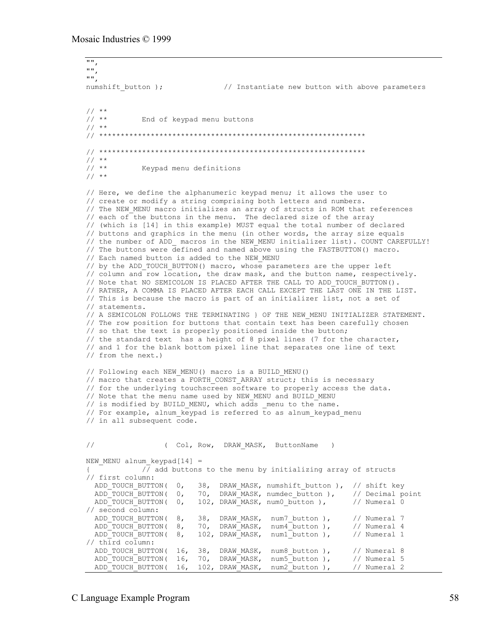```
"",
"",
"",<br>numshift button );
                               // Instantiate new button with above parameters
\frac{1}{1}/ **
             End of keypad menu buttons
// **
// **************************************************************
// **************************************************************
\frac{1}{1}/ **
             Keypad menu definitions
// **// Here, we define the alphanumeric keypad menu; it allows the user to
// create or modify a string comprising both letters and numbers.
// The NEW MENU macro initializes an array of structs in ROM that references
// each of the buttons in the menu. The declared size of the array
// (which is [14] in this example) MUST equal the total number of declared
// buttons and graphics in the menu (in other words, the array size equals
// the number of ADD macros in the NEW MENU initializer list). COUNT CAREFULLY!
// The buttons were defined and named above using the FASTBUTTON() macro.
// Each named button is added to the NEW MENU
// by the ADD TOUCH BUTTON() macro, whose parameters are the upper left
// column and row location, the draw mask, and the button name, respectively.
// Note that NO SEMICOLON IS PLACED AFTER THE CALL TO ADD_TOUCH_BUTTON().
// RATHER, A COMMA IS PLACED AFTER EACH CALL EXCEPT THE LAST ONE IN THE LIST.
// This is because the macro is part of an initializer list, not a set of
// statements.
// A SEMICOLON FOLLOWS THE TERMINATING } OF THE NEW_MENU INITIALIZER STATEMENT.
// The row position for buttons that contain text has been carefully chosen
// so that the text is properly positioned inside the button;
// the standard text has a height of 8 pixel lines (7 for the character,
// and 1 for the blank bottom pixel line that separates one line of text
// from the next.)
// Following each NEW MENU() macro is a BUILD MENU()
// macro that creates a FORTH CONST ARRAY struct; this is necessary
// for the underlying touchscreen software to properly access the data.
// Note that the menu name used by NEW MENU and BUILD MENU
// is modified by BUILD_MENU, which adds _menu to the name.
// For example, alnum keypad is referred to as alnum keypad menu
// in all subsequent code.
// (Col, Row, DRAW MASK, ButtonName )
NEW MENU alnum keypad[14] =
            \sqrt{7} add buttons to the menu by initializing array of structs
// first column:<br>ADD_TOUCH_BUTTON(0,
                         38, DRAW_MASK, numshift_button ), // shift key
 ADD_TOUCH_BUTTON( 0, 70, DRAW_MASK, numdec_button ), // Decimal point
ADD_TOUCH_BUTTON( 0, 102, DRAW_MASK, num0_button ), // Numeral 0
%// second column:<br>ADD_TOUCH_BUTTON( 8,<br>ADD_TOUCH_BUTTON( 8,<br>ADD_TOUCH_BUTTON( 8,
ADD_TOUCH_BUTTON( 8, 38, DRAW_MASK, num7_button ), // Numeral 7
ADD_TOUCH_BUTTON( 8, 70, DRAW_MASK, num4_button ), // Numeral 4
ADD_TOUCH_BUTTON( 8, 102, DRAW_MASK, num1_button ), // Numeral 1
// third column:
 ADD_TOUCH_BUTTON( 16, 38, DRAW_MASK, num8_button ), // Numeral 8
 ADD_TOUCH_BUTTON( 16, 70, DRAW_MASK, num5_button ), // Numeral 5
 ADD_TOUCH_BUTTON( 16, 102, DRAW_MASK, num2_button ), // Numeral 2
```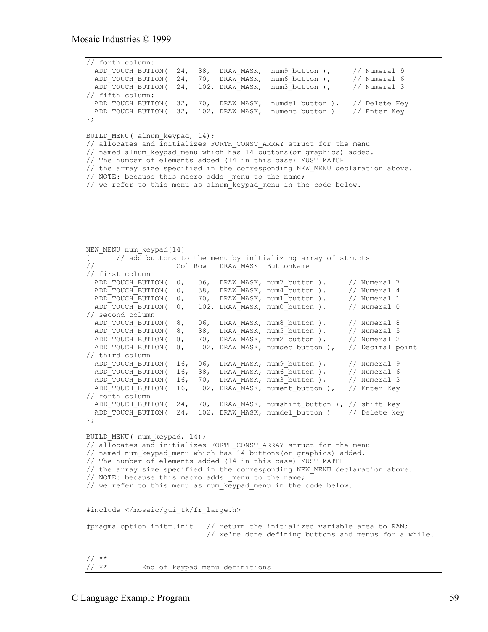```
// forth column:
 ADD_TOUCH_BUTTON( 24, 38, DRAW_MASK, num9_button ), // Numeral 9
 ADD_TOUCH_BUTTON( 24, 70, DRAW_MASK, num6_button ), // Numeral 6
 ADD<sup>-</sup>TOUCH<sup>-</sup>BUTTON( 24, 102, DRAW<sup>-</sup>MASK, num3<sup>-</sup>button ), // Numeral 3
// fifth column:
 ADD TOUCH BUTTON( 32, 70, DRAW MASK, numdel button ), // Delete Key
 ADD TOUCH BUTTON( 32, 102, DRAW MASK, nument button ) // Enter Key
};
BUILD MENU( alnum_keypad, 14);
\frac{1}{2} allocates and initializes FORTH CONST ARRAY struct for the menu
// named alnum keypad menu which has 14 buttons(or graphics) added.
// The number of elements added (14 in this case) MUST MATCH
// the array size specified in the corresponding NEW MENU declaration above.
// NOTE: because this macro adds _menu to the name;
// we refer to this menu as alnum keypad menu in the code below.
NEW MENU num keypad[14] =
{ // add buttons to the menu by initializing array of structs
// Col Row DRAW MASK ButtonName
// first column<br>ADD TOUCH BUTTON(0,
 ADD_TOUCH_BUTTON( 0, 06, DRAW_MASK, num7_button ), // Numeral 7<br>ADD_TOUCH_BUTTON( 0, 38, DRAW_MASK, num4_button ), // Numeral 4<br>ADD_TOUCH_BUTTON( 0, 70, DRAW_MASK, num1_button ), // Numeral 1
 ADD_TOUCH_BUTTON( 0, 38, DRAW_MASK, num4_button ), // Numeral 4
 ADD_TOUCH_BUTTON( 0, 70, DRAW_MASK, num1_button ), // Numeral 1
 ADD_TOUCH_BUTTON( 0, 102, DRAW_MASK, num0_button ), // Numeral 0
// second column
ADD_TOUCH_BUTTON( 8, 06, DRAW_MASK, num8_button ), // Numeral 8
ADD_TOUCH_BUTTON( 8, 38, DRAW_MASK, num5_button ), // Numeral 5
 ADD_TOUCH_BUTTON( 8, 70, DRAW_MASK, num2_button ), // Numeral 2
 ADD<sup>T</sup>OUCH<sup>-</sup>BUTTON( 8, 102, DRAW<sup>-</sup>MASK, numdec button ), // Decimal point
// third column
  ADD_TOUCH_BUTTON( 16, 06, DRAW_MASK, num9_button ), // Numeral 9
ADD_TOUCH_BUTTON( 16, 38, DRAW_MASK, num6_button ), // Numeral 6
 ADD_TOUCH_BUTTON( 16, 70, DRAW_MASK, num3_button ), // Numeral 3
 ADD_TOUCH_BUTTON( 16, 102, DRAW_MASK, nument_button ), // Enter Key
// forth column
 ADD_TOUCH_BUTTON( 24, 70, DRAW_MASK, numshift_button ), // shift key
ADD_TOUCH_BUTTON( 24, 102, DRAW_MASK, numdel_button ) // Delete key
};
BUILD MENU( num keypad, 14);
// allocates and initializes FORTH CONST ARRAY struct for the menu
// named num keypad menu which has 14 buttons(or graphics) added.
// The number of elements added (14 in this case) MUST MATCH
// the array size specified in the corresponding NEW MENU declaration above.
// NOTE: because this macro adds menu to the name;
// we refer to this menu as num keypad menu in the code below.
#include </mosaic/gui_tk/fr_large.h>
#pragma option init=.init // return the initialized variable area to RAM;
                              // we're done defining buttons and menus for a while.
// **<br>// **
             End of keypad menu definitions
```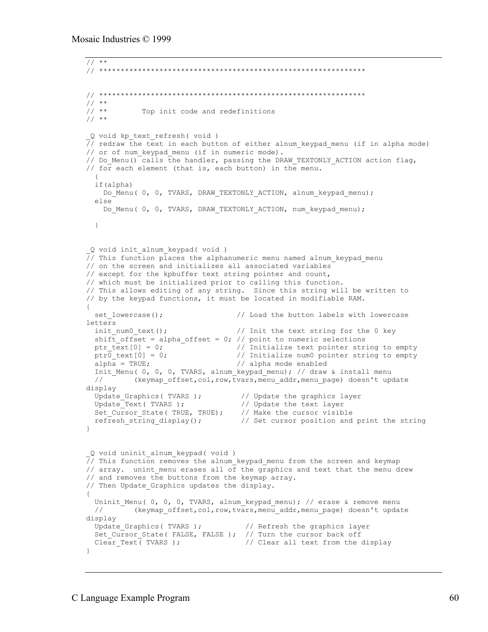```
// **// **************************************************************
// **************************************************************
// * *<br>// **
             Top init code and redefinitions
// **_Q void kp_text_refresh( void )
// redraw the text in each button of either alnum_keypad_menu (if in alpha mode)
// or of num keypad menu (if in numeric mode).
// Do Menu() calls the handler, passing the DRAW TEXTONLY ACTION action flag,
// for each element (that is, each button) in the menu.
\{ if(alpha)
   Do Menu( 0, 0, TVARS, DRAW TEXTONLY ACTION, alnum keypad menu);
   else
    Do Menu( 0, 0, TVARS, DRAW TEXTONLY ACTION, num keypad menu);
  }
_Q void init_alnum_keypad( void )
// This function places the alphanumeric menu named alnum_keypad_menu
// on the screen and initializes all associated variables
// except for the kpbuffer text string pointer and count,
// which must be initialized prior to calling this function.
// This allows editing of any string. Since this string will be written to
// by the keypad functions, it must be located in modifiable RAM.
{
 set lowercase(); \frac{1}{2} // Load the button labels with lowercase
letters
 init num0 text(); \frac{1}{2} // Init the text string for the 0 key
 shift_offset = alpha_offset = 0; // point to numeric selections<br>ptr text[0] = 0; \frac{1}{1} // Initialize text pointer str:
                                   // Initialize text pointer string to empty
 ptr0_text[0] = 0; \frac{1}{2} // Initialize num0 pointer string to empty alpha = TRUE;
                                   // alpha mode enabled
  Init Menu( 0, 0, 0, TVARS, alnum keypad menu); // draw & install menu
  // (keymap offset,col,row,tvars,menu addr,menu page) doesn't update
display
 Update_Graphics( TVARS ); // Update the graphics layer
 Update_Text( TVARS ); // Update the text layer
Set Cursor State( TRUE, TRUE); // Make the cursor visible
refresh string display(); \frac{1}{2} // Set cursor position and print the string
}
_Q void uninit_alnum_keypad( void )
// This function removes the alnum keypad menu from the screen and keymap
// array. unint menu erases all of the graphics and text that the menu drew
// and removes the buttons from the keymap array.
// Then Update Graphics updates the display.
{
 Uninit Menu( 0, 0, 0, TVARS, alnum keypad menu); // erase & remove menu
 // <sup>-</sup> (keymap offset, col, row, tvars, menu_addr, menu_page) doesn't update
display
 Update_Graphics( TVARS ); // Refresh the graphics layer
 Set_Cursor_State( FALSE, FALSE ); // Turn the cursor back off
 Clear\_Text (TVARS); \qquad // Clear all text from the display
}
```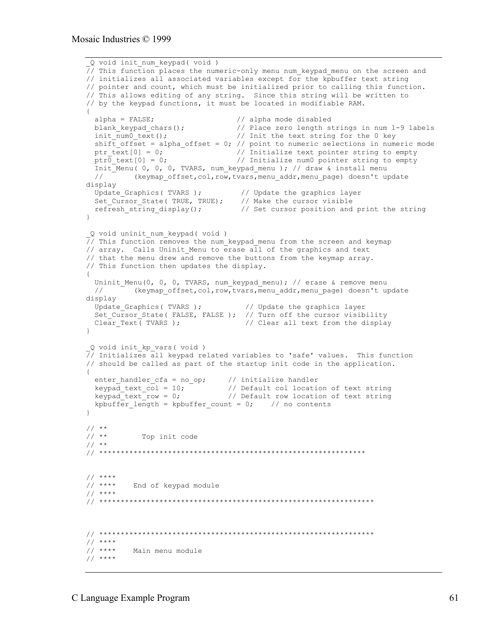```
_Q void init_num_keypad( void )
// This function places the numeric-only menu num_keypad_menu on the screen and
// initializes all associated variables except for the kpbuffer text string
// pointer and count, which must be initialized prior to calling this function.
// This allows editing of any string. Since this string will be written to
// by the keypad functions, it must be located in modifiable RAM.
{
 alpha = FALSE;<br>
blank_keypad_chars();<br>
init_num0_text();<br>
init_num0_text();<br>
// Init the text string<br>
hift of Cali
                                   // Place zero length strings in num 1-9 labels
                                  i/ Init the text string for the 0 key
 shift offset = alpha_offset = 0; // point to numeric selections in numeric mode
 ptr_text[0] = 0; \begin{array}{c} \hline \end{array} // Initialize text pointer string to empty
 ptr\overline{0} text[0] = 0; \qquad // Initialize num0 pointer string to empty
   Init_Menu( 0, 0, 0, TVARS, num_keypad_menu ); // draw & install menu
   // (keymap_offset,col,row,tvars,menu_addr,menu_page) doesn't update
display
Update Graphics ( TVARS ); \frac{1}{2} // Update the graphics layer
 Set_Cursor_State( TRUE, TRUE); // Make the cursor visible
 refresh_string_display(); \qquad // Set cursor position and print the string
}
_Q void uninit_num_keypad( void )
\frac{1}{\sqrt{2}} This function removes the num keypad menu from the screen and keymap
// array. Calls Uninit_Menu to erase all of the graphics and text
// that the menu drew and remove the buttons from the keymap array.
// This function then updates the display.
{
 Uninit Menu(0, 0, 0, TVARS, num keypad menu); // erase & remove menu
 // (keymap offset,col,row,tvars,menu addr,menu page) doesn't update
display
 Update_Graphics( TVARS ); // Update the graphics layer
 Set_Cursor_State( FALSE, FALSE ); // Turn off the cursor visibility
 Clear Text( TVARS ); \sqrt{2} // Clear all text from the display
}
_Q void init_kp_vars( void )
// Initializes all keypad related variables to 'safe' values. This function
// should be called as part of the startup init code in the application.
{
 enter_handler_cfa = no_op; // initialize handler
 keypad_text_col = 10; // Default col location of text string
 keypad_text_row = 0; // Default row location of text string
  kpbuffer length = kpbuffer count = 0; // no contents
}
\frac{1}{1}/ **
           Top init code
// **
// **************************************************************
// ****
         End of keypad module
// ****
// ****************************************************************
// ****************************************************************
// ****
        Main menu module
// ****
```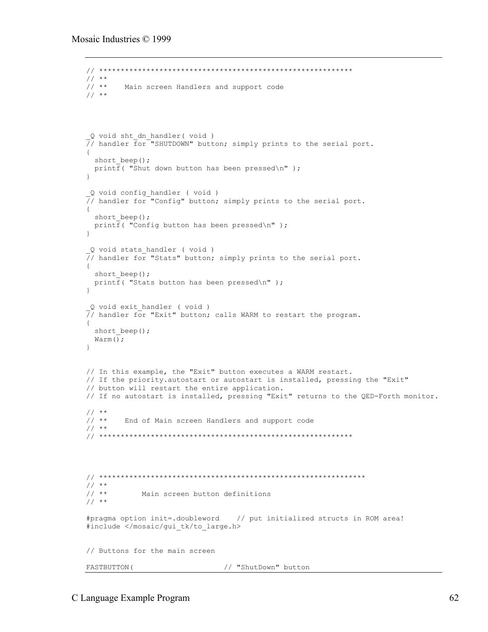```
// ***********************************************************
// * * *<br>// **
       Main screen Handlers and support code
// **
_Q void sht_dn_handler( void )
7/ handler \bar{f} or "SHUTDOWN" button; simply prints to the serial port.
{
 short beep();
 printf( "Shut down button has been pressed\n");
}
 _Q void config_handler ( void )
\frac{1}{2}/ handler for "Config" button; simply prints to the serial port.
{
 short beep();
  printf( "Config button has been pressed\n" );
}
_Q void stats_handler ( void )
// handler for "Stats" button; simply prints to the serial port.
{
 short beep();
 printf( "Stats button has been pressed\n");
}
_Q void exit_handler ( void )
// handler for "Exit" button; calls WARM to restart the program.
{
 short beep();
 Warm\overline{()};
}
// In this example, the "Exit" button executes a WARM restart.
// If the priority.autostart or autostart is installed, pressing the "Exit"
// button will restart the entire application.
// If no autostart is installed, pressing "Exit" returns to the QED-Forth monitor.
// * *<br>// * *End of Main screen Handlers and support code
// **
// ***********************************************************
// **************************************************************
// **<br>// **
             Main screen button definitions
// **
#pragma option init=.doubleword // put initialized structs in ROM area!
#include </mosaic/gui_tk/to_large.h>
// Buttons for the main screen
FASTBUTTON( \frac{1}{\sqrt{2}} "ShutDown" button
```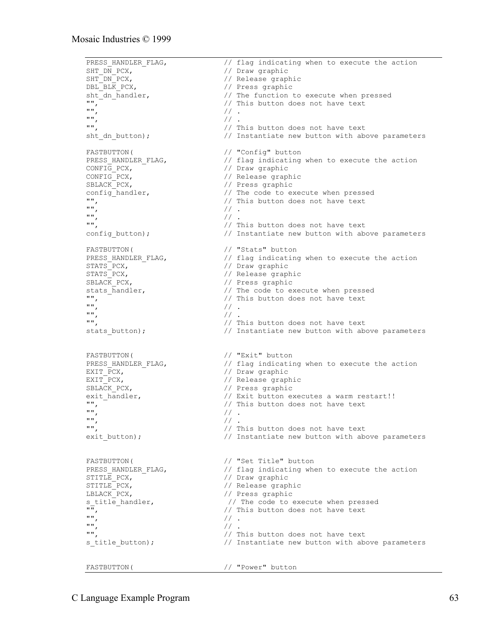```
PRESS_HANDLER_FLAG, \frac{1}{2} // flag indicating when to execute the action SHT DN PCX,
SHT_DN_PCX, \begin{array}{ccc} \text{SHT} & \text{DN} & \text{PCX}, \\ \text{SHT} & \text{DN} & \text{PCX}, \end{array} // Release graphic
SHT_DN_PCX, // Release graphic
                                              // Press graphic
sht_dn_handler, \frac{1}{1} // The function to execute when pressed<br>"", \frac{1}{1} // This button does not have text<br>"", \frac{1}{1}// This button does not have text
"", // .
^{\prime\prime\prime} , ^{\prime\prime} .
"", // This button does not have text
sht dn button); // Instantiate new button with above parameters
FASTBUTTON( \frac{1}{\sqrt{2}} "Config" button
PRESS_HANDLER_FLAG, \frac{1}{2} // flag indicating when to execute the action CONFIG PCX,
CONFIG_PCX, The CONFIGURE CONFIGURE CONFIGURE CONFIGURE 2011
CONFIG_PCX, \begin{array}{ccc} & // \end{array} Release graphic<br>SBLACK_PCX, \begin{array}{ccc} & // \end{array} Press graphic
SBLACK<sup>-</sup>PCX,<br>
config handler, \frac{1}{2} // The code to e:
config_handler, \frac{1}{2} // The code to execute when pressed<br>"". \frac{1}{2} // This button does not have text
"", \frac{1}{1} \frac{1}{1} // This button does not have text
\frac{1}{2} , \frac{1}{2} , \frac{1}{2} , \frac{1}{2} , \frac{1}{2} , \frac{1}{2} , \frac{1}{2} , \frac{1}{2} , \frac{1}{2} , \frac{1}{2} , \frac{1}{2} , \frac{1}{2} , \frac{1}{2} , \frac{1}{2} , \frac{1}{2} , \frac{1}{2} , \frac{1}{2} , \frac{1}{2} , \frac{1^{\prime\prime\prime} , ^{\prime\prime} .
"", // This button does not have text
config button); \frac{1}{2} Instantiate new button with above parameters
FASTBUTTON( / / "Stats" button<br>
PRESS HANDLER FLAG, // flag indicating
                                              1/ flag indicating when to execute the action
STATS PCX, \frac{1}{2} // Draw graphic
STATS_PCX, // Release graphic
SBLACK PCX, \frac{1}{2} // Press graphic
stats_handler, \frac{1}{\sqrt{2}} // The code to execute when pressed<br>
\frac{1}{\sqrt{2}} // This button does not have text
\begin{array}{cc} \mathbf{u} \mathbf{u} & \mathbf{v} \\ \mathbf{v} \mathbf{v} & \mathbf{v} \end{array} // This button does not have text
\begin{array}{ccccc} \mathfrak{m}' & & & & & \mathfrak{f}/ & . & \ \mathfrak{m}' & & & & & \mathfrak{f}/ & . & \ \mathfrak{m}'' & & & & & \mathfrak{f}/ & . & \end{array}\frac{1}{1} , \frac{1}{1} , \frac{1}{1} , \frac{1}{1} , \frac{1}{1} , \frac{1}{1} , \frac{1}{1} , \frac{1}{1} , \frac{1}{1} , \frac{1}{1} , \frac{1}{1} , \frac{1}{1} , \frac{1}{1} , \frac{1}{1} , \frac{1}{1} , \frac{1}{1} , \frac{1}{1} , \frac{1}{1} , \frac{1// This button does not have text
stats button); \frac{1}{2} Instantiate new button with above parameters
FASTBUTTON( // "Exit" button<br>PRESS HANDLER FLAG, // flag indicati
PRESS_HANDLER_FLAG, \frac{1}{2} // flag indicating when to execute the action EXIT PCX,
                                              // Draw graphic
EXIT_PCX, \overline{PCK}, \overline{C} // Release graphic<br>SBLACK PCX, \overline{C} // Press graphic
                                              // Press graphic
exit_handler, \frac{1}{2} // Exit button executes a warm restart!!<br>"" // This button does not have text
\begin{array}{c} \n\text{""} \\
\text{""}\n\end{array} // This button does not have text
"", // .
^{\prime\prime\prime} , ^{\prime\prime} . ^{\prime\prime} .
"", // This button does not have text
exit_button); \frac{1}{2} // Instantiate new button with above parameters
FASTBUTTON( // "Set Title" button
PRESS_HANDLER_FLAG, \frac{1}{2} // flag indicating when to execute the action STITLE PCX,
STITLE_PCX, \begin{array}{ccc} \text{STITLE\_PCX,} & \text{}/\text{/} & \text{Draw graphic} \\ \text{STITLE\_PCX,} & \text{}/\text{/} & \text{Release graph} \end{array}STITLE_PCX, \begin{array}{ccc} \text{STITLE\_PCX,} & & \text{}/\text{/} & \text{Release graphic} \\ \text{LELACK\_PCX,} & & & \text{}/\text{/} & \text{Press graphic} \end{array}// Press graphic
s_title_handler, \frac{1}{\sqrt{m}} // The code to execute when pressed<br>\frac{1}{\sqrt{m}} // This button does not have text
\begin{array}{cc} \sqrt{m} & - \\ \sqrt{m} & \sqrt{m} \\ \sqrt{m} & \sqrt{m} \end{array} // This button does not have text
^{\prime\prime\prime} , ^{\prime\prime} .
^{\prime\prime\prime} , ^{\prime\prime} .
"", // This button does not have text
s title button); \frac{1}{2} // Instantiate new button with above parameters
FASTBUTTON( // "Power" button
```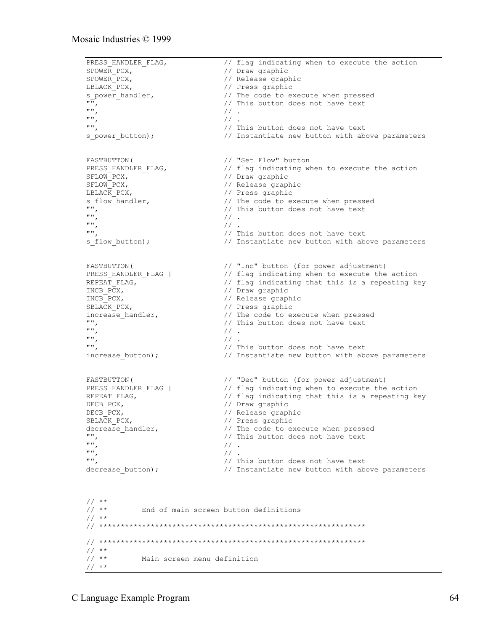```
PRESS_HANDLER_FLAG, \frac{1}{2} // flag indicating when to execute the action SPOWER PCX,
SPOWER_PCX, \frac{1}{1} // Draw graphic<br>SPOWER_PCX, \frac{1}{1} // Release grap
SPOWER<sup>-</sup>PCX,<br>
LBLACK<sup>-</sup>PCX,<br>
// Press graphic
                                                    // Press graphic
s_power_handler, <br>
",<br>
",<br>
",<br>
",<br>
// This button does not have text<br>
\frac{1}{10},<br>
\frac{1}{10},<br>
\frac{1}{10},<br>
\frac{1}{10},<br>
\frac{1}{10},<br>
\frac{1}{10},<br>
\frac{1}{10},<br>
\frac{1}{10},<br>
\frac{1}{10},<br>
\frac{1}{10},<br>
\frac{1}{10},<br>
\frac{1}{10}// This button does not have text
                                                     \frac{1}{2}.
 "", // .
                                                     // This button does not have text
 s power button); \frac{1}{2} Instantiate new button with above parameters
FASTBUTTON(
// "Set Flow" button<br>
PRESS_HANDLER_FLAG,

// flag indicating w
                                                     // flag indicating when to execute the action<br>// Draw graphic
SFLOW_PCX,<br>SFLOW PCX,
SFLOW_PCX,<br>
LBLACK PCX,<br>
// Press graphic
 LBLACK_PCX, \begin{array}{ccc} & & // \text{ Press graphic} \\ \text{s flow handler,} & & // \text{The code to e:} \end{array}s_flow_handler, <br>
",<br>
// The code to execute when pressed<br>
// This button does not have text<br>
",<br>
// .
                                                    // This button does not have text
 \frac{1}{1}, \frac{1}{1}, \frac{1}{1}, \frac{1}{1}, \frac{1}{1}, \frac{1}{1}, \frac{1}{1}, \frac{1}{1}, \frac{1}{1}, \frac{1}{1}, \frac{1}{1}, \frac{1}{1}, \frac{1}{1}, \frac{1}{1}, \frac{1}{1}, \frac{1}{1}, \frac{1}{1}, \frac{1}{1}, \frac{1}{1}, \frac{1}{1}, "", // .
                                                     // This button does not have text
 s flow button); \frac{1}{2} // Instantiate new button with above parameters
FASTBUTTON( // "Inc" button (for power adjustment)
PRESS_HANDLER_FLAG | // "Inc" button (for power aquistment)<br>
PRESS_HANDLER_FLAG | // flag indicating when to execute the action<br>
REPEAT FLAG, // flag indicating that this is a repeating ke
 REPEAT_FLAG, \overline{C} \overline{C} \overline{C} \overline{C} \overline{C} \overline{C} \overline{C} \overline{C} \overline{C} \overline{C} \overline{C} \overline{C} \overline{C} \overline{C} \overline{C} \overline{C} \overline{C} \overline{C} \overline{C} \overline{C} \overline{C} \overline{C} \overline{C} INCB_PCX, \overline{P} // Draw graphic<br>INCB_PCX, \overline{P} // Release graphic
                                                    // Release graphic<br>// Press graphic
SBLACK_PCX,<br>increase handler,
 increase_handler, \frac{1}{2} // The code to execute when pressed \frac{1}{2} // This button does not have text
 "", \frac{1}{1} , \frac{1}{1} , \frac{1}{1} , \frac{1}{1} , \frac{1}{1} , \frac{1}{1} , \frac{1}{1} , \frac{1}{1} , \frac{1}{1} , \frac{1}{1} , \frac{1}{1} , \frac{1}{1} , \frac{1}{1} , \frac{1}{1} , \frac{1}{1} , \frac{1}{1} , \frac{1}{1} , \frac{1}{1} , \frac{1}{2}.
 "", // .
                                                    // This button does not have text
 increase button); \frac{1}{2} Instantiate new button with above parameters
FASTBUTTON(
// "Dec" button (for power adjustment)<br>
PRESS HANDLER FLAG | // flag indicating when to execute the<br>
// flag indicating that this is a rene
PRESS_HANDLER_FLAG | // flag indicating when to execute the action<br>REPEAT_FLAG, // flag indicating that this is a repeating ke
 REPEAT_FLAG, \frac{1}{2} // flag indicating that this is a repeating key
 DECB_PCX, // Draw graphic
DECB_PCX,<br>SBLACK_PCX, // Release graphic<br>// Press graphic
                                                    // Press graphic
 decrease_handler, \frac{1}{2} // The code to execute when pressed<br>"", \frac{1}{2} // This button does not have text
 "", \frac{1}{1} \frac{1}{1} \frac{1}{1} \frac{1}{1} \frac{1}{1} \frac{1}{1} \frac{1}{1} \frac{1}{1} \frac{1}{1} \frac{1}{1} \frac{1}{1} \frac{1}{1} \frac{1}{1} \frac{1}{1} \frac{1}{1} \frac{1}{1} \frac{1}{1} \frac{1}{1} \frac{1}{1} \frac{1}{1} \frac{1}{1} \frac{1}{1\frac{m}{m}, \frac{1}{1} .
 "", // .
                                                    // This button does not have text
 decrease button); \frac{1}{2} Instantiate new button with above parameters
 \frac{1}{1}/ **
                   End of main screen button definitions
 // **
 // **************************************************************
 // **************************************************************
 \frac{1}{1}/ **
                      Main screen menu definition
 // **
```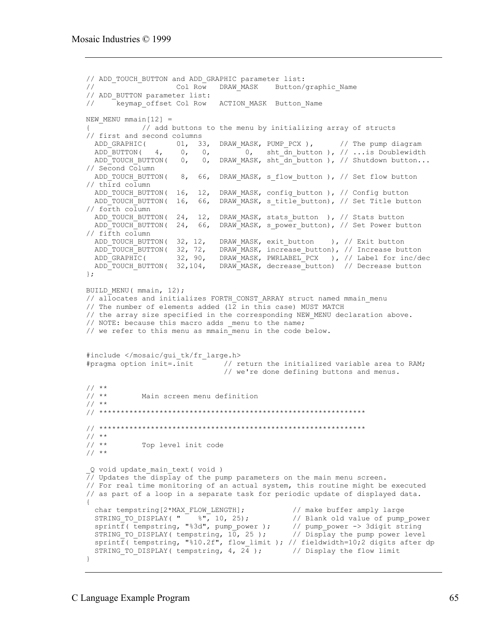```
// ADD_TOUCH_BUTTON and ADD_GRAPHIC parameter list:<br>// Col Row DRAW MASK Button/
                                  DRAW MASK Button/graphic Name
// ADD_BUTTON parameter list:
// keymap offset Col Row ACTION MASK Button Name
NEW MENU mmain[12] =// add buttons to the menu by initializing array of structs
// first and second columns
 ADD_GRAPHIC( 01, 33, DRAW_MASK, PUMP_PCX),<br>ADD_BUTTON( 4, 0, 0, 0, sht_dn_button<br>ADD_TOUCH_BUTTON( 0, 0, DRAW_MASK, sht_dn_button
ADD BUTTON( 4, 0, 0, 0, sht dn button ), // ...is Doublewidth
ADD_TOUCH_BUTTON( 0, 0, DRAW_MASK, sht_dn_button ), // Shutdown button...
// Second Column
 ADD_TOUCH_BUTTON( 8, 66, DRAW_MASK, s_flow_button ), // Set flow button
// third column
 ADD_TOUCH_BUTTON( 16, 12, DRAW_MASK, config_button ), // Config button
 ADD TOUCH BUTTON( 16, 66, DRAW MASK, s title button), // Set Title button
// forth column
 ADD TOUCH BUTTON( 24, 12, DRAW MASK, stats button ), // Stats button
 ADD_TOUCH_BUTTON( 24, 66, DRAW_MASK, s_power_button), // Set Power button
// fifth column<br>ADD TOUCH BUTTON( 32, 12,
 ADD_TOUCH_BUTTON( 32, 12, DRAW_MASK, exit_button ), // Exit button<br>ADD_TOUCH_BUTTON( 32, 72, DRAW_MASK, increase_button), // Increase but<br>ADD_GRAPHIC( 32, 90, DRAW_MASK, PWRLABEL_PCX ), // Label for in
 ADD_TOUCH_BUTTON( 32, 72, DRAW_MASK, increase_button), // Increase button
 ADD_GRAPHIC( 32, 90, DRAW_MASK, PWRLABEL_PCX ), // Label for inc/dec
 ADD<sup>T</sup>OUCH_BUTTON( 32,104, DRAW<sup>T</sup>MASK, decrease button) // Decrease button
};
BUILD MENU( mmain, 12);
// allocates and initializes FORTH CONST ARRAY struct named mmain menu
// The number of elements added (1\overline{2} in this case) MUST MATCH
// the array size specified in the corresponding NEW MENU declaration above.
// NOTE: because this macro adds _menu to the name;
// we refer to this menu as mmain menu in the code below.
#include </mosaic/gui_tk/fr_large.h>
#pragma option init=.init \overline{a} // return the initialized variable area to RAM;
                                     // we're done defining buttons and menus.
\frac{1}{1}/ **
              Main screen menu definition
1/ **
// **************************************************************
// **************************************************************
\frac{1}{1}/ **
             Top level init code
// **
Q void update main text( void )
\sqrt{7}/ Updates the display of the pump parameters on the main menu screen.
// For real time monitoring of an actual system, this routine might be executed
// as part of a loop in a separate task for periodic update of displayed data.
{
 char tempstring[2*MAX_FLOW_LENGTH]; // make buffer amply large<br>STRING_TO_DISPLAY(" %", 10, 25); // Blank old value of pump<br>sprintf(tempstring, "%3d", pump_power ); // pump_power -> 3digit st
STRING_TO_DISPLAY( " %", 10, 25); // Blank old value of pump_power
 sprintf( tempstring, "%3d", pump_power ); // pump_power -> 3digit string
STRING TO_DISPLAY( tempstring, 10, 25 ); // Display the pump power level
 sprintf( tempstring, "%10.2f", flow_limit ); // fieldwidth=10;2 digits after dp
  STRING TO DISPLAY( tempstring, 4, 2\overline{4} ); // Display the flow limit
}
```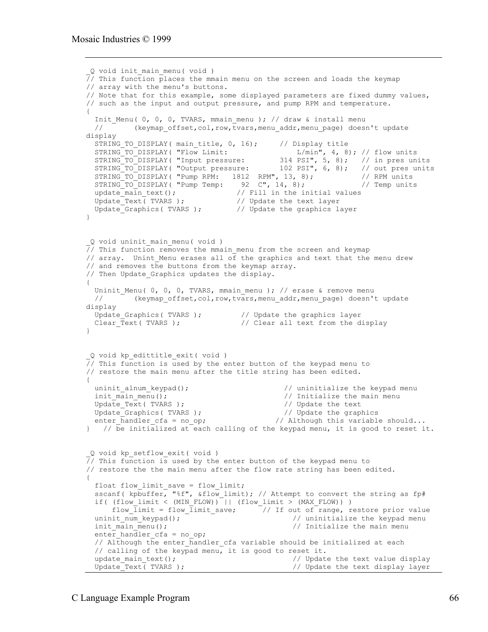```
_Q void init_main_menu( void )
\overline{77} This function places the mmain menu on the screen and loads the keymap
// array with the menu's buttons.
// Note that for this example, some displayed parameters are fixed dummy values,
// such as the input and output pressure, and pump RPM and temperature.
{
 Init Menu( 0, 0, 0, TVARS, mmain menu ); // draw & install menu
  // (keymap_offset,col,row,tvars,menu_addr,menu_page) doesn't update
display
 STRING_TO_DISPLAY( main_title, 0, 16); // Display title
STRING TO DISPLAY( "Flow Limit: L/min", 4, 8); // flow units
STRING_TO_DISPLAY( "Input pressure: 314 PSI", 5, 8); // in pres units
STRING_TO_DISPLAY( "Output pressure: 102 PSI", 6, 8); // out pres units
STRING_TO_DISPLAY( "Pump RPM: 1812 RPM", 13, 8); // RPM units
STRING_TO_DISPLAY( "Pump Temp: 92 C", 14, 8); // Temp units
update main text(); \frac{1}{2} // Fill in the initial values
Update_Text( TVARS ); \sqrt{2} // Update the text layer
Update_Graphics( TVARS ); \frac{1}{2} // Update the graphics layer
}
Q void uninit main menu( void )
\frac{7}{10} This function removes the mmain menu from the screen and keymap
// array. Unint Menu erases all \sigma\bar{f} the graphics and text that the menu drew
// and removes the buttons from the keymap array.
// Then Update Graphics updates the display.
{
 Uninit Menu( 0, 0, 0, TVARS, mmain menu ); // erase & remove menu
 // (keymap offset,col,row,tvars,menu addr,menu page) doesn't update
display
 Update_Graphics( TVARS ); // Update the graphics layer
 Clear_Text( TVARS ); // Clear all text from the display
}
_Q void kp_edittitle_exit( void )
\frac{1}{\sqrt{7}} This function is used by the enter button of the keypad menu to
// restore the main menu after the title string has been edited.
{<br>uninit_alnum_keypad();
 uninit_alnum_keypad(); \frac{1}{2} // uninitialize the keypad menu init main menu (); \frac{1}{2} // Initialize the main menu
                                                // Initialize the main menu
 Update_Text( TVARS ); <br>Update Graphics( TVARS ); <br>// Update the graphics
 Update_Graphics( TVARS );<br>enter_handler_cfa = no op;
                                             // Although this variable should...
\} // \overline{b} initialized at each calling of the keypad menu, it is good to reset it.
_Q void kp_setflow_exit( void )
// This function is used by the enter button of the keypad menu to
// restore the the main menu after the flow rate string has been edited.
{
  float flow_limit_save = flow_limit;
  sscanf( kpbuffer, "%f", &flow_limit); // Attempt to convert the string as fp#
  if( (flow_limit < (MIN_FLOW)) || (flow_limit > (MAX_FLOW)) )
  flow_limit = flow_limit_save; \frac{7}{1} out of range, restore prior value uninit num keypad(); \frac{7}{1} value \frac{1}{10} value \frac{1}{2}// uninitialize the keypad menu
  init \min_{m \neq 1} \frac{m}{m} main menu(); \frac{m}{m} // Initialize the main menu
  enter handler cfa = no op;
  // Although the enter handler cfa variable should be initialized at each
  // calling of the keypad menu, it is good to reset it.<br>update main text(); \frac{1}{2} // Update
  update_main_text();<br>Update_Text(TVARS);<br>//Update_the text display layer
                                                  // Update the text display layer
```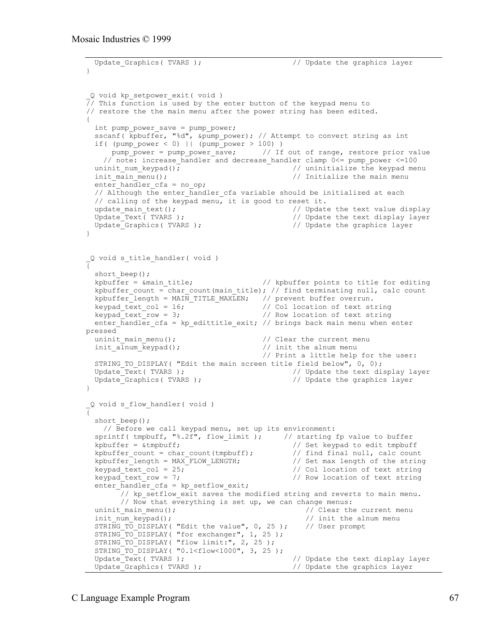```
Update Graphics ( TVARS ); \frac{1}{2} // Update the graphics layer
}
_Q void kp_setpower_exit( void )
\frac{7}{10} This function is used by the enter button of the keypad menu to
// restore the the main menu after the power string has been edited.
{
   int pump_power_save = pump_power;
   sscanf( kpbuffer, "%d", &pump_power); // Attempt to convert string as int
  if( (pump_power < 0) || (pump_power > 100) )
     pump_power = pump_power_save; // If out of range, restore prior value
    // note: increase handler and decrease handler clamp 0<= pump power <=100
  uninit num keypad(); \frac{1}{2} // uninitialize the keypad menu
  init main menu(); \frac{1}{2} // Initialize the main menu
  enter handler_cfa = no_op;
   // Although the enter_handler_cfa variable should be initialized at each
   // calling of the keypad menu, it is good to reset it.
 update_main_text();<br>Update Text(TVARS);<br>//Update the text display laver
                                                 // Update the text display layer
  Update Graphics ( TVARS ); \frac{1}{2} // Update the graphics layer
}
Q void s title handler( void )
{
  short beep();
  kpbuffer = \text{A} and title; \frac{1}{\sqrt{2}} kpbuffer points to title for editing
  kpbuffer count = char count(main title); // find terminating null, calc count
  kpbuffer_length = MAIN_TITLE_MAXLEN; // prevent buffer overrun.<br>keypad_text_col = 16; // Col location of text st
  keypad_text_col = 16; \overline{\phantom{0}} // Col location of text string<br>keypad_text_row = 3; // Row location of text string
                                          // Row location of text string
  enter handler cfa = kp edittitle exit; // brings back main menu when enter
pressed
  uninit main menu(); \frac{1}{2} // Clear the current menu
  init alnum keypad(); \frac{1}{2} // init the alnum menu
                                           // Print a little help for the user:
 STRING_TO_DISPLAY( "Edit the main screen title field below", 0, 0);<br>Update_Text( TVARS );<br>// Update the text di
                                                 // Update the text display layer
 Update Graphics ( TVARS ); \frac{1}{2} // Update the graphics layer
}
_Q void s_flow_handler( void )
{
  short beep();
     // Before we call keypad menu, set up its environment:
  sprintf( tmpbuff, "%.2f", flow limit ); // starting fp value to buffer
  kpbuffer = \&tmpbuff;<br>
kpbuffer count = char count(tmpbuff);<br>
// find final null, calc count<br>
(// find final null, calc count
  kpbuffer count = char count(tmpbuff);
  kpbuffer length = MAX FLOW LENGTH; // Set max length of the string
  keypad text col = 25; // Col location of text stringkeypad text row = 7; \frac{1}{2} // Row location of text string
  enter handler cfa = kp setflow exit;
        // kp setflow exit saves the modified string and reverts to main menu.
         // Now that everything is set up, we can change menus:
  uninit main menu(); \frac{1}{2} // Clear the current menu
  init num keypad(); \frac{1}{2} // init the alnum menu
  STRING TO DISPLAY( "Edit the value", 0, 25 ); // User prompt
  STRING TO DISPLAY ( "for exchanger", 1, 25 );
  STRING TO DISPLAY ( "flow limit:", 2, 25 );
  STRING_TO_DISPLAY( "0.1<flow<1000", 3, 25 );<br>Update_Text( TVARS );
                                                  // Update the text display layer
  Update Graphics ( TVARS ); \frac{1}{2} // Update the graphics layer
```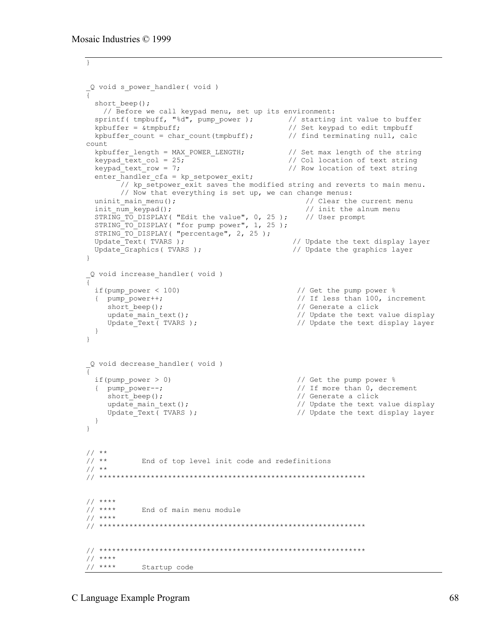```
}
_Q void s_power_handler( void )
{
  short beep();
     // Before we call keypad menu, set up its environment:
  sprintf( tmpbuff, "%d", pump_power ); // starting int value to buffer
  kpbuffer = \&tmpbuff; \frac{1}{2} // Set keypad to edit tmpbuff
  kpbuffer count = char count(tmpbuff); // find terminating null, calc
count
 which is the string with the string with the string in the string the string of the string of the string of the string of the string of the string of the string of the string of the string of the string of the string of th
  keypad text col = 25; \overline{\phantom{0}} // Col location of text string
  keypad_text_row = 7; \frac{1}{2} // Row location of text string
  enter handler cfa = kp setpower exit;
         // kp_setpower_exit saves the modified string and reverts to main menu.
        // Now that everything is set up, we can change menus:
 uninit_main_menu();<br>init num keypad();<br>// init the alnum menu<br>// init the alnum menu
                                                      // init the alnum menu<br>// User prompt
  STRING TO DISPLAY( "Edit the value", 0, 25 );
  STRING TO DISPLAY ( "for pump power", 1, 25 );
  STRING TO DISPLAY ( "percentage", 2, 25 );
  Update Text( TVARS ); \frac{1}{2} // Update the text display layer
  Update Graphics ( TVARS ); \frac{1}{2} // Update the graphics layer
}
_Q void increase_handler( void )
{
  if(pump power < 100) \frac{1}{2} // Get the pump power \frac{1}{6}{ pump_power++; \begin{array}{ccc} \text{Number of the image} & \text{Number of the image} \\ \text{Short Deep()}; & \text{Number of the image} \\ \end{array}short_beep(); \frac{1}{2} // Generate a click<br>update main text(); \frac{1}{2} // Update the text \,
                                                     // Update the text value display
    Update Text( TVARS ); \frac{1}{2} // Update the text display layer
   }
}
_Q void decrease_handler( void )
{
   if(pump_power > 0) // Get the pump power %
   { pump_power--; // If more than 0, decrement
    short_beep();<br>update_main_text();<br>// Update the text v
     update_main_text();<br>Update Text(TVARS); \frac{1}{2} // Update the text display layer
                                                     // Update the text display layer
   }
}
\frac{1}{1}/ **
             End of top level init code and redefinitions
// **
// **************************************************************
// ****
            End of main menu module
// ****
// **************************************************************
// **************************************************************
// ****
              Startup code
```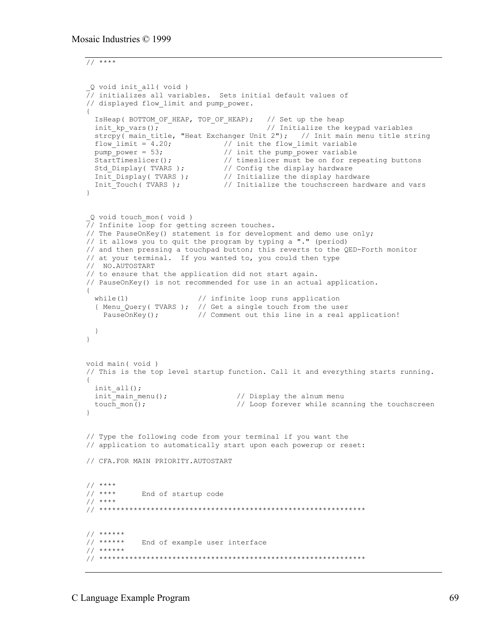// \*\*\*\*

```
_Q void init_all( void )
7/ initializes all variables. Sets initial default values of
// displayed flow limit and pump power.
{
 IsHeap( BOTTOM OF HEAP, TOP OF HEAP); // Set up the heap
 init kp vars(); \overline{\phantom{a}} \overline{\phantom{a}} \overline{\phantom{a}} // Initialize the keypad variables
  strcpy(main_title, "Heat Exchanger Unit 2"); // Init main menu title string
 flow_limit = 4.20; \frac{1}{\pi} // init the flow_limit variable
pump power = 53; \frac{1}{2} init the pump power variable
StartTimeslicer(); \frac{1}{2} // timeslicer must be on for repeating buttons
 Std_Display( TVARS ); // Config the display hardware
 Init_Display( TVARS ); // Initialize the display hardware
 Init_Touch( TVARS ); // Initialize the touchscreen hardware and vars
}
_Q void touch_mon( void )
// Infinite loop for getting screen touches.
// The PauseOnKey() statement is for development and demo use only;
// it allows you to quit the program by typing a "." (period)
// and then pressing a touchpad button; this reverts to the QED-Forth monitor
// at your terminal. If you wanted to, you could then type
// NO.AUTOSTART
// to ensure that the application did not start again.
// PauseOnKey() is not recommended for use in an actual application.
{
 while(1) \frac{1}{\sqrt{2}} infinite loop runs application
  { Menu_Query( TVARS ); // Get a single touch from the user<br>PauseOnKey(); // Comment out this line in a real a
                         // Comment out this line in a real application!
  }
}
void main( void )
// This is the top level startup function. Call it and everything starts running.
{
  init_all();
 init main menu(); \frac{1}{2} // Display the alnum menu
 touch mon(); \frac{1}{2} // Loop forever while scanning the touchscreen
}
// Type the following code from your terminal if you want the
// application to automatically start upon each powerup or reset:
// CFA.FOR MAIN PRIORITY.AUTOSTART
// ****
           End of startup code
// ****
// **************************************************************
// ******
           End of example user interface
// ******
// **************************************************************
```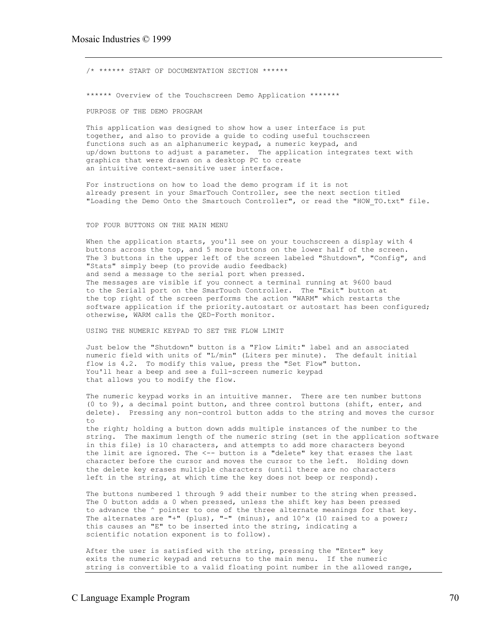/\* \*\*\*\*\*\* START OF DOCUMENTATION SECTION \*\*\*\*\*\* \*\*\*\*\*\* Overview of the Touchscreen Demo Application \*\*\*\*\*\*\* PURPOSE OF THE DEMO PROGRAM

This application was designed to show how a user interface is put together, and also to provide a guide to coding useful touchscreen functions such as an alphanumeric keypad, a numeric keypad, and up/down buttons to adjust a parameter. The application integrates text with graphics that were drawn on a desktop PC to create an intuitive context-sensitive user interface.

For instructions on how to load the demo program if it is not already present in your SmarTouch Controller, see the next section titled "Loading the Demo Onto the Smartouch Controller", or read the "HOW\_TO.txt" file.

#### TOP FOUR BUTTONS ON THE MAIN MENU

When the application starts, you'll see on your touchscreen a display with 4 buttons across the top, and 5 more buttons on the lower half of the screen. The 3 buttons in the upper left of the screen labeled "Shutdown", "Confiq", and "Stats" simply beep (to provide audio feedback) and send a message to the serial port when pressed. The messages are visible if you connect a terminal running at 9600 baud to the Serial1 port on the SmarTouch Controller. The "Exit" button at the top right of the screen performs the action "WARM" which restarts the software application if the priority.autostart or autostart has been configured; otherwise, WARM calls the QED-Forth monitor.

USING THE NUMERIC KEYPAD TO SET THE FLOW LIMIT

Just below the "Shutdown" button is a "Flow Limit:" label and an associated numeric field with units of "L/min" (Liters per minute). The default initial flow is 4.2. To modify this value, press the "Set Flow" button. You'll hear a beep and see a full-screen numeric keypad that allows you to modify the flow.

The numeric keypad works in an intuitive manner. There are ten number buttons (0 to 9), a decimal point button, and three control buttons (shift, enter, and delete). Pressing any non-control button adds to the string and moves the cursor  $t \circ$ 

the right; holding a button down adds multiple instances of the number to the string. The maximum length of the numeric string (set in the application software in this file) is 10 characters, and attempts to add more characters beyond the limit are ignored. The <-- button is a "delete" key that erases the last character before the cursor and moves the cursor to the left. Holding down the delete key erases multiple characters (until there are no characters left in the string, at which time the key does not beep or respond).

The buttons numbered 1 through 9 add their number to the string when pressed. The 0 button adds a 0 when pressed, unless the shift key has been pressed to advance the ^ pointer to one of the three alternate meanings for that key. The alternates are "+" (plus), "-" (minus), and  $10^x$ x (10 raised to a power; this causes an "E" to be inserted into the string, indicating a scientific notation exponent is to follow).

After the user is satisfied with the string, pressing the "Enter" key exits the numeric keypad and returns to the main menu. If the numeric string is convertible to a valid floating point number in the allowed range,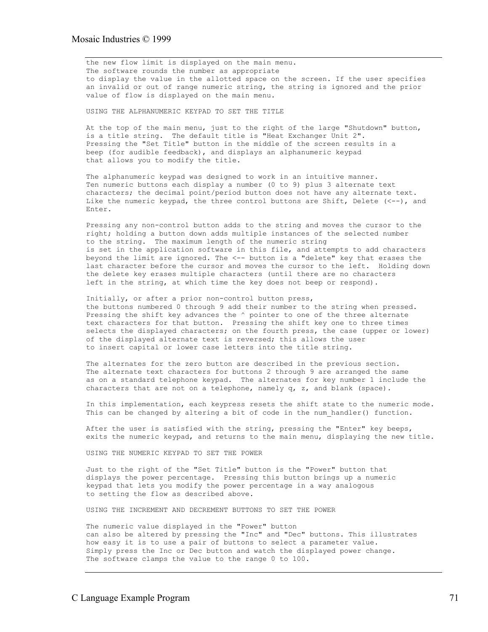the new flow limit is displayed on the main menu. The software rounds the number as appropriate to display the value in the allotted space on the screen. If the user specifies an invalid or out of range numeric string, the string is ignored and the prior value of flow is displayed on the main menu.

USING THE ALPHANUMERIC KEYPAD TO SET THE TITLE

At the top of the main menu, just to the right of the large "Shutdown" button, is a title string. The default title is "Heat Exchanger Unit 2". Pressing the "Set Title" button in the middle of the screen results in a beep (for audible feedback), and displays an alphanumeric keypad that allows you to modify the title.

The alphanumeric keypad was designed to work in an intuitive manner. Ten numeric buttons each display a number (0 to 9) plus 3 alternate text characters; the decimal point/period button does not have any alternate text. Like the numeric keypad, the three control buttons are Shift, Delete  $(<-$ -), and Enter.

Pressing any non-control button adds to the string and moves the cursor to the right; holding a button down adds multiple instances of the selected number to the string. The maximum length of the numeric string is set in the application software in this file, and attempts to add characters beyond the limit are ignored. The <-- button is a "delete" key that erases the last character before the cursor and moves the cursor to the left. Holding down the delete key erases multiple characters (until there are no characters left in the string, at which time the key does not beep or respond).

Initially, or after a prior non-control button press, the buttons numbered 0 through 9 add their number to the string when pressed. Pressing the shift key advances the  $\land$  pointer to one of the three alternate text characters for that button. Pressing the shift key one to three times selects the displayed characters; on the fourth press, the case (upper or lower) of the displayed alternate text is reversed; this allows the user to insert capital or lower case letters into the title string.

The alternates for the zero button are described in the previous section. The alternate text characters for buttons 2 through 9 are arranged the same as on a standard telephone keypad. The alternates for key number 1 include the characters that are not on a telephone, namely  $q$ ,  $z$ , and blank (space).

In this implementation, each keypress resets the shift state to the numeric mode. This can be changed by altering a bit of code in the num handler() function.

After the user is satisfied with the string, pressing the "Enter" key beeps, exits the numeric keypad, and returns to the main menu, displaying the new title.

USING THE NUMERIC KEYPAD TO SET THE POWER

Just to the right of the "Set Title" button is the "Power" button that displays the power percentage. Pressing this button brings up a numeric keypad that lets you modify the power percentage in a way analogous to setting the flow as described above.

USING THE INCREMENT AND DECREMENT BUTTONS TO SET THE POWER

The numeric value displayed in the "Power" button can also be altered by pressing the "Inc" and "Dec" buttons. This illustrates how easy it is to use a pair of buttons to select a parameter value. Simply press the Inc or Dec button and watch the displayed power change. The software clamps the value to the range 0 to 100.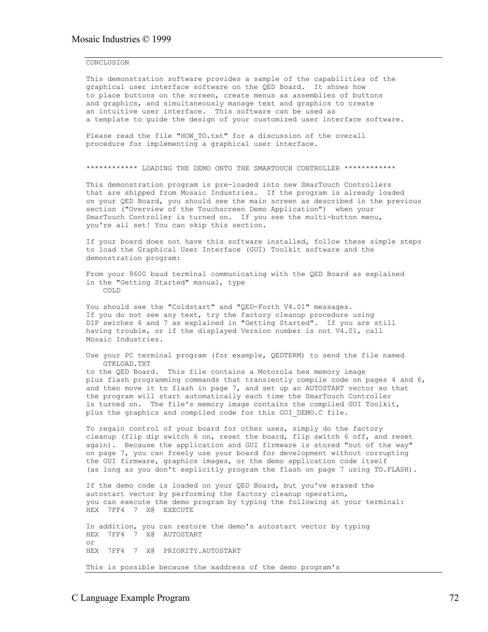#### **CONCLUSION**

This demonstration software provides a sample of the capabilities of the graphical user interface software on the QED Board. It shows how to place buttons on the screen, create menus as assemblies of buttons and graphics, and simultaneously manage text and graphics to create an intuitive user interface. This software can be used as a template to guide the design of your customized user interface software.

Please read the file "HOW TO.txt" for a discussion of the overall procedure for implementing a graphical user interface.

\*\*\*\*\*\*\*\*\*\*\*\* LOADING THE DEMO ONTO THE SMARTOUCH CONTROLLER \*\*\*\*\*\*\*\*\*\*\*\*

This demonstration program is pre-loaded into new SmarTouch Controllers that are shipped from Mosaic Industries. If the program is already loaded on your QED Board, you should see the main screen as described in the previous section ("Overview of the Touchscreen Demo Application") when your SmarTouch Controller is turned on. If you see the multi-button menu, you're all set! You can skip this section.

If your board does not have this software installed, follow these simple steps to load the Graphical User Interface (GUI) Toolkit software and the demonstration program:

From your 9600 baud terminal communicating with the QED Board as explained in the "Getting Started" manual, type COLD

You should see the "Coldstart" and "QED-Forth V4.01" messages. If you do not see any text, try the factory cleanup procedure using DIP swiches 6 and 7 as explained in "Getting Started". If you are still having trouble, or if the displayed Version number is not V4.01, call Mosaic Industries.

Use your PC terminal program (for example, QEDTERM) to send the file named GTKLOAD.TXT

to the QED Board. This file contains a Motorola hex memory image plus flash programming commands that transiently compile code on pages 4 and 6, and then move it to flash in page 7, and set up an AUTOSTART vector so that the program will start automatically each time the SmarTouch Controller is turned on. The file's memory image contains the compiled GUI Toolkit, plus the graphics and compiled code for this GUI DEMO.C file.

To regain control of your board for other uses, simply do the factory cleanup (flip dip switch 6 on, reset the board, flip switch 6 off, and reset again). Because the application and GUI firmware is stored "out of the way" on page 7, you can freely use your board for development without corrupting the GUI firmware, graphics images, or the demo application code itself (as long as you don't explicitly program the flash on page 7 using TO.FLASH).

If the demo code is loaded on your QED Board, but you've erased the autostart vector by performing the factory cleanup operation, you can execute the demo program by typing the following at your terminal: HEX 7FF4 7 X@ EXECUTE

In addition, you can restore the demo's autostart vector by typing HEX 7FF4 7 X@ AUTOSTART or HEX 7FF4 7 X@ PRIORITY.AUTOSTART This is possible because the xaddress of the demo program's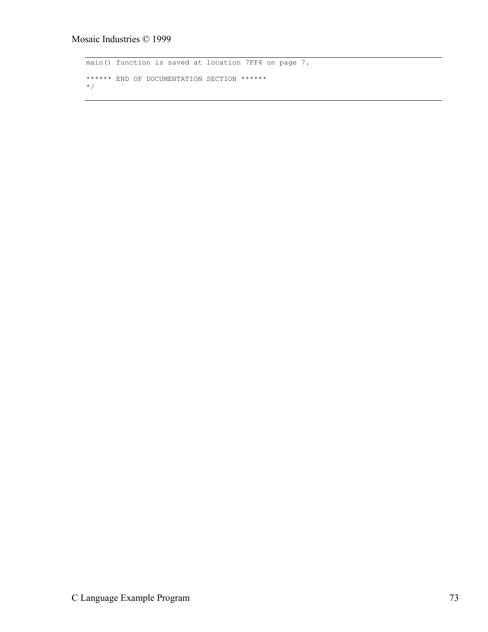```
main() function is saved at location 7FF4 on page 7.
****** END OF DOCUMENTATION SECTION ******
*/
```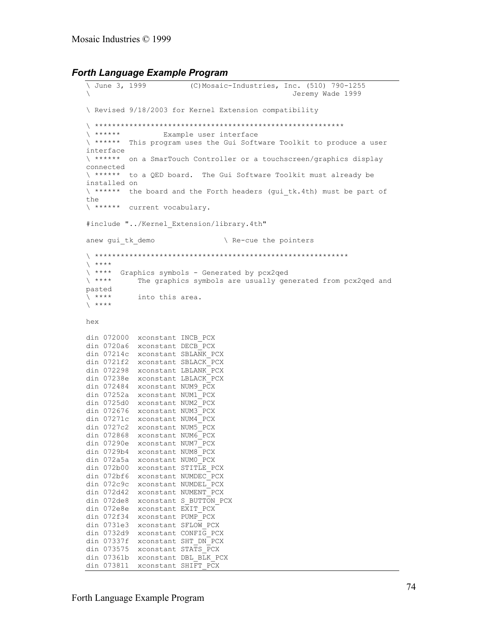```
Forth Language Example Program
```

```
(C) Mosaic-Industries, Inc. (510) 790-1255
\ June 3, 1999
                                                       Jeremy Wade 1999
\ Revised 9/18/2003 for Kernel Extension compatibility
\left\langle \quad x****** \right\rangleExample user interface
\ ****** This program uses the Gui Software Toolkit to produce a user
interface
\ ****** on a SmarTouch Controller or a touchscreen/graphics display
connected
\ ****** to a QED board. The Gui Software Toolkit must already be
installed on
\ ****** the board and the Forth headers (qui tk.4th) must be part of
the
\ ****** current vocabulary.
#include "../Kernel Extension/library.4th"
anew gui tk demo
                                     \ Re-cue the pointers
\qquad \qquad +\ **** Graphics symbols - Generated by pcx2qed
\lambda ****
             The graphics symbols are usually generated from pcx2qed and
pasted
\lambda ****
            into this area.
\lambda ****
hex
din 072000 xconstant INCB_PCX
din 0720a6 xconstant DECB_PCX
din 07214c xconstant SBLANK_PCX<br>din 0721f2 xconstant SBLANK_PCX<br>din 072298 xconstant LBLANK_PCX<br>din 07238e xconstant LBLACK_PCX<br>din 072484 xconstant NUM9_PCX
din 07252a xconstant NUM1<sup>-</sup>PCX
din 0725d0 xconstant NUM2 PCX
din 072676 xconstant NUM3 PCX
din 07271c xconstant NUM4 PCX
din 0727c2 xconstant NUM5 PCX
din 072868 xconstant NUM6 PCX
din 07290e xconstant NUM7_PCX
din 0729b4 xconstant NUM8_PCX
din 072a5a xconstant NUM0^{\circ}PCX
din 072b00 xconstant NUMDEC_PCX<br>din 072bf6 xconstant NUMDEC_PCX<br>din 072c9c xconstant NUMDEL_PCX<br>din 072d42 xconstant NUMENT_PCX<br>din 072de8 xconstant S_BUTTON_PCX
din 072e8e xconstant \overline{x}IT_PCX
din 072f34 xconstant PUMP_PCX
din 0731e3 xconstant SFLOW PCX
din 0732d9 xconstant CONFIG PCX
din 07337f xconstant SHT DN PCX
din 073575 xconstant STATS PCX
din 07361b xconstant DBL_BLK_PCX
din 073811 xconstant SHIFT PCX
```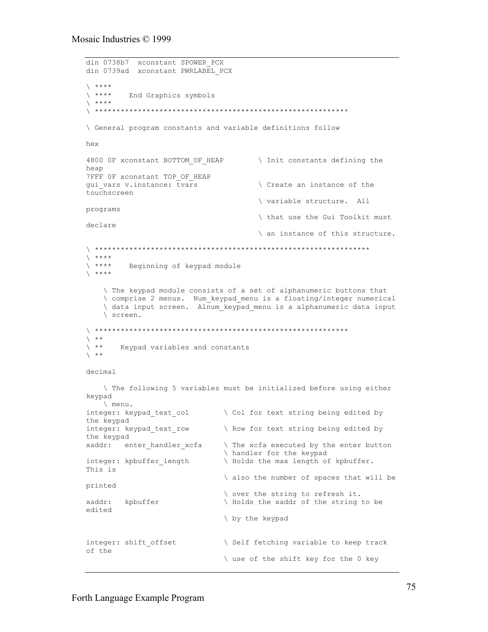```
din 0738b7 xconstant SPOWER PCX
din 0739ad xconstant PWRLABEL PCX
\qquad \qquad\searrow ****
         End Graphics symbols
\chi ****
\ General program constants and variable definitions follow
hex
4800 OF xconstant BOTTOM OF HEAP
                                    \ Init constants defining the
heap
7FFF OF xconstant TOP OF HEAP
gui vars v.instance: tvars
                                     \ Create an instance of the
touchscreen
                                      \ variable structure. All
programs
                                      \ that use the Gui Toolkit must
declare
                                     \ an instance of this structure.
\left\langle \quad \star\star\star\star\quadright\rangle\qquad \qquadBeginning of keypad module
\searrow ****
   \ The keypad module consists of a set of alphanumeric buttons that
   \ comprise 2 menus. Num_keypad_menu is a floating/integer numerical
   \ data input screen. Alnum keypad menu is a alphanumeric data input
   \ screen.
\searrow **
\chi **
       Keypad variables and constants
\chi **
decimal
   The following 5 variables must be initialized before using either
keypad
   \ menu.
integer: keypad text col
                             \ Col for text string being edited by
the keypad
integer: keypad_text_row
                             \ Row for text string being edited by
the keypad
xaddr: enter handler xcfa
                              \ The xcfa executed by the enter button
                              \ handler for the keypad
integer: kpbuffer length
                              \ Holds the max length of kpbuffer.
This is
                              \ also the number of spaces that will be
printed
                              \ over the string to refresh it.
xaddr:
        kpbuffer
                              \ Holds the xaddr of the string to be
edited
                              \ by the keypad
integer: shift offset
                             \ Self fetching variable to keep track
of the
                              \ use of the shift key for the 0 key
```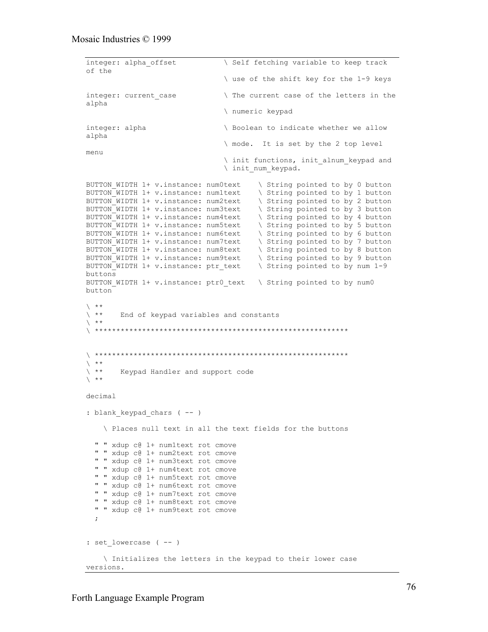```
integer: alpha offset \setminus Self fetching variable to keep track
of the
                                  \ use of the shift key for the 1-9 keys
integer: current case \qquad \qquad The current case of the letters in the
alpha
                                  \ numeric keypad
integer: alpha \longrightarrow Boolean to indicate whether we allow
alpha
                                   \ mode. It is set by the 2 top level
menu
                                   \ init functions, init_alnum_keypad and
                                   \ init_num_keypad.
BUTTON WIDTH 1+ v.instance: num0text \ String pointed to by 0 button
BUTTON WIDTH 1+ v.instance: num1text \ String pointed to by 1 button
BUTTON WIDTH 1+ v.instance: num2text \ String pointed to by 2 button
BUTTON WIDTH 1+ v.instance: num3text \ String pointed to by 3 button
BUTTON_WIDTH 1+ v.instance: num4text \ String pointed to by 4 button
BUTTON WIDTH 1+ v.instance: num5text \setminus String pointed to by 5 button
BUTTON WIDTH 1+ v.instance: num6text \ String pointed to by 6 button
BUTTON WIDTH 1+ v.instance: num7text \ String pointed to by 7 button
BUTTON_WIDTH 1+ v.instance: num8text \ String pointed to by 8 button
BUTTON_WIDTH 1+ v.instance: num9text \ String pointed to by 9 button
BUTTON_WIDTH 1+ v.instance: ptr_text \ String pointed to by num 1-9
buttons
BUTTON WIDTH 1+ v.instance: ptr0 text \ String pointed to by num0
button
\left\langle \begin{array}{c} \star\star \\ \star\star \end{array} \right.End of keypad variables and constants
\searrow **
\<br>\
\ ***********************************************************
\left\langle \begin{array}{c} \star\star \\ \star\star \end{array} \right.Keypad Handler and support code
\searrow **
decimal
: blank keypad chars ( -- )
     \ Places null text in all the text fields for the buttons
   " " xdup c@ 1+ num1text rot cmove
   " " xdup c@ 1+ num2text rot cmove
   " " xdup c@ 1+ num3text rot cmove
   " " xdup c@ 1+ num4text rot cmove
   " " xdup c@ 1+ num5text rot cmove
   " " xdup c@ 1+ num6text rot cmove
   " " xdup c@ 1+ num7text rot cmove
   " " xdup c@ 1+ num8text rot cmove
   " " xdup c@ 1+ num9text rot cmove
   ;
: set lowercase ( -- )
     \ Initializes the letters in the keypad to their lower case
versions.
```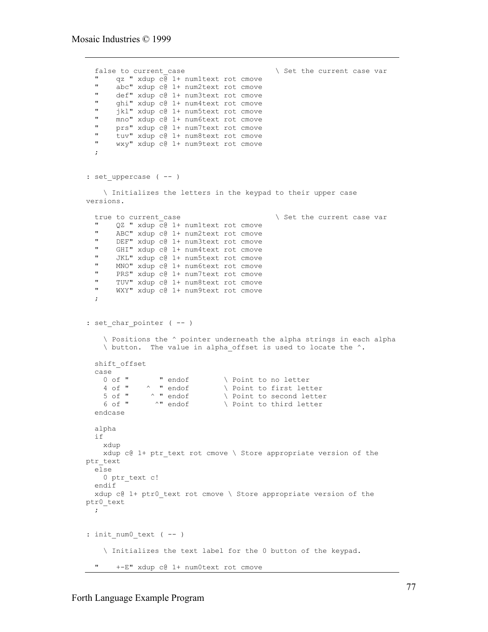```
false to current case \setminus Set the current case var
   " qz " xdup c@ 1+ num1text rot cmove
  " abc" xdup c@ 1+ num2text rot cmove
  " def" xdup c@ 1+ num3text rot cmove
  " ghi" xdup c@ 1+ num4text rot cmove
   " jkl" xdup c@ 1+ num5text rot cmove
  " mno" xdup c@ 1+ num6text rot cmove
  " prs" xdup c@ 1+ num7text rot cmove
   " tuv" xdup c@ 1+ num8text rot cmove
       wxy" xdup c@ 1+ num9text rot cmove
   ;
: set uppercase ( -- )
     \ Initializes the letters in the keypad to their upper case
versions.
  true to current case \setminus Set the current case var
  " QZ " xdup c@ 1+ num1text rot cmove"<br>" ABC" ydup c@ 1+ num3text ret cmeve
  " ABC" xdup c@ 1+ num2text rot cmove
   " DEF" xdup c@ 1+ num3text rot cmove
   " GHI" xdup c@ 1+ num4text rot cmove
        JKL" xdup c@ 1+ num5text rot cmove
   " MNO" xdup c@ 1+ num6text rot cmove
   " PRS" xdup c@ 1+ num7text rot cmove
        TUV" xdup c@ 1+ num8text rot cmove
        WXY" xdup c@ 1+ num9text rot cmove
\cdot: set char pointer ( -- )
      \ Positions the ^ pointer underneath the alpha strings in each alpha
     \ button. The value in alpha_offset is used to locate the ^.
   shift_offset
  case<br>0 of "
    0 of " \cdots " endof \cdots \cdots \cdots \cdots \cdots \cdots \cdots \cdots \cdots \cdots \cdots \cdots \cdots \cdots \cdots \cdots \cdots \cdots \cdots \cdots \cdots \cdots \cdots \cdots \cdots \cdots \cdots \cdots \cdots \cdots \cdots \cdots \cdots \4 of " \land " endof \land Point to first letter 5 of " \land " endof \land Point to second lette
    5 of " \land " endof \land Point to second letter 6 of " \land " endof \land Point to third letter
                                      \ Point to third letter
   endcase
   alpha
   if
     xdup
    xdup c@ 1+ ptr text rot cmove \setminus Store appropriate version of the
ptr_text
   else
     0 ptr_text c!
   endif
   xdup c@ 1+ ptr0_text rot cmove \ Store appropriate version of the
ptr0_text
   ;
: init num0 text ( -- )
     \ Initializes the text label for the 0 button of the keypad.
        +-E" xdup c@ 1+ num0text rot cmove
```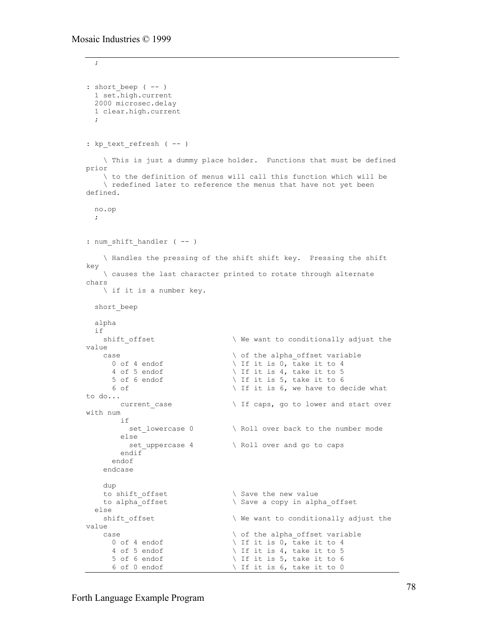```
 ;
: short beep (-- )
   1 set.high.current
  2000 microsec.delay
  1 clear.high.current
   ;
: kp text refresh ( -- )
     \ This is just a dummy place holder. Functions that must be defined
prior
     \ to the definition of menus will call this function which will be
     \ redefined later to reference the menus that have not yet been
defined.
  no.op
 \cdot ;
: num shift handler ( -- )
     \ Handles the pressing of the shift shift key. Pressing the shift
key
     \ causes the last character printed to rotate through alternate
chars
    \ if it is a number key.
  short_beep
   alpha
  if
   shift offset \wedge We want to conditionally adjust the
value
    case \setminus of the alpha_offset variable 0 of 4 endof \setminus If it is 0, take it to 4
      0 of 4 endof \setminus If it is 0, take it to 4 4 of 5 endof \setminus If it is 4, take it to 5
                                      \setminus If it is 4, take it to 5
      5 of 6 endof \setminus If it is 5, take it to 6
      6 of \qquad \qquad \backslash If it is 6, we have to decide what
to do...
        current case \setminus If caps, go to lower and start over
with num
         if
          set_lowercase 0 \ Roll over back to the number mode
        else<br>set_uppercase 4
                                      \setminus Roll over and go to caps
         endif
       endof
     endcase
     dup
    to shift offset \setminus Save the new value
    to alpha offset \setminus Save a copy in alpha offset
   else
    shift offset \qquad \qquad \qquad We want to conditionally adjust the
value
    case \setminus of the alpha_offset variable 0 of 4 endof \setminus If it is 0, take it to 4
      0 of 4 endof \setminus If it is 0, take it to 4<br>4 of 5 endof \setminus If it is 4, take it to 5
      4 of 5 endof \setminus If it is 4, take it to 5<br>5 of 6 endof \setminus If it is 5, take it to 6
      5 of 6 endof \setminus If it is 5, take it to 6<br>6 of 0 endof \setminus If it is 6, take it to 0
                                  \setminus If it is 6, take it to 0
```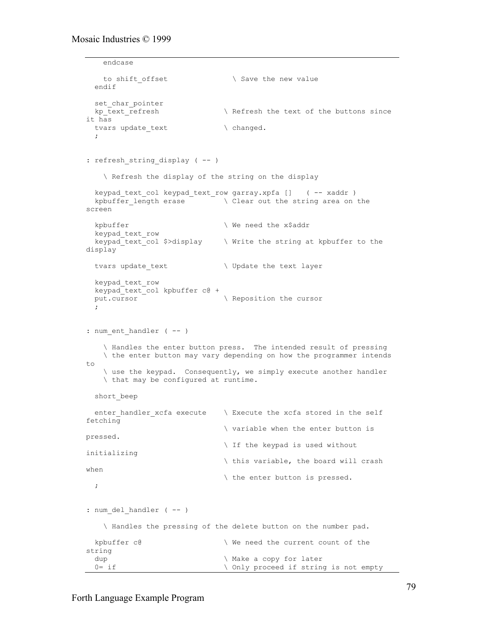```
 endcase
   to shift offset \setminus Save the new value
  endif
 set char pointer
 kp text refresh \setminus Refresh the text of the buttons since
it has
 tvars update_text \ changed.
   ;
: refresh string display ( -- )
    \ Refresh the display of the string on the display
   keypad_text_col keypad_text_row garray.xpfa [] ( -- xaddr )
  kpbuffer_length erase \overline{\ } \wedge Clear out the string area on the
screen
 kpbuffer \vee We need the x$addr
  keypad_text_row
  keypad text col $>display \ Write the string at kpbuffer to the
display
 tvars update text \setminus Update the text layer
  keypad_text_row
   keypad_text_col kpbuffer c@ +
 put.cursor \overline{\ } ;
: num ent handler ( -- )
     \ Handles the enter button press. The intended result of pressing
    \ the enter button may vary depending on how the programmer intends
t \circ \ use the keypad. Consequently, we simply execute another handler
    \ that may be configured at runtime.
  short_beep
 enter handler xcfa execute \ Execute the xcfa stored in the self
fetching
                                \ variable when the enter button is
pressed.
                                \ If the keypad is used without
initializing
                                \ this variable, the board will crash
when
                                \ the enter button is pressed.
  ;
: num del handler ( -- )
    \ Handles the pressing of the delete button on the number pad.
 kpbuffer c@ \qquad \qquad \qquad We need the current count of the
string<br>dup
                               \ Make a copy for later
  0= if \longrightarrow Only proceed if string is not empty
```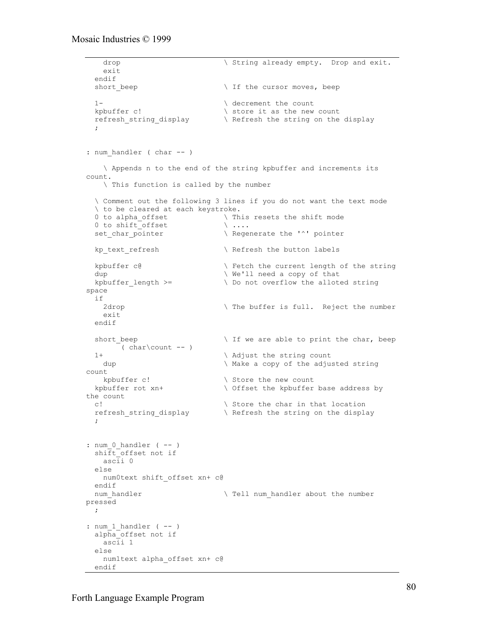```
drop \sqrt{\sinh(\theta)} String already empty. Drop and exit.
    exit
  endif<br>short beep
                              \ If the cursor moves, beep
  1- \qquad decrement the count
  kpbuffer c! \setminus store it as the new count
  refresh string display \hbox{Refresh} the string on the display
   ;
: num handler ( char -- )
    \ Appends n to the end of the string kpbuffer and increments its
count.
    \ This function is called by the number
   \ Comment out the following 3 lines if you do not want the text mode
  \ to be cleared at each keystroke.<br>0 to alpha offset \ Th
                     \setminus This resets the shift mode<br>\setminus \cdots0 to shift offset
  set char pointer \qquad \qquad \backslash Regenerate the '^' pointer
  kp_text_refresh \hbox{\scriptsize\textsf{\backslash}} Refresh the button labels
  kpbuffer c@ \qquad \qquad Fetch the current length of the string
  dup \vee We'll need a copy of that
  kpbuffer length >= \qquad Do not overflow the alloted string
space
  if
   2drop \qquad The buffer is full. Reject the number
    exit
  endif
  short beep \setminus If we are able to print the char, beep
    ( char\count -- )
 1+ \qquad \qquad \qquad Adjust the string count
   dup \qquad \qquad \qquad Make a copy of the adjusted string
count
   kpbuffer c! \setminus Store the new count
  kpbuffer rot xn+ \ Offset the kpbuffer base address by
the count
 c! \setminus Store the char in that location
 refresh string display \ Refresh the string on the display
\cdot ;
: num 0 handler (--) shift_offset not if
    ascii 0
  else
    num0text shift_offset xn+ c@
  endif
 num handler \setminus Tell num handler about the number
pressed
  ;
: num 1 handler ( -- )
   alpha_offset not if
    ascii 1
   else
   num1text alpha_offset xn+ c@
   endif
```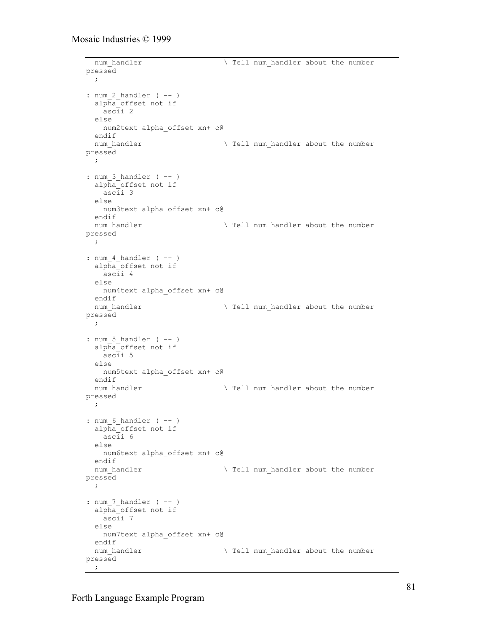```
num handler \setminus Tell num handler about the number
pressed
 \mathcal{L}: num 2 handler ( -- )
   alpha_offset not if
    ascii 2
   else
    num2text alpha_offset xn+ c@
 endif<br>num handler
                                 \ Tell num_handler about the number
pressed
   ;
: num 3 handler ( -- )
   alpha_offset not if
    ascii 3
   else
    num3text alpha_offset xn+ c@
   endif
 num handler \setminus Tell num handler about the number
pressed
  ;
: num 4 handler ( -- )
   alpha_offset not if
     ascii 4
   else
    num4text alpha_offset xn+ c@
 endif<br>num_handler
                                 \ Tell num_handler about the number
pressed
  ;
: num 5 handler (-- )
  alpha_offset not if
    ascii 5
   else
    num5text alpha_offset xn+ c@
 endif<br>num handler
                                 \ Tell num handler about the number
pressed
  ;
: num 6 handler ( -- )
  alpha_offset not if
    ascii 6
   else
    num6text alpha_offset xn+ c@
   endif
 num handler \setminus Tell num handler about the number
pressed
 \mathcal{G}: num 7 handler ( -- )
   alpha_offset not if
     ascii 7
   else
    num7text alpha_offset xn+ c@
   endif
 num handler \setminus Tell num handler about the number
pressed
   ;
```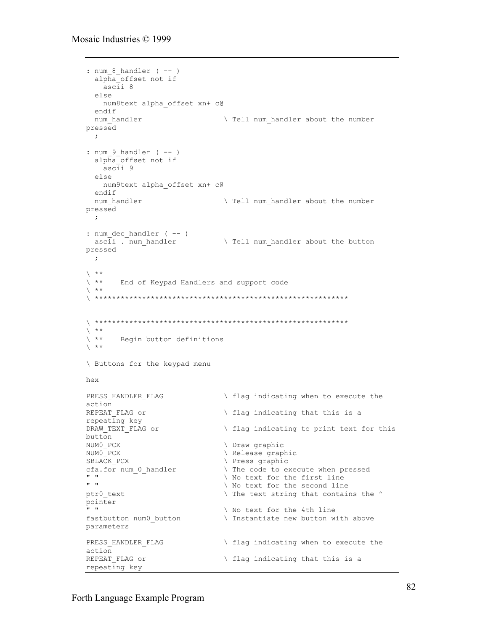```
: num 8 handler ( -- )
   alpha_offset not if
     ascii 8
   else
    num8text alpha_offset xn+ c@
   endif
 num handler \setminus Tell num handler about the number
pressed
   ;
: num_9_handler ( -- )
   alpha_offset not if
     ascii 9
   else
     num9text alpha_offset xn+ c@
   endif
  num handler \setminus Tell num handler about the number
pressed
  \cdot ;
: num dec handler ( -- )
 ascii . num handler \qquad \qquad Tell num handler about the button
pressed
  ;
\left\langle \begin{array}{c} \star\star \\ \star\star \end{array} \right.End of Keypad Handlers and support code
\chi **
\ ***********************************************************
\<br>\
\left\langle \begin{array}{cc} * \ * \\ * \ * \\ * \end{array} \right.Begin button definitions
\chi **
\ Buttons for the keypad menu
hex
PRESS HANDLER FLAG \setminus flag indicating when to execute the
action<br>REPEAT FLAG or
                                    \setminus flag indicating that this is a
repeating key<br>DRAW TEXT FLAG or
                                    \setminus flag indicating to print text for this
button
NUMO_PCX \setminus Draw graphic<br>NUMO_PCX \setminus Release grap
                                    \ Release graphic
SBLACK PCX \setminus Press graphic
cfa.for num_0_handler \qquad \qquad \qquad The code to execute when pressed<br>"
" " \setminus No text for the first line<br>" \setminus No text for the second line
                                    \ No text for the second line
ptr0 text \qquad The text string that contains the ^
pointer<br>" "
                                    \ No text for the 4th line
fastbutton num0 button \qquad \qquad \qquad Instantiate new button with above
parameters
PRESS HANDLER FLAG \setminus flag indicating when to execute the
action<br>REPEAT FLAG or
                                    \setminus flag indicating that this is a
repeating key
```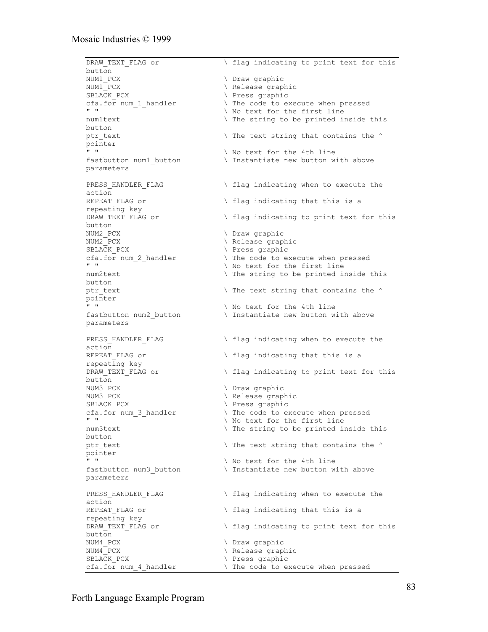DRAW TEXT FLAG or  $\setminus$  flag indicating to print text for this button<br>NUM1 PCX NUM1\_PCX  $\setminus$  Draw graphic<br>NUM1\_PCX  $\setminus$  Release grap NUM1<sup>-</sup>PCX  $\setminus$  Release graphic<br>SBLACK PCX  $\setminus$  Press graphic \ Press graphic cfa.for num\_1\_handler  $\qquad \qquad \qquad$  The code to execute when pressed<br>" \ No text for the first line num1text  $\setminus$  The string to be printed inside this button ptr text  $\qquad$  The text string that contains the  $\qquad$ pointer \ No text for the 4th line fastbutton num1 button  $\qquad$  Instantiate new button with above parameters PRESS HANDLER FLAG  $\setminus$  flag indicating when to execute the action REPEAT FLAG or  $\setminus$  flag indicating that this is a repeating key<br>DRAW TEXT FLAG or  $\setminus$  flag indicating to print text for this button NUM2 PCX  $\setminus$  Draw graphic NUM2\_PCX  $\setminus$  Release graphic<br>SBLACK PCX  $\setminus$  Press graphic SBLACK\_PCX  $\setminus$  Press graphic<br>cfa.for num 2 handler  $\setminus$  The code to e: \ The code to execute when pressed " "  $\setminus$  No text for the first line num2text  $\setminus$  The string to be printed inside this button ptr text  $\qquad$  The text string that contains the  $\qquad$ pointer<br>" \ No text for the 4th line fastbutton num2 button  $\qquad \qquad$  Instantiate new button with above parameters PRESS HANDLER FLAG  $\setminus$  flag indicating when to execute the action REPEAT FLAG or  $\setminus$  flag indicating that this is a repeating key<br>DRAW TEXT FLAG or \ flag indicating to print text for this  $but ton$ NUM3\_PCX  $\setminus$  Draw graphic<br>NUM3\_PCX  $\setminus$  Release grap \ Release graphic SBLACK PCX  $\setminus$  Press graphic cfa.for num\_3\_handler \ The code to execute when pressed \ No text for the first line num3text  $\setminus$  The string to be printed inside this button ptr text  $\qquad$  The text string that contains the  $\qquad$ pointer \ No text for the 4th line fastbutton num3 button  $\qquad \qquad \backslash$  Instantiate new button with above parameters PRESS HANDLER FLAG  $\qquad \qquad \qquad$  flag indicating when to execute the action REPEAT FLAG or  $\setminus$  flag indicating that this is a repeating key DRAW TEXT FLAG or  $\setminus$  flag indicating to print text for this button<br>NUM4 PCX NUM4\_PCX  $\setminus$  Draw graphic<br>NUM4\_PCX  $\setminus$  Release grap NUM4\_PCX \ Release graphic \ Press graphic cfa.for num\_4\_handler \ The code to execute when pressed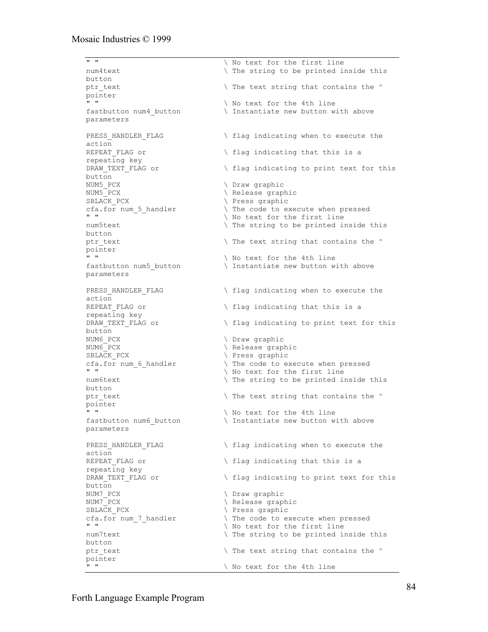" "  $\setminus$  No text for the first line num4text  $\setminus$  The string to be printed inside this button<br>ptr\_text  $\backslash$  The text string that contains the  $\land$ pointer " "  $\setminus$  No text for the 4th line fastbutton num4 button  $\qquad \qquad$  Instantiate new button with above parameters PRESS HANDLER FLAG  $\qquad \qquad \qquad$  flag indicating when to execute the action REPEAT FLAG or  $\setminus$  flag indicating that this is a repeating key DRAW TEXT FLAG or  $\setminus$  flag indicating to print text for this button<br>NUM5 PCX NUM5\_PCX  $\setminus$  Draw graphic<br>NUM5\_PCX  $\setminus$  Release grap \ Release graphic SBLACK PCX  $\setminus$  Press graphic cfa.for num\_5\_handler \ The code to execute when pressed \ No text for the first line num5text  $\setminus$  The string to be printed inside this button ptr text  $\qquad \qquad$  The text string that contains the  $\qquad$ pointer \ No text for the 4th line fastbutton num5 button  $\qquad \qquad$  Instantiate new button with above parameters PRESS HANDLER FLAG  $\setminus$  flag indicating when to execute the action<br>REPEAT FLAG or  $\setminus$  flag indicating that this is a repeating key DRAW TEXT FLAG or  $\setminus$  flag indicating to print text for this button NUM6 PCX  $\setminus$  Draw graphic NUM6 PCX  $\setminus$  Release graphic SBLACK PCX  $\qquad \qquad \qquad$  Press graphic cfa.for num\_6\_handler  $\qquad \qquad \qquad$  The code to execute when pressed<br>" \ No text for the first line num6text  $\setminus$  The string to be printed inside this button ptr text  $\qquad$  The text string that contains the  $\qquad$ pointer \ No text for the 4th line fastbutton num6 button \ Instantiate new button with above parameters PRESS HANDLER FLAG  $\setminus$  flag indicating when to execute the action REPEAT FLAG or  $\setminus$  flag indicating that this is a repeating key DRAW TEXT FLAG or  $\setminus$  flag indicating to print text for this button<br>NUM7 PCX \ Draw graphic NUM7\_PCX  $\setminus$  Release graphic<br>SBLACK PCX  $\setminus$  Press graphic SBLACK\_PCX  $\setminus$  Press graphic<br>cfa.for num\_7\_handler  $\setminus$  The code to e: cfa.for num\_7\_handler  $\qquad \qquad \qquad$  The code to execute when pressed<br>" \ No text for the first line num7text  $\setminus$  The string to be printed inside this button ptr text  $\qquad \qquad \qquad$  The text string that contains the  $\qquad$ pointer<br>" \ No text for the 4th line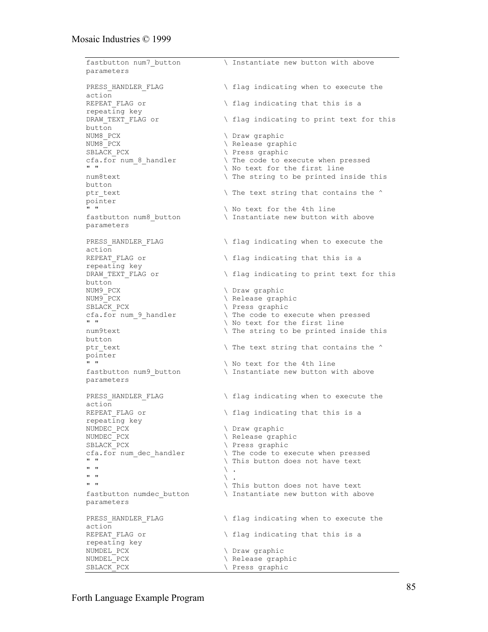fastbutton num7 button \ Instantiate new button with above parameters PRESS HANDLER FLAG  $\setminus$  flag indicating when to execute the action REPEAT FLAG or  $\setminus$  flag indicating that this is a repeating key DRAW TEXT FLAG or  $\setminus$  flag indicating to print text for this button<br>NUM8 PCX NUM8\_PCX  $\setminus$  Draw graphic<br>NUM8 PCX  $\setminus$  Release graph \ Release graphic SBLACK PCX  $\setminus$  Press graphic cfa.for num\_8\_handler  $\qquad \qquad \qquad$  The code to execute when pressed<br>" " "  $\setminus$  No text for the first line<br>
num8text  $\setminus$  The string to be printed in  $\setminus$  The string to be printed inside this button ptr text  $\qquad$  The text string that contains the  $\qquad$ pointer " "<br>fastbutton num8 button  $\setminus$  No text for the 4th line<br>lines that is the 4th line  $\backslash$  Instantiate new button with above parameters PRESS HANDLER FLAG  $\setminus$  flag indicating when to execute the action<br>REPEAT FLAG or  $\setminus$  flag indicating that this is a repeating key DRAW TEXT FLAG or  $\setminus$  flag indicating to print text for this button<br>NUM9 PCX NUM9\_PCX  $\setminus$  Draw graphic<br>NUM9\_PCX  $\setminus$  Release grap NUM9\_PCX \ Release graphic SBLACK\_PCX  $\setminus$  Press graphic<br>cfa.for num 9 handler  $\setminus$  The code to e: \ The code to execute when pressed " "  $\setminus$  No text for the first line num9text  $\setminus$  The string to be printed inside this button ptr text  $\qquad$  The text string that contains the  $\qquad$ pointer \ No text for the 4th line fastbutton num9 button  $\qquad \qquad \qquad$  Instantiate new button with above parameters PRESS HANDLER FLAG  $\setminus$  flag indicating when to execute the action<br>REPEAT FLAG or  $\setminus$  flag indicating that this is a repeating key<br>NUMDEC PCX NUMDEC\_PCX  $\setminus$  Draw graphic<br>NUMDEC\_PCX  $\setminus$  Release grap \ Release graphic SBLACK PCX  $\setminus$  Press graphic cfa.for num\_dec\_handler  $\qquad \qquad \qquad$  The code to execute when pressed<br>"  $\begin{array}{ccc}\n\bullet & \bullet \\
\bullet & \bullet\n\end{array}$   $\begin{array}{ccc}\n\bullet & \bullet \\
\bullet & \bullet\n\end{array}$  This button does not have text  $\mathbb{R}$  "  $\mathbb{R}$  .  $\mathbb{R}$  "  $\mathbb{R}$  . " "  $\setminus$  This button does not have text fastbutton numdec button  $\qquad \qquad \backslash$  Instantiate new button with above parameters PRESS HANDLER FLAG  $\qquad \qquad \qquad$  flag indicating when to execute the action<br>REPEAT FLAG or  $\setminus$  flag indicating that this is a repeating key NUMDEL\_PCX  $\setminus$  Draw graphic<br>NUMDEL PCX  $\setminus$  Release grap \ Release graphic SBLACK PCX  $\setminus$  Press graphic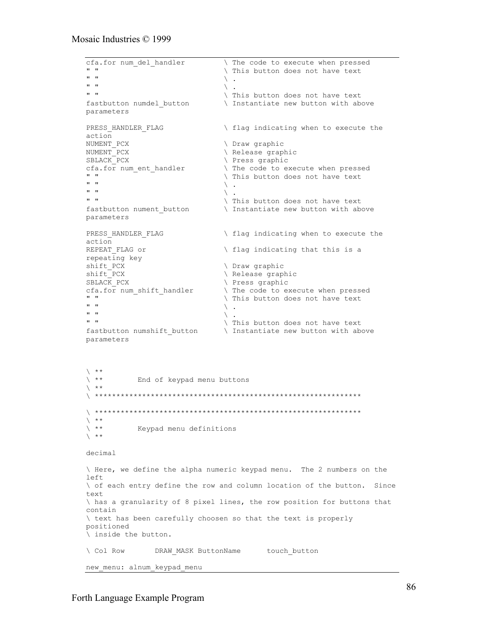```
cfa.for num_del_handler \qquad \qquad \qquad \qquad The code to execute when pressed<br>"
" " \ This button does not have text
\mathbb{R} " \mathbb{R} .
\mathbb{R} " \mathbb{R} .
" " \setminus This button does not have text
fastbutton numdel button \ Instantiate new button with above
parameters
PRESS HANDLER FLAG \qquad \qquad \qquad flag indicating when to execute the
action<br>NUMENT PCX
                                      \ Draw graphic
NUMENT_PCX \setminus Release graphic
SBLACK PCX \setminus Press graphic
cfa.for num_ent_handler \ The code to execute when pressed
\begin{array}{ccc}\n\cdot & \cdot & \cdot \\
\cdot & \cdot & \cdot \\
\cdot & \cdot & \cdot \\
\cdot & \cdot & \cdot\n\end{array} This button does not have text
\mathbb{R} " \mathbb{R} .
\mathbb{R} \mathbb{R} \setminus .
" " \ This button does not have text
fastbutton nument button \qquad \qquad \backslash Instantiate new button with above
parameters
PRESS HANDLER FLAG \qquad \qquad \qquad flag indicating when to execute the
action<br>REPEAT FLAG or
                                     \setminus flag indicating that this is a
repeating key
shift_PCX \setminus Draw graphic<br>shift_PCX \setminus Release grapl
shift_PCX \setminus Release graphic<br>SBLACK PCX \setminus Press graphic
                                      \ Press graphic
cfa.for num shift handler \qquad \qquad The code to execute when pressed
\begin{array}{ccc}\n\cdot & \cdot & \cdot & \cdot \\
\cdot & \cdot & \cdot & \cdot \\
\cdot & \cdot & \cdot & \cdot \\
\cdot & \cdot & \cdot & \cdot \\
\cdot & \cdot & \cdot & \cdot\n\end{array} This button does not have text
\mathbb{R} " \mathbb{R} .
\mathbb{R} " \mathbb{R} .
" " \ This button does not have text
fastbutton numshift button \qquad \setminus Instantiate new button with above
parameters
\left\langle \begin{array}{c} \star\star \\ \star\star \end{array} \right.End of keypad menu buttons
\searrow **
\ **************************************************************
\ **************************************************************
\left\langle \begin{array}{c} \star\star \\ \star\star \end{array} \right.\ ** Keypad menu definitions
\searrow **
decimal
\ Here, we define the alpha numeric keypad menu. The 2 numbers on the
left
\ of each entry define the row and column location of the button. Since
text
\ has a granularity of 8 pixel lines, the row position for buttons that
contain
\ text has been carefully choosen so that the text is properly
positioned
\ inside the button.
\ Col Row DRAW MASK ButtonName touch button
new menu: alnum keypad menu
```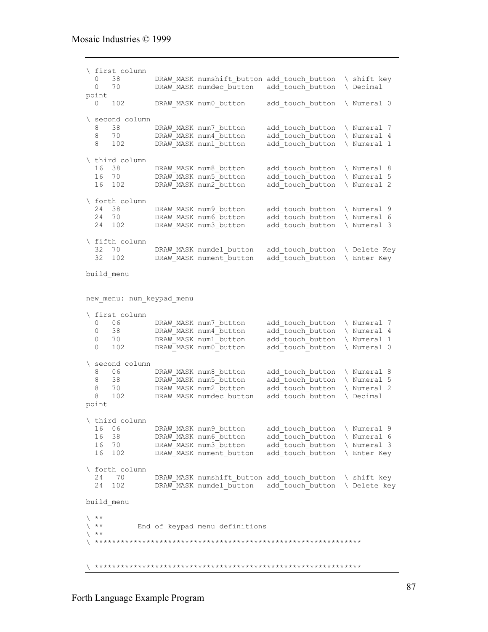```
\ first column
 0 38 DRAW_MASK numshift_button add_touch_button \ shift key<br>0 70 DRAW_MASK numdec button add_touch_button \ Decimal
               DRAW_MASK numdec_button add_touch_button \ Decimal
point
 0 102 DRAW MASK num0 button add touch button \ Numeral 0
\ second column
  8 38 DRAW_MASK num7_button add_touch_button \ Numeral 7<br>8 70 DRAW_MASK num4_button add_touch_button \ Numeral 4<br>8 102 DRAW_MASK num1_button add_touch_button \ Numeral 1
  8 70 DRAW_MASK num4_button add_touch_button \ Numeral 4<br>8 102 DRAW_MASK num1_button add touch_button \ Numeral 1
                                             add\_touch\_button \ \setminus \ \text{Numeral} \ 1\ third column
 16 38 DRAW_MASK num8_button 16 70 DRAW_MASK num5_button
 16 70 DRAW_MASK num5_button add_touch_button \ Numeral 5
 16 102 DRAW_MASK num2_button add_touch_button \ Numeral 2
\ forth column
  24 38 DRAW_MASK num9_button add_touch_button \ Numeral 9<br>24 70 DRAW_MASK num6_button add_touch_button \ Numeral 6
 24 70 DRAW_MASK num6_button add_touch_button \ Numeral 6
 24 102 DRAW_MASK num3_button add_touch_button \ Numeral 3
\ fifth column<br>32 70<br>32 102
            DRAW MASK numdel_button add_touch_button \ Delete Key
                DRAW_MASK nument_button add_touch_button \ Enter Key
build_menu
new menu: num keypad menu
\ first column<br>0 06 DRAW_MASK num7 button
0 06 DRAW_MASK num7_button add_touch_button \ Numeral 7
0 38 DRAW MASK num4 button add touch button \ Numeral 4
0 70 DRAW_MASK num1_button add_touch_button \ Numeral 1
0 102 DRAW_MASK num0_button add_touch_button \ Numeral 0
\ second column
8 06 DRAW MASK num8 button add touch button \ Numeral 8
8 38 DRAW_MASK num5_button add_touch_button \ Numeral 5
8 70 DRAW_MASK num2_button add_touch_button \ Numeral 2
 8 102 DRAW_MASK numdec_button add_touch_button \ Decimal
point
\ third column
 16 06 DRAW_MASK num9_button add_touch_button \ Numeral 9
 16 38 DRAW_MASK num6_button add_touch_button \ Numeral 6
 16 70 DRAW_MASK num3_button add_touch_button \ Numeral 3
  16 102 DRAW_MASK nument_button add_touch_button \ Enter Key
\ forth column
  24 70 DRAW_MASK numshift_button add_touch_button \ shift key<br>24 102 DRAW_MASK numdel button add_touch_button \ Delete ke
               DRAW MASK numdel button add touch button \ Delete key
build_menu
\left\langle \begin{array}{c} \ast\ast \\ \ast\ast \end{array} \right.End of keypad menu definitions
\chi **
\ **************************************************************
\ **************************************************************
```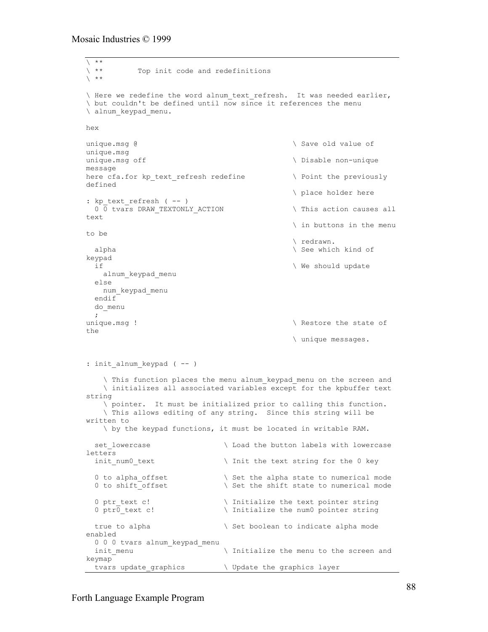```
\sqrt{\phantom{a}***}Top init code and redefinitions
\searrow **
\ Here we redefine the word alnum_text_refresh. It was needed earlier,
\ but couldn't be defined until now since it references the menu
\ alnum_keypad_menu.
hex
unique.msg @ \qquad \qquad Save old value of
unique.msg
unique.msq off \Boxmessage
here cfa.for kp text refresh redefine \qquad \qquad \backslash Point the previously
defined
                                             \ place holder here
: kp text refresh ( -- )
 0 0 tvars DRAW TEXTONLY ACTION \qquad This action causes all
text
                                             \ in buttons in the menu
to be
                                             \ redrawn.
 alpha \setminus See which kind of
keypad
  if \ We should update
    alnum_keypad_menu
   else
    num_keypad_menu
   endif
  do_menu
\cdotunique.msg ! \setminus Restore the state of
the
                                             \ unique messages.
: init alnum keypad ( -- )
    \ This function places the menu alnum_keypad_menu on the screen and
    \ initializes all associated variables except for the kpbuffer text
string
    \ pointer. It must be initialized prior to calling this function.
    \ This allows editing of any string. Since this string will be
written to
    \ by the keypad functions, it must be located in writable RAM.
 set lowercase \backslash Load the button labels with lowercase
letters
 init num0 text \qquad \qquad Init the text string for the 0 key
  0 to alpha offset \setminus Set the alpha state to numerical mode
 0 to shift offset \setminus Set the shift state to numerical mode
  0 ptr text c! \setminus Initialize the text pointer string
  0 ptr0 text c! \setminus Initialize the num0 pointer string
 true to alpha \setminus Set boolean to indicate alpha mode
enabled
 0 0 0 tvars alnum_keypad_menu
 init menu \qquad \qquad \backslash Initialize the menu to the screen and
keymap
 tvars update graphics \qquad \qquad \setminus Update the graphics layer
```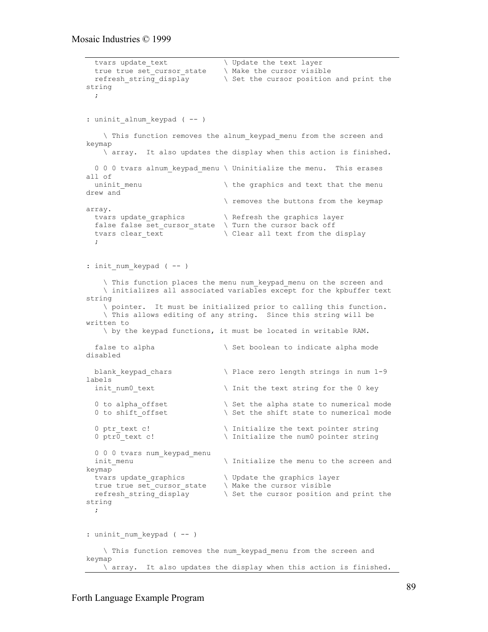```
tvars update_text \qquad \qquad \backslash Update the text layer
 true true set_cursor_state \ Make the cursor visible
 refresh_string_display \ Set the cursor position and print the
string
  ;
: uninit alnum keypad ( -- )
    \ This function removes the alnum_keypad_menu from the screen and
keymap
    \ array. It also updates the display when this action is finished.
  0 0 0 tvars alnum keypad menu \ Uninitialize the menu. This erases
all of
 uninit menu \hskip1cm \hskip1cm \hskip1cm the graphics and text that the menu
drew and
                                  \ removes the buttons from the keymap
array.
 tvars update_graphics \qquad \qquad \backslash Refresh the graphics layer
 false false set cursor state \setminus Turn the cursor back off
 tvars clear text \setminus Clear all text from the display
   ;
: init num keypad ( -- )
     \ This function places the menu num_keypad_menu on the screen and
     \ initializes all associated variables except for the kpbuffer text
string
     \ pointer. It must be initialized prior to calling this function.
     \ This allows editing of any string. Since this string will be
written to
     \ by the keypad functions, it must be located in writable RAM.
 false to alpha \setminus Set boolean to indicate alpha mode
disabled
 blank keypad chars \setminus Place zero length strings in num 1-9
labels \overline{\qquad} init num0_text
                                 \setminus Init the text string for the 0 key
 0 to alpha offset \setminus Set the alpha state to numerical mode
  0 to shift offset \setminus Set the shift state to numerical mode
  0 ptr_text c! \setminus Initialize the text pointer string<br>0 ptr0 text c! \setminus Initialize the num0 pointer string
                                 \setminus Initialize the num0 pointer string
 0 0 0 tvars num keypad menu
 init menu \qquad \qquad \backslash Initialize the menu to the screen and
keymap
  tvars update_graphics \ Update the graphics layer
  true true set_cursor_state \ Make the cursor visible
  refresh_string_display \ Set the cursor position and print the
string
  ;
: uninit num keypad ( -- )
     \ This function removes the num_keypad_menu from the screen and
keymap
   \ array. It also updates the display when this action is finished.
```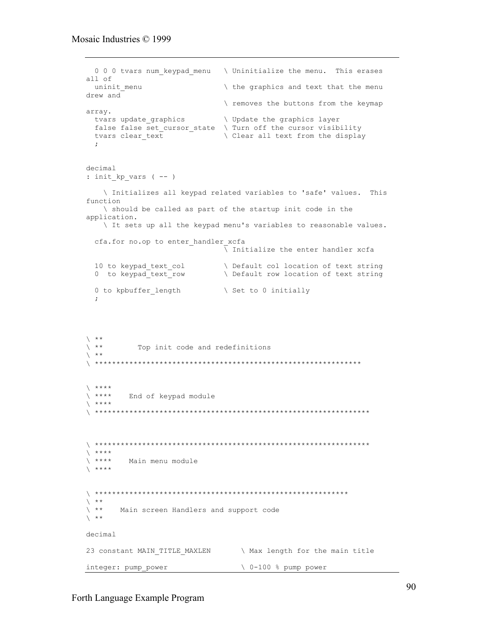```
0 0 0 tvars num_keypad_menu \ Uninitialize the menu. This erases
all of
                            the graphics and text that the menu
uninit menu
drew and
                            \ removes the buttons from the keymap
array.
 tvars update graphics \ Update the graphics layer
 false false set_cursor_state \ Turn off the cursor visibility
 tvars clear_text
                           \ Clear all text from the display
 \ddot{ }decimal
: init kp vars (--)\ Initializes all keypad related variables to 'safe' values. This
function
   \ should be called as part of the startup init code in the
application.
   It sets up all the keypad menu's variables to reasonable values.
 cfa.for no.op to enter handler xcfa
                            \overline{\setminus} Initialize the enter handler xcfa
 10 to keypad text col
                             \ Default col location of text string
 0 to keypad_text_row
                            \ Default row location of text string
 0 to kpbuffer length
                            \ Set to 0 initially
\searrow **
\backslash \quad \star\starTop init code and redefinitions
\backslash \quad \star\star\qquad \qquad ****
       End of keypad module
\qquad ****
\qquad \star \star \star \star\qquad \quad \  \  \star\star\star\star\lambda ****
       Main menu module
\lambda ****
\lambda **
\searrow **
      Main screen Handlers and support code
\searrow **
decimal
23 constant MAIN_TITLE_MAXLEN \ Max length for the main title
integer: pump power
                               \ 0-100 % pump power
```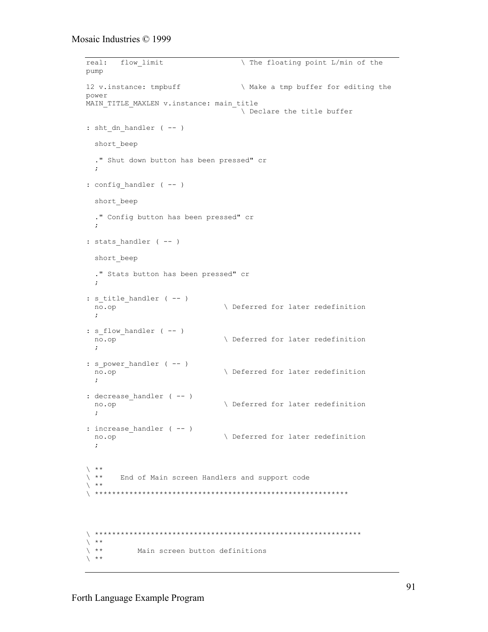```
flow limit
real:
                                 The floating point L/min of the
pump
12 v.instance: tmpbuff
                                 \ Make a tmp buffer for editing the
power
MAIN TITLE MAXLEN v.instance: main title
                                 \ Declare the title buffer
: sht_dn_handler (- - )short beep
  ." Shut down button has been pressed" cr
  \ddot{ }: config_handler ( -- )
  short beep
  ." Config button has been pressed" cr
  \mathcal{L}: stats handler (--)short beep
  ." Stats button has been pressed" cr
  \mathbf{r}: s title handler ( -- )
                               \ Deferred for later redefinition
 no.op
: s_flow_handler ( -- )
                              \ Deferred for later redefinition
 \overline{no.}op
: s_power_handler ( -- )
                              \ Deferred for later redefinition
 no.op
  \cdot:
: decrease_handler ( -- )
                               \ Deferred for later redefinition
 no.op
: increase_handler ( -- )
                               \ Deferred for later redefinition
 no.op
  \ddot{ }\searrow **
\backslash \quad \star\starEnd of Main screen Handlers and support code
\searrow **
\chi **
\chi **
           Main screen button definitions
\searrow **
```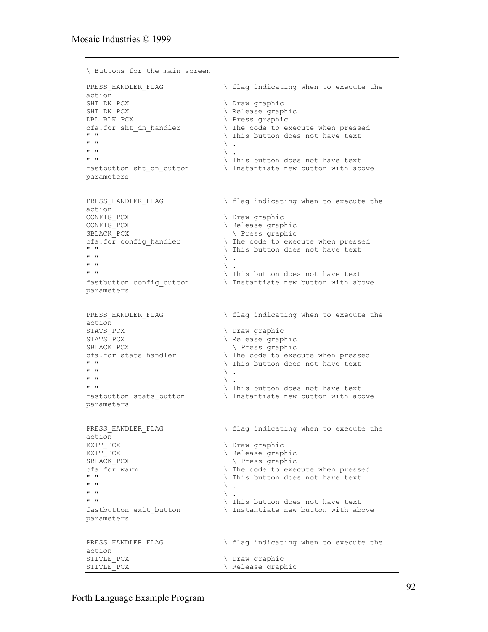```
\ Buttons for the main screen
PRESS HANDLER FLAG \setminus flag indicating when to execute the
action
SHT_DN_PCX \setminus Draw graphic
SHT_DN_PCX \setminus Release graphic
DBL BLK PCX \setminus Press graphic
cfa.for sht_dn_handler \ The code to execute when pressed
\begin{array}{c} \text{...} \\ \text{...} \\ \text{...} \\ \text{...} \end{array} \begin{array}{c} \text{...} \\ \text{...} \\ \text{...} \end{array}\mathbb{R} " \mathbb{R} .
\mathbb{R} \mathbb{R} \setminus .
" " \sqrt{ } This button does not have text
fastbutton sht dn button \qquad Instantiate new button with above
parameters
PRESS HANDLER FLAG \setminus flag indicating when to execute the
action<br>CONFIG PCX
                                       \ Draw graphic
CONFIG PCX \setminus Release graphic
SBLACK PCX \qquad \qquad \qquad \qquad Press graphic
cfa.for config_handler \qquad \qquad \qquad The code to execute when pressed<br>"
\begin{array}{ccc}\n\bullet & \bullet & \bullet \\
\bullet & \bullet & \bullet\n\end{array} \begin{array}{ccc}\n\bullet & \bullet & \bullet \\
\bullet & \bullet & \bullet\n\end{array} \begin{array}{ccc}\n\bullet & \bullet & \bullet \\
\bullet & \bullet & \bullet\n\end{array} and \begin{array}{ccc}\n\bullet & \bullet & \bullet \\
\bullet & \bullet & \bullet\n\end{array}\mathbb{R} " \mathbb{R} .
\mathbb{R} " \mathbb{R} .
\begin{array}{ccc}\n\bullet & \bullet & \bullet \\
\bullet & \bullet & \bullet \\
\bullet & \bullet & \bullet\n\end{array} \begin{array}{ccc}\n\bullet & \bullet & \bullet \\
\bullet & \bullet & \bullet \\
\bullet & \bullet & \bullet\n\end{array} this button does not have text
fastbutton config button \qquad \qquad \setminus Instantiate new button with above
parameters
PRESS HANDLER FLAG \setminus flag indicating when to execute the
action
STATS PCX \setminus Draw graphic
STATS PCX \setminus Release graphic
SBLACK PCX \qquad \qquad \qquad \qquad Press graphic
cfa.for stats handler \qquad \qquad The code to execute when pressed
'' " '' \lambda This button does not have text '' "
\mathbb{R} \mathbb{R} \setminus .
\mathbb{R} " \mathbb{R} .
" " \langle This button does not have text
fastbutton stats button \qquad \qquad \qquad Instantiate new button with above
parameters
PRESS HANDLER FLAG \qquad \qquad \qquad flag indicating when to execute the
action
EXIT_PCX \overline{C} Draw graphic<br>EXIT_PCX \overline{C} Draw graphic
                                        \setminus Release graphic
SBLACK PCX \setminus Press graphic
cfa.for warm \qquad \qquad \qquad The code to execute when pressed<br>"
\begin{array}{ccc}\n\cdot & \cdot & \cdot \\
\cdot & \cdot & \cdot \\
\cdot & \cdot & \cdot \\
\cdot & \cdot & \cdot\n\end{array} This button does not have text
\mathbb{R} " \mathbb{R} .
\mathbb{R} " \mathbb{R} .
" " \langle This button does not have text
fastbutton exit button \qquad \qquad \backslash Instantiate new button with above
parameters
PRESS HANDLER FLAG \qquad \qquad \qquad flag indicating when to execute the
action<br>STITLE PCX
                                        \ Draw graphic
STITLE PCX \setminus Release graphic
```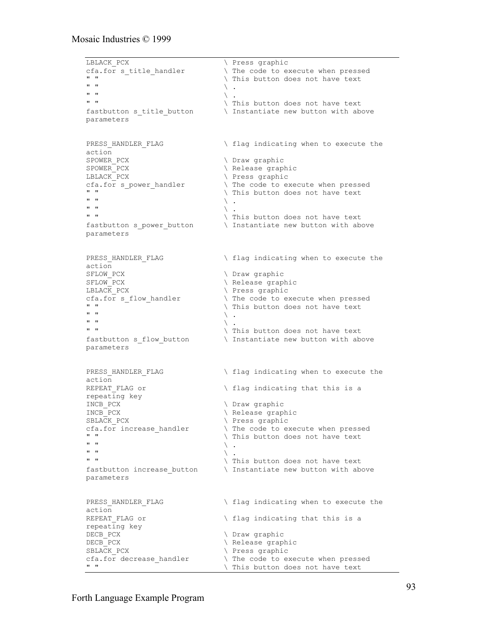```
LBLACK PCX \setminus Press graphic
cfa.for s_title_handler \qquad \qquad \qquad The code to execute when pressed<br>"
\begin{array}{ccc}\n\bullet & \bullet & \bullet \\
\bullet & \bullet & \bullet\n\end{array} This button does not have text
\mathbb{R} " \mathbb{R} .
\mathbb{R} " \mathbb{R} .
" " \sqrt{r} This button does not have text
fastbutton s title button \ Instantiate new button with above
parameters
PRESS HANDLER FLAG \setminus flag indicating when to execute the
action
SPOWER PCX \setminus Draw graphic
SPOWER PCX \setminus Release graphic
LBLACK PCX \setminus Press graphic
cfa.for s_power_handler \qquad \qquad \qquad The code to execute when pressed<br>"
\begin{array}{ccc}\n\bullet & \bullet & \bullet \\
\bullet & \bullet & \bullet\n\end{array} This button does not have text
\mathbb{R} " \mathbb{R} .
\mathbb{R} " \mathbb{R} .
" " \sqrt{ } This button does not have text
fastbutton s power button \qquad \qquad \backslash Instantiate new button with above
parameters
PRESS HANDLER FLAG \setminus flag indicating when to execute the
action<br>SFLOW PCX
                                      \ Draw graphic
SFLOW_PCX \ Release graphic
LBLACK_PCX \setminus Press graphic<br>cfa.for s flow handler \setminus The code to e:
cfa.for s_flow_handler \qquad \qquad \qquad The code to execute when pressed<br>"
\begin{array}{ccc}\n\bullet & \bullet & \bullet \\
\bullet & \bullet & \bullet \\
\bullet & \bullet & \bullet\n\end{array} This button does not have text
\mathbb{R} " \mathbb{R} .
\mathbb{R} " \mathbb{R} .
" " \ This button does not have text
fastbutton s flow button \qquad \qquad \backslash Instantiate new button with above
parameters
PRESS HANDLER FLAG \setminus flag indicating when to execute the
action
REPEAT FLAG or \setminus flag indicating that this is a
repeating key
INCB_PCX \setminus Draw graphic<br>INCB_PCX \setminus Release grap
INCB_PCX \qquad \qquad \qquad \qquad \qquad Release graphic<br>SBLACK PCX \qquad \qquad \qquad \qquad Press graphic
SBLACK_PCX \setminus Press graphic<br>cfa.for increase_handler \setminus The code to e:
cfa.for increase_handler \ The code to execute when pressed
\begin{array}{ccc}\n\cdot & \cdot & \cdot & \cdot \\
\cdot & \cdot & \cdot & \cdot \\
\cdot & \cdot & \cdot & \cdot \\
\cdot & \cdot & \cdot & \cdot\n\end{array} and \begin{array}{ccc}\n\cdot & \cdot & \cdot & \cdot \\
\cdot & \cdot & \cdot & \cdot \\
\cdot & \cdot & \cdot & \cdot\n\end{array}\mathbb{R} " \mathbb{R} .
\mathbb{R} " \mathbb{R} .
" " \sqrt{\frac{1}{10}} This button does not have text
fastbutton increase button \qquad \setminus Instantiate new button with above
parameters
PRESS HANDLER FLAG \setminus flag indicating when to execute the
action<br>REPEAT FLAG or
                                      \backslash flag indicating that this is a
repeating key
DECB_PCX \setminus Draw graphic<br>DECB_PCX \setminus Release grapl
DECB_PCX \ Release graphic
SBLACK_PCX \setminus Press graphic<br>cfa.for decrease handler \setminus The code to ex
cfa.for decrease_handler \ The code to execute when pressed
                                     \ This button does not have text
```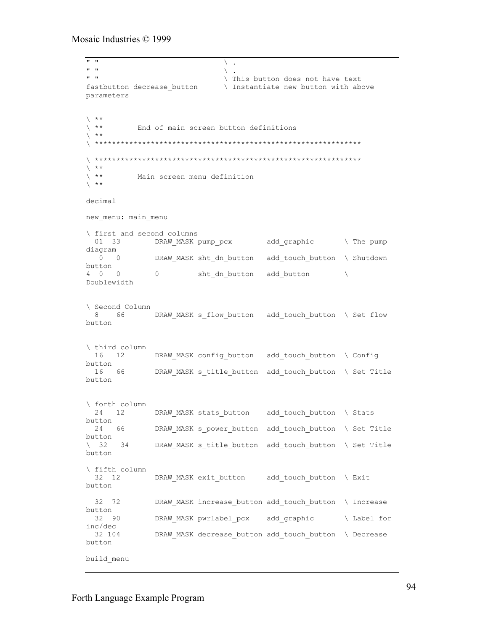$\mathbb{R}$  "  $\mathbb{R}$  .  $\mathbb{R}$  "  $\mathbb{R}$  . " "  $\langle$  This button does not have text fastbutton decrease\_button \ Instantiate new button with above parameters  $\begin{matrix} \star\star \\ \star\star \end{matrix}$ End of main screen button definitions  $\chi$  \*\* \ \*\*\*\*\*\*\*\*\*\*\*\*\*\*\*\*\*\*\*\*\*\*\*\*\*\*\*\*\*\*\*\*\*\*\*\*\*\*\*\*\*\*\*\*\*\*\*\*\*\*\*\*\*\*\*\*\*\*\*\*\*\* \ \*\*\*\*\*\*\*\*\*\*\*\*\*\*\*\*\*\*\*\*\*\*\*\*\*\*\*\*\*\*\*\*\*\*\*\*\*\*\*\*\*\*\*\*\*\*\*\*\*\*\*\*\*\*\*\*\*\*\*\*\*\*  $\left\langle \begin{array}{c} \star\star \\ \star\star \end{array} \right.$ Main screen menu definition  $\chi$  \*\* decimal new\_menu: main\_menu \ first and second columns 01 33 DRAW MASK pump pcx add graphic \ The pump diagram DRAW MASK sht dn button add touch button \ Shutdown button<br>4 0 0  $0$  sht dn button add button  $\setminus$ Doublewidth \ Second Column 8 66 DRAW MASK s flow button add touch button \ Set flow button \ third column 16 12 DRAW MASK config button add touch button \ Config button 16 66 DRAW\_MASK s\_title\_button add\_touch\_button \ Set Title button \ forth column 24 12 DRAW\_MASK stats\_button add\_touch\_button \ Stats button<br>24 66 DRAW\_MASK s\_power\_button add\_touch\_button \ Set Title button \ 32 34 DRAW\_MASK s\_title\_button add\_touch\_button \ Set Title button \ fifth column 32 12 DRAW MASK exit button add touch button \ Exit button 32 72 DRAW MASK increase button add touch button \ Increase button<br>32 90 DRAW MASK pwrlabel pcx add graphic \ Label for  $inc/dec$ <br>32 104 DRAW MASK decrease button add touch button \ Decrease button build\_menu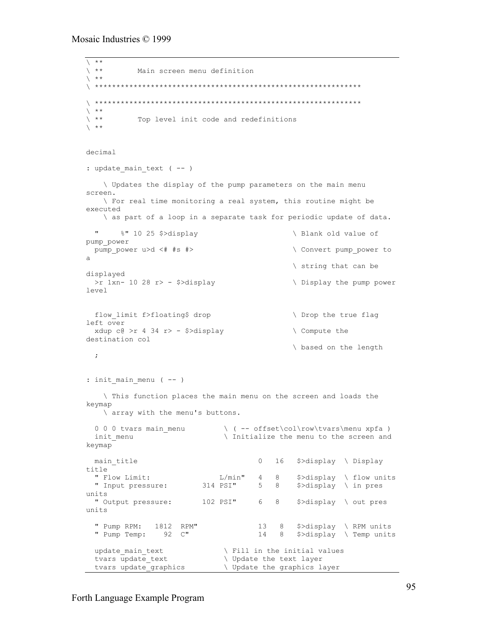```
\sqrt{\frac{**}{**}}Main screen menu definition
\chi **
\ **************************************************************
\ **************************************************************
\begin{matrix} \star\star \\ \star\star \end{matrix}Top level init code and redefinitions
\chi **
decimal
: update main text ( - - ) \ Updates the display of the pump parameters on the main menu
screen.
    \ For real time monitoring a real system, this routine might be
executed
    \ as part of a loop in a separate task for periodic update of data.
  " %" 10 25 $>display \ Blank old value of
pump_power
pump_power u>d <# #s #> \qquad \qquad \ Convert pump power to
a
                                                \ string that can be
displayed
  >r 1xn- 10 28 r> - $>display \ Display the pump power
level
 flow limit f>floating$ drop \ Drop the true flag
left over
 xdup c@>r 4 34 r> - $>display \ Compute the
destination col
                                                \ based on the length
  ;
: init main menu (-- )
    \ This function places the main menu on the screen and loads the
keymap
    \ array with the menu's buttons.
 0 0 0 tvars main_menu \qquad \qquad \qquad ( -- offset\col\row\tvars\menu xpfa )
 init_menu \overline{\hspace{1cm}} \ Initialize the menu to the screen and
keymap
 main title 0 \t 16 \t 5 >display \ Display
title<br>" Flow Limit:
                             L/min" 4 8 $>display \ flow units<br>4 PSI" 5 8 $>display \ in pres
  " Input pressure: 314 PSI" 5 8 $>display \ in pres
units
  " Output pressure: 102 PSI" 6 8 $>display \ out pres
units
 " Pump RPM: 1812 RPM" 13 8 $>display \ RPM units
 " Pump Temp: 92 C" 14 8 $>display \ Temp units
update_main_text \qquad \qquad \backslash Fill in the initial values
tvars update_text \qquad \qquad \backslash Update the text layer
  tvars update_graphics \ Update the graphics layer
```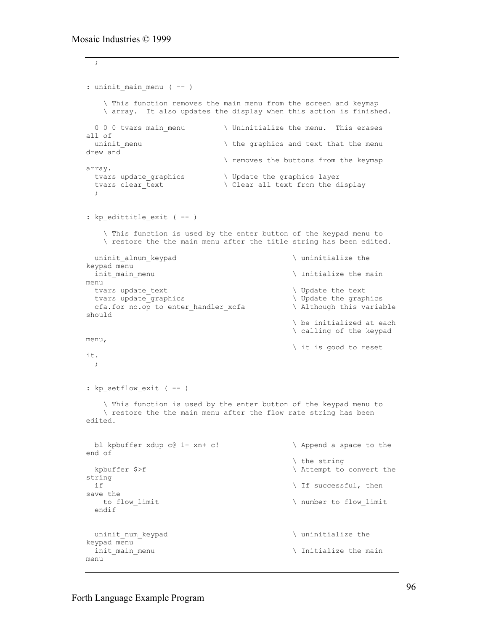```
 ;
: uninit main menu ( -- )
     \ This function removes the main menu from the screen and keymap
    \ array. It also updates the display when this action is finished.
  0 0 0 tvars main menu \ Uninitialize the menu. This erases
all of<br>uninit_menu
                               \hbar the graphics and text that the menu
drew and
                                \ removes the buttons from the keymap
array.
 tvars update graphics \qquad \qquad \qquad \qquad \qquad Update the graphics layer
 tvars clear_text \setminus Clear all text from the display
\cdot ;
: kp edittitle exit ( -- )
     \ This function is used by the enter button of the keypad menu to
    \ restore the the main menu after the title string has been edited.
 uninit alnum keypad \qquad \qquad whinitialize the
keypad menu
 init main menu \qquad \qquad \qquad Initialize the main
menu
 tvars update_text \setminus Update the text \setminus Update the text tvars update graphics
 tvars update_graphics<br>
cfa.for no.op to enter handler xcfa \qquad \qquad \qquad Although this variable
 cfa.for no.op to enter_handler_xcfa
should
                                                \ be initialized at each
                                                \ calling of the keypad
menu,
                                                \ it is good to reset
it.
  ;
: kp setflow exit ( -- )
     \ This function is used by the enter button of the keypad menu to
    \ restore the the main menu after the flow rate string has been
edited.
  bl kpbuffer xdup c@ 1+ xn+ c! \ Append a space to the
end of
                                                \ the string
 kpbuffer $>f \hbar \ Attempt to convert the
string
 \qquad if successful, then
save the
  to flow limit \setminus number to flow limit
  endif
 uninit num keypad \qquad \qquad uninitialize the
keypad menu
 init main menu and the main of the main of the main initialize the main
menu
```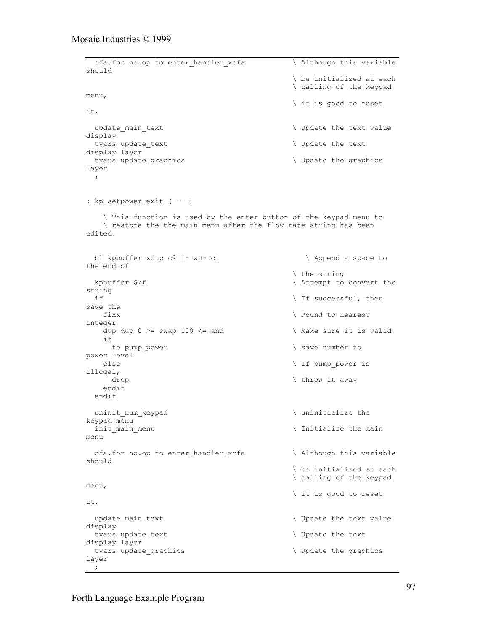```
cfa.for no.op to enter handler xcfa \qquad \qquad \backslash Although this variable
should
                                             \ be initialized at each
                                             \ calling of the keypad
menu,
                                             \ it is good to reset
it.
 update_main_text \qquad \qquad \qquad Update the text value
display
 tvars update_text \setminus Update the text
display layer
 tvars update graphics \setminus Update the graphics
layer
   ;
: kp setpower exit ( -- )
    \ This function is used by the enter button of the keypad menu to
    \ restore the the main menu after the flow rate string has been
edited.
 bl kpbuffer xdup c@ 1+ xn+ c! \ Append a space to
the end of
                                             \ the string
 kpbuffer $>f \hbar \ Attempt to convert the
string
                                            \setminus If successful, then
save the<br>fixx
                                            \ Round to nearest
integer
   dup dup 0 \geq s swap 100 \leq s and \qquad \qquad \setminus Make sure it is valid
    if
    to pump power \setminus save number to
power_level
   else \setminus If pump_power is
illegal,<br>drop
                                            \ throw it away
    endif
  endif
 uninit num keypad \qquad whinitialize the
keypad menu
 init_main_menu \setminus Initialize the main
menu
 cfa.for no.op to enter handler xcfa \qquad \qquad \backslash Although this variable
should
                                             \ be initialized at each
                                             \ calling of the keypad
menu,
                                             \ it is good to reset
it.
 update_main_text \qquad \qquad \qquad Update the text value
display
 tvars update_text \qquad \qquad \backslash Update the text
display layer
 tvars update graphics \setminus Update the graphics
layer
  ;
```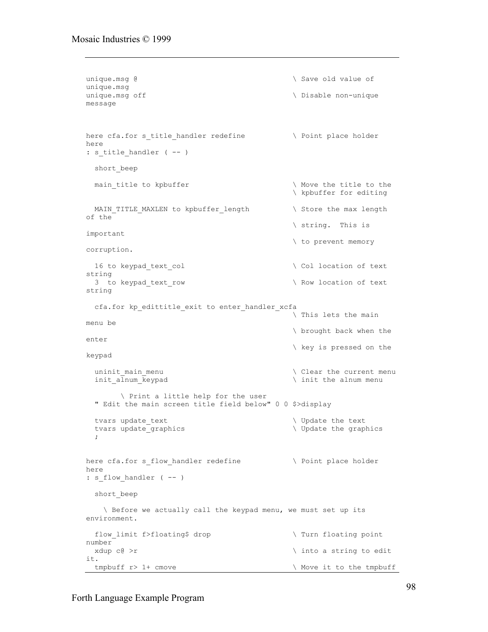```
unique.msg @ \qquad \qquad Save old value of
unique.msg
unique.msg off \setminus Disable non-unique
message
here cfa.for s_title_handler redefine \qquad \qquad \backslash Point place holder
here
: s_title_handler ( -- )
 short beep
 main_title to kpbuffer \qquad \qquad \backslash Move the title to the
                                            \ kpbuffer for editing
 MAIN_TITLE_MAXLEN to kpbuffer_length \ Store the max length
of the
                                            \ string. This is
important
                                            \ to prevent memory
corruption.
 16 to keypad_text_col \setminus Col location of text
string
 3 to keypad text row \setminus Row location of text
string
  cfa.for kp_edittitle_exit to enter_handler_xcfa
                                             \ This lets the main
menu be
                                            \ brought back when the
enter
                                            \ key is pressed on the
keypad
 uninit main menu \setminus Clear the current menu
 init alnum keypad \qquad init the alnum menu
        \ Print a little help for the user
   " Edit the main screen title field below" 0 0 $>display
  tvars update text \qquad \qquad \backslash Update the text
  tvars update_graphics \setminus Update the graphics
   ;
here cfa.for s flow handler redefine \qquad \qquad \backslash Point place holder
here
: s_flow_handler ( -- )
  short_beep
    \ Before we actually call the keypad menu, we must set up its
environment.
 flow limit f>floating$ drop \qquad \qquad \qquad Turn floating point
number
 xdup c@ >r \qquad \qquad xdup c@ >r
it.
 tmpbuff r> 1+ cmove \qquad \qquad \qquad \qquad Move it to the tmpbuff
```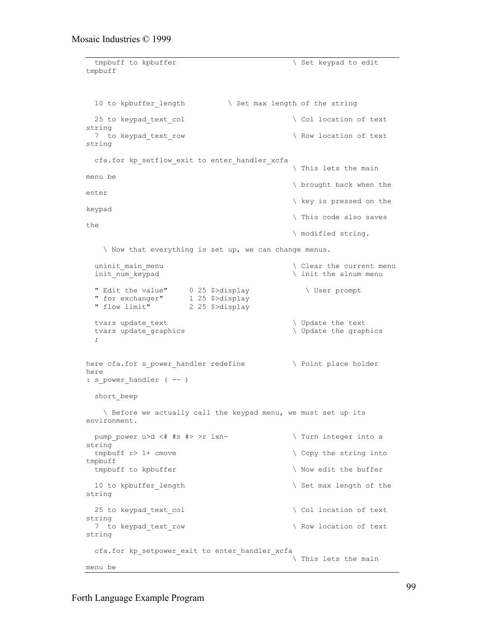```
tmpbuff to kpbuffer \sqrt{1 + \frac{1}{\sqrt{1 + \frac{1}{\sqrt{1 + \frac{1}{\sqrt{1 + \frac{1}{\sqrt{1 + \frac{1}{\sqrt{1 + \frac{1}{\sqrt{1 + \frac{1}{\sqrt{1 + \frac{1}{\sqrt{1 + \frac{1}{\sqrt{1 + \frac{1}{\sqrt{1 + \frac{1}{\sqrt{1 + \frac{1}{\sqrt{1 + \frac{1}{\sqrt{1 + \frac{1}{\sqrt{1 + \frac{1}{\sqrt{1 + \frac{1}{\sqrt{1 + \frac{1}{\sqrt{1 + \frac{1}{\sqrt{1 + \frac{1}{\sqrt{1 + \frac{1}{\tmpbuff
 10 to kpbuffer length \setminus Set max length of the string
  25 to keypad text col \setminus Col location of text
string
  7 to keypad_text_row \ Row location of text
string
  cfa.for kp_setflow_exit to enter_handler_xcfa
                                                    \ This lets the main
menu be
                                                    \ brought back when the
enter
                                                    \ key is pressed on the
keypad
                                                    \ This code also saves
the
                                                    \ modified string.
     \ Now that everything is set up, we can change menus.
  uninit main menu \setminus Clear the current menu
  init_num_keypad \int init the alnum menu
 " Edit the value" 0 25 $>display \ User prompt
 " for exchanger" 1 25 $>display
 " flow limit" 2 25 $>display
  tvars update_text \qquad \qquad \backslash Update the text
  tvars update graphics \setminus Update the graphics
   ;
here cfa.for s_power_handler redefine \ Point place holder
here
: s power handler ( -- )
  short_beep
     \ Before we actually call the keypad menu, we must set up its
environment.
 pump_power u>d <# #s #> >r 1xn- \ Turn integer into a
string
 tmpbuff r> 1+ cmove \setminus Copy the string into
tmpbuff
 tmpbuff to kpbuffer \setminus Now edit the buffer
  10 to kpbuffer length \setminus Set max length of the
string
  25 to keypad text col \setminus Col location of text
string
  7 to keypad text row \setminus Row location of text
string
   cfa.for kp_setpower_exit to enter_handler_xcfa
                                                    \ This lets the main
menu be
```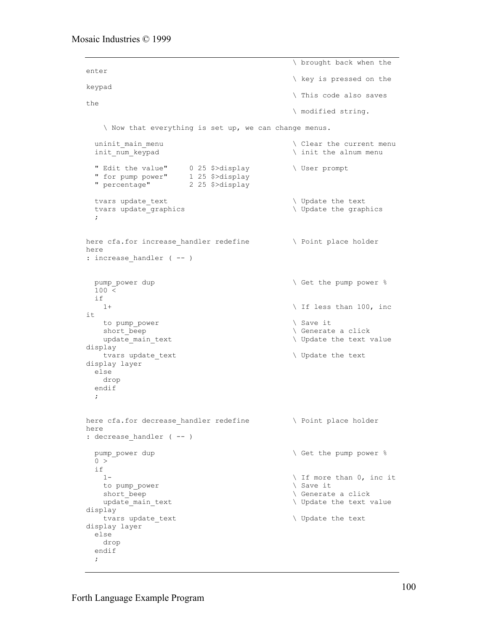```
 \ brought back when the
enter
                                                     \ key is pressed on the
keypad
                                                     \ This code also saves
the
                                                     \ modified string.
     \ Now that everything is set up, we can change menus.
  uninit_main_menu \setminus Clear the current menu
  init_num_keypad \infty and \infty init the alnum menu
 " Edit the value" 0 25 $>display \ User prompt
 " for pump power" 1 25 $>display
 " percentage" 2 25 $>display
  tvars update text \qquad \qquad \qquad Update the text
  tvars update_graphics \setminus Update the graphics
   ;
here cfa.for increase handler redefine \qquad \qquad \backslash Point place holder
here
: increase handler ( -- )
 pump power dup \setminus Get the pump power \S100 <if<sub>1+</sub>
                                                   \setminus If less than 100, inc
it
    to pump_power \setminus Save it
    short beep \setminus Generate a click
   update main text \qquad \qquad \qquad \qquad \qquad Update the text value
display
   tvars update text \qquad \qquad \qquad \qquad \qquad Update the text
display layer
  else
    drop
   endif
   ;
here cfa.for decrease handler redefine \setminus Point place holder
here
: decrease_handler ( -- )
 pump_power dup \setminus Get the pump power \frac{1}{2}0 > if
   1-<br>
1-<br>
1 to pump power<br>
1 to pump power<br>
1 to pump power<br>
1 to pump power<br>
1 to pump power<br>
1 to pump power<br>
1 to pump power<br>
2 to pump power<br>
2 to pump power<br>
2 to pump power<br>
2 to pump power<br>
2 to pump power<br>
2 to pump 
   to pump_power
   short_beep \setminus Generate a click<br>update main text \setminus Update the text
                                                    update_main_text \ Update the text value
display
    tvars update_text \setminus Update the text
display layer
   else
    drop
   endif
   ;
```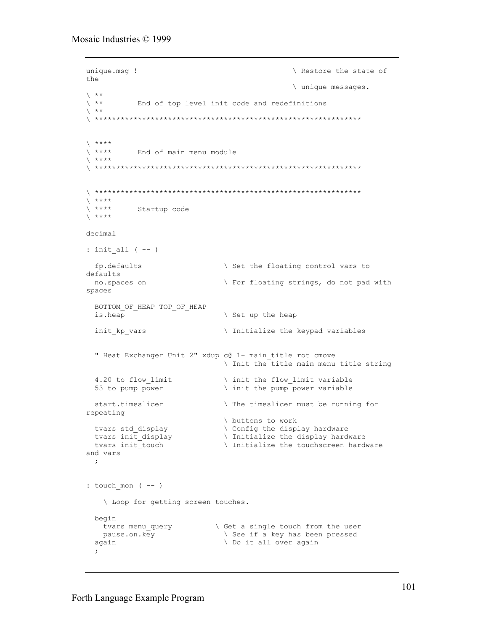```
unique.msg !
                                              \ Restore the state of
the
                                              \ unique messages.
\searrow **
\searrow **
          End of top level init code and redefinitions
\chi **
\qquad \qquad +\qquad \qquad +End of main menu module
\sqrt{***}\qquad \qquad +\qquad \qquad +Startup code
\left\langle \quad***\right\rangledecimal
: init all ( -- )
 fp.defaults
                              \ Set the floating control vars to
defaults
 no.spaces on
                              \ For floating strings, do not pad with
spaces
 BOTTOM OF HEAP TOP OF HEAP
 is.heap
                               \ Set up the heap
 init kp vars
                              \ Initialize the keypad variables
  " Heat Exchanger Unit 2" xdup c@ 1+ main title rot cmove
                               \ Init the title main menu title string
  4.20 to flow limit
                               \ init the flow limit variable
                               \ init the pump power variable
  53 to pump power
 start.timeslicer
                              \ The timeslicer must be running for
repeating
                              \ buttons to work
 tvars std_display
                              \ Config the display hardware
 tvars std_dispiay<br>tvars init_display<br>tvars init_touch
                          \ Initialize the display hardware<br>\ Initialize the touchscroon bard
                             \ Initialize the touchscreen hardware
 tvars init touch
and vars
 \mathcal{L}: touch mon ( -- )
   \ Loop for getting screen touches.
 begin
   tvars menu query
                             \ Get a single touch from the user
                               \ See if a key has been pressed
   pause.on.key
                               \ Do it all over again
 again
  \ddot{ }
```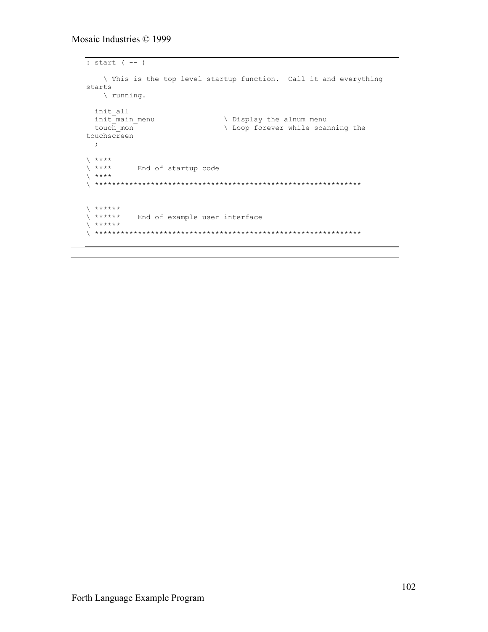```
: start (--)\ This is the top level startup function. Call it and everything
starts
  \setminus running.
init all
touchscreen
 \cdot ;
\lambda ****
\ ****<br>\ ****<br>\ ****
\lambda ******
\ ****** End of example user interface
\left\langle \begin{array}{c} \star \star \star \star \star \star \end{array} \right\rangle
```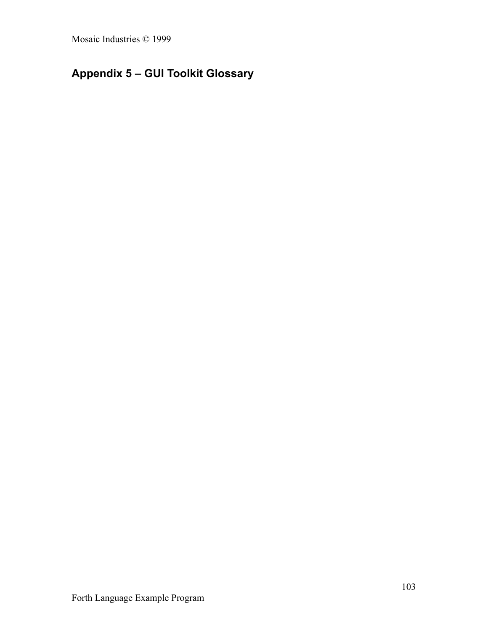# **Appendix 5 – GUI Toolkit Glossary**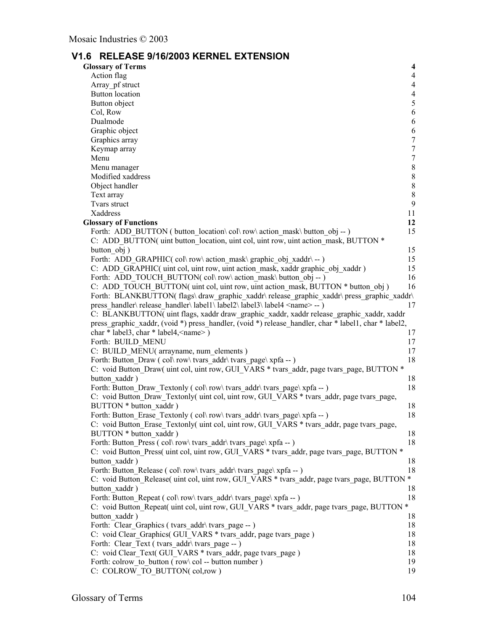# **V1.6 RELEASE 9/16/2003 KERNEL EXTENSION**

| <b>Glossary of Terms</b>                                                                                           | $\overline{\mathbf{4}}$ |
|--------------------------------------------------------------------------------------------------------------------|-------------------------|
| Action flag                                                                                                        | 4                       |
| Array pf struct                                                                                                    | $\overline{4}$          |
| <b>Button</b> location                                                                                             | $\overline{4}$          |
| Button object                                                                                                      | $\mathfrak{S}$          |
| Col, Row                                                                                                           | 6                       |
| Dualmode                                                                                                           | 6                       |
| Graphic object                                                                                                     | 6                       |
| Graphics array                                                                                                     | $\tau$                  |
| Keymap array                                                                                                       | $\boldsymbol{7}$        |
| Menu                                                                                                               | $\tau$                  |
| Menu manager                                                                                                       | $\,8\,$                 |
| Modified xaddress                                                                                                  | $8\,$                   |
| Object handler                                                                                                     | $8\,$                   |
| Text array                                                                                                         | $\,8\,$                 |
| Tvars struct                                                                                                       | $\overline{9}$          |
| Xaddress                                                                                                           | 11                      |
| <b>Glossary of Functions</b>                                                                                       | 12                      |
| Forth: ADD BUTTON (button location\col\row\action mask\button obj--)                                               | 15                      |
| C: ADD BUTTON( uint button location, uint col, uint row, uint action mask, BUTTON *                                |                         |
| button obj)                                                                                                        | 15                      |
| Forth: ADD GRAPHIC(col\row\action mask\graphic obj xaddr\--)                                                       | 15                      |
| C: ADD GRAPHIC( uint col, uint row, uint action mask, xaddr graphic obj xaddr)                                     | 15                      |
| Forth: ADD TOUCH BUTTON(col\row\action mask\button obj --)                                                         | 16                      |
| C: ADD TOUCH BUTTON( uint col, uint row, uint action mask, BUTTON * button obj)                                    | 16                      |
| Forth: BLANKBUTTON( flags\ draw_graphic_xaddr\ release_graphic_xaddr\ press_graphic_xaddr\                         |                         |
| press handler\release handler\label1\label2\label3\label4 <name>--)</name>                                         | 17                      |
| C: BLANKBUTTON( uint flags, xaddr draw graphic_xaddr, xaddr release_graphic_xaddr, xaddr                           |                         |
| press_graphic_xaddr, (void *) press_handler, (void *) release_handler, char * label1, char * label2,               |                         |
| char * label3, char * label4, $\langle$ name $\rangle$ )                                                           | 17                      |
| Forth: BUILD MENU                                                                                                  | 17                      |
| C: BUILD MENU(arrayname, num elements)                                                                             | 17                      |
| Forth: Button Draw (col\row\tvars addr\tvars page\xpfa -- )                                                        | 18                      |
| C: void Button Draw(uint col, uint row, GUI VARS * tvars addr, page tvars page, BUTTON *                           |                         |
| button xaddr)                                                                                                      | 18                      |
| Forth: Button Draw Textonly (col\row\tvars addr\tvars page\xpfa --)                                                | 18                      |
| C: void Button Draw Textonly(uint col, uint row, GUI VARS * tvars addr, page tvars page,                           |                         |
| BUTTON * button xaddr)                                                                                             | 18                      |
| Forth: Button_Erase_Textonly (col\row\tvars_addr\tvars_page\xpfa --)                                               | 18                      |
| C: void Button Erase Textonly(uint col, uint row, GUI VARS * tvars addr, page tvars page,                          |                         |
| BUTTON * button xaddr)                                                                                             | 18                      |
| Forth: Button Press (col\row\tvars addr\tvars page\xpfa -- )                                                       | 18                      |
| C: void Button Press( uint col, uint row, GUI VARS * tvars addr, page tvars page, BUTTON *                         |                         |
| button xaddr)                                                                                                      | 18                      |
| Forth: Button Release (col\row\tvars addr\tvars page\xpfa --)                                                      | 18                      |
| C: void Button Release( uint col, uint row, GUI VARS * tvars addr, page tvars page, BUTTON *                       |                         |
| button xaddr)                                                                                                      | 18                      |
| Forth: Button Repeat (col\row\tvars addr\tvars page\xpfa -- )                                                      | 18                      |
| C: void Button Repeat( uint col, uint row, GUI VARS * tvars addr, page tvars page, BUTTON *                        |                         |
| button xaddr)                                                                                                      | 18                      |
| Forth: Clear Graphics (tvars addr \ tvars page -- )                                                                | 18                      |
| C: void Clear Graphics( GUI VARS * tvars addr, page tvars page)                                                    | 18                      |
| Forth: Clear Text (tvars addr\tvars page -- )                                                                      | 18                      |
| C: void Clear Text( GUI VARS * tvars addr, page tvars page)<br>Forth: colrow to button (row \col -- button number) | 18<br>19                |
| C: COLROW TO BUTTON(col,row)                                                                                       | 19                      |
|                                                                                                                    |                         |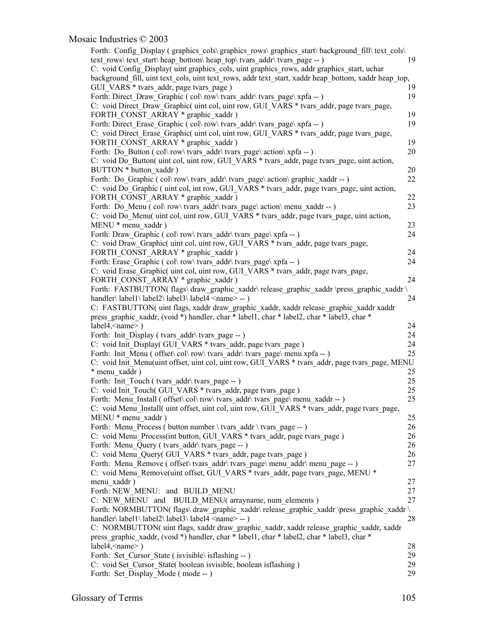| Forth: Config_Display (graphics_cols\graphics_rows\graphics_start\background_fill\text_cols\<br>text rows\text start\heap bottom\heap top\tvars addr\tvars page -- )                               | 19 |
|----------------------------------------------------------------------------------------------------------------------------------------------------------------------------------------------------|----|
| C: void Config_Display( uint graphics_cols, uint graphics_rows, addr graphics_start, uchar<br>background fill, uint text cols, uint text rows, addr text start, xaddr heap bottom, xaddr heap top, |    |
| GUI VARS * tvars addr, page tvars_page)                                                                                                                                                            | 19 |
| Forth: Direct Draw Graphic (col\row\tvars addr\tvars page\xpfa --)                                                                                                                                 | 19 |
| C: void Direct Draw Graphic uint col, uint row, GUI VARS * tvars addr, page tvars page,                                                                                                            |    |
| FORTH CONST ARRAY * graphic xaddr)                                                                                                                                                                 | 19 |
| Forth: Direct Erase Graphic (col\row\tvars addr\tvars page\xpfa --)                                                                                                                                | 19 |
| C: void Direct Erase Graphic uint col, uint row, GUI VARS * tvars addr, page tvars page,                                                                                                           |    |
| FORTH CONST ARRAY * graphic xaddr)                                                                                                                                                                 | 19 |
| Forth: Do Button (col\row\tvars addr\tvars page\action\xpfa --)                                                                                                                                    | 20 |
| C: void Do Button(uint col, uint row, GUI VARS * tvars addr, page tvars page, uint action,                                                                                                         |    |
| BUTTON * button xaddr)                                                                                                                                                                             | 20 |
| Forth: Do_Graphic (col\row\tvars_addr\tvars_page\action\graphic_xaddr --)                                                                                                                          | 22 |
| C: void Do Graphic (uint col, int row, GUI VARS * tvars addr, page tvars page, uint action,                                                                                                        |    |
| FORTH CONST ARRAY * graphic xaddr)                                                                                                                                                                 | 22 |
| Forth: Do Menu (col\row\tvars addr\tvars page\action\menu xaddr --)                                                                                                                                | 23 |
| C: void Do Menu(uint col, uint row, GUI VARS * tvars addr, page tvars page, uint action,                                                                                                           |    |
| MENU * menu xaddr)                                                                                                                                                                                 | 23 |
| Forth: Draw Graphic (col\row\tvars addr\tvars page\xpfa -- )                                                                                                                                       | 24 |
| C: void Draw Graphic( uint col, uint row, GUI VARS * tvars addr, page tvars page,                                                                                                                  |    |
| FORTH CONST ARRAY * graphic xaddr)                                                                                                                                                                 | 24 |
| Forth: Erase Graphic (col\row\tvars addr\tvars page\xpfa -- )                                                                                                                                      | 24 |
| C: void Erase Graphic (uint col, uint row, GUI VARS * tvars addr, page tvars page,                                                                                                                 |    |
| FORTH CONST ARRAY * graphic xaddr)                                                                                                                                                                 | 24 |
| Forth: FASTBUTTON(flags\draw_graphic_xaddr\release_graphic_xaddr\press_graphic_xaddr\                                                                                                              |    |
| handler\label1\label2\label3\label4 <name>--)</name>                                                                                                                                               | 24 |
| C: FASTBUTTON(uint flags, xaddr draw graphic xaddr, xaddr release graphic xaddr xaddr                                                                                                              |    |
| press_graphic_xaddr, (void *) handler, char * label1, char * label2, char * label3, char *                                                                                                         |    |
| $label4, \langle name \rangle$ )                                                                                                                                                                   | 24 |
| Forth: Init Display (tvars_addr\tvars_page -- )                                                                                                                                                    | 24 |
| C: void Init Display(GUI VARS * tvars addr, page tvars page)                                                                                                                                       | 24 |
| Forth: Init Menu ( offset \col \row \tvars addr \tvars page \menu xpfa -- )                                                                                                                        | 25 |
| C: void Init Menu(uint offset, uint col, uint row, GUI VARS * tvars addr, page tvars page, MENU                                                                                                    |    |
| * menu xaddr)                                                                                                                                                                                      | 25 |
| Forth: Init Touch (tvars addr\tvars page -- )                                                                                                                                                      | 25 |
| C: void Init Touch(GUI VARS * tvars addr, page tvars page)                                                                                                                                         | 25 |
| Forth: Menu Install ( offset \col\row\tvars addr\tvars page\menu xaddr -- )                                                                                                                        | 25 |
| C: void Menu Install(uint offset, uint col, uint row, GUI VARS * tvars addr, page tvars page,                                                                                                      |    |
| MENU * menu xaddr)                                                                                                                                                                                 | 25 |
| Forth: Menu Process (button number \ tvars addr \ tvars page -- )                                                                                                                                  | 26 |
| C: void Menu Process(int button, GUI VARS * tvars addr, page tvars page)                                                                                                                           | 26 |
| Forth: Menu Query (tvars addr\tvars page -- )                                                                                                                                                      | 26 |
| C: void Menu Query(GUI VARS * tvars addr, page tvars page)                                                                                                                                         | 26 |
| Forth: Menu Remove ( offset \ tvars addr \ tvars page \ menu addr \ menu page -- )                                                                                                                 | 27 |
| C: void Menu Remove(uint offset, GUI_VARS * tvars_addr, page tvars_page, MENU *                                                                                                                    |    |
| menu xaddr)                                                                                                                                                                                        | 27 |
| Forth: NEW MENU: and BUILD MENU                                                                                                                                                                    | 27 |
| C: NEW MENU and BUILD MENU(arrayname, num elements)                                                                                                                                                | 27 |
| Forth: NORMBUTTON(flags\ draw_graphic_xaddr\ release_graphic_xaddr \press_graphic_xaddr \                                                                                                          |    |
| handler\label1\label2\label3\label4 <name>--)</name>                                                                                                                                               | 28 |
| C: NORMBUTTON( uint flags, xaddr draw_graphic_xaddr, xaddr release_graphic_xaddr, xaddr                                                                                                            |    |
| press graphic xaddr, (void *) handler, char * label1, char * label2, char * label3, char *                                                                                                         |    |
| label4, <name>)</name>                                                                                                                                                                             | 28 |
| Forth: Set Cursor State (is visible \ is flashing -- )                                                                                                                                             | 29 |
| C: void Set Cursor State(boolean is visible, boolean is flashing)                                                                                                                                  | 29 |
| Forth: Set Display Mode (mode -- )                                                                                                                                                                 | 29 |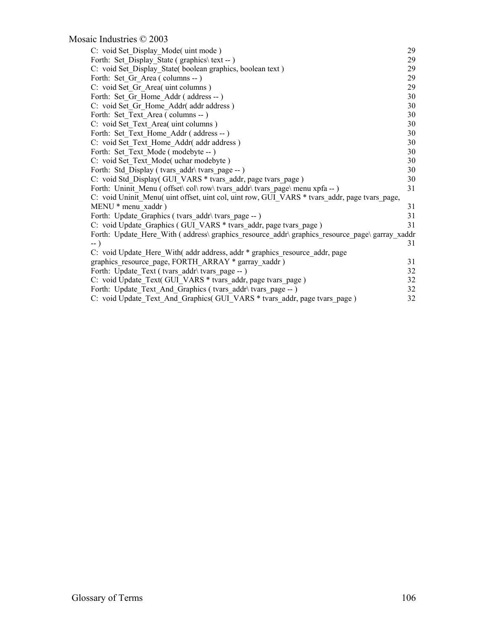| C: void Set Display Mode(uint mode)                                                            | 29 |
|------------------------------------------------------------------------------------------------|----|
| Forth: Set Display State (graphics\text -- )                                                   | 29 |
| C: void Set Display State(boolean graphics, boolean text)                                      | 29 |
| Forth: Set Gr Area (columns -- )                                                               | 29 |
| C: void Set Gr Area( uint columns )                                                            | 29 |
| Forth: Set Gr Home Addr (address -- )                                                          | 30 |
| C: void Set Gr Home Addr(addr address)                                                         | 30 |
| Forth: Set Text Area (columns -- )                                                             | 30 |
| C: void Set Text Area (uint columns)                                                           | 30 |
| Forth: Set Text Home Addr (address -- )                                                        | 30 |
| C: void Set Text Home Addr addr address)                                                       | 30 |
| Forth: Set Text Mode (modebyte -- )                                                            | 30 |
| C: void Set Text Mode( uchar modebyte)                                                         | 30 |
| Forth: Std Display (tvars addr\tvars page -- )                                                 | 30 |
| C: void Std Display(GUI VARS * tvars addr, page tvars page)                                    | 30 |
| Forth: Uninit Menu ( offset \col \row \tvars addr \tvars page \menu xpfa -- )                  | 31 |
| C: void Uninit Menu( uint offset, uint col, uint row, GUI VARS * tvars addr, page tvars page,  |    |
| MENU * menu xaddr)                                                                             | 31 |
| Forth: Update Graphics (tvars addr \ tvars page -- )                                           | 31 |
| C: void Update Graphics (GUI VARS * tvars addr, page tvars page)                               | 31 |
| Forth: Update Here With (address\ graphics resource addr\ graphics resource page\ garray xaddr |    |
| $\rightarrow$ )                                                                                | 31 |
| C: void Update Here With(addr address, addr * graphics resource addr, page                     |    |
| graphics resource_page, FORTH_ARRAY * garray_xaddr)                                            | 31 |
| Forth: Update Text (tvars addr\tvars page -- )                                                 | 32 |
| C: void Update Text( GUI VARS * tvars addr, page tvars page)                                   | 32 |
| Forth: Update Text And Graphics (tvars addr \ tvars page -- )                                  | 32 |
| C: void Update Text And Graphics (GUI VARS * tvars addr, page tvars page)                      | 32 |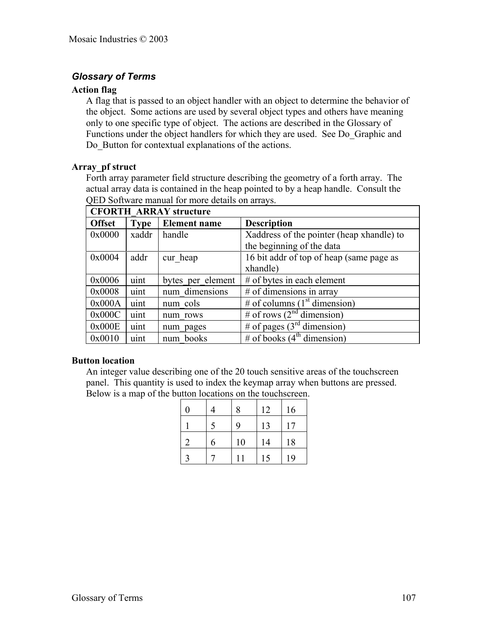# *Glossary of Terms*

### **Action flag**

A flag that is passed to an object handler with an object to determine the behavior of the object. Some actions are used by several object types and others have meaning only to one specific type of object. The actions are described in the Glossary of Functions under the object handlers for which they are used. See Do\_Graphic and Do\_Button for contextual explanations of the actions.

### **Array\_pf struct**

Forth array parameter field structure describing the geometry of a forth array. The actual array data is contained in the heap pointed to by a heap handle. Consult the QED Software manual for more details on arrays.

| <b>CFORTH ARRAY structure</b> |             |                     |                                           |  |  |  |  |
|-------------------------------|-------------|---------------------|-------------------------------------------|--|--|--|--|
| <b>Offset</b>                 | <b>Type</b> | <b>Element name</b> | <b>Description</b>                        |  |  |  |  |
| 0x0000                        | xaddr       | handle              | Xaddress of the pointer (heap xhandle) to |  |  |  |  |
|                               |             |                     | the beginning of the data                 |  |  |  |  |
| 0x0004                        | addr        | cur heap            | 16 bit addr of top of heap (same page as  |  |  |  |  |
|                               |             |                     | xhandle)                                  |  |  |  |  |
| 0x0006                        | uint        | bytes per element   | $#$ of bytes in each element              |  |  |  |  |
| 0x0008                        | uint        | num dimensions      | $#$ of dimensions in array                |  |  |  |  |
| 0x000A                        | uint        | num cols            | # of columns $(1st$ dimension)            |  |  |  |  |
| 0x000C                        | uint        | num rows            | # of rows $(2nd$ dimension)               |  |  |  |  |
| 0x000E                        | uint        | num pages           | # of pages $(3rd$ dimension)              |  |  |  |  |
| 0x0010                        | uint        | num books           | # of books $(4th$ dimension)              |  |  |  |  |

### **Button location**

An integer value describing one of the 20 touch sensitive areas of the touchscreen panel. This quantity is used to index the keymap array when buttons are pressed. Below is a map of the button locations on the touchscreen.

| 0 |   | 8  | 12 | 16 |
|---|---|----|----|----|
|   | 5 | 9  | 13 | 17 |
|   | 6 | 10 | 14 | 18 |
| 2 |   |    | 15 | 19 |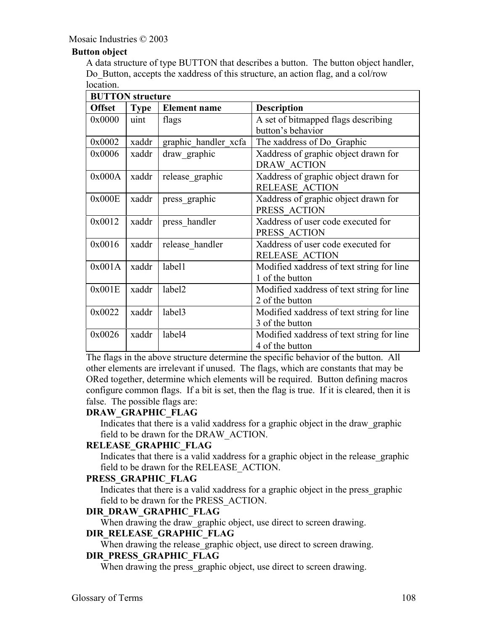## **Button object**

A data structure of type BUTTON that describes a button. The button object handler, Do Button, accepts the xaddress of this structure, an action flag, and a col/row location.

| <b>BUTTON</b> structure |             |                      |                                           |  |
|-------------------------|-------------|----------------------|-------------------------------------------|--|
| <b>Offset</b>           | <b>Type</b> | <b>Element name</b>  | <b>Description</b>                        |  |
| 0x0000                  | uint        | flags                | A set of bitmapped flags describing       |  |
|                         |             |                      | button's behavior                         |  |
| 0x0002                  | xaddr       | graphic handler xcfa | The xaddress of Do Graphic                |  |
| 0x0006                  | xaddr       | draw graphic         | Xaddress of graphic object drawn for      |  |
|                         |             |                      | <b>DRAW ACTION</b>                        |  |
| 0x000A                  | xaddr       | release graphic      | Xaddress of graphic object drawn for      |  |
|                         |             |                      | <b>RELEASE ACTION</b>                     |  |
| 0x000E                  | xaddr       | press graphic        | Xaddress of graphic object drawn for      |  |
|                         |             |                      | PRESS ACTION                              |  |
| 0x0012                  | xaddr       | press handler        | Xaddress of user code executed for        |  |
|                         |             |                      | PRESS ACTION                              |  |
| 0x0016                  | xaddr       | release handler      | Xaddress of user code executed for        |  |
|                         |             |                      | <b>RELEASE ACTION</b>                     |  |
| 0x001A                  | xaddr       | label1               | Modified xaddress of text string for line |  |
|                         |             |                      | 1 of the button                           |  |
| 0x001E                  | xaddr       | label <sub>2</sub>   | Modified xaddress of text string for line |  |
|                         |             |                      | 2 of the button                           |  |
| 0x0022                  | xaddr       | label <sub>3</sub>   | Modified xaddress of text string for line |  |
|                         |             |                      | 3 of the button                           |  |
| 0x0026                  | xaddr       | label4               | Modified xaddress of text string for line |  |
|                         |             |                      | 4 of the button                           |  |

The flags in the above structure determine the specific behavior of the button. All other elements are irrelevant if unused. The flags, which are constants that may be ORed together, determine which elements will be required. Button defining macros configure common flags. If a bit is set, then the flag is true. If it is cleared, then it is false. The possible flags are:

## **DRAW\_GRAPHIC\_FLAG**

Indicates that there is a valid xaddress for a graphic object in the draw\_graphic field to be drawn for the DRAW\_ACTION.

#### **RELEASE\_GRAPHIC\_FLAG**

Indicates that there is a valid xaddress for a graphic object in the release\_graphic field to be drawn for the RELEASE\_ACTION.

#### **PRESS\_GRAPHIC\_FLAG**

Indicates that there is a valid xaddress for a graphic object in the press\_graphic field to be drawn for the PRESS\_ACTION.

## **DIR\_DRAW\_GRAPHIC\_FLAG**

When drawing the draw graphic object, use direct to screen drawing.

#### **DIR\_RELEASE\_GRAPHIC\_FLAG**

When drawing the release graphic object, use direct to screen drawing.

## **DIR\_PRESS\_GRAPHIC\_FLAG**

When drawing the press graphic object, use direct to screen drawing.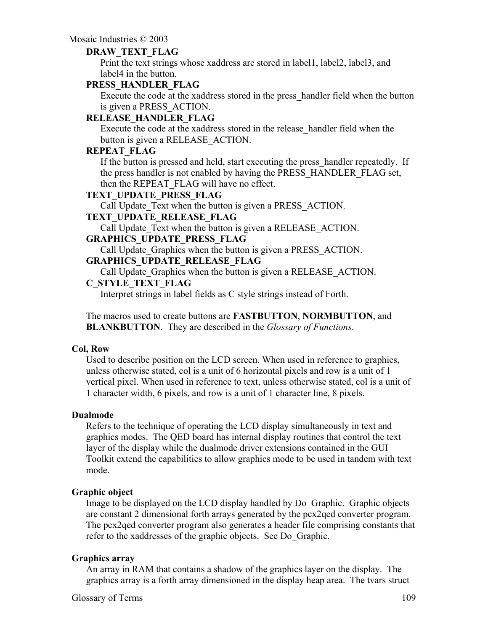## **DRAW\_TEXT\_FLAG**

Print the text strings whose xaddress are stored in label1, label2, label3, and label4 in the button.

## **PRESS\_HANDLER\_FLAG**

Execute the code at the xaddress stored in the press\_handler field when the button is given a PRESS\_ACTION.

## **RELEASE\_HANDLER\_FLAG**

Execute the code at the xaddress stored in the release\_handler field when the button is given a RELEASE\_ACTION.

## **REPEAT\_FLAG**

If the button is pressed and held, start executing the press\_handler repeatedly. If the press handler is not enabled by having the PRESS\_HANDLER\_FLAG set, then the REPEAT\_FLAG will have no effect.

## **TEXT\_UPDATE\_PRESS\_FLAG**

Call Update Text when the button is given a PRESS ACTION.

#### **TEXT\_UPDATE\_RELEASE\_FLAG**

Call Update Text when the button is given a RELEASE ACTION.

## **GRAPHICS\_UPDATE\_PRESS\_FLAG**

Call Update Graphics when the button is given a PRESS ACTION.

## **GRAPHICS\_UPDATE\_RELEASE\_FLAG**

Call Update Graphics when the button is given a RELEASE ACTION.

### **C\_STYLE\_TEXT\_FLAG**

Interpret strings in label fields as C style strings instead of Forth.

The macros used to create buttons are **FASTBUTTON**, **NORMBUTTON**, and **BLANKBUTTON**. They are described in the *Glossary of Functions*.

#### **Col, Row**

Used to describe position on the LCD screen. When used in reference to graphics, unless otherwise stated, col is a unit of 6 horizontal pixels and row is a unit of 1 vertical pixel. When used in reference to text, unless otherwise stated, col is a unit of 1 character width, 6 pixels, and row is a unit of 1 character line, 8 pixels.

#### **Dualmode**

Refers to the technique of operating the LCD display simultaneously in text and graphics modes. The QED board has internal display routines that control the text layer of the display while the dualmode driver extensions contained in the GUI Toolkit extend the capabilities to allow graphics mode to be used in tandem with text mode.

#### **Graphic object**

Image to be displayed on the LCD display handled by Do\_Graphic. Graphic objects are constant 2 dimensional forth arrays generated by the pcx2qed converter program. The pcx2qed converter program also generates a header file comprising constants that refer to the xaddresses of the graphic objects. See Do\_Graphic.

#### **Graphics array**

An array in RAM that contains a shadow of the graphics layer on the display. The graphics array is a forth array dimensioned in the display heap area. The tvars struct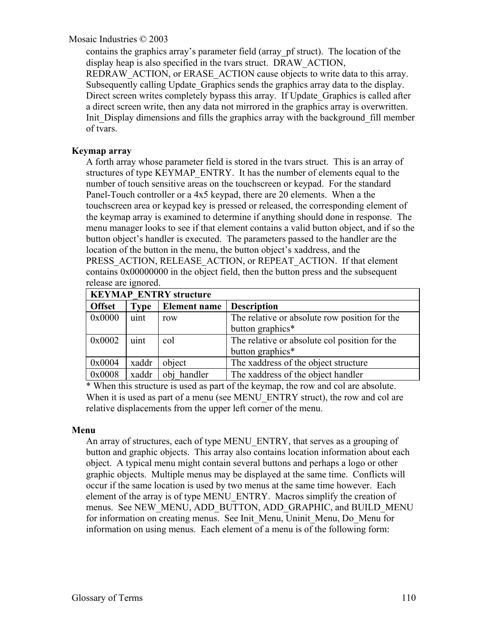contains the graphics array's parameter field (array\_pf struct). The location of the display heap is also specified in the tvars struct. DRAW\_ACTION, REDRAW ACTION, or ERASE ACTION cause objects to write data to this array. Subsequently calling Update\_Graphics sends the graphics array data to the display. Direct screen writes completely bypass this array. If Update\_Graphics is called after a direct screen write, then any data not mirrored in the graphics array is overwritten. Init Display dimensions and fills the graphics array with the background fill member of tvars.

## **Keymap array**

A forth array whose parameter field is stored in the tvars struct. This is an array of structures of type KEYMAP\_ENTRY. It has the number of elements equal to the number of touch sensitive areas on the touchscreen or keypad. For the standard Panel-Touch controller or a 4x5 keypad, there are 20 elements. When a the touchscreen area or keypad key is pressed or released, the corresponding element of the keymap array is examined to determine if anything should done in response. The menu manager looks to see if that element contains a valid button object, and if so the button object's handler is executed. The parameters passed to the handler are the location of the button in the menu, the button object's xaddress, and the PRESS\_ACTION, RELEASE\_ACTION, or REPEAT\_ACTION. If that element contains 0x00000000 in the object field, then the button press and the subsequent release are ignored.

| <b>KEYMAP ENTRY structure</b> |             |                     |                                               |
|-------------------------------|-------------|---------------------|-----------------------------------------------|
| <b>Offset</b>                 | <b>Type</b> | <b>Element name</b> | <b>Description</b>                            |
| 0x0000                        | uint        | row                 | The relative or absolute row position for the |
|                               |             |                     | button graphics*                              |
| 0x0002                        | uint        | col                 | The relative or absolute col position for the |
|                               |             |                     | button graphics*                              |
| 0x0004                        | xaddr       | object              | The xaddress of the object structure          |
| 0x0008                        | xaddr       | obj handler         | The xaddress of the object handler            |

\* When this structure is used as part of the keymap, the row and col are absolute. When it is used as part of a menu (see MENU ENTRY struct), the row and col are relative displacements from the upper left corner of the menu.

#### **Menu**

An array of structures, each of type MENU\_ENTRY, that serves as a grouping of button and graphic objects. This array also contains location information about each object. A typical menu might contain several buttons and perhaps a logo or other graphic objects. Multiple menus may be displayed at the same time. Conflicts will occur if the same location is used by two menus at the same time however. Each element of the array is of type MENU\_ENTRY. Macros simplify the creation of menus. See NEW\_MENU, ADD\_BUTTON, ADD\_GRAPHIC, and BUILD\_MENU for information on creating menus. See Init\_Menu, Uninit\_Menu, Do\_Menu for information on using menus. Each element of a menu is of the following form: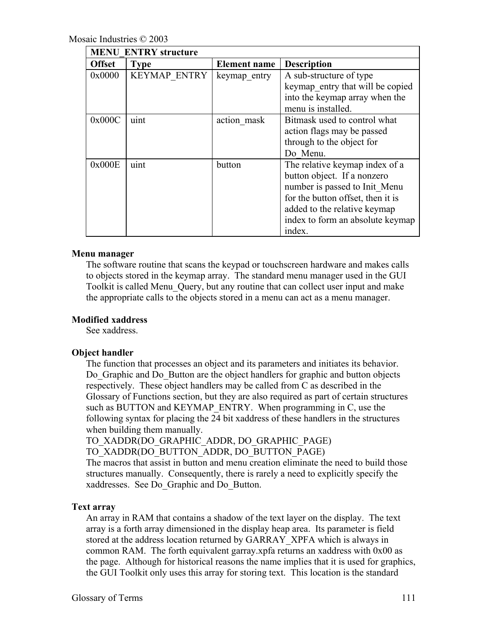| <b>MENU ENTRY structure</b> |                     |              |                                                                                                                                                                                                                   |
|-----------------------------|---------------------|--------------|-------------------------------------------------------------------------------------------------------------------------------------------------------------------------------------------------------------------|
| <b>Offset</b>               | <b>Type</b>         | Element name | <b>Description</b>                                                                                                                                                                                                |
| 0x0000                      | <b>KEYMAP ENTRY</b> | keymap entry | A sub-structure of type<br>keymap entry that will be copied<br>into the keymap array when the<br>menu is installed.                                                                                               |
| 0x000C                      | uint                | action mask  | Bitmask used to control what<br>action flags may be passed<br>through to the object for<br>Do Menu.                                                                                                               |
| 0x000E                      | uint                | button       | The relative keymap index of a<br>button object. If a nonzero<br>number is passed to Init Menu<br>for the button offset, then it is<br>added to the relative keymap<br>index to form an absolute keymap<br>index. |

#### **Menu manager**

The software routine that scans the keypad or touchscreen hardware and makes calls to objects stored in the keymap array. The standard menu manager used in the GUI Toolkit is called Menu\_Query, but any routine that can collect user input and make the appropriate calls to the objects stored in a menu can act as a menu manager.

## **Modified xaddress**

See xaddress.

## **Object handler**

The function that processes an object and its parameters and initiates its behavior. Do\_Graphic and Do\_Button are the object handlers for graphic and button objects respectively. These object handlers may be called from C as described in the Glossary of Functions section, but they are also required as part of certain structures such as BUTTON and KEYMAP\_ENTRY. When programming in C, use the following syntax for placing the 24 bit xaddress of these handlers in the structures when building them manually.

TO\_XADDR(DO\_GRAPHIC\_ADDR, DO\_GRAPHIC\_PAGE)

TO\_XADDR(DO\_BUTTON\_ADDR, DO\_BUTTON\_PAGE)

The macros that assist in button and menu creation eliminate the need to build those structures manually. Consequently, there is rarely a need to explicitly specify the xaddresses. See Do\_Graphic and Do\_Button.

## **Text array**

An array in RAM that contains a shadow of the text layer on the display. The text array is a forth array dimensioned in the display heap area. Its parameter is field stored at the address location returned by GARRAY\_XPFA which is always in common RAM. The forth equivalent garray.xpfa returns an xaddress with 0x00 as the page. Although for historical reasons the name implies that it is used for graphics, the GUI Toolkit only uses this array for storing text. This location is the standard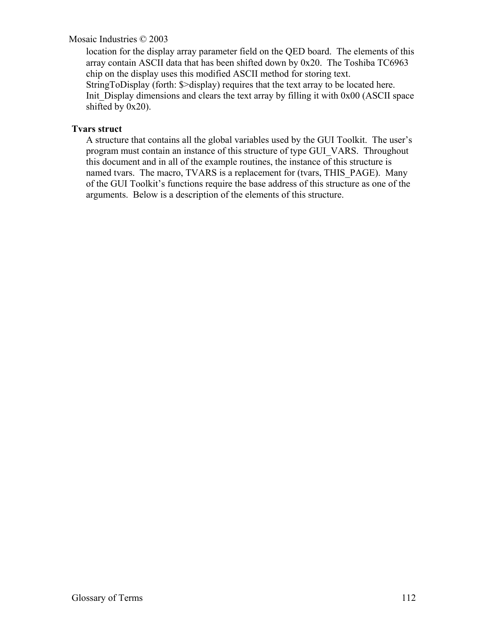location for the display array parameter field on the QED board. The elements of this array contain ASCII data that has been shifted down by 0x20. The Toshiba TC6963 chip on the display uses this modified ASCII method for storing text. StringToDisplay (forth: \$>display) requires that the text array to be located here. Init Display dimensions and clears the text array by filling it with 0x00 (ASCII space shifted by 0x20).

## **Tvars struct**

A structure that contains all the global variables used by the GUI Toolkit. The user's program must contain an instance of this structure of type GUI\_VARS. Throughout this document and in all of the example routines, the instance of this structure is named tvars. The macro, TVARS is a replacement for (tvars, THIS PAGE). Many of the GUI Toolkit's functions require the base address of this structure as one of the arguments. Below is a description of the elements of this structure.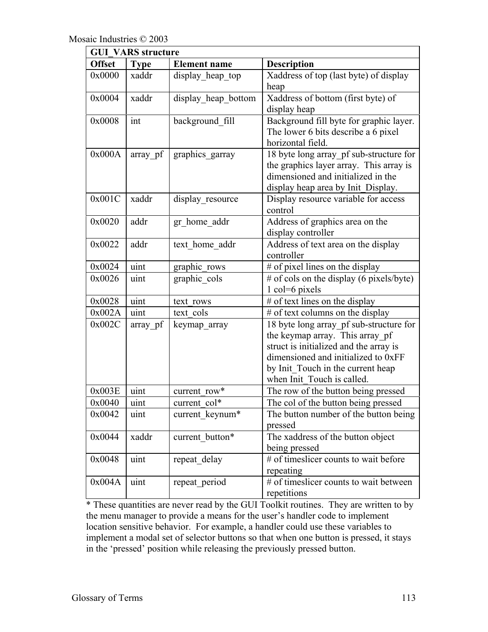| <b>GUI VARS structure</b> |             |                     |                                                                                                                                                                                                                                |  |
|---------------------------|-------------|---------------------|--------------------------------------------------------------------------------------------------------------------------------------------------------------------------------------------------------------------------------|--|
| <b>Offset</b>             | <b>Type</b> | <b>Element name</b> | <b>Description</b>                                                                                                                                                                                                             |  |
| 0x0000                    | xaddr       | display heap top    | Xaddress of top (last byte) of display<br>heap                                                                                                                                                                                 |  |
| 0x0004                    | xaddr       | display heap bottom | Xaddress of bottom (first byte) of<br>display heap                                                                                                                                                                             |  |
| 0x0008                    | int         | background fill     | Background fill byte for graphic layer.<br>The lower 6 bits describe a 6 pixel<br>horizontal field.                                                                                                                            |  |
| 0x000A                    | array pf    | graphics_garray     | 18 byte long array_pf sub-structure for<br>the graphics layer array. This array is<br>dimensioned and initialized in the<br>display heap area by Init_Display.                                                                 |  |
| 0x001C                    | xaddr       | display_resource    | Display resource variable for access<br>control                                                                                                                                                                                |  |
| 0x0020                    | addr        | gr home addr        | Address of graphics area on the<br>display controller                                                                                                                                                                          |  |
| 0x0022                    | addr        | text home addr      | Address of text area on the display<br>controller                                                                                                                                                                              |  |
| 0x0024                    | uint        | graphic rows        | # of pixel lines on the display                                                                                                                                                                                                |  |
| 0x0026                    | uint        | graphic cols        | $#$ of cols on the display (6 pixels/byte)<br>1 col=6 pixels                                                                                                                                                                   |  |
| 0x0028                    | uint        | text rows           | # of text lines on the display                                                                                                                                                                                                 |  |
| 0x002A                    | uint        | text cols           | # of text columns on the display                                                                                                                                                                                               |  |
| 0x002C                    | array pf    | keymap_array        | 18 byte long array_pf sub-structure for<br>the keymap array. This array_pf<br>struct is initialized and the array is<br>dimensioned and initialized to 0xFF<br>by Init_Touch in the current heap<br>when Init Touch is called. |  |
| 0x003E                    | uint        | current row*        | The row of the button being pressed                                                                                                                                                                                            |  |
| 0x0040                    | uint        | current_col*        | The col of the button being pressed                                                                                                                                                                                            |  |
| 0x0042                    | uint        | current keynum*     | The button number of the button being<br>pressed                                                                                                                                                                               |  |
| 0x0044                    | xaddr       | current button*     | The xaddress of the button object<br>being pressed                                                                                                                                                                             |  |
| 0x0048                    | uint        | repeat delay        | # of timeslicer counts to wait before<br>repeating                                                                                                                                                                             |  |
| 0x004A                    | uint        | repeat_period       | # of timeslicer counts to wait between<br>repetitions                                                                                                                                                                          |  |

\* These quantities are never read by the GUI Toolkit routines. They are written to by the menu manager to provide a means for the user's handler code to implement location sensitive behavior. For example, a handler could use these variables to implement a modal set of selector buttons so that when one button is pressed, it stays in the 'pressed' position while releasing the previously pressed button.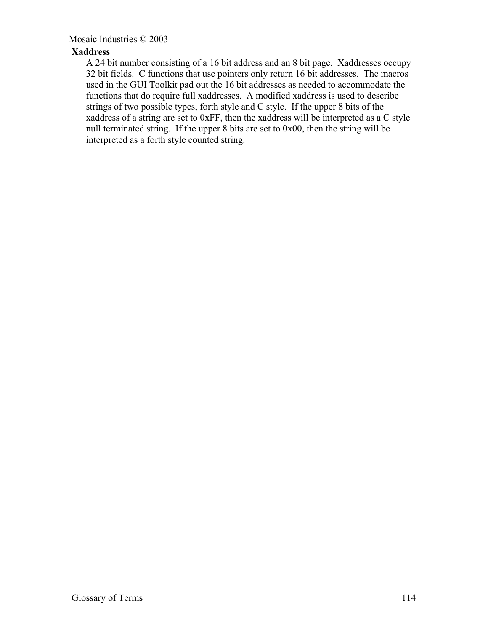## **Xaddress**

A 24 bit number consisting of a 16 bit address and an 8 bit page. Xaddresses occupy 32 bit fields. C functions that use pointers only return 16 bit addresses. The macros used in the GUI Toolkit pad out the 16 bit addresses as needed to accommodate the functions that do require full xaddresses. A modified xaddress is used to describe strings of two possible types, forth style and C style. If the upper 8 bits of the xaddress of a string are set to 0xFF, then the xaddress will be interpreted as a C style null terminated string. If the upper 8 bits are set to 0x00, then the string will be interpreted as a forth style counted string.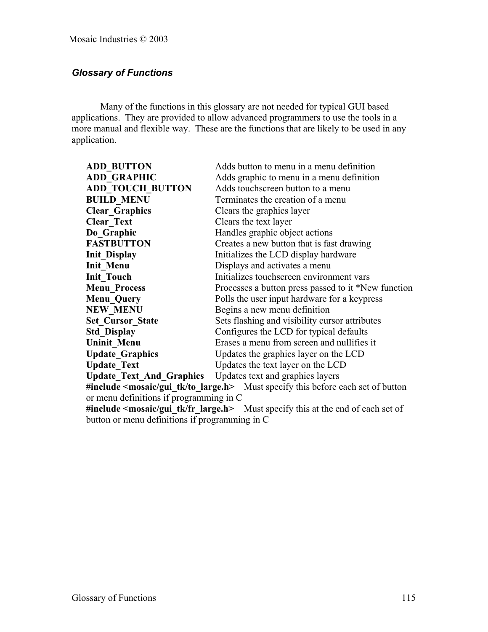## *Glossary of Functions*

Many of the functions in this glossary are not needed for typical GUI based applications. They are provided to allow advanced programmers to use the tools in a more manual and flexible way. These are the functions that are likely to be used in any application.

| <b>ADD BUTTON</b>               | Adds button to menu in a menu definition            |
|---------------------------------|-----------------------------------------------------|
| <b>ADD GRAPHIC</b>              | Adds graphic to menu in a menu definition           |
| <b>ADD TOUCH BUTTON</b>         | Adds touchscreen button to a menu                   |
| <b>BUILD MENU</b>               | Terminates the creation of a menu                   |
| <b>Clear Graphics</b>           | Clears the graphics layer                           |
| <b>Clear Text</b>               | Clears the text layer                               |
| Do Graphic                      | Handles graphic object actions                      |
| <b>FASTBUTTON</b>               | Creates a new button that is fast drawing           |
| <b>Init Display</b>             | Initializes the LCD display hardware                |
| <b>Init Menu</b>                | Displays and activates a menu                       |
| <b>Init Touch</b>               | Initializes touchscreen environment vars            |
| <b>Menu Process</b>             | Processes a button press passed to it *New function |
| <b>Menu Query</b>               | Polls the user input hardware for a keypress        |
| <b>NEW MENU</b>                 | Begins a new menu definition                        |
| <b>Set Cursor State</b>         | Sets flashing and visibility cursor attributes      |
| <b>Std Display</b>              | Configures the LCD for typical defaults             |
| <b>Uninit Menu</b>              | Erases a menu from screen and nullifies it          |
| <b>Update Graphics</b>          | Updates the graphics layer on the LCD               |
| <b>Update Text</b>              | Updates the text layer on the LCD                   |
| <b>Update_Text_And_Graphics</b> | Updates text and graphics layers                    |

**#include <mosaic/gui\_tk/to\_large.h>** Must specify this before each set of button or menu definitions if programming in C

**#include <mosaic/gui\_tk/fr\_large.h>** Must specify this at the end of each set of button or menu definitions if programming in C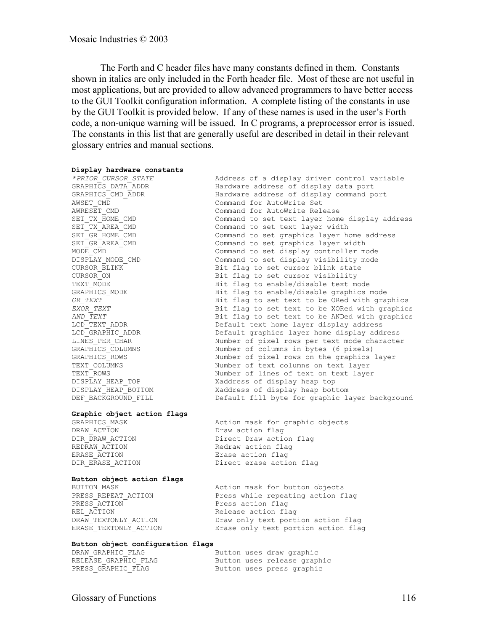The Forth and C header files have many constants defined in them. Constants shown in italics are only included in the Forth header file. Most of these are not useful in most applications, but are provided to allow advanced programmers to have better access to the GUI Toolkit configuration information. A complete listing of the constants in use by the GUI Toolkit is provided below. If any of these names is used in the user's Forth code, a non-unique warning will be issued. In C programs, a preprocessor error is issued. The constants in this list that are generally useful are described in detail in their relevant glossary entries and manual sections.

#### **Display hardware constants**

*\*PRIOR\_CURSOR\_STATE* Address of a display driver control variable DEF\_BACKGROUND\_FILL Default fill byte for graphic layer background

#### **Graphic object action flags**

DRAW ACTION DRAW action flag REDRAW\_ACTION **Redraw** action flag ERASE\_ACTION Erase action flag DIR\_ERASE\_ACTION Direct erase action flag

# GRAPHICS\_MASK Action mask for graphic objects DIR\_DRAW\_ACTION Direct Draw action flag

#### **Button object action flags**

PRESS\_ACTION **Press** action flag REL\_ACTION **Release** action flag

BUTTON\_MASK Action mask for button objects PRESS\_REPEAT\_ACTION Press while repeating action flag DRAW TEXTONLY ACTION Draw only text portion action flag ERASE\_TEXTONLY\_ACTION Erase only text portion action flag

#### **Button object configuration flags**

DRAW\_GRAPHIC\_FLAG Button uses draw graphic RELEASE GRAPHIC FLAG Button uses release graphic PRESS\_GRAPHIC\_FLAG Button uses press graphic

GRAPHICS\_DATA\_ADDR Hardware address of display data port GRAPHICS\_CMD\_ADDR Hardware address of display command port AWSET\_CMD Command for AutoWrite Set AWRESET CMD **Command for AutoWrite Release** SET\_TX\_HOME\_CMD Command to set text layer home display address SET\_TX\_AREA\_CMD Command to set text layer width SET\_GR\_HOME\_CMD Command to set graphics layer home address SET\_GR\_AREA\_CMD Command to set graphics layer width MODE CMD COMMAND Command to set display controller mode DISPLAY\_MODE\_CMD Command to set display visibility mode CURSOR\_BLINK Bit flag to set cursor blink state CURSOR\_ON Bit flag to set cursor visibility TEXT\_MODE external mode is the state of Bit flag to enable/disable text mode GRAPHICS MODE **Bit flag to enable/disable graphics mode** *OR\_TEXT* Bit flag to set text to be ORed with graphics *EXOR\_TEXT* Bit flag to set text to be XORed with graphics AND\_TEXT **Bit flag to set text to be ANDed with graphics** LCD\_TEXT\_ADDR Default text home layer display address LCD\_GRAPHIC\_ADDR Default graphics layer home display address LINES PER CHAR Number of pixel rows per text mode character GRAPHICS\_COLUMNS Number of columns in bytes (6 pixels) GRAPHICS\_ROWS Number of pixel rows on the graphics layer TEXT\_COLUMNS Number of text columns on text layer TEXT\_ROWS Number of lines of text on text layer DISPLAY HEAP TOP THE STARD Xaddress of display heap top DISPLAY\_HEAP\_BOTTOM Xaddress of display heap bottom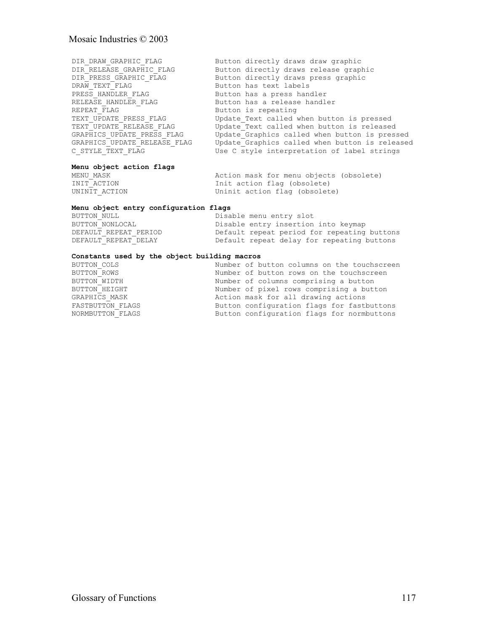| DIR DRAW GRAPHIC FLAG        | Button directly draws draw graphic             |
|------------------------------|------------------------------------------------|
| DIR RELEASE GRAPHIC FLAG     | Button directly draws release graphic          |
| DIR PRESS GRAPHIC FLAG       | Button directly draws press graphic            |
| DRAW TEXT FLAG               | Button has text labels                         |
| PRESS HANDLER FLAG           | Button has a press handler                     |
| RELEASE HANDLER FLAG         | Button has a release handler                   |
| REPEAT FLAG                  | Button is repeating                            |
| TEXT UPDATE PRESS FLAG       | Update Text called when button is pressed      |
| TEXT UPDATE RELEASE FLAG     | Update Text called when button is released     |
| GRAPHICS UPDATE PRESS FLAG   | Update Graphics called when button is pressed  |
| GRAPHICS UPDATE RELEASE FLAG | Update Graphics called when button is released |
| C STYLE TEXT FLAG            | Use C style interpretation of label strings    |
|                              |                                                |

## **Menu object action flags**

MENU\_MASK Action mask for menu objects (obsolete) INIT\_ACTION Init action flag (obsolete) UNINIT ACTION Uninit action flag (obsolete)

#### **Menu object entry configuration flags**

| BUTTON NULL           | Disable menu entry slot                     |
|-----------------------|---------------------------------------------|
| BUTTON NONLOCAL       | Disable entry insertion into keymap         |
| DEFAULT REPEAT PERIOD | Default repeat period for repeating buttons |
| DEFAULT REPEAT DELAY  | Default repeat delay for repeating buttons  |

#### **Constants used by the object building macros**

| BUTTON COLS      | Number of button columns on the touchscreen |
|------------------|---------------------------------------------|
| BUTTON ROWS      | Number of button rows on the touchscreen    |
| BUTTON WIDTH     | Number of columns comprising a button       |
| BUTTON HEIGHT    | Number of pixel rows comprising a button    |
| GRAPHICS MASK    | Action mask for all drawing actions         |
| FASTBUTTON FLAGS | Button configuration flags for fastbuttons  |
| NORMBUTTON FLAGS | Button configuration flags for normbuttons  |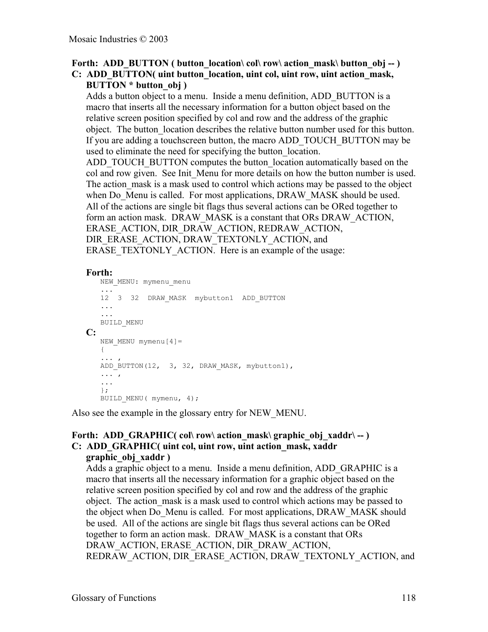## Forth: ADD\_BUTTON ( button\_location\ col\ row\ action\_mask\ button\_obj -- ) **C: ADD\_BUTTON( uint button\_location, uint col, uint row, uint action\_mask, BUTTON \* button\_obj )**

Adds a button object to a menu. Inside a menu definition, ADD\_BUTTON is a macro that inserts all the necessary information for a button object based on the relative screen position specified by col and row and the address of the graphic object. The button\_location describes the relative button number used for this button. If you are adding a touchscreen button, the macro ADD\_TOUCH\_BUTTON may be used to eliminate the need for specifying the button location.

ADD\_TOUCH\_BUTTON computes the button\_location automatically based on the col and row given. See Init\_Menu for more details on how the button number is used. The action mask is a mask used to control which actions may be passed to the object when Do Menu is called. For most applications, DRAW MASK should be used. All of the actions are single bit flags thus several actions can be ORed together to form an action mask. DRAW\_MASK is a constant that ORs DRAW\_ACTION, ERASE\_ACTION, DIR\_DRAW\_ACTION, REDRAW\_ACTION, DIR\_ERASE\_ACTION, DRAW\_TEXTONLY\_ACTION, and ERASE TEXTONLY ACTION. Here is an example of the usage:

## **Forth:**

```
NEW MENU: mymenu menu
   ...
   12 3 32 DRAW_MASK mybutton1 ADD_BUTTON
   ...
   ...
   BUILD_MENU
C:
   NEW MENU mymenu[4] =
   {
   ... ,
   ADD_BUTTON(12, 3, 32, DRAW_MASK, mybutton1),
   ... ,
   ...
   };
   BUILD MENU( mymenu, 4);
```
Also see the example in the glossary entry for NEW\_MENU.

## Forth: ADD GRAPHIC( col\ row\ action mask\ graphic obj\_xaddr\ -- ) **C: ADD\_GRAPHIC( uint col, uint row, uint action\_mask, xaddr**

#### **graphic\_obj\_xaddr )**

Adds a graphic object to a menu. Inside a menu definition, ADD\_GRAPHIC is a macro that inserts all the necessary information for a graphic object based on the relative screen position specified by col and row and the address of the graphic object. The action\_mask is a mask used to control which actions may be passed to the object when Do\_Menu is called. For most applications, DRAW\_MASK should be used. All of the actions are single bit flags thus several actions can be ORed together to form an action mask. DRAW\_MASK is a constant that ORs DRAW\_ACTION, ERASE\_ACTION, DIR\_DRAW\_ACTION, REDRAW\_ACTION, DIR\_ERASE\_ACTION, DRAW\_TEXTONLY\_ACTION, and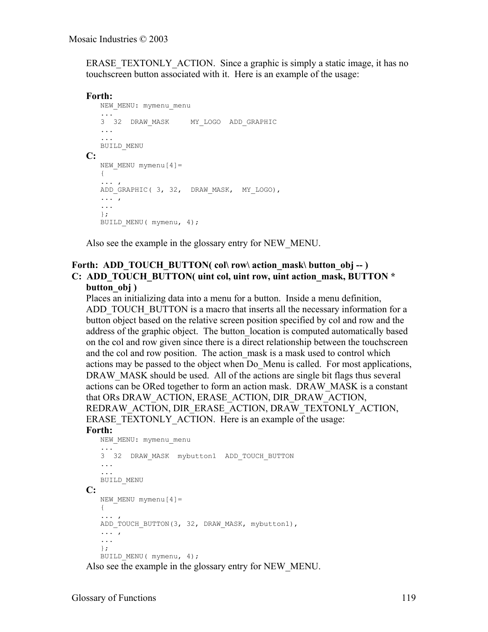ERASE TEXTONLY ACTION. Since a graphic is simply a static image, it has no touchscreen button associated with it. Here is an example of the usage:

## **Forth:**

```
NEW_MENU: mymenu_menu
   ...
   3 32 DRAW_MASK MY_LOGO ADD_GRAPHIC
   ...
   ...
   BUILD_MENU
C:
   NEW MENU mymenu[4]=
  \{... ,
   ADD_GRAPHIC( 3, 32, DRAW_MASK, MY_LOGO),
   ... ,
   ...
   };
   BUILD MENU ( mymenu, 4);
```
Also see the example in the glossary entry for NEW\_MENU.

## Forth: ADD\_TOUCH\_BUTTON( col\ row\ action\_mask\ button\_obj -- ) **C: ADD\_TOUCH\_BUTTON( uint col, uint row, uint action\_mask, BUTTON \* button\_obj )**

Places an initializing data into a menu for a button. Inside a menu definition, ADD\_TOUCH\_BUTTON is a macro that inserts all the necessary information for a button object based on the relative screen position specified by col and row and the address of the graphic object. The button\_location is computed automatically based on the col and row given since there is a direct relationship between the touchscreen and the col and row position. The action mask is a mask used to control which actions may be passed to the object when Do\_Menu is called. For most applications, DRAW MASK should be used. All of the actions are single bit flags thus several actions can be ORed together to form an action mask. DRAW\_MASK is a constant that ORs DRAW\_ACTION, ERASE\_ACTION, DIR\_DRAW\_ACTION, REDRAW\_ACTION, DIR\_ERASE\_ACTION, DRAW\_TEXTONLY\_ACTION, ERASE TEXTONLY ACTION. Here is an example of the usage:

#### **Forth:**

```
NEW_MENU: mymenu_menu
   ...
   3 32 DRAW_MASK mybutton1 ADD_TOUCH_BUTTON
   ...
   ...
   BUILD_MENU
C:
   NEW MENU mymenu[4]=
  \{... ,
   ADD_TOUCH_BUTTON(3, 32, DRAW_MASK, mybutton1),
   ... ,
   ...
   };
   BUILD MENU( mymenu, 4);
```
Also see the example in the glossary entry for NEW\_MENU.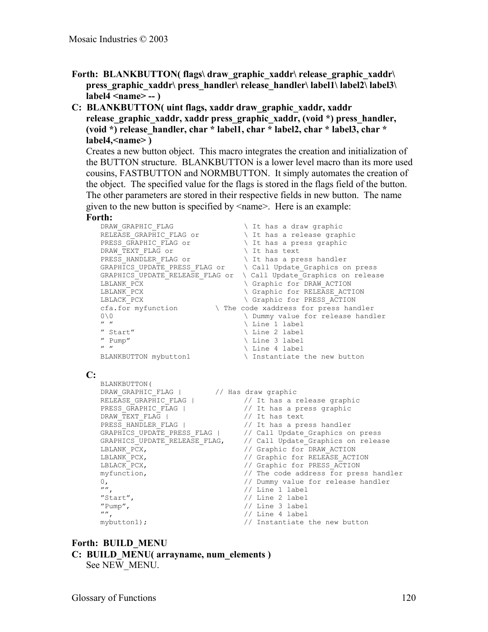- Forth: BLANKBUTTON( flags\ draw\_graphic\_xaddr\ release\_graphic\_xaddr\ **press\_graphic\_xaddr\ press\_handler\ release\_handler\ label1\ label2\ label3\ label4 <name> -- )**
- **C: BLANKBUTTON( uint flags, xaddr draw\_graphic\_xaddr, xaddr release\_graphic\_xaddr, xaddr press\_graphic\_xaddr, (void \*) press\_handler, (void \*) release\_handler, char \* label1, char \* label2, char \* label3, char \* label4,<name> )**

Creates a new button object. This macro integrates the creation and initialization of the BUTTON structure. BLANKBUTTON is a lower level macro than its more used cousins, FASTBUTTON and NORMBUTTON. It simply automates the creation of the object. The specified value for the flags is stored in the flags field of the button. The other parameters are stored in their respective fields in new button. The name given to the new button is specified by <name>. Here is an example:

#### **Forth:**

```
DRAW_GRAPHIC_FLAG \ It has a draw graphic
RELEASE_GRAPHIC_FLAG or \qquad \qquad \backslash It has a release graphic
PRESS_GRAPHIC_FLAG or \qquad \qquad \setminus It has a press graphic
DRAW_TEXT_FLAG or \setminus It has text
PRESS_HANDLER_FLAG or \qquad \qquad \backslash It has a press handler
GRAPHICS_UPDATE_PRESS_FLAG or \ Call Update_Graphics on press
GRAPHICS_UPDATE_RELEASE_FLAG or \ Call Update_Graphics on release
LBLANK_PCX \ Graphic for DRAW_ACTION
LBLANK_PCX \ Graphic for RELEASE_ACTION
LBLACK_PCX \setminus Graphic for PRESS_ACTION
cfa.for myfunction \ The code xaddress for press handler
0\0 \ Dummy value for release handler
                             \setminus Line 1 label<br>\setminus Line 2 label
" Start" \setminus Line 2 label
" Pump" \ Line 3 label
" " \setminus Line 4 label
BLANKBUTTON mybutton1 \ Instantiate the new button
```
#### **C:**

```
BLANKBUTTON(
DRAW_GRAPHIC_FLAG | // Has draw graphic
PRESS_GRAPHIC_FLAG | \frac{1}{10} | \frac{1}{10} it has a press graphic
DRAW_TEXT_FLAG | // It has text
PRESS HANDLER FLAG | // It has a press handler
"", // Line 1 label
"Start", // Line 2 label
"Pump", // Line 3 label
"", // Line 4 label
```

```
RELEASE_GRAPHIC_FLAG | // It has a release graphic
GRAPHICS_UPDATE_PRESS_FLAG | // Call Update_Graphics on press
GRAPHICS_UPDATE_RELEASE_FLAG, // Call Update_Graphics on release
LBLANK_PCX, // Graphic for DRAW_ACTION
LBLANK_PCX, // Graphic for RELEASE_ACTION
LBLACK_PCX, // Graphic for PRESS_ACTION
myfunction, // The code address for press handler
0, 1988 of the state of the mass of \ell bummy value for release handler
mybutton1); // Instantiate the new button
```
## **Forth: BUILD\_MENU**

```
C: BUILD_MENU( arrayname, num_elements )
```

```
See NEW_MENU.
```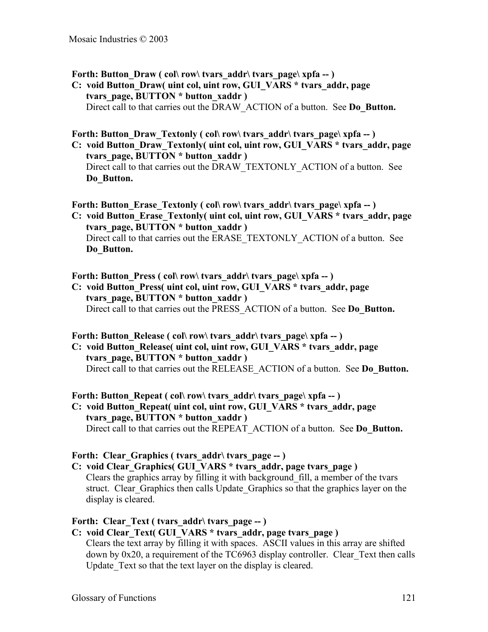Forth: Button Draw ( col\ row\ tvars  $\text{addr}\$  tvars  $\text{page}\$  xpfa -- )

**C: void Button\_Draw( uint col, uint row, GUI\_VARS \* tvars\_addr, page tvars\_page, BUTTON \* button\_xaddr )** Direct call to that carries out the DRAW\_ACTION of a button. See **Do\_Button.** 

## Forth: Button Draw Textonly ( col\ row\ tvars addr\ tvars page\ xpfa -- )

**C: void Button\_Draw\_Textonly( uint col, uint row, GUI\_VARS \* tvars\_addr, page tvars\_page, BUTTON \* button\_xaddr )** Direct call to that carries out the DRAW\_TEXTONLY\_ACTION of a button. See **Do\_Button.**

#### Forth: Button Erase Textonly ( col\ row\ tvars addr\ tvars page\ xpfa -- )

**C: void Button\_Erase\_Textonly( uint col, uint row, GUI\_VARS \* tvars\_addr, page tvars\_page, BUTTON \* button\_xaddr )** Direct call to that carries out the ERASE\_TEXTONLY\_ACTION of a button. See **Do\_Button.**

#### Forth: Button Press ( col\ row\ tvars\_addr\ tvars\_page\ xpfa -- )

**C: void Button\_Press( uint col, uint row, GUI\_VARS \* tvars\_addr, page tvars\_page, BUTTON \* button\_xaddr )** Direct call to that carries out the PRESS\_ACTION of a button. See **Do\_Button.**

#### Forth: Button\_Release ( col\ row\ tvars\_addr\ tvars\_page\ xpfa -- )

**C: void Button\_Release( uint col, uint row, GUI\_VARS \* tvars\_addr, page tvars\_page, BUTTON \* button\_xaddr )** Direct call to that carries out the RELEASE\_ACTION of a button. See **Do\_Button.**

## Forth: Button Repeat ( col\ row\ tvars  $\text{addr}\$  tvars  $\text{page}\$  xpfa -- )

**C: void Button\_Repeat( uint col, uint row, GUI\_VARS \* tvars\_addr, page tvars\_page, BUTTON \* button\_xaddr )** Direct call to that carries out the REPEAT\_ACTION of a button. See **Do\_Button.**

#### Forth: Clear Graphics ( tvars addr\ tvars page -- )

**C: void Clear\_Graphics( GUI\_VARS \* tvars\_addr, page tvars\_page )** Clears the graphics array by filling it with background\_fill, a member of the tvars struct. Clear\_Graphics then calls Update\_Graphics so that the graphics layer on the display is cleared.

#### Forth: Clear Text ( tvars addr\ tvars page -- )

## **C: void Clear\_Text( GUI\_VARS \* tvars\_addr, page tvars\_page )**

Clears the text array by filling it with spaces. ASCII values in this array are shifted down by 0x20, a requirement of the TC6963 display controller. Clear\_Text then calls Update Text so that the text layer on the display is cleared.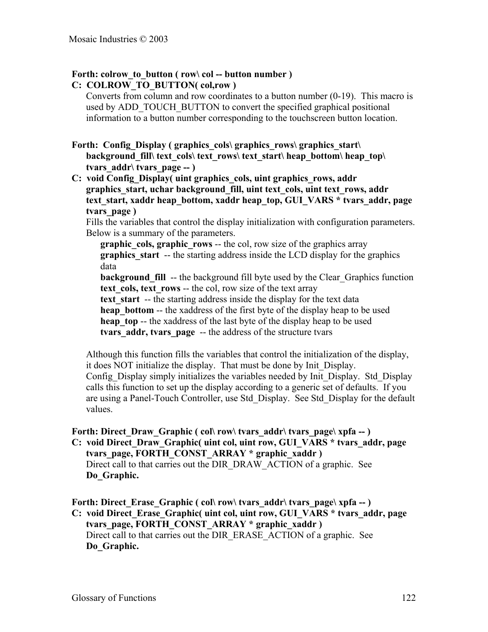## Forth: colrow to button ( row\ col -- button number )

## **C: COLROW\_TO\_BUTTON( col,row )**

Converts from column and row coordinates to a button number (0-19). This macro is used by ADD\_TOUCH\_BUTTON to convert the specified graphical positional information to a button number corresponding to the touchscreen button location.

Forth: Config Display ( graphics cols\ graphics rows\ graphics start\ **background fill\ text** cols\ text rows\ text start\ heap bottom\ heap top\ **tvars\_addr\ tvars\_page -- )**

**C: void Config\_Display( uint graphics\_cols, uint graphics\_rows, addr graphics\_start, uchar background\_fill, uint text\_cols, uint text\_rows, addr text start, xaddr heap bottom, xaddr heap top, GUI VARS \* tvars addr, page tvars\_page )**

Fills the variables that control the display initialization with configuration parameters. Below is a summary of the parameters.

**graphic** cols, graphic rows -- the col, row size of the graphics array **graphics start** -- the starting address inside the LCD display for the graphics data

**background fill** -- the background fill byte used by the Clear Graphics function **text** cols, text rows -- the col, row size of the text array

**text** start -- the starting address inside the display for the text data

**heap** bottom -- the xaddress of the first byte of the display heap to be used

**heap** top -- the xaddress of the last byte of the display heap to be used

**tvars** addr, tvars page -- the address of the structure tvars

Although this function fills the variables that control the initialization of the display, it does NOT initialize the display. That must be done by Init\_Display. Config\_Display simply initializes the variables needed by Init\_Display. Std\_Display. calls this function to set up the display according to a generic set of defaults. If you are using a Panel-Touch Controller, use Std\_Display. See Std\_Display for the default values.

Forth: Direct Draw Graphic ( col\ row\ tvars\_addr\ tvars\_page\ xpfa -- )

**C: void Direct\_Draw\_Graphic( uint col, uint row, GUI\_VARS \* tvars\_addr, page tvars\_page, FORTH\_CONST\_ARRAY \* graphic\_xaddr )** Direct call to that carries out the DIR\_DRAW\_ACTION of a graphic. See **Do\_Graphic.**

Forth: Direct Erase Graphic ( col\ row\ tvars\_addr\ tvars\_page\ xpfa -- ) **C: void Direct\_Erase\_Graphic( uint col, uint row, GUI\_VARS \* tvars\_addr, page tvars\_page, FORTH\_CONST\_ARRAY \* graphic\_xaddr )** Direct call to that carries out the DIR\_ERASE\_ACTION of a graphic. See **Do\_Graphic.**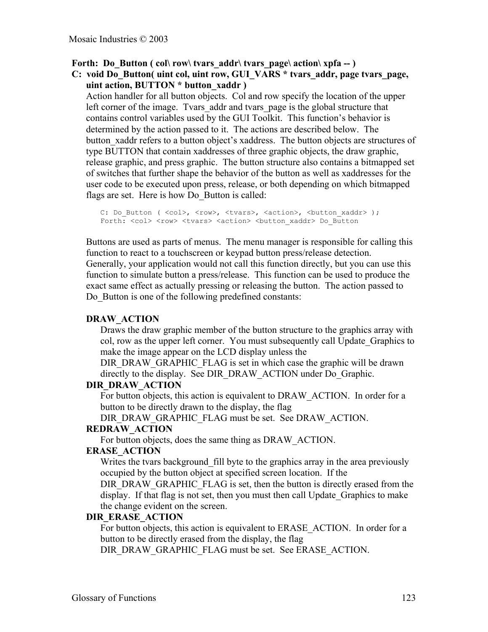Forth: Do Button ( col\ row\ tvars\_addr\ tvars\_page\ action\ xpfa -- )

**C: void Do\_Button( uint col, uint row, GUI\_VARS \* tvars\_addr, page tvars\_page, uint action, BUTTON \* button\_xaddr )**

Action handler for all button objects. Col and row specify the location of the upper left corner of the image. Tvars addr and tvars page is the global structure that contains control variables used by the GUI Toolkit. This function's behavior is determined by the action passed to it. The actions are described below. The button xaddr refers to a button object's xaddress. The button objects are structures of type BUTTON that contain xaddresses of three graphic objects, the draw graphic, release graphic, and press graphic. The button structure also contains a bitmapped set of switches that further shape the behavior of the button as well as xaddresses for the user code to be executed upon press, release, or both depending on which bitmapped flags are set. Here is how Do Button is called:

C: Do\_Button ( <col>, <row>, <tvars>, <action>, <br/> <br/>button xaddr> ); Forth: <col> <row> <tvars> <action> <br/> <br/> <br/>Abutton xaddr> Do Button

Buttons are used as parts of menus. The menu manager is responsible for calling this function to react to a touchscreen or keypad button press/release detection. Generally, your application would not call this function directly, but you can use this function to simulate button a press/release. This function can be used to produce the exact same effect as actually pressing or releasing the button. The action passed to Do Button is one of the following predefined constants:

#### **DRAW\_ACTION**

Draws the draw graphic member of the button structure to the graphics array with col, row as the upper left corner. You must subsequently call Update\_Graphics to make the image appear on the LCD display unless the

DIR\_DRAW\_GRAPHIC\_FLAG is set in which case the graphic will be drawn directly to the display. See DIR\_DRAW\_ACTION under Do\_Graphic.

#### **DIR\_DRAW\_ACTION**

For button objects, this action is equivalent to DRAW\_ACTION. In order for a button to be directly drawn to the display, the flag

DIR\_DRAW\_GRAPHIC\_FLAG must be set. See DRAW\_ACTION.

#### **REDRAW\_ACTION**

For button objects, does the same thing as DRAW\_ACTION.

#### **ERASE\_ACTION**

Writes the tvars background fill byte to the graphics array in the area previously occupied by the button object at specified screen location. If the

DIR\_DRAW\_GRAPHIC\_FLAG is set, then the button is directly erased from the display. If that flag is not set, then you must then call Update\_Graphics to make the change evident on the screen.

#### **DIR\_ERASE\_ACTION**

For button objects, this action is equivalent to ERASE\_ACTION. In order for a button to be directly erased from the display, the flag

DIR\_DRAW\_GRAPHIC\_FLAG must be set. See ERASE\_ACTION.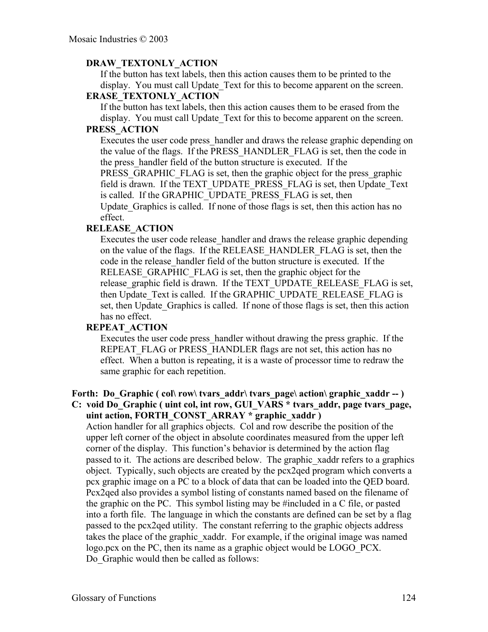## **DRAW\_TEXTONLY\_ACTION**

If the button has text labels, then this action causes them to be printed to the display. You must call Update\_Text for this to become apparent on the screen.

## **ERASE\_TEXTONLY\_ACTION**

If the button has text labels, then this action causes them to be erased from the display. You must call Update\_Text for this to become apparent on the screen.

## **PRESS\_ACTION**

Executes the user code press\_handler and draws the release graphic depending on the value of the flags. If the PRESS\_HANDLER\_FLAG is set, then the code in the press\_handler field of the button structure is executed. If the PRESS GRAPHIC FLAG is set, then the graphic object for the press graphic field is drawn. If the TEXT\_UPDATE\_PRESS\_FLAG is set, then Update\_Text is called. If the GRAPHIC\_UPDATE\_PRESS\_FLAG is set, then Update Graphics is called. If none of those flags is set, then this action has no effect.

## **RELEASE\_ACTION**

Executes the user code release\_handler and draws the release graphic depending on the value of the flags. If the RELEASE\_HANDLER\_FLAG is set, then the code in the release\_handler field of the button structure is executed. If the RELEASE GRAPHIC FLAG is set, then the graphic object for the release graphic field is drawn. If the TEXT UPDATE RELEASE FLAG is set, then Update Text is called. If the GRAPHIC\_UPDATE\_RELEASE\_FLAG is set, then Update Graphics is called. If none of those flags is set, then this action has no effect.

## **REPEAT\_ACTION**

Executes the user code press\_handler without drawing the press graphic. If the REPEAT FLAG or PRESS HANDLER flags are not set, this action has no effect. When a button is repeating, it is a waste of processor time to redraw the same graphic for each repetition.

## Forth: Do Graphic ( col\ row\ tvars\_addr\ tvars\_page\ action\ graphic\_xaddr -- ) **C: void Do\_Graphic ( uint col, int row, GUI\_VARS \* tvars\_addr, page tvars\_page, uint action, FORTH\_CONST\_ARRAY \* graphic\_xaddr )**

Action handler for all graphics objects. Col and row describe the position of the upper left corner of the object in absolute coordinates measured from the upper left corner of the display. This function's behavior is determined by the action flag passed to it. The actions are described below. The graphic xaddr refers to a graphics object. Typically, such objects are created by the pcx2qed program which converts a pcx graphic image on a PC to a block of data that can be loaded into the QED board. Pcx2qed also provides a symbol listing of constants named based on the filename of the graphic on the PC. This symbol listing may be #included in a C file, or pasted into a forth file. The language in which the constants are defined can be set by a flag passed to the pcx2qed utility. The constant referring to the graphic objects address takes the place of the graphic xaddr. For example, if the original image was named logo.pcx on the PC, then its name as a graphic object would be LOGO\_PCX. Do\_Graphic would then be called as follows: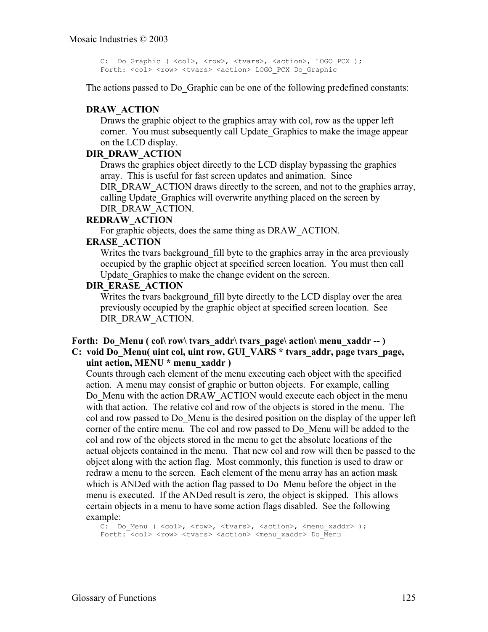```
C: Do Graphic ( <col>, <row>, <tvars>, <action>, LOGO PCX );
Forth: <col> <row> <tvars> <action> LOGO PCX Do Graphic
```
The actions passed to Do Graphic can be one of the following predefined constants:

#### **DRAW\_ACTION**

Draws the graphic object to the graphics array with col, row as the upper left corner. You must subsequently call Update\_Graphics to make the image appear on the LCD display.

#### **DIR\_DRAW\_ACTION**

Draws the graphics object directly to the LCD display bypassing the graphics array. This is useful for fast screen updates and animation. Since DIR\_DRAW\_ACTION draws directly to the screen, and not to the graphics array, calling Update Graphics will overwrite anything placed on the screen by DIR\_DRAW\_ACTION.

#### **REDRAW\_ACTION**

For graphic objects, does the same thing as DRAW\_ACTION.

## **ERASE\_ACTION**

Writes the tvars background fill byte to the graphics array in the area previously occupied by the graphic object at specified screen location. You must then call Update Graphics to make the change evident on the screen.

#### **DIR\_ERASE\_ACTION**

Writes the tvars background fill byte directly to the LCD display over the area previously occupied by the graphic object at specified screen location. See DIR\_DRAW\_ACTION.

#### Forth: Do Menu ( col\ row\ tvars\_addr\ tvars\_page\ action\ menu\_xaddr -- ) **C: void Do\_Menu( uint col, uint row, GUI\_VARS \* tvars\_addr, page tvars\_page, uint action, MENU \* menu\_xaddr )**

Counts through each element of the menu executing each object with the specified action. A menu may consist of graphic or button objects. For example, calling Do Menu with the action DRAW ACTION would execute each object in the menu with that action. The relative col and row of the objects is stored in the menu. The col and row passed to Do\_Menu is the desired position on the display of the upper left corner of the entire menu. The col and row passed to Do\_Menu will be added to the col and row of the objects stored in the menu to get the absolute locations of the actual objects contained in the menu. That new col and row will then be passed to the object along with the action flag. Most commonly, this function is used to draw or redraw a menu to the screen. Each element of the menu array has an action mask which is ANDed with the action flag passed to Do Menu before the object in the menu is executed. If the ANDed result is zero, the object is skipped. This allows certain objects in a menu to have some action flags disabled. See the following example:

C: Do Menu ( <col>, <row>, <tvars>, <action>, <menu xaddr> ); Forth: <col> <row> <tvars> <action> <menu xaddr> Do Menu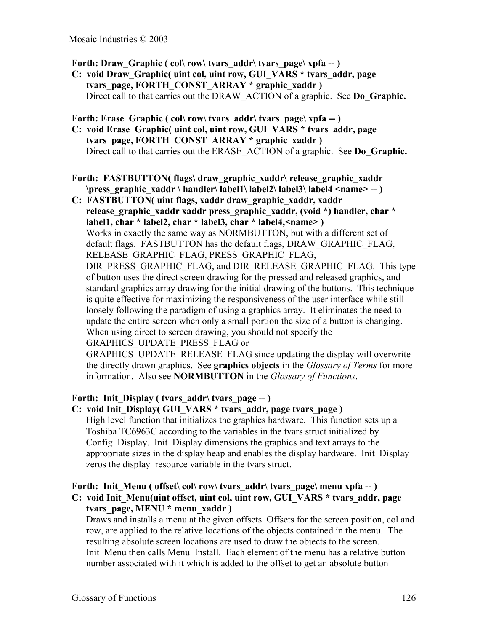Forth: Draw Graphic ( col\ row\ tvars  $\text{addr}\$  tvars  $\text{page}\$  xpfa -- )

**C: void Draw\_Graphic( uint col, uint row, GUI\_VARS \* tvars\_addr, page tvars\_page, FORTH\_CONST\_ARRAY \* graphic\_xaddr )** Direct call to that carries out the DRAW\_ACTION of a graphic. See **Do\_Graphic.**

Forth: Erase Graphic ( col\ row\ tvars\_addr\ tvars\_page\ xpfa -- )

**C: void Erase\_Graphic( uint col, uint row, GUI\_VARS \* tvars\_addr, page tvars\_page, FORTH\_CONST\_ARRAY \* graphic\_xaddr )** Direct call to that carries out the ERASE\_ACTION of a graphic. See **Do\_Graphic.**

**Forth: FASTBUTTON( flags\ draw\_graphic\_xaddr\ release\_graphic\_xaddr \press\_graphic\_xaddr \ handler\ label1\ label2\ label3\ label4 <name> -- )**

**C: FASTBUTTON( uint flags, xaddr draw\_graphic\_xaddr, xaddr** release graphic xaddr xaddr press graphic xaddr, (void \*) handler, char \* **label1, char \* label2, char \* label3, char \* label4,<name> )** Works in exactly the same way as NORMBUTTON, but with a different set of default flags. FASTBUTTON has the default flags, DRAW\_GRAPHIC\_FLAG, RELEASE\_GRAPHIC\_FLAG, PRESS\_GRAPHIC\_FLAG, DIR\_PRESS\_GRAPHIC\_FLAG, and DIR\_RELEASE\_GRAPHIC\_FLAG. This type of button uses the direct screen drawing for the pressed and released graphics, and standard graphics array drawing for the initial drawing of the buttons. This technique is quite effective for maximizing the responsiveness of the user interface while still loosely following the paradigm of using a graphics array. It eliminates the need to update the entire screen when only a small portion the size of a button is changing.

When using direct to screen drawing, you should not specify the

GRAPHICS\_UPDATE\_PRESS\_FLAG or

GRAPHICS\_UPDATE\_RELEASE\_FLAG since updating the display will overwrite the directly drawn graphics. See **graphics objects** in the *Glossary of Terms* for more information. Also see **NORMBUTTON** in the *Glossary of Functions*.

## Forth: Init Display ( tvars addr\ tvars page -- )

## **C: void Init\_Display( GUI\_VARS \* tvars\_addr, page tvars\_page )**

High level function that initializes the graphics hardware. This function sets up a Toshiba TC6963C according to the variables in the tvars struct initialized by Config. Display. Init. Display dimensions the graphics and text arrays to the appropriate sizes in the display heap and enables the display hardware. Init\_Display zeros the display resource variable in the tvars struct.

#### Forth: Init Menu ( offset\ col\ row\ tvars  $\text{addr}\$  tvars  $\text{page}\$  menu xpfa -- ) **C: void Init\_Menu(uint offset, uint col, uint row, GUI\_VARS \* tvars\_addr, page tvars\_page, MENU \* menu\_xaddr )**

Draws and installs a menu at the given offsets. Offsets for the screen position, col and row, are applied to the relative locations of the objects contained in the menu. The resulting absolute screen locations are used to draw the objects to the screen. Init Menu then calls Menu Install. Each element of the menu has a relative button number associated with it which is added to the offset to get an absolute button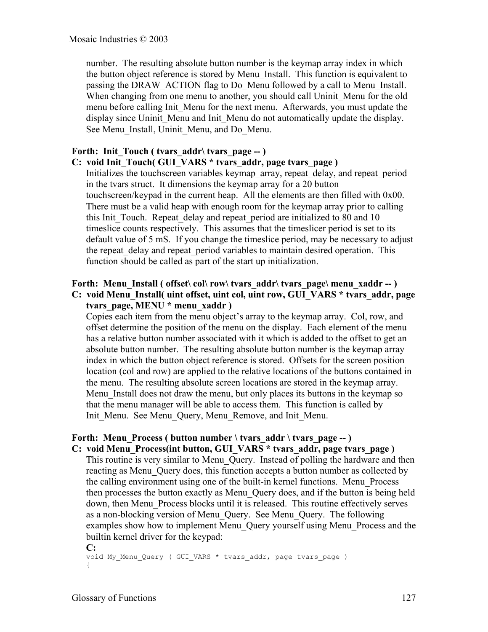number. The resulting absolute button number is the keymap array index in which the button object reference is stored by Menu\_Install. This function is equivalent to passing the DRAW ACTION flag to Do Menu followed by a call to Menu Install. When changing from one menu to another, you should call Uninit Menu for the old menu before calling Init Menu for the next menu. Afterwards, you must update the display since Uninit Menu and Init Menu do not automatically update the display. See Menu Install, Uninit Menu, and Do Menu.

## Forth: Init Touch ( tvars addr\ tvars page -- )

## **C: void Init\_Touch( GUI\_VARS \* tvars\_addr, page tvars\_page )**

Initializes the touchscreen variables keymap\_array, repeat\_delay, and repeat\_period in the tvars struct. It dimensions the keymap array for a 20 button touchscreen/keypad in the current heap. All the elements are then filled with 0x00. There must be a valid heap with enough room for the keymap array prior to calling this Init Touch. Repeat delay and repeat period are initialized to 80 and 10 timeslice counts respectively. This assumes that the timeslicer period is set to its default value of 5 mS. If you change the timeslice period, may be necessary to adjust the repeat delay and repeat period variables to maintain desired operation. This function should be called as part of the start up initialization.

## **Forth: Menu Install ( offset\ col\ row\ tvars\_addr\ tvars\_page\ menu\_xaddr -- ) C: void Menu\_Install( uint offset, uint col, uint row, GUI\_VARS \* tvars\_addr, page tvars\_page, MENU \* menu\_xaddr )**

Copies each item from the menu object's array to the keymap array. Col, row, and offset determine the position of the menu on the display. Each element of the menu has a relative button number associated with it which is added to the offset to get an absolute button number. The resulting absolute button number is the keymap array index in which the button object reference is stored. Offsets for the screen position location (col and row) are applied to the relative locations of the buttons contained in the menu. The resulting absolute screen locations are stored in the keymap array. Menu Install does not draw the menu, but only places its buttons in the keymap so that the menu manager will be able to access them. This function is called by Init Menu. See Menu Query, Menu Remove, and Init Menu.

## Forth: Menu Process ( button number \ tvars  $\text{addr} \cdot \text{tvars\_page} -$  )

#### **C: void Menu\_Process(int button, GUI\_VARS \* tvars\_addr, page tvars\_page )**

This routine is very similar to Menu Query. Instead of polling the hardware and then reacting as Menu Query does, this function accepts a button number as collected by the calling environment using one of the built-in kernel functions. Menu\_Process then processes the button exactly as Menu\_Query does, and if the button is being held down, then Menu\_Process blocks until it is released. This routine effectively serves as a non-blocking version of Menu\_Query. See Menu\_Query. The following examples show how to implement Menu\_Query yourself using Menu\_Process and the builtin kernel driver for the keypad:

**C:** void My Menu Query ( GUI VARS \* tvars addr, page tvars page ) {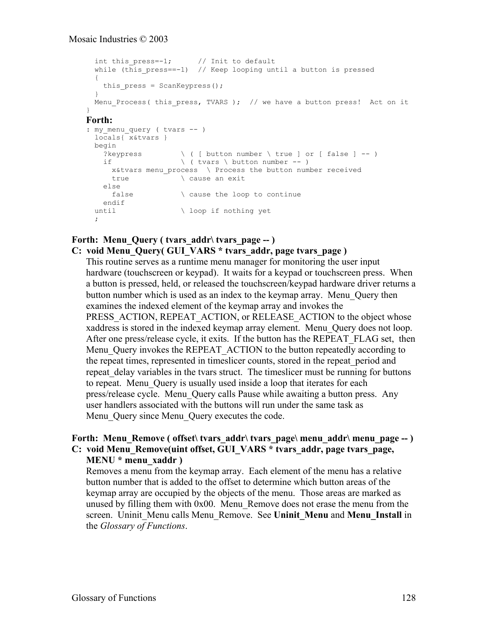```
int this press=-1; // Init to default
  while (this press==-1) // Keep looping until a button is pressed
   {
   this press = ScanKeypress();
   }
 Menu Process( this press, TVARS ); // we have a button press! Act on it
}
Forth:
: my menu query ( tvars -- )
  locals{ x&tvars }
  begin
?keypress \setminus ( [ button number \ true ] or [ false ] -- )
if \qquad \qquad \qquad ( tvars \qquad button number -- )
     x&tvars menu_process \ Process the button number received
     true \overline{\phantom{a}} \overline{\phantom{a}} cause an exit
   else<br>false
                     \ cause the loop to continue
    endif
 until \setminus loop if nothing yet
   ;
```
## Forth: Menu Query ( tvars addr\ tvars page -- ) **C: void Menu\_Query( GUI\_VARS \* tvars\_addr, page tvars\_page )**

This routine serves as a runtime menu manager for monitoring the user input hardware (touchscreen or keypad). It waits for a keypad or touchscreen press. When a button is pressed, held, or released the touchscreen/keypad hardware driver returns a button number which is used as an index to the keymap array. Menu\_Query then examines the indexed element of the keymap array and invokes the PRESS ACTION, REPEAT ACTION, or RELEASE ACTION to the object whose xaddress is stored in the indexed keymap array element. Menu\_Query does not loop. After one press/release cycle, it exits. If the button has the REPEAT\_FLAG set, then Menu Query invokes the REPEAT ACTION to the button repeatedly according to the repeat times, represented in timeslicer counts, stored in the repeat\_period and repeat delay variables in the tvars struct. The timeslicer must be running for buttons to repeat. Menu\_Query is usually used inside a loop that iterates for each press/release cycle. Menu\_Query calls Pause while awaiting a button press. Any user handlers associated with the buttons will run under the same task as Menu Query since Menu Query executes the code.

## **Forth: Menu Remove ( offset\ tvars \ addr\ tvars \ page\ menu\_addr\ menu\_page -- ) C: void Menu\_Remove(uint offset, GUI\_VARS \* tvars\_addr, page tvars\_page,**

**MENU \* menu\_xaddr )** Removes a menu from the keymap array. Each element of the menu has a relative button number that is added to the offset to determine which button areas of the keymap array are occupied by the objects of the menu. Those areas are marked as unused by filling them with  $0x00$ . Menu Remove does not erase the menu from the screen. Uninit\_Menu calls Menu\_Remove. See **Uninit\_Menu** and **Menu\_Install** in

the *Glossary of Functions*.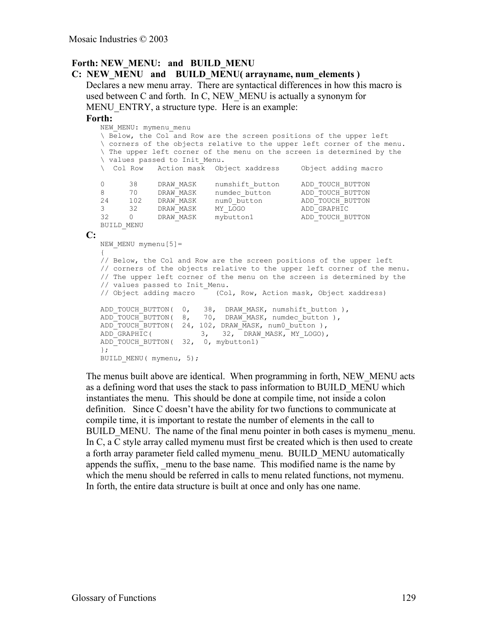#### **Forth: NEW\_MENU: and BUILD\_MENU C: NEW\_MENU and BUILD\_MENU( arrayname, num\_elements )**

Declares a new menu array. There are syntactical differences in how this macro is used between C and forth. In C, NEW\_MENU is actually a synonym for MENU ENTRY, a structure type. Here is an example:

#### **Forth:**

```
NEW_MENU: mymenu_menu
   \ Below, the Col and Row are the screen positions of the upper left
   \ corners of the objects relative to the upper left corner of the menu.
   \ The upper left corner of the menu on the screen is determined by the
   \ values passed to Init_Menu.
  \ Col Row Action mask Object xaddress Object adding macro
   0 38 DRAW_MASK numshift_button ADD_TOUCH_BUTTON
   8 70 DRAW_MASK numdec_button ADD_TOUCH_BUTTON
   24 102 DRAW_MASK num0_button ADD_TOUCH_BUTTON
   3 32 DRAW_MASK MY_LOGO ADD_GRAPHIC
   32 0 DRAW_MASK mybutton1 ADD_TOUCH_BUTTON
  BUILD_MENU
C:
  NEW MENU mymenu[5]=
   {
   // Below, the Col and Row are the screen positions of the upper left
  // corners of the objects relative to the upper left corner of the menu.
  // The upper left corner of the menu on the screen is determined by the
  // values passed to Init Menu.
  // Object adding macro (Col, Row, Action mask, Object xaddress)
  ADD_TOUCH_BUTTON( 0, 38, DRAW_MASK, numshift_button ),
  ADD_TOUCH_BUTTON( 8, 70, DRAW_MASK, numdec_button ),
  ADDTOUCH BUTTON( 24, 102, DRAW MASK, num0 button ),
   ADD GRAPHIC( 3, 32, DRAW MASK, MY LOGO),
   ADD_TOUCH_BUTTON( 32, 0, mybutton1)
   };
  BUILD MENU( mymenu, 5);
```
The menus built above are identical. When programming in forth, NEW\_MENU acts as a defining word that uses the stack to pass information to BUILD\_MENU which instantiates the menu. This should be done at compile time, not inside a colon definition. Since C doesn't have the ability for two functions to communicate at compile time, it is important to restate the number of elements in the call to BUILD MENU. The name of the final menu pointer in both cases is mymenu menu. In C, a C style array called mymenu must first be created which is then used to create a forth array parameter field called mymenu\_menu. BUILD\_MENU automatically appends the suffix, menu to the base name. This modified name is the name by which the menu should be referred in calls to menu related functions, not mymenu. In forth, the entire data structure is built at once and only has one name.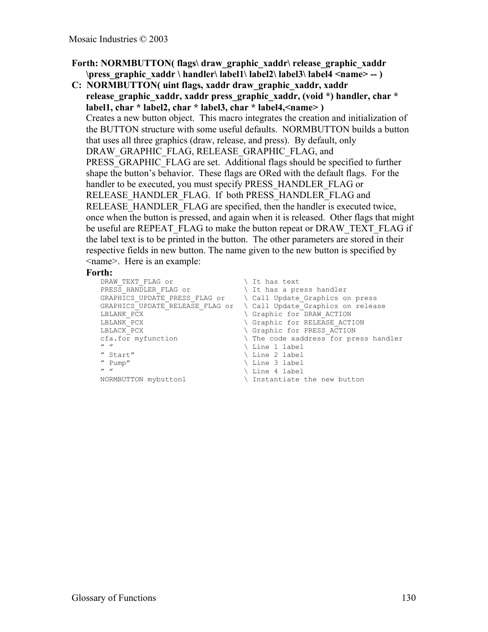- **Forth: NORMBUTTON( flags\ draw\_graphic\_xaddr\ release\_graphic\_xaddr \press\_graphic\_xaddr \ handler\ label1\ label2\ label3\ label4 <name> -- )**
- **C: NORMBUTTON( uint flags, xaddr draw\_graphic\_xaddr, xaddr release\_graphic\_xaddr, xaddr press\_graphic\_xaddr, (void \*) handler, char \* label1, char \* label2, char \* label3, char \* label4,<name> )** Creates a new button object. This macro integrates the creation and initialization of the BUTTON structure with some useful defaults. NORMBUTTON builds a button that uses all three graphics (draw, release, and press). By default, only DRAW\_GRAPHIC\_FLAG, RELEASE\_GRAPHIC\_FLAG, and PRESS\_GRAPHIC\_FLAG are set. Additional flags should be specified to further shape the button's behavior. These flags are ORed with the default flags. For the handler to be executed, you must specify PRESS\_HANDLER\_FLAG or RELEASE\_HANDLER\_FLAG. If both PRESS\_HANDLER\_FLAG and RELEASE\_HANDLER\_FLAG are specified, then the handler is executed twice, once when the button is pressed, and again when it is released. Other flags that might be useful are REPEAT FLAG to make the button repeat or DRAW\_TEXT\_FLAG if the label text is to be printed in the button. The other parameters are stored in their respective fields in new button. The name given to the new button is specified by <name>. Here is an example:

#### **Forth:**

```
DRAW_TEXT_FLAG or \setminus It has text<br>PRESS HANDLER FLAG or \setminus It has a press handler
 PRESS HANDLER FLAG or \qquad \qquad \backslash It has a press handler
 GRAPHICS_UPDATE_PRESS_FLAG or \ Call Update_Graphics on press
GRAPHICS_UPDATE_RELEASE_FLAG or \ Call Update_Graphics on release<br>LBLANK PCX \ \ Graphic for DRAW ACTION
                                                        \ Graphic for DRAW ACTION
LBLANK PCX \setminus Graphic for RELEASE ACTION
LBLACK_PCX \setminus Graphic for PRESS_ACTION cfa.for myfunction \setminus The code xaddress for pre
 cfa.for myfunction \qquad \qquad The code xaddress for press handler
\begin{array}{ccc}\n\text{''} & \text{''} & \text{''} \\
\text{''} & \text{start} & \text{''} & \text{''} \\
\end{array}\begin{array}{ccc}\n\text{``Start''} & \text{``line 2 label} \\
\text{`` Pump''} & \text{``line 3 label}\n\end{array}\begin{array}{ccc}\n\text{``Pump''} & \text{Line 3 label} \\
\text{``\ } \text{''} & \text{``} \text{``} \text{''} \\
\end{array}\begin{tabular}{ll} $\quad$ " & $\quad$ \\\hline \texttt{NORMBUTTON } mybutton1 & $\quad$ \\\hline \texttt{NORMBUTTON } mybutton1 & $\quad$ \\\hline \end{tabular} \label{thm:nonlinear}\backslash Instantiate the new button
```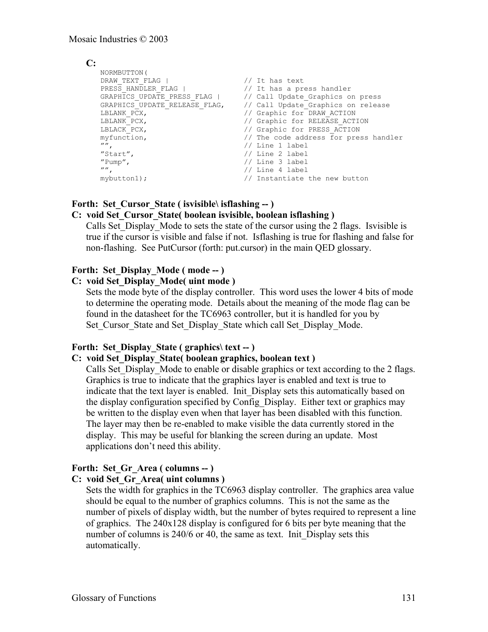## **C:**

```
NORMBUTTON(
DRAW_TEXT_FLAG | // It has text
PRESS_HANDLER_FLAG | // It has a press handler
GRAPHICS_UPDATE_PRESS_FLAG | // Call Update_Graphics on press
GRAPHICS_UPDATE_RELEASE_FLAG, // Call Update_Graphics on release
LBLANK_PCX, // Graphic for DRAW_ACTION
LBLANK_PCX, // Graphic for RELEASE_ACTION
LBLACK PCX, \frac{1}{2} // Graphic for PRESS ACTION
myfunction, // The code address for press handler
"", // Line 1 label
"Start", // Line 2 label
"Pump", // Line 3 label
"", // Line 4 label
\frac{m}{r},<br>mybutton1); \frac{1}{r} // Instantiate the new button
```
## Forth: Set Cursor State ( isvisible\ isflashing -- )

## **C: void Set\_Cursor\_State( boolean isvisible, boolean isflashing )**

Calls Set\_Display\_Mode to sets the state of the cursor using the 2 flags. Isvisible is true if the cursor is visible and false if not. Isflashing is true for flashing and false for non-flashing. See PutCursor (forth: put.cursor) in the main QED glossary.

## **Forth: Set\_Display\_Mode ( mode -- )**

## **C: void Set\_Display\_Mode( uint mode )**

Sets the mode byte of the display controller. This word uses the lower 4 bits of mode to determine the operating mode. Details about the meaning of the mode flag can be found in the datasheet for the TC6963 controller, but it is handled for you by Set Cursor State and Set Display State which call Set Display Mode.

## Forth: Set Display State ( graphics\ text -- )

## **C: void Set\_Display\_State( boolean graphics, boolean text )**

Calls Set Display Mode to enable or disable graphics or text according to the 2 flags. Graphics is true to indicate that the graphics layer is enabled and text is true to indicate that the text layer is enabled. Init Display sets this automatically based on the display configuration specified by Config\_Display. Either text or graphics may be written to the display even when that layer has been disabled with this function. The layer may then be re-enabled to make visible the data currently stored in the display. This may be useful for blanking the screen during an update. Most applications don't need this ability.

## **Forth: Set\_Gr\_Area ( columns -- )**

#### **C: void Set\_Gr\_Area( uint columns )**

Sets the width for graphics in the TC6963 display controller. The graphics area value should be equal to the number of graphics columns. This is not the same as the number of pixels of display width, but the number of bytes required to represent a line of graphics. The 240x128 display is configured for 6 bits per byte meaning that the number of columns is 240/6 or 40, the same as text. Init Display sets this automatically.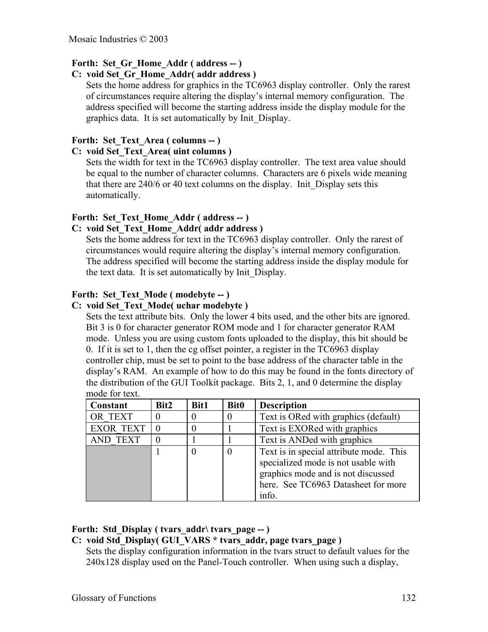## **Forth: Set\_Gr\_Home\_Addr ( address -- )**

## **C: void Set\_Gr\_Home\_Addr( addr address )**

Sets the home address for graphics in the TC6963 display controller. Only the rarest of circumstances require altering the display's internal memory configuration. The address specified will become the starting address inside the display module for the graphics data. It is set automatically by Init\_Display.

## **Forth: Set\_Text\_Area ( columns -- )**

## **C: void Set\_Text\_Area( uint columns )**

Sets the width for text in the TC6963 display controller. The text area value should be equal to the number of character columns. Characters are 6 pixels wide meaning that there are 240/6 or 40 text columns on the display. Init\_Display sets this automatically.

## Forth: Set Text Home Addr ( address -- )

## **C: void Set\_Text\_Home\_Addr( addr address )**

Sets the home address for text in the TC6963 display controller. Only the rarest of circumstances would require altering the display's internal memory configuration. The address specified will become the starting address inside the display module for the text data. It is set automatically by Init\_Display.

## **Forth: Set\_Text\_Mode ( modebyte -- )**

## **C: void Set\_Text\_Mode( uchar modebyte )**

Sets the text attribute bits. Only the lower 4 bits used, and the other bits are ignored. Bit 3 is 0 for character generator ROM mode and 1 for character generator RAM mode. Unless you are using custom fonts uploaded to the display, this bit should be 0. If it is set to 1, then the cg offset pointer, a register in the TC6963 display controller chip, must be set to point to the base address of the character table in the display's RAM. An example of how to do this may be found in the fonts directory of the distribution of the GUI Toolkit package. Bits 2, 1, and 0 determine the display mode for text.

| Constant         | Bit2 | Bit1     | <b>Bit0</b> | <b>Description</b>                                                                                                                                                   |
|------------------|------|----------|-------------|----------------------------------------------------------------------------------------------------------------------------------------------------------------------|
| OR TEXT          |      | 0        | 0           | Text is ORed with graphics (default)                                                                                                                                 |
| <b>EXOR TEXT</b> |      | 0        |             | Text is EXORed with graphics                                                                                                                                         |
| <b>AND TEXT</b>  |      |          |             | Text is ANDed with graphics                                                                                                                                          |
|                  |      | $\theta$ | 0           | Text is in special attribute mode. This<br>specialized mode is not usable with<br>graphics mode and is not discussed<br>here. See TC6963 Datasheet for more<br>info. |

## Forth: Std Display ( tvars addr\ tvars page -- )

## **C: void Std\_Display( GUI\_VARS \* tvars\_addr, page tvars\_page )**

Sets the display configuration information in the tvars struct to default values for the 240x128 display used on the Panel-Touch controller. When using such a display,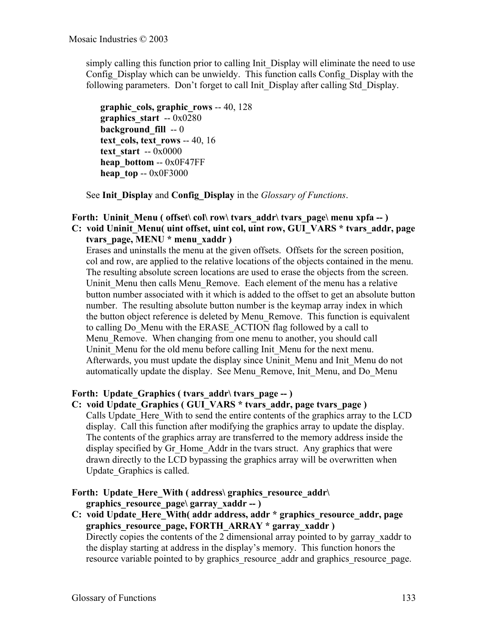simply calling this function prior to calling Init\_Display will eliminate the need to use Config Display which can be unwieldy. This function calls Config Display with the following parameters. Don't forget to call Init\_Display after calling Std\_Display.

**graphic\_cols, graphic\_rows** -- 40, 128 **graphics\_start** -- 0x0280 **background fill** -- 0 **text\_cols, text\_rows** -- 40, 16 **text\_start** -- 0x0000 **heap\_bottom** -- 0x0F47FF **heap** top -- 0x0F3000

See **Init\_Display** and **Config\_Display** in the *Glossary of Functions*.

## Forth: Uninit Menu ( offset\ col\ row\ tvars\_addr\ tvars\_page\ menu xpfa -- ) **C: void Uninit\_Menu( uint offset, uint col, uint row, GUI\_VARS \* tvars\_addr, page tvars\_page, MENU \* menu\_xaddr )**

Erases and uninstalls the menu at the given offsets. Offsets for the screen position, col and row, are applied to the relative locations of the objects contained in the menu. The resulting absolute screen locations are used to erase the objects from the screen. Uninit Menu then calls Menu Remove. Each element of the menu has a relative button number associated with it which is added to the offset to get an absolute button number. The resulting absolute button number is the keymap array index in which the button object reference is deleted by Menu\_Remove. This function is equivalent to calling Do\_Menu with the ERASE\_ACTION flag followed by a call to Menu Remove. When changing from one menu to another, you should call Uninit Menu for the old menu before calling Init Menu for the next menu. Afterwards, you must update the display since Uninit\_Menu and Init\_Menu do not automatically update the display. See Menu\_Remove, Init\_Menu, and Do\_Menu

## Forth: Update Graphics ( tvars addr\ tvars page -- )

**C: void Update\_Graphics ( GUI\_VARS \* tvars\_addr, page tvars\_page )** Calls Update\_Here\_With to send the entire contents of the graphics array to the LCD display. Call this function after modifying the graphics array to update the display. The contents of the graphics array are transferred to the memory address inside the display specified by Gr. Home. Addr in the tvars struct. Any graphics that were drawn directly to the LCD bypassing the graphics array will be overwritten when Update\_Graphics is called.

## Forth: Update Here With ( address\ graphics resource addr\ **graphics\_resource\_page\ garray\_xaddr -- )**

**C: void Update\_Here\_With( addr address, addr \* graphics\_resource\_addr, page graphics\_resource\_page, FORTH\_ARRAY \* garray\_xaddr )** Directly copies the contents of the 2 dimensional array pointed to by garray xaddr to the display starting at address in the display's memory. This function honors the resource variable pointed to by graphics resource addr and graphics resource page.